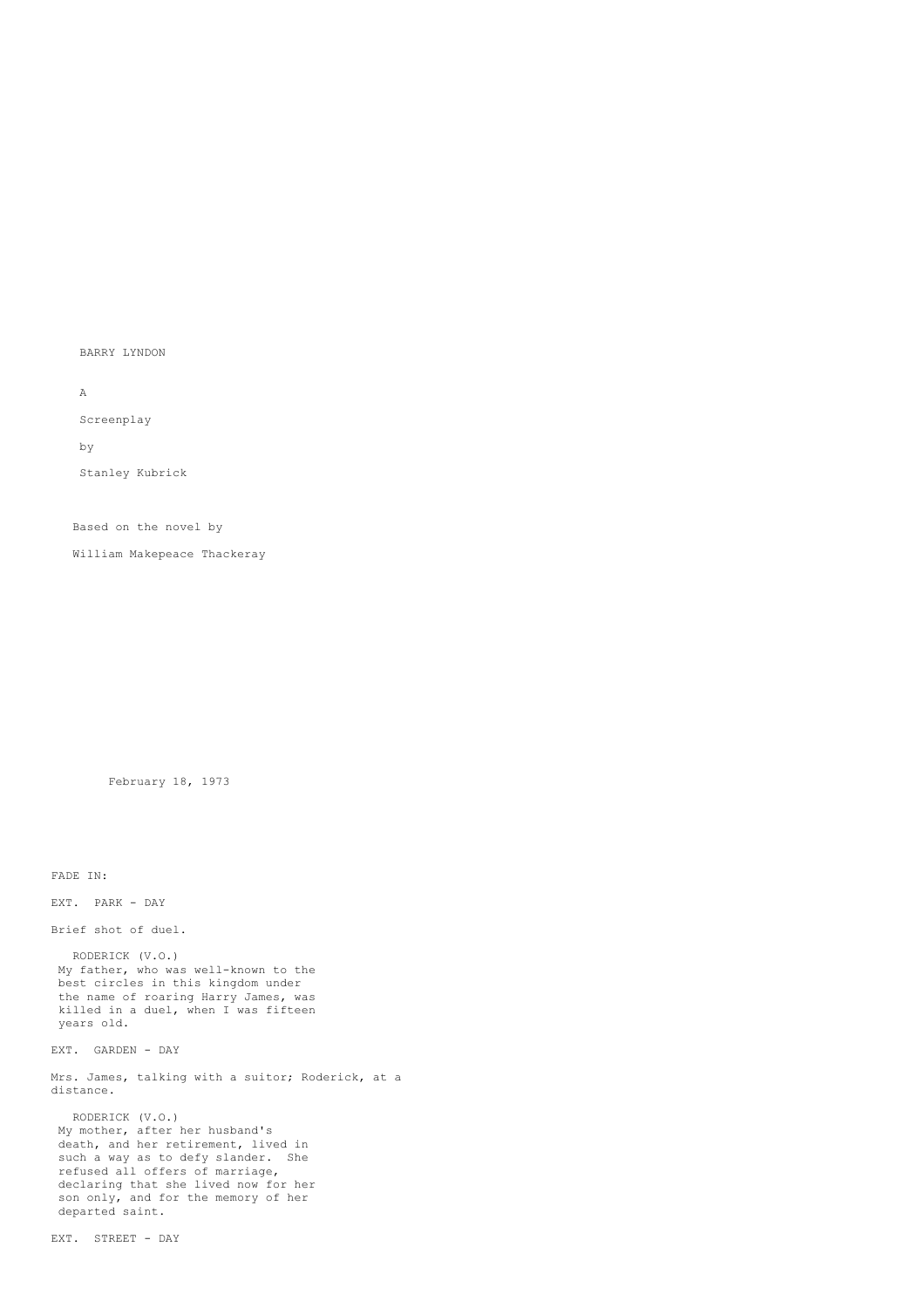BARRY LYNDON

A

Screenplay

by

Stanley Kubrick

Based on the novel by

William Makepeace Thackeray

February 18, 1973

FADE IN:

EXT. PARK - DAY

Brief shot of duel.

RODERICK (V.O.) My father, who was well-known to the best circles in this kingdom under the name of roaring Harry James, was killed in a duel, when I was fifteen years old.

EXT. GARDEN - DAY

Mrs. James, talking with a suitor; Roderick, at a distance.

RODERICK (V.O.) My mother, after her husband's death, and her retirement, lived in such a way as to defy slander. She refused all offers of marriage, declaring that she lived now for her son only, and for the memory of her departed saint.

EXT. STREET - DAY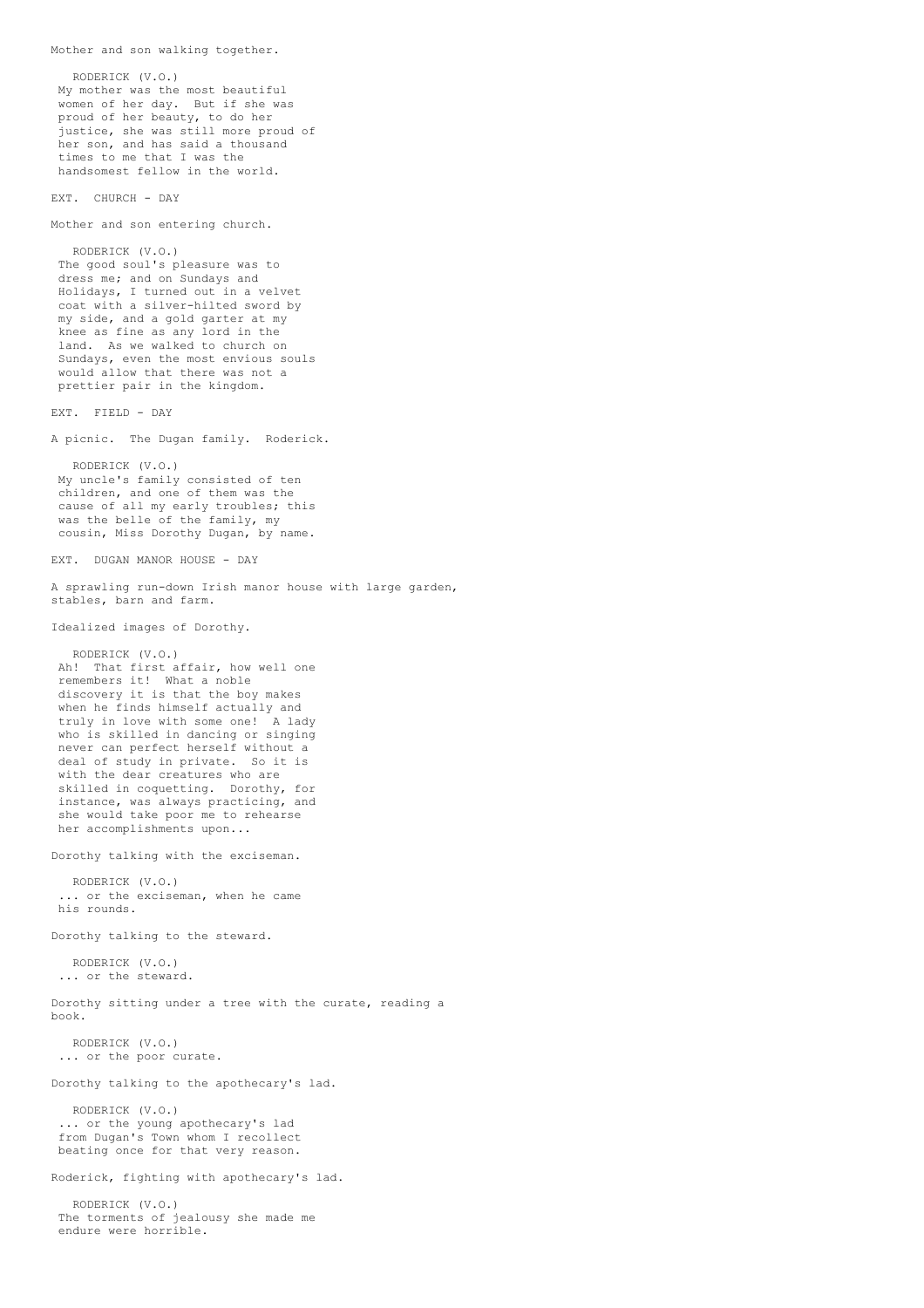```
RODERICK (V.O.)
My mother was the most beautiful
 women of her day. But if she was
 proud of her beauty, to do her
 justice, she was still more proud of
 her son, and has said a thousand
 times to me that I was the
handsomest fellow in the world.
EXT. CHURCH - DAY
Mother and son entering church.
  RODERICK (V.O.)
 The good soul's pleasure was to
 dress me; and on Sundays and
 Holidays, I turned out in a velvet
 coat with a silver-hilted sword by
my side, and a gold garter at my
 knee as fine as any lord in the
 land. As we walked to church on
 Sundays, even the most envious souls
 would allow that there was not a
prettier pair in the kingdom.
EXT. FIELD - DAY
A picnic. The Dugan family. Roderick.
  RODERICK (V.O.)
My uncle's family consisted of ten
 children, and one of them was the
 cause of all my early troubles; this
 was the belle of the family, my
cousin, Miss Dorothy Dugan, by name.
EXT. DUGAN MANOR HOUSE - DAY
A sprawling run-down Irish manor house with large garden,
stables, barn and farm.
Idealized images of Dorothy.
   RODERICK (V.O.)
Ah! That first affair, how well one
 remembers it! What a noble
 discovery it is that the boy makes
 when he finds himself actually and
 truly in love with some one! A lady
 who is skilled in dancing or singing
 never can perfect herself without a
 deal of study in private. So it is
 with the dear creatures who are
 skilled in coquetting. Dorothy, for
 instance, was always practicing, and
 she would take poor me to rehearse
 her accomplishments upon...
Dorothy talking with the exciseman.
  RODERICK (V.O.)
 ... or the exciseman, when he came
his rounds.
Dorothy talking to the steward.
  RODERICK (V.O.)
 ... or the steward.
Dorothy sitting under a tree with the curate, reading a
book.
  RODERICK (V.O.)
 ... or the poor curate.
Dorothy talking to the apothecary's lad.
  RODERICK (V.O.)
 ... or the young apothecary's lad
 from Dugan's Town whom I recollect
 beating once for that very reason.
Roderick, fighting with apothecary's lad.
   RODERICK (V.O.)
 The torments of jealousy she made me
 endure were horrible.
```
Mother and son walking together.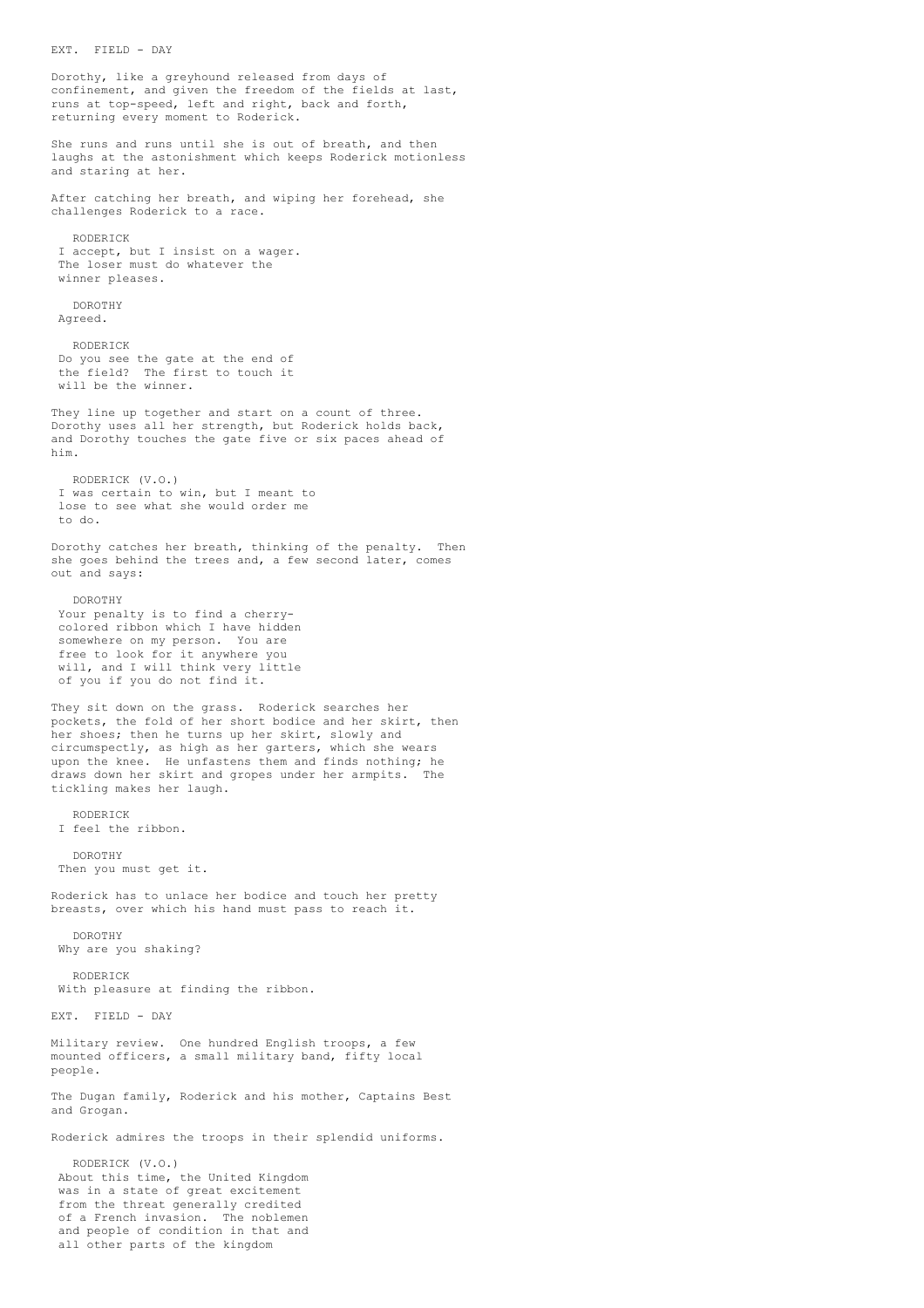EXT. FIELD - DAY Dorothy, like a greyhound released from days of confinement, and given the freedom of the fields at last, runs at top-speed, left and right, back and forth, returning every moment to Roderick. She runs and runs until she is out of breath, and then laughs at the astonishment which keeps Roderick motionless and staring at her. After catching her breath, and wiping her forehead, she challenges Roderick to a race. RODERICK I accept, but I insist on a wager. The loser must do whatever the winner pleases. DOROTHY Agreed. RODERICK Do you see the gate at the end of the field? The first to touch it will be the winner. They line up together and start on a count of three. Dorothy uses all her strength, but Roderick holds back, and Dorothy touches the gate five or six paces ahead of him. RODERICK (V.O.) I was certain to win, but I meant to lose to see what she would order me to do. Dorothy catches her breath, thinking of the penalty. Then she goes behind the trees and, a few second later, comes out and says: DOROTHY Your penalty is to find a cherrycolored ribbon which I have hidden somewhere on my person. You are free to look for it anywhere you will, and I will think very little of you if you do not find it. They sit down on the grass. Roderick searches her pockets, the fold of her short bodice and her skirt, then her shoes; then he turns up her skirt, slowly and circumspectly, as high as her garters, which she wears upon the knee. He unfastens them and finds nothing; he<br>draws down her skirt and gropes under her armnits. The draws down her skirt and gropes under her armpits. tickling makes her laugh. RODERICK I feel the ribbon. DOROTHY Then you must get it. Roderick has to unlace her bodice and touch her pretty breasts, over which his hand must pass to reach it. DOROTHY Why are you shaking? RODERICK With pleasure at finding the ribbon. EXT. FIELD - DAY Military review. One hundred English troops, a few mounted officers, a small military band, fifty local people. The Dugan family, Roderick and his mother, Captains Best and Grogan. Roderick admires the troops in their splendid uniforms. RODERICK (V.O.) About this time, the United Kingdom was in a state of great excitement from the threat generally credited of a French invasion. The noblemen and people of condition in that and all other parts of the kingdom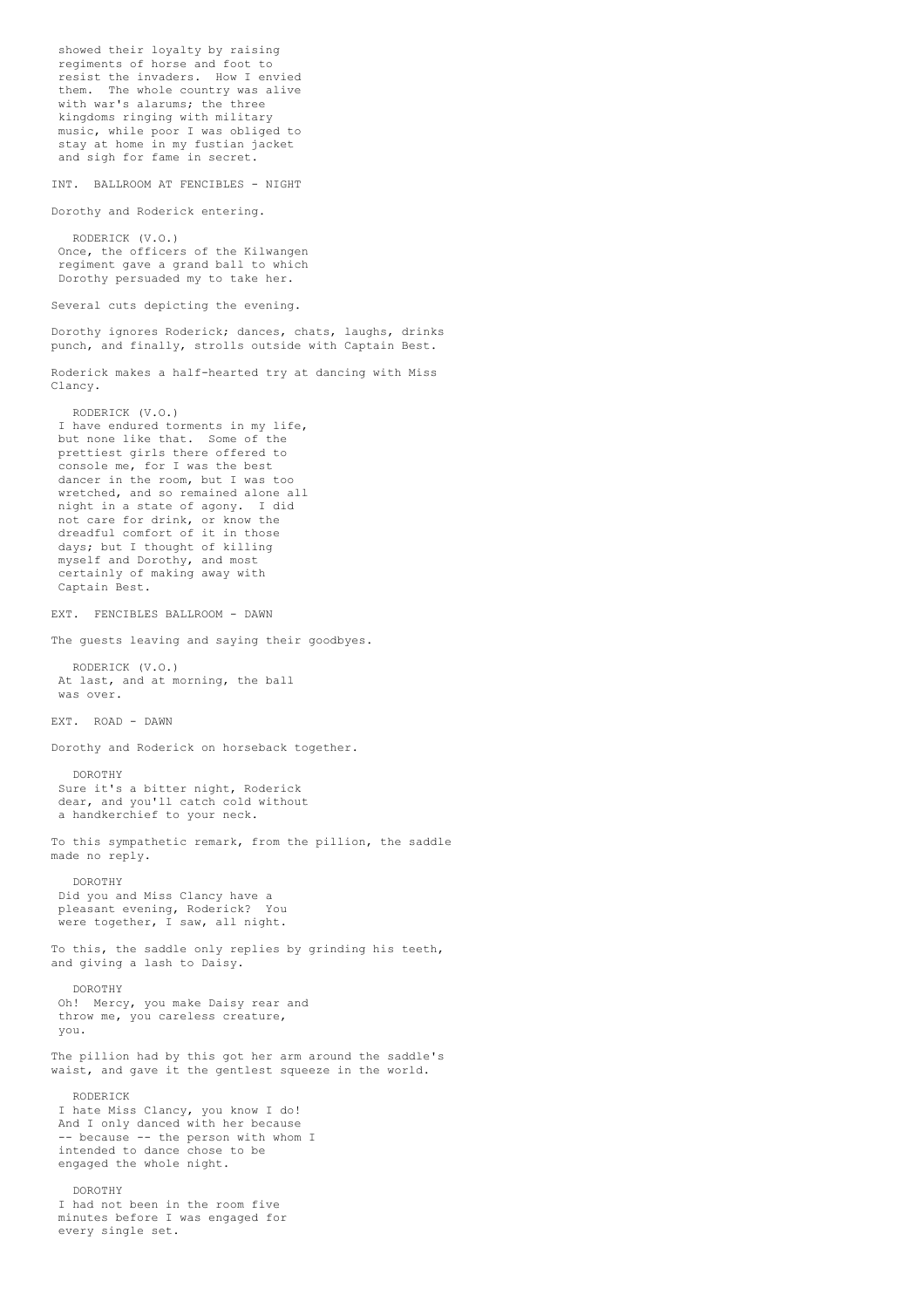showed their loyalty by raising regiments of horse and foot to resist the invaders. How I envied them. The whole country was alive with war's alarums; the three kingdoms ringing with military music, while poor I was obliged to stay at home in my fustian jacket and sigh for fame in secret. INT. BALLROOM AT FENCIBLES - NIGHT Dorothy and Roderick entering. RODERICK (V.O.) Once, the officers of the Kilwangen regiment gave a grand ball to which Dorothy persuaded my to take her. Several cuts depicting the evening. Dorothy ignores Roderick; dances, chats, laughs, drinks punch, and finally, strolls outside with Captain Best. Roderick makes a half-hearted try at dancing with Miss Clancy. RODERICK (V.O.) I have endured torments in my life, but none like that. Some of the prettiest girls there offered to console me, for I was the best dancer in the room, but I was too wretched, and so remained alone all night in a state of agony. I did not care for drink, or know the dreadful comfort of it in those days; but I thought of killing myself and Dorothy, and most certainly of making away with Captain Best. EXT. FENCIBLES BALLROOM - DAWN The guests leaving and saying their goodbyes. RODERICK (V.O.) At last, and at morning, the ball was over. EXT. ROAD - DAWN Dorothy and Roderick on horseback together. DOROTHY Sure it's a bitter night, Roderick dear, and you'll catch cold without a handkerchief to your neck. To this sympathetic remark, from the pillion, the saddle made no reply. DOROTHY Did you and Miss Clancy have a pleasant evening, Roderick? You were together, I saw, all night. To this, the saddle only replies by grinding his teeth, and giving a lash to Daisy. DOROTHY Oh! Mercy, you make Daisy rear and throw me, you careless creature, you. The pillion had by this got her arm around the saddle's waist, and gave it the gentlest squeeze in the world. RODERICK I hate Miss Clancy, you know I do! And I only danced with her because -- because -- the person with whom I intended to dance chose to be engaged the whole night. DOROTHY I had not been in the room five minutes before I was engaged for every single set.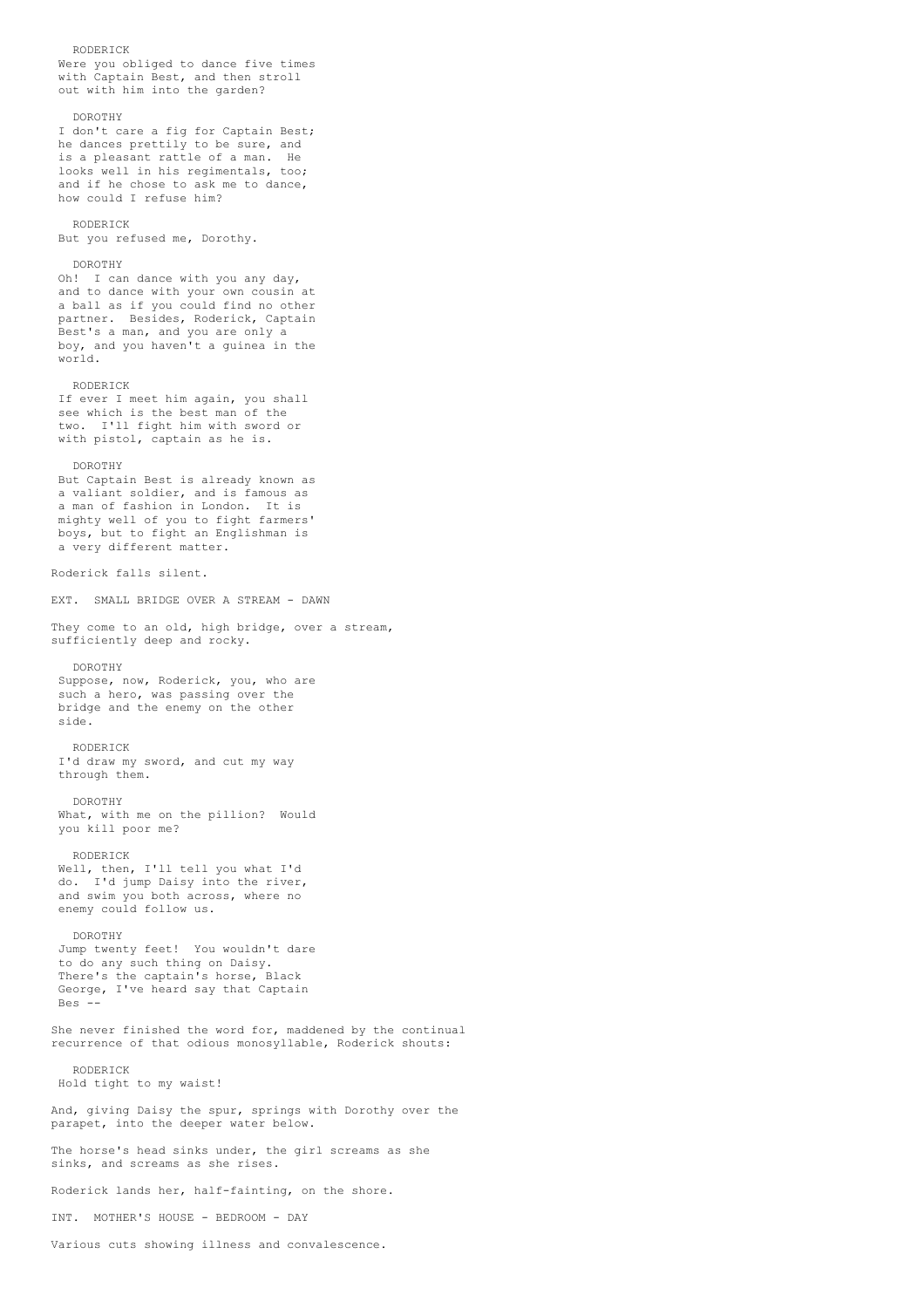RODERICK Were you obliged to dance five times with Captain Best, and then stroll out with him into the garden? DOROTHY I don't care a fig for Captain Best; he dances prettily to be sure, and is a pleasant rattle of a man. He looks well in his regimentals, too; and if he chose to ask me to dance, how could I refuse him? RODERICK But you refused me, Dorothy. DOROTHY Oh! I can dance with you any day, and to dance with your own cousin at a ball as if you could find no other partner. Besides, Roderick, Captain Best's a man, and you are only a boy, and you haven't a guinea in the world. RODERICK If ever I meet him again, you shall see which is the best man of the two. I'll fight him with sword or with pistol, captain as he is. DOROTHY But Captain Best is already known as a valiant soldier, and is famous as a man of fashion in London. It is mighty well of you to fight farmers' boys, but to fight an Englishman is a very different matter. Roderick falls silent. EXT. SMALL BRIDGE OVER A STREAM - DAWN They come to an old, high bridge, over a stream, sufficiently deep and rocky. DOROTHY Suppose, now, Roderick, you, who are such a hero, was passing over the bridge and the enemy on the other side. RODERICK I'd draw my sword, and cut my way through them. DOROTHY What, with me on the pillion? Would you kill poor me? RODERICK Well, then, I'll tell you what I'd do. I'd jump Daisy into the river, and swim you both across, where no enemy could follow us. DOROTHY Jump twenty feet! You wouldn't dare to do any such thing on Daisy. There's the captain's horse, Black George, I've heard say that Captain Bes She never finished the word for, maddened by the continual recurrence of that odious monosyllable, Roderick shouts: RODERICK Hold tight to my waist! And, giving Daisy the spur, springs with Dorothy over the parapet, into the deeper water below. The horse's head sinks under, the girl screams as she sinks, and screams as she rises. Roderick lands her, half-fainting, on the shore. INT. MOTHER'S HOUSE - BEDROOM - DAY

Various cuts showing illness and convalescence.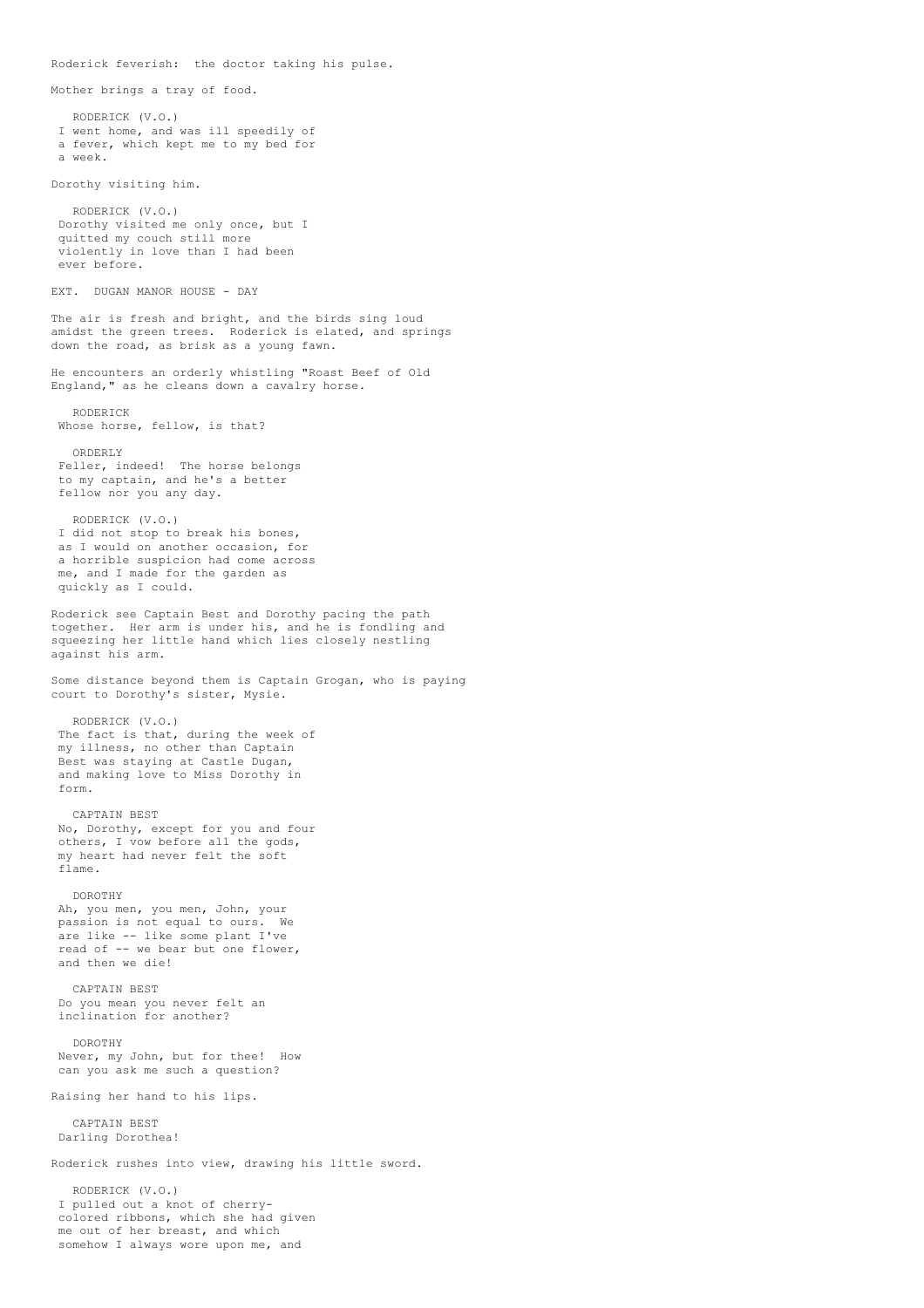Roderick feverish: the doctor taking his pulse. Mother brings a tray of food. RODERICK (V.O.) I went home, and was ill speedily of a fever, which kept me to my bed for a week. Dorothy visiting him. RODERICK (V.O.) Dorothy visited me only once, but I quitted my couch still more violently in love than I had been ever before. EXT. DUGAN MANOR HOUSE - DAY The air is fresh and bright, and the birds sing loud amidst the green trees. Roderick is elated, and springs down the road, as brisk as a young fawn. He encounters an orderly whistling "Roast Beef of Old England," as he cleans down a cavalry horse. RODERICK Whose horse, fellow, is that? ORDERLY Feller, indeed! The horse belongs to my captain, and he's a better fellow nor you any day. RODERICK (V.O.) I did not stop to break his bones, as I would on another occasion, for a horrible suspicion had come across me, and I made for the garden as quickly as I could. Roderick see Captain Best and Dorothy pacing the path together. Her arm is under his, and he is fondling and squeezing her little hand which lies closely nestling against his arm. Some distance beyond them is Captain Grogan, who is paying court to Dorothy's sister, Mysie. RODERICK (V.O.) The fact is that, during the week of my illness, no other than Captain Best was staying at Castle Dugan, and making love to Miss Dorothy in form. CAPTAIN BEST No, Dorothy, except for you and four others, I vow before all the gods, my heart had never felt the soft flame. DOROTHY Ah, you men, you men, John, your passion is not equal to ours. We are like -- like some plant I've read of -- we bear but one flower, and then we die! CAPTAIN BEST Do you mean you never felt an inclination for another? DOROTHY Never, my John, but for thee! How can you ask me such a question? Raising her hand to his lips. CAPTAIN BEST Darling Dorothea! Roderick rushes into view, drawing his little sword. RODERICK (V.O.) I pulled out a knot of cherrycolored ribbons, which she had given me out of her breast, and which

somehow I always wore upon me, and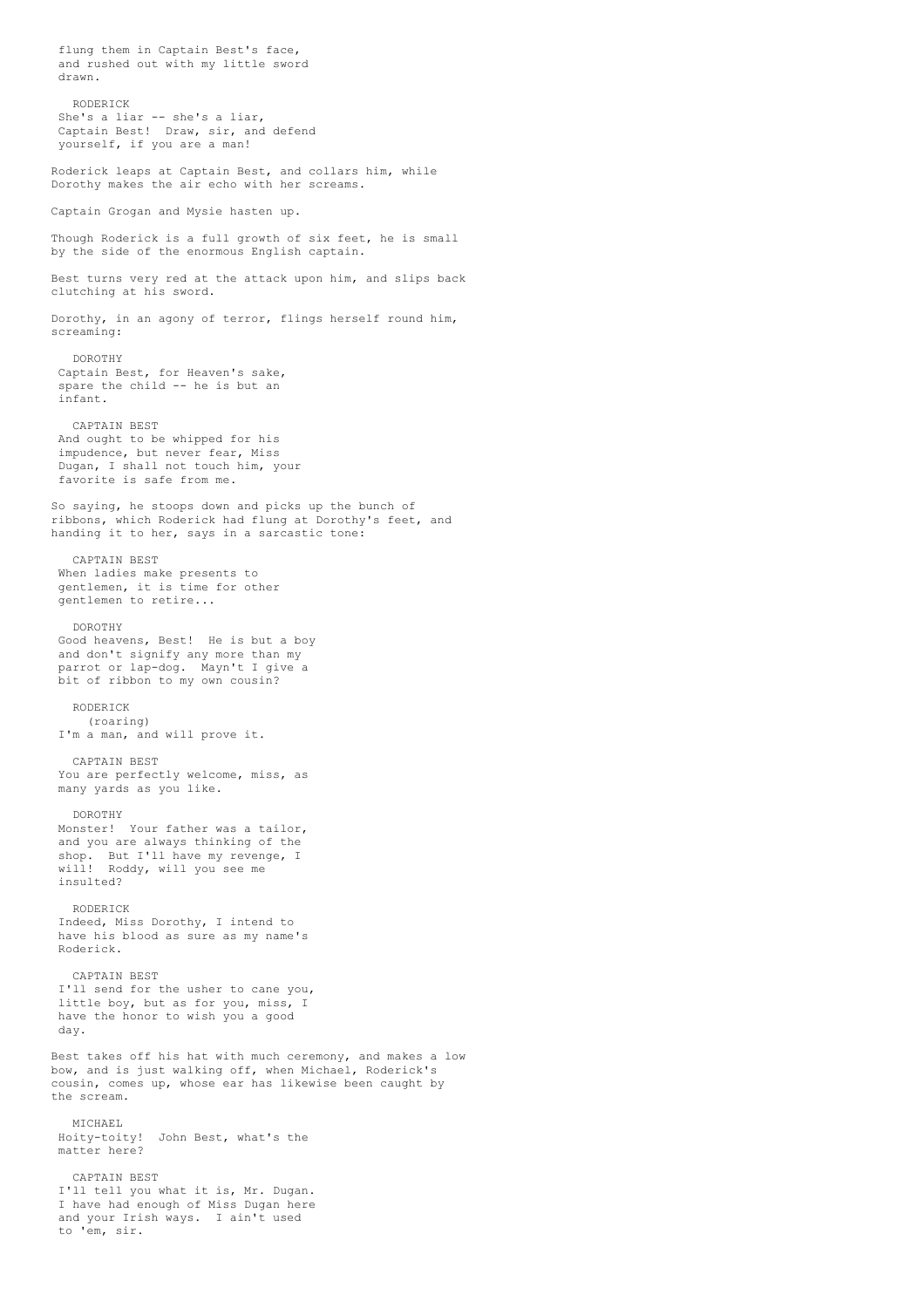flung them in Captain Best's face, and rushed out with my little sword drawn. RODERICK She's a liar -- she's a liar, Captain Best! Draw, sir, and defend yourself, if you are a man! Roderick leaps at Captain Best, and collars him, while Dorothy makes the air echo with her screams. Captain Grogan and Mysie hasten up. Though Roderick is a full growth of six feet, he is small by the side of the enormous English captain. Best turns very red at the attack upon him, and slips back clutching at his sword. Dorothy, in an agony of terror, flings herself round him, screaming: DOROTHY Captain Best, for Heaven's sake, spare the child -- he is but an infant. CAPTAIN BEST And ought to be whipped for his impudence, but never fear, Miss Dugan, I shall not touch him, your favorite is safe from me. So saying, he stoops down and picks up the bunch of ribbons, which Roderick had flung at Dorothy's feet, and handing it to her, says in a sarcastic tone: CAPTAIN BEST When ladies make presents to gentlemen, it is time for other gentlemen to retire... DOROTHY Good heavens, Best! He is but a boy and don't signify any more than my parrot or lap-dog. Mayn't I give a bit of ribbon to my own cousin? RODERICK (roaring) I'm a man, and will prove it. CAPTAIN BEST You are perfectly welcome, miss, as many yards as you like. DOROTHY Monster! Your father was a tailor, and you are always thinking of the shop. But I'll have my revenge, I will! Roddy, will you see me insulted? RODERICK Indeed, Miss Dorothy, I intend to have his blood as sure as my name's Roderick. CAPTAIN BEST I'll send for the usher to cane you, little boy, but as for you, miss, I have the honor to wish you a good day. Best takes off his hat with much ceremony, and makes a low bow, and is just walking off, when Michael, Roderick's cousin, comes up, whose ear has likewise been caught by the scream. MICHAEL Hoity-toity! John Best, what's the matter here? CAPTAIN BEST I'll tell you what it is, Mr. Dugan. I have had enough of Miss Dugan here and your Irish ways. I ain't used to 'em, sir.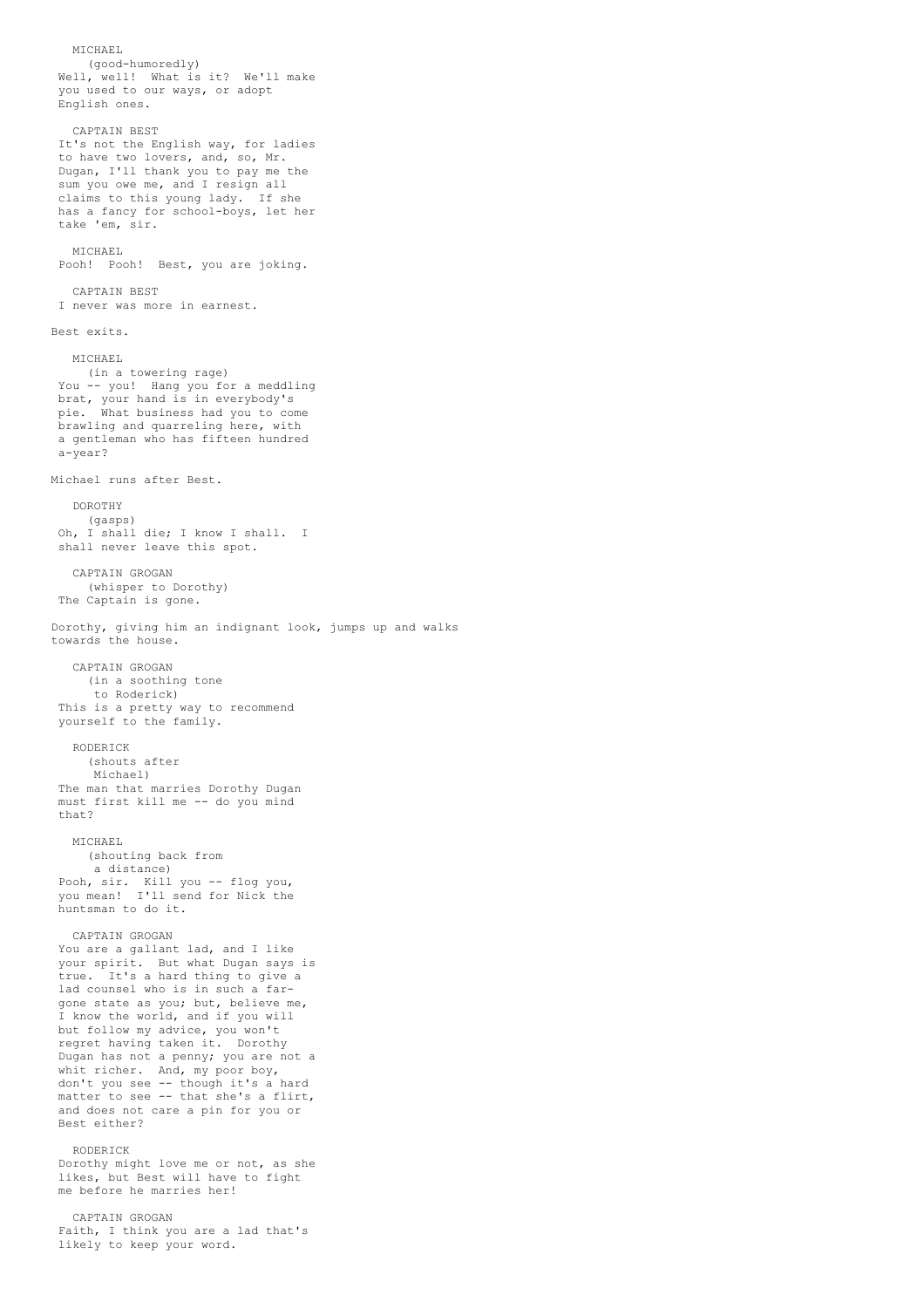MICHAEL. (good-humoredly) Well, well! What is it? We'll make you used to our ways, or adopt English ones. CAPTAIN BEST It's not the English way, for ladies to have two lovers, and, so, Mr. Dugan, I'll thank you to pay me the sum you owe me, and I resign all claims to this young lady. If she has a fancy for school-boys, let her take 'em, sir. MICHAEL Pooh! Pooh! Best, you are joking. CAPTAIN BEST I never was more in earnest. Best exits. MICHAEL (in a towering rage) You -- you! Hang you for a meddling brat, your hand is in everybody's pie. What business had you to come brawling and quarreling here, with a gentleman who has fifteen hundred a-year? Michael runs after Best. DOROTHY (gasps) Oh, I shall die; I know I shall. I shall never leave this spot. CAPTAIN GROGAN (whisper to Dorothy) The Captain is gone. Dorothy, giving him an indignant look, jumps up and walks towards the house. CAPTAIN GROGAN (in a soothing tone to Roderick) This is a pretty way to recommend yourself to the family. RODERICK (shouts after Michael) The man that marries Dorothy Dugan must first kill me -- do you mind that? MICHAEL (shouting back from a distance) Pooh, sir. Kill you -- flog you, you mean! I'll send for Nick the huntsman to do it. CAPTAIN GROGAN You are a gallant lad, and I like your spirit. But what Dugan says is true. It's a hard thing to give a lad counsel who is in such a fargone state as you; but, believe me, I know the world, and if you will but follow my advice, you won't regret having taken it. Dorothy Dugan has not a penny; you are not a whit richer. And, my poor boy, don't you see -- though it's a hard matter to see -- that she's a flirt, and does not care a pin for you or Best either? RODERICK Dorothy might love me or not, as she likes, but Best will have to fight me before he marries her! CAPTAIN GROGAN Faith, I think you are a lad that's likely to keep your word.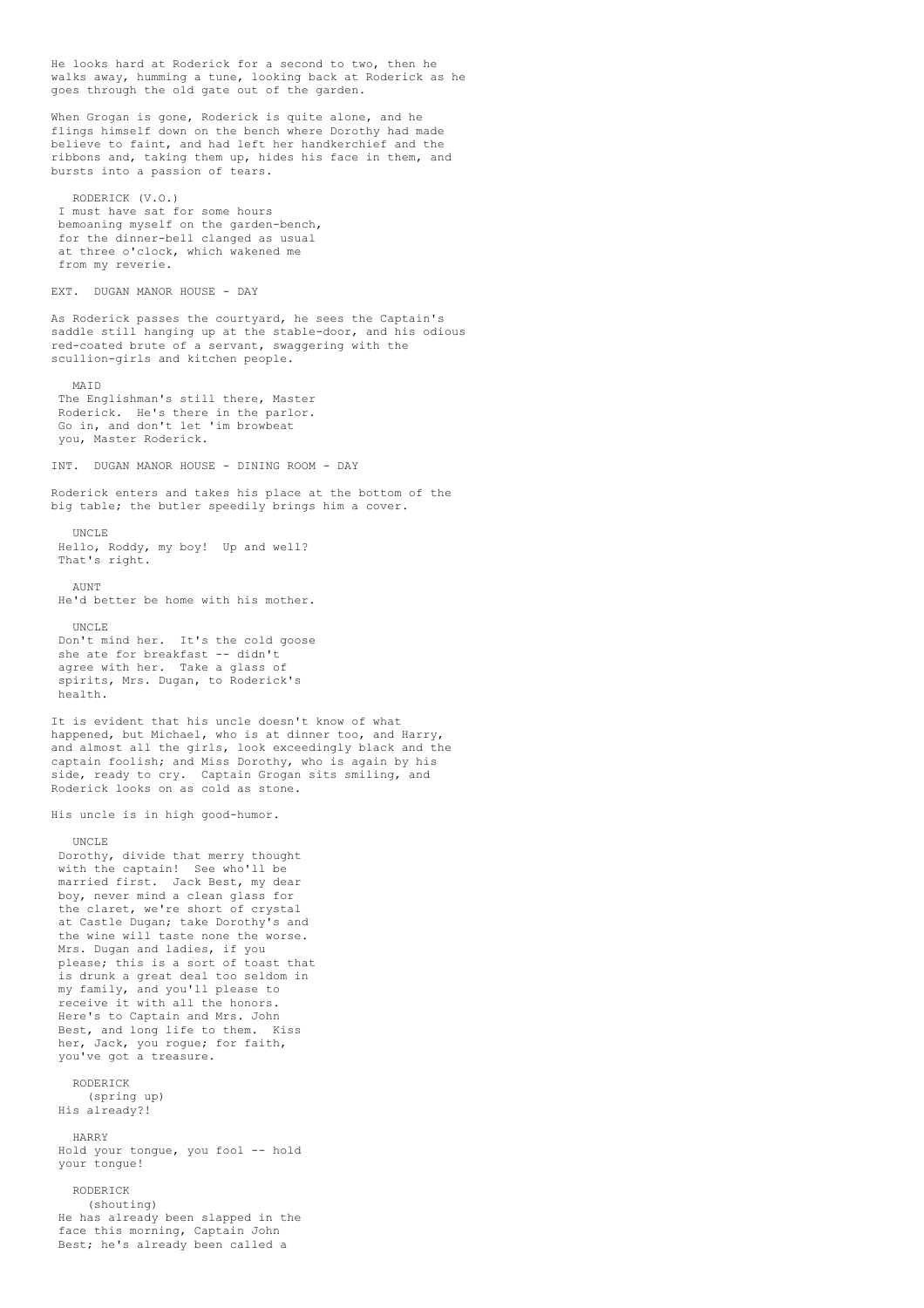He looks hard at Roderick for a second to two, then he walks away, humming a tune, looking back at Roderick as he goes through the old gate out of the garden. When Grogan is gone, Roderick is quite alone, and he flings himself down on the bench where Dorothy had made believe to faint, and had left her handkerchief and the ribbons and, taking them up, hides his face in them, and bursts into a passion of tears. RODERICK (V.O.) I must have sat for some hours bemoaning myself on the garden-bench, for the dinner-bell clanged as usual at three o'clock, which wakened me from my reverie. EXT. DUGAN MANOR HOUSE - DAY As Roderick passes the courtyard, he sees the Captain's saddle still hanging up at the stable-door, and his odious red-coated brute of a servant, swaggering with the scullion-girls and kitchen people. MAID The Englishman's still there, Master Roderick. He's there in the parlor. Go in, and don't let 'im browbeat you, Master Roderick. INT. DUGAN MANOR HOUSE - DINING ROOM - DAY Roderick enters and takes his place at the bottom of the big table; the butler speedily brings him a cover. UNCLE Hello, Roddy, my boy! Up and well? That's right. **AUNT** He'd better be home with his mother. UNCLE Don't mind her. It's the cold goose she ate for breakfast -- didn't agree with her. Take a glass of spirits, Mrs. Dugan, to Roderick's health. It is evident that his uncle doesn't know of what happened, but Michael, who is at dinner too, and Harry, and almost all the girls, look exceedingly black and the captain foolish; and Miss Dorothy, who is again by his side, ready to cry. Captain Grogan sits smiling, and Roderick looks on as cold as stone. His uncle is in high good-humor. UNCLE Dorothy, divide that merry thought with the captain! See who'll be married first. Jack Best, my dear harrica ringe. Sach Bose, my aca the claret, we're short of crystal at Castle Dugan; take Dorothy's and the wine will taste none the worse. Mrs. Dugan and ladies, if you please; this is a sort of toast that .<br>is drunk a great deal too seldom in my family, and you'll please to receive it with all the honors. Here's to Captain and Mrs. John Best, and long life to them. Kiss her, Jack, you rogue; for faith, you've got a treasure. RODERICK (spring up) His already?! HARRY Hold your tongue, you fool -- hold your tongue! RODERICK (shouting) He has already been slapped in the face this morning, Captain John Best; he's already been called a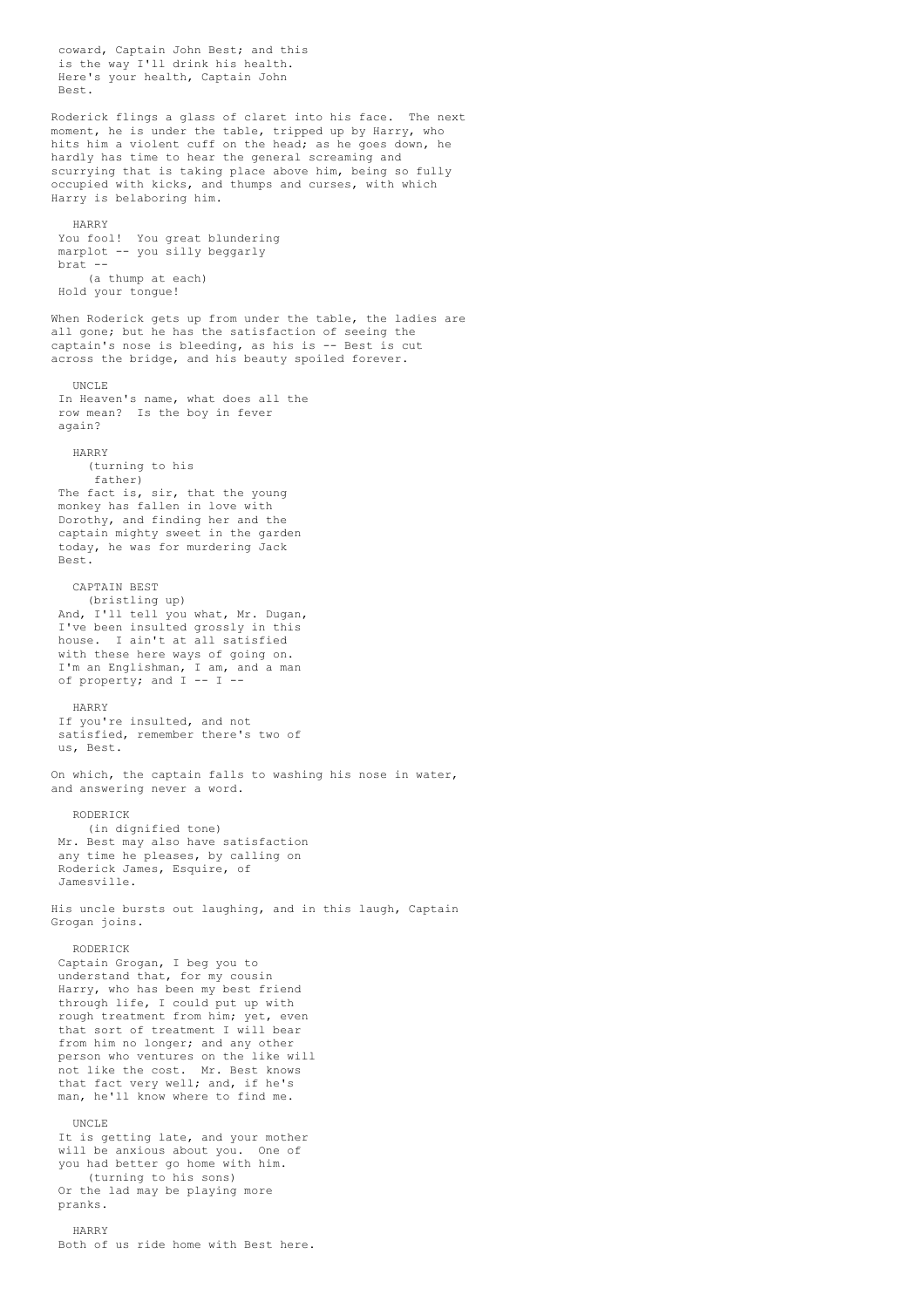coward, Captain John Best; and this is the way I'll drink his health. Here's your health, Captain John Best. Roderick flings a glass of claret into his face. The next moment, he is under the table, tripped up by Harry, who hits him a violent cuff on the head; as he goes down, he hardly has time to hear the general screaming and scurrying that is taking place above him, being so fully occupied with kicks, and thumps and curses, with which Harry is belaboring him. HARRY You fool! You great blundering marplot -- you silly beggarly brat -- (a thump at each) Hold your tongue! When Roderick gets up from under the table, the ladies are all gone; but he has the satisfaction of seeing the captain's nose is bleeding, as his is -- Best is cut across the bridge, and his beauty spoiled forever. UNCLE In Heaven's name, what does all the row mean? Is the boy in fever again? HARRY (turning to his father) The fact is, sir, that the young monkey has fallen in love with Dorothy, and finding her and the captain mighty sweet in the garden today, he was for murdering Jack Best. CAPTAIN BEST (bristling up) And, I'll tell you what, Mr. Dugan, I've been insulted grossly in this house. I ain't at all satisfied with these here ways of going on. I'm an Englishman, I am, and a man of property; and I -- I -- HARRY If you're insulted, and not satisfied, remember there's two of us, Best. On which, the captain falls to washing his nose in water, and answering never a word. RODERICK (in dignified tone) Mr. Best may also have satisfaction any time he pleases, by calling on Roderick James, Esquire, of Jamesville. His uncle bursts out laughing, and in this laugh, Captain Grogan joins. RODERICK Captain Grogan, I beg you to understand that, for my cousin Harry, who has been my best friend through life, I could put up with rough treatment from him; yet, even that sort of treatment I will bear from him no longer; and any other person who ventures on the like will not like the cost. Mr. Best knows that fact very well; and, if he's man, he'll know where to find me. UNCLE It is getting late, and your mother will be anxious about you. One of you had better go home with him. (turning to his sons) Or the lad may be playing more pranks. HARRY Both of us ride home with Best here.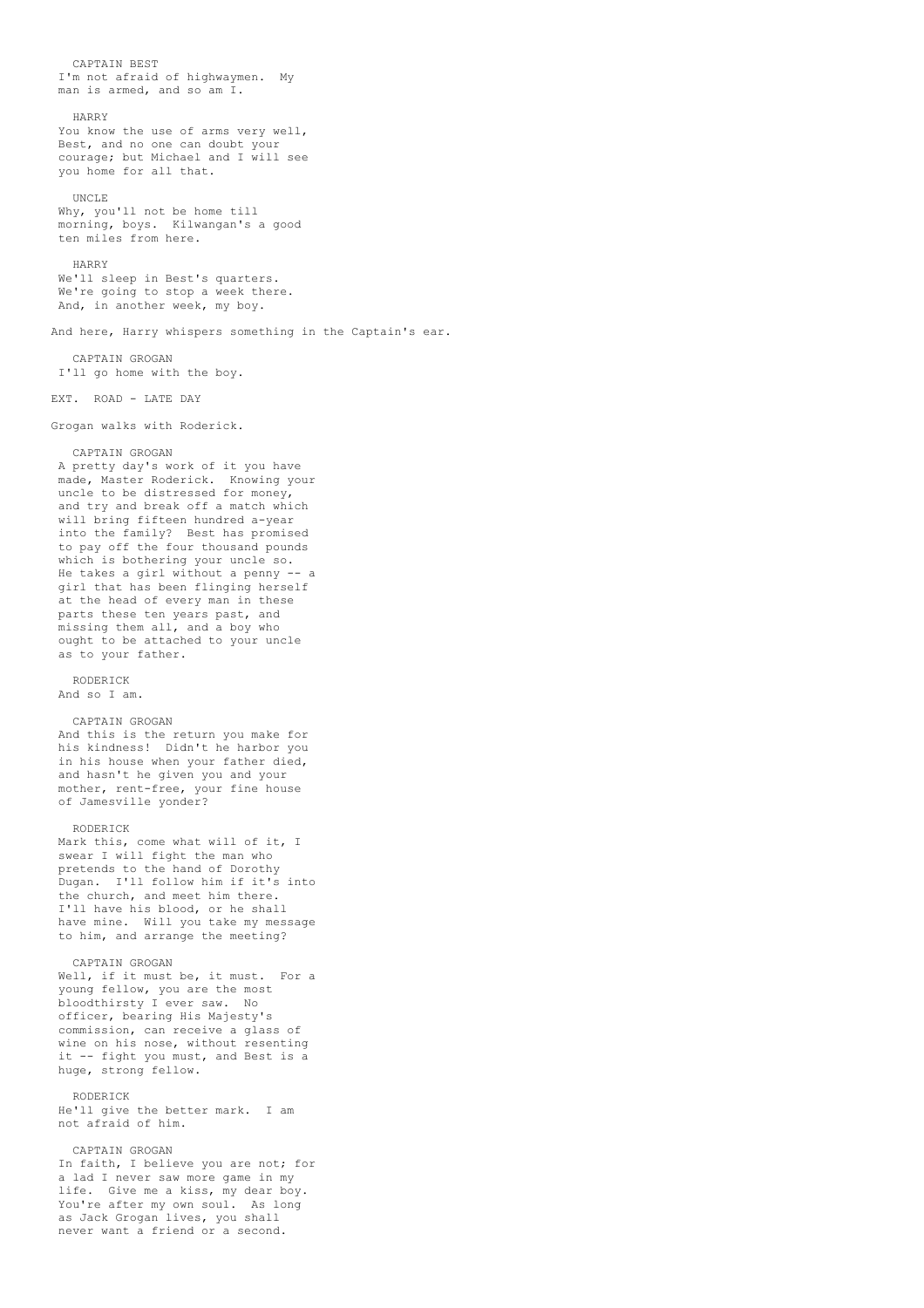CAPTAIN BEST I'm not afraid of highwaymen. My man is armed, and so am I.

## HARRY

You know the use of arms very well, Best, and no one can doubt your courage; but Michael and I will see you home for all that.

## UNCLE

Why, you'll not be home till morning, boys. Kilwangan's a good ten miles from here.

#### HARRY

We'll sleep in Best's quarters. We're going to stop a week there. And, in another week, my boy.

And here, Harry whispers something in the Captain's ear.

CAPTAIN GROGAN I'll go home with the boy.

EXT. ROAD - LATE DAY

Grogan walks with Roderick.

## CAPTAIN GROGAN

A pretty day's work of it you have made, Master Roderick. Knowing your uncle to be distressed for money, and try and break off a match which will bring fifteen hundred a-year into the family? Best has promised to pay off the four thousand pounds which is bothering your uncle so. He takes a girl without a penny -- a girl that has been flinging herself at the head of every man in these parts these ten years past, and missing them all, and a boy who ought to be attached to your uncle as to your father.

### RODERICK

And so I am.

## CAPTAIN GROGAN

And this is the return you make for his kindness! Didn't he harbor you in his house when your father died, and hasn't he given you and your mother, rent-free, your fine house of Jamesville yonder?

#### RODERICK

Mark this, come what will of it, I swear I will fight the man who pretends to the hand of Dorothy Dugan. I'll follow him if it's into the church, and meet him there. I'll have his blood, or he shall have mine. Will you take my message to him, and arrange the meeting?

## CAPTAIN GROGAN

Well, if it must be, it must. For a young fellow, you are the most bloodthirsty I ever saw. No officer, bearing His Majesty's commission, can receive a glass of wine on his nose, without resenting it -- fight you must, and Best is a huge, strong fellow.

#### RODERICK

He'll give the better mark. I am not afraid of him.

# CAPTAIN GROGAN

In faith, I believe you are not; for a lad I never saw more game in my life. Give me a kiss, my dear boy. You're after my own soul. As long as Jack Grogan lives, you shall never want a friend or a second.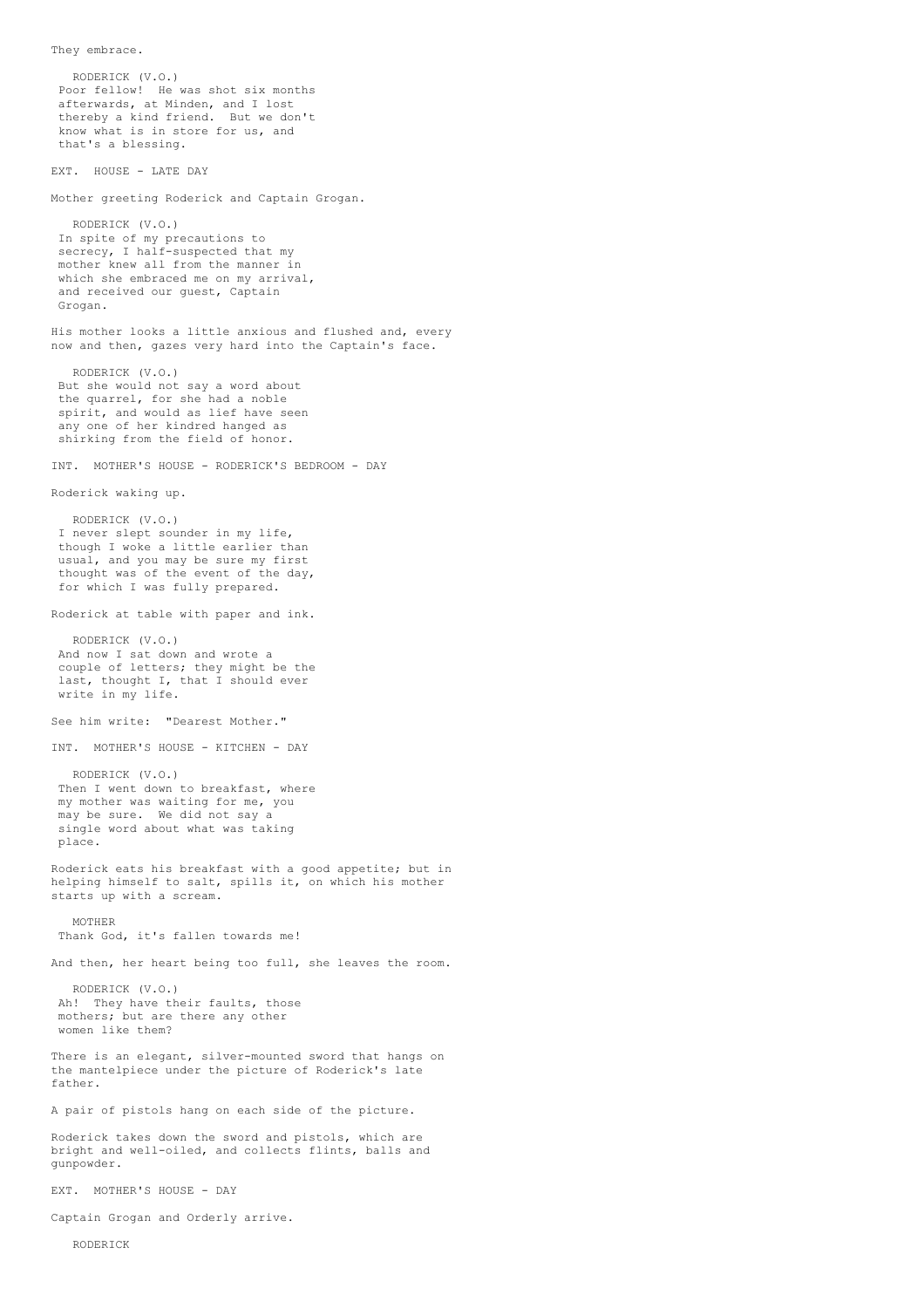RODERICK (V.O.) Poor fellow! He was shot six months afterwards, at Minden, and I lost thereby a kind friend. But we don't know what is in store for us, and that's a blessing. EXT. HOUSE - LATE DAY Mother greeting Roderick and Captain Grogan. RODERICK (V.O.) In spite of my precautions to secrecy, I half-suspected that my mother knew all from the manner in which she embraced me on my arrival, and received our guest, Captain Grogan. His mother looks a little anxious and flushed and, every now and then, gazes very hard into the Captain's face. RODERICK (V.O.) But she would not say a word about the quarrel, for she had a noble spirit, and would as lief have seen any one of her kindred hanged as shirking from the field of honor. INT. MOTHER'S HOUSE - RODERICK'S BEDROOM - DAY Roderick waking up. RODERICK (V.O.) I never slept sounder in my life, though I woke a little earlier than usual, and you may be sure my first thought was of the event of the day, for which I was fully prepared. Roderick at table with paper and ink. RODERICK (V.O.) And now I sat down and wrote a couple of letters; they might be the last, thought I, that I should ever write in my life. See him write: "Dearest Mother." INT. MOTHER'S HOUSE - KITCHEN - DAY RODERICK (V.O.) Then I went down to breakfast, where my mother was waiting for me, you may be sure. We did not say a single word about what was taking place. Roderick eats his breakfast with a good appetite; but in helping himself to salt, spills it, on which his mother starts up with a scream. MOTHER Thank God, it's fallen towards me! And then, her heart being too full, she leaves the room. RODERICK (V.O.) Ah! They have their faults, those mothers; but are there any other women like them? There is an elegant, silver-mounted sword that hangs on the mantelpiece under the picture of Roderick's late father. A pair of pistols hang on each side of the picture. Roderick takes down the sword and pistols, which are bright and well-oiled, and collects flints, balls and gunpowder. EXT. MOTHER'S HOUSE - DAY Captain Grogan and Orderly arrive.

RODERICK

They embrace.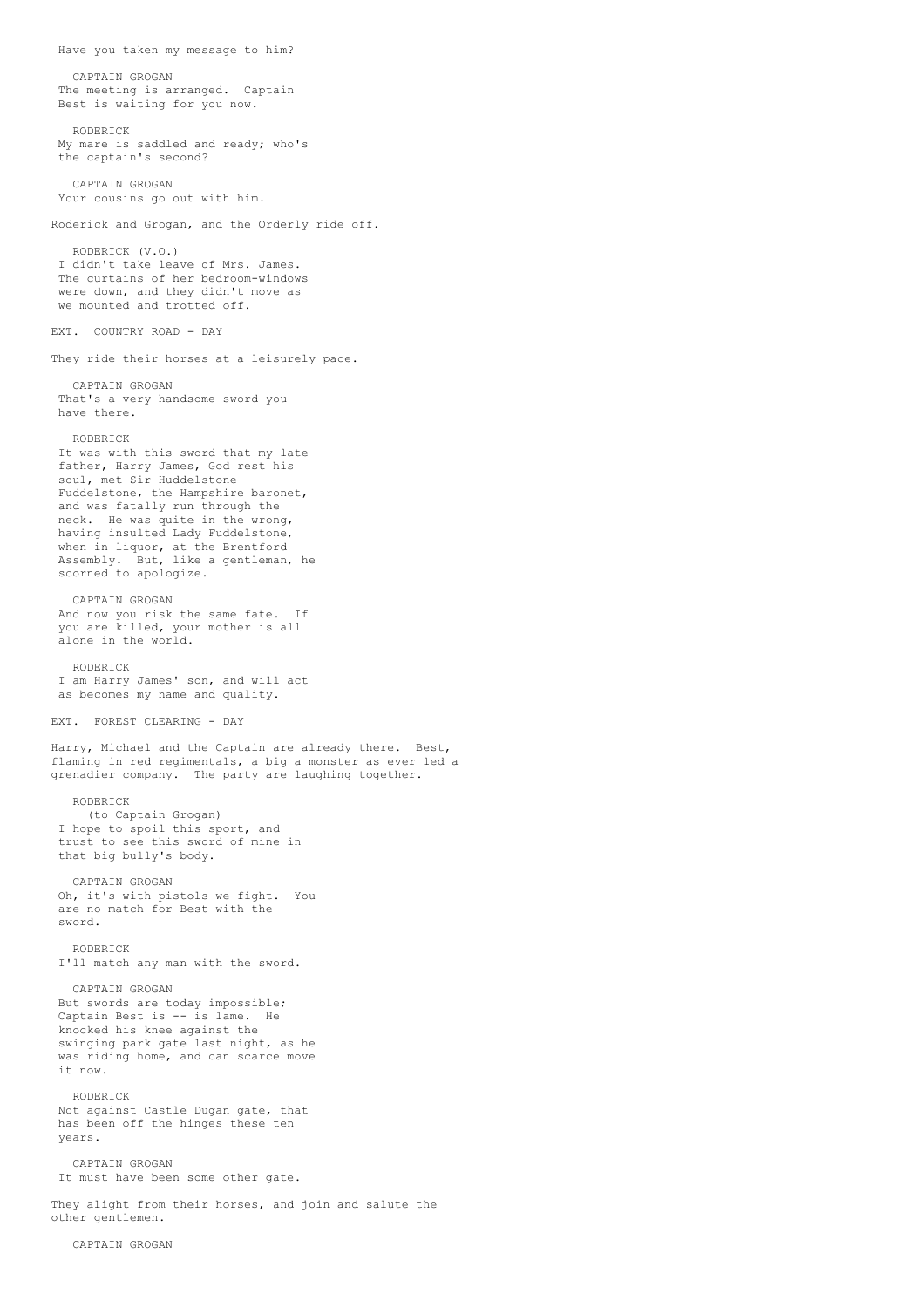Have you taken my message to him? CAPTAIN GROGAN The meeting is arranged. Captain Best is waiting for you now. RODERICK My mare is saddled and ready; who's the captain's second? CAPTAIN GROGAN Your cousins go out with him. Roderick and Grogan, and the Orderly ride off. RODERICK (V.O.) I didn't take leave of Mrs. James. The curtains of her bedroom-windows were down, and they didn't move as we mounted and trotted off. EXT. COUNTRY ROAD - DAY They ride their horses at a leisurely pace. CAPTAIN GROGAN That's a very handsome sword you have there. RODERICK It was with this sword that my late father, Harry James, God rest his soul, met Sir Huddelstone Fuddelstone, the Hampshire baronet, and was fatally run through the neck. He was quite in the wrong, having insulted Lady Fuddelstone, when in liquor, at the Brentford Assembly. But, like a gentleman, he scorned to apologize. CAPTAIN GROGAN And now you risk the same fate. If you are killed, your mother is all alone in the world. RODERICK I am Harry James' son, and will act as becomes my name and quality. EXT. FOREST CLEARING - DAY Harry, Michael and the Captain are already there. Best, flaming in red regimentals, a big a monster as ever led a grenadier company. The party are laughing together. RODERICK (to Captain Grogan) I hope to spoil this sport, and trust to see this sword of mine in that big bully's body. CAPTAIN GROGAN Oh, it's with pistols we fight. You are no match for Best with the sword. RODERICK I'll match any man with the sword. CAPTAIN GROGAN But swords are today impossible; Captain Best is -- is lame. He knocked his knee against the swinging park gate last night, as he was riding home, and can scarce move it now. RODERICK Not against Castle Dugan gate, that has been off the hinges these ten years. CAPTAIN GROGAN It must have been some other gate. They alight from their horses, and join and salute the other gentlemen.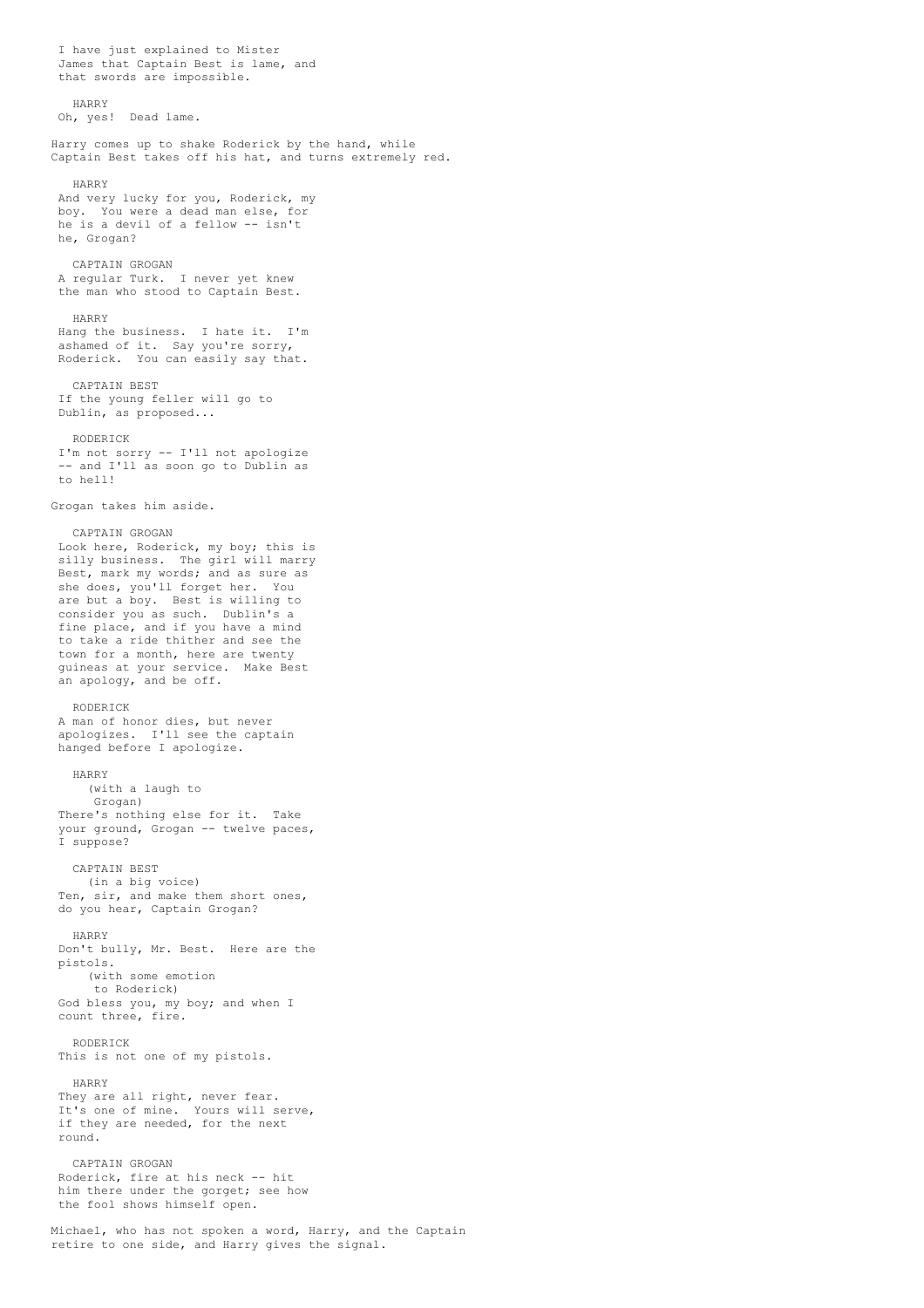I have just explained to Mister James that Captain Best is lame, and that swords are impossible. HARRY Oh, yes! Dead lame. Harry comes up to shake Roderick by the hand, while Captain Best takes off his hat, and turns extremely red. HARRY And very lucky for you, Roderick, my boy. You were a dead man else, for he is a devil of a fellow -- isn't he, Grogan? CAPTAIN GROGAN A regular Turk. I never yet knew the man who stood to Captain Best. HARRY Hang the business. I hate it. I'm ashamed of it. Say you're sorry, Roderick. You can easily say that. CAPTAIN BEST If the young feller will go to Dublin, as proposed... RODERICK I'm not sorry -- I'll not apologize -- and I'll as soon go to Dublin as to hell! Grogan takes him aside. CAPTAIN GROGAN Look here, Roderick, my boy; this is silly business. The girl will marry Best, mark my words; and as sure as she does, you'll forget her. You are but a boy. Best is willing to consider you as such. Dublin's a fine place, and if you have a mind to take a ride thither and see the town for a month, here are twenty guineas at your service. Make Best an apology, and be off. RODERICK A man of honor dies, but never apologizes. I'll see the captain hanged before I apologize. HARRY (with a laugh to Grogan) There's nothing else for it. Take your ground, Grogan -- twelve paces, I suppose? CAPTAIN BEST (in a big voice) Ten, sir, and make them short ones, do you hear, Captain Grogan? HARRY Don't bully, Mr. Best. Here are the pistols. (with some emotion to Roderick) God bless you, my boy; and when I count three, fire. RODERICK This is not one of my pistols. HARRY They are all right, never fear. It's one of mine. Yours will serve, if they are needed, for the next round. CAPTAIN GROGAN Roderick, fire at his neck -- hit him there under the gorget; see how the fool shows himself open. Michael, who has not spoken a word, Harry, and the Captain

retire to one side, and Harry gives the signal.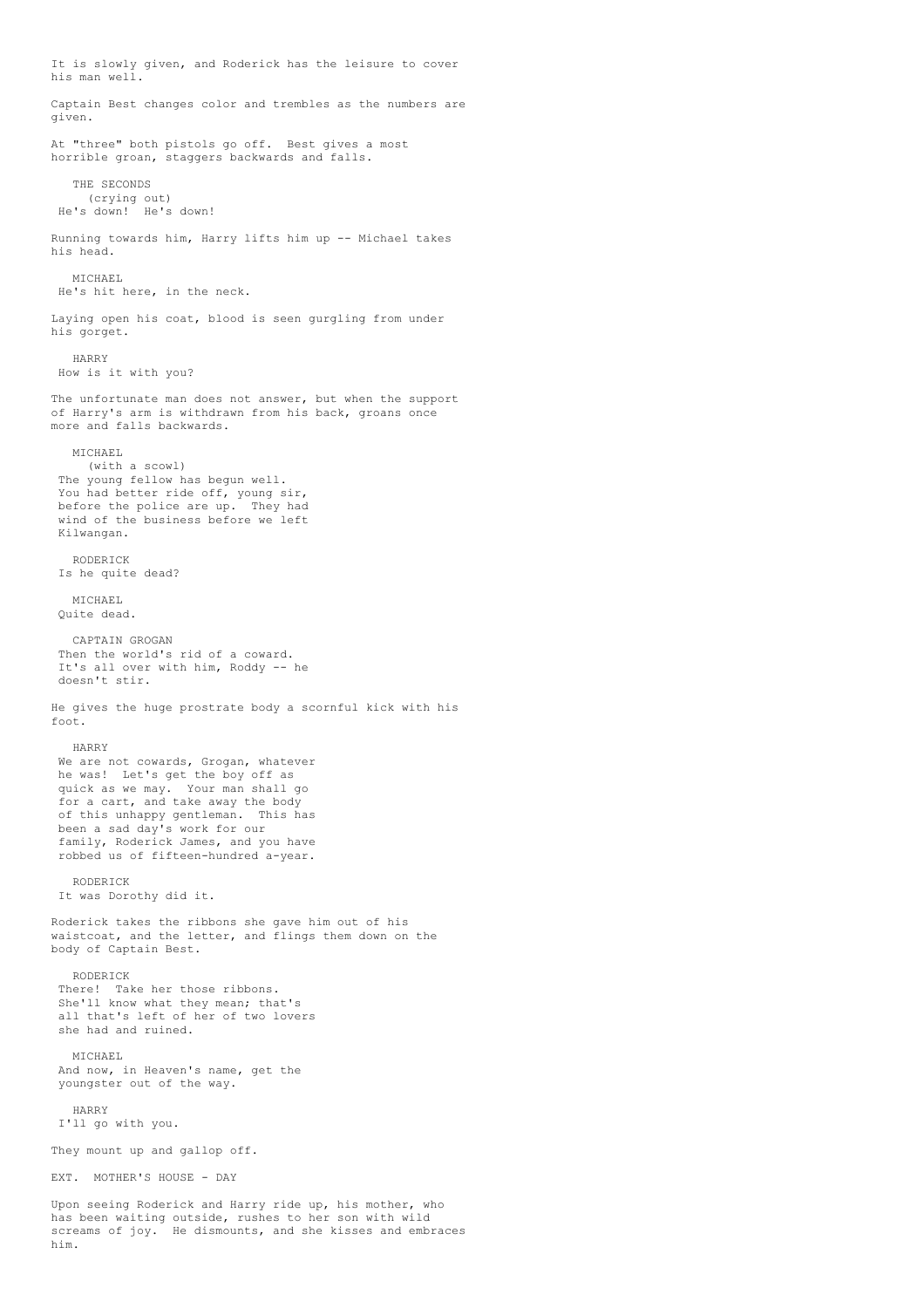It is slowly given, and Roderick has the leisure to cover his man well. Captain Best changes color and trembles as the numbers are given. At "three" both pistols go off. Best gives a most horrible groan, staggers backwards and falls. THE SECONDS (crying out) He's down! He's down! Running towards him, Harry lifts him up -- Michael takes his head. MICHAEL He's hit here, in the neck. Laying open his coat, blood is seen gurgling from under his gorget. HARRY How is it with you? The unfortunate man does not answer, but when the support of Harry's arm is withdrawn from his back, groans once more and falls backwards. MICHAEL (with a scowl) The young fellow has begun well. You had better ride off, young sir, before the police are up. They had wind of the business before we left Kilwangan. RODERICK Is he quite dead? MICHAEL Quite dead. CAPTAIN GROGAN Then the world's rid of a coward. It's all over with him, Roddy -- he doesn't stir. He gives the huge prostrate body a scornful kick with his foot. HARRY We are not cowards, Grogan, whatever he was! Let's get the boy off as quick as we may. Your man shall go for a cart, and take away the body of this unhappy gentleman. This has been a sad day's work for our family, Roderick James, and you have robbed us of fifteen-hundred a-year. RODERICK It was Dorothy did it. Roderick takes the ribbons she gave him out of his waistcoat, and the letter, and flings them down on the body of Captain Best. RODERICK There! Take her those ribbons. She'll know what they mean; that's all that's left of her of two lovers she had and ruined. MICHAEL And now, in Heaven's name, get the youngster out of the way. HARRY I'll go with you. They mount up and gallop off. EXT. MOTHER'S HOUSE - DAY Upon seeing Roderick and Harry ride up, his mother, who has been waiting outside, rushes to her son with wild screams of joy. He dismounts, and she kisses and embraces

him.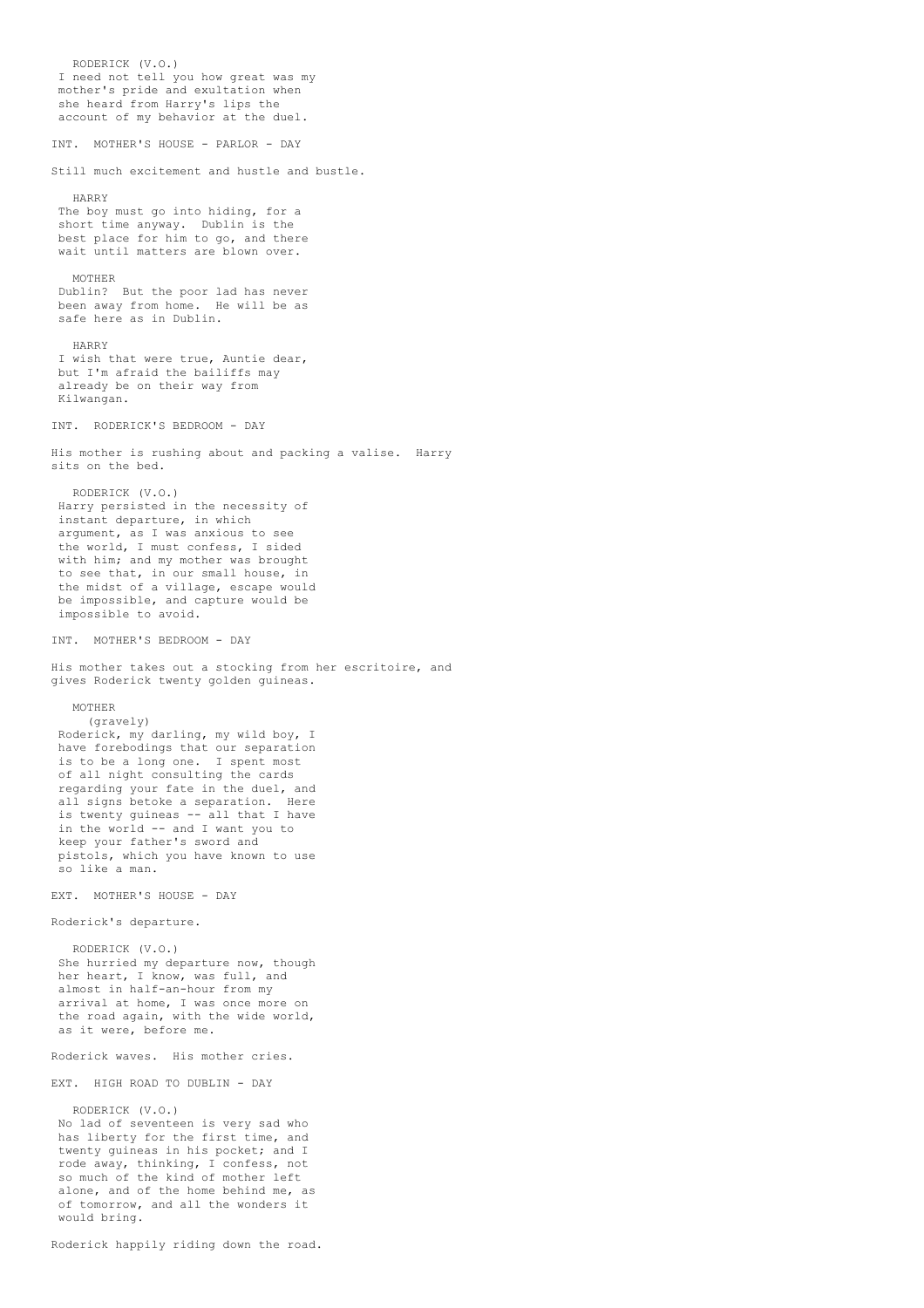RODERICK (V.O.) I need not tell you how great was my mother's pride and exultation when she heard from Harry's lips the account of my behavior at the duel. INT. MOTHER'S HOUSE - PARLOR - DAY Still much excitement and hustle and bustle. HARRY The boy must go into hiding, for a short time anyway. Dublin is the best place for him to go, and there wait until matters are blown over. MOTHER Dublin? But the poor lad has never been away from home. He will be as safe here as in Dublin. HARRY I wish that were true, Auntie dear, but I'm afraid the bailiffs may already be on their way from Kilwangan. INT. RODERICK'S BEDROOM - DAY His mother is rushing about and packing a valise. Harry sits on the bed. RODERICK (V.O.) Harry persisted in the necessity of instant departure, in which argument, as I was anxious to see the world, I must confess, I sided with him; and my mother was brought to see that, in our small house, in the midst of a village, escape would be impossible, and capture would be impossible to avoid. INT. MOTHER'S BEDROOM - DAY His mother takes out a stocking from her escritoire, and gives Roderick twenty golden guineas. MOTHER (gravely) Roderick, my darling, my wild boy, I have forebodings that our separation is to be a long one. I spent most of all night consulting the cards regarding your fate in the duel, and all signs betoke a separation. Here is twenty guineas -- all that I have in the world -- and I want you to keep your father's sword and pistols, which you have known to use so like a man. EXT. MOTHER'S HOUSE - DAY Roderick's departure. RODERICK (V.O.) She hurried my departure now, though her heart, I know, was full, and almost in half-an-hour from my arrival at home, I was once more on the road again, with the wide world, as it were, before me. Roderick waves. His mother cries. EXT. HIGH ROAD TO DUBLIN - DAY RODERICK (V.O.) No lad of seventeen is very sad who has liberty for the first time, and twenty guineas in his pocket; and I rode away, thinking, I confess, not so much of the kind of mother left alone, and of the home behind me, as of tomorrow, and all the wonders it would bring.

Roderick happily riding down the road.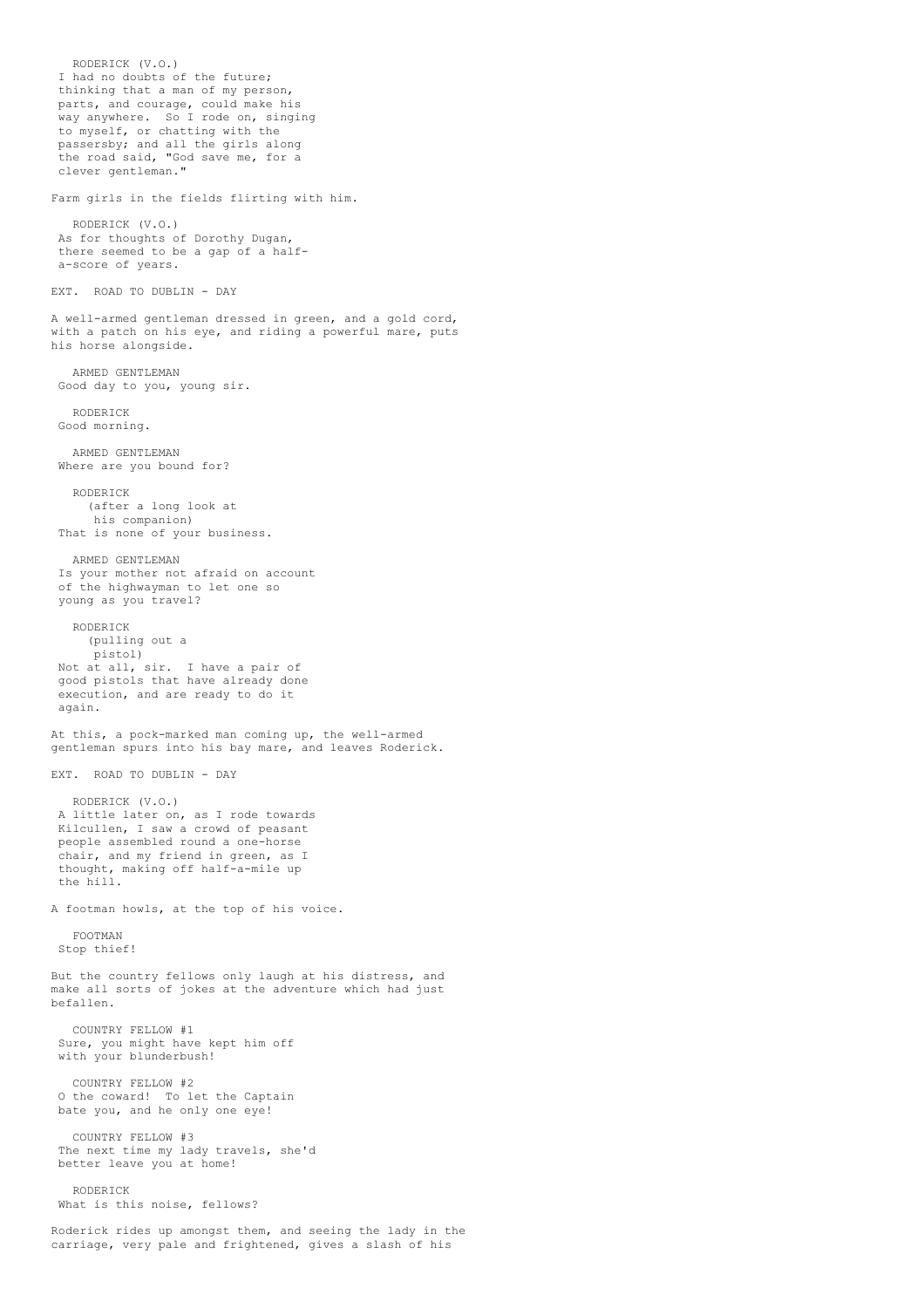RODERICK (V.O.) I had no doubts of the future; thinking that a man of my person, parts, and courage, could make his way anywhere. So I rode on, singing to myself, or chatting with the passersby; and all the girls along the road said, "God save me, for a clever gentleman." Farm girls in the fields flirting with him. RODERICK (V.O.) As for thoughts of Dorothy Dugan, there seemed to be a gap of a halfa-score of years. EXT. ROAD TO DUBLIN - DAY A well-armed gentleman dressed in green, and a gold cord, with a patch on his eye, and riding a powerful mare, puts his horse alongside. ARMED GENTLEMAN Good day to you, young sir. RODERICK Good morning. ARMED GENTLEMAN Where are you bound for? RODERICK (after a long look at his companion) That is none of your business. ARMED GENTLEMAN Is your mother not afraid on account of the highwayman to let one so young as you travel? RODERICK (pulling out a pistol) Not at all, sir. I have a pair of good pistols that have already done execution, and are ready to do it again. At this, a pock-marked man coming up, the well-armed gentleman spurs into his bay mare, and leaves Roderick. EXT. ROAD TO DUBLIN - DAY RODERICK (V.O.) A little later on, as I rode towards Kilcullen, I saw a crowd of peasant people assembled round a one-horse chair, and my friend in green, as I thought, making off half-a-mile up the hill. A footman howls, at the top of his voice. FOOTMAN Stop thief! But the country fellows only laugh at his distress, and make all sorts of jokes at the adventure which had just befallen. COUNTRY FELLOW #1 Sure, you might have kept him off with your blunderbush! COUNTRY FELLOW #2 O the coward! To let the Captain bate you, and he only one eye! COUNTRY FELLOW #3 The next time my lady travels, she'd better leave you at home! RODERICK What is this noise, fellows?

Roderick rides up amongst them, and seeing the lady in the carriage, very pale and frightened, gives a slash of his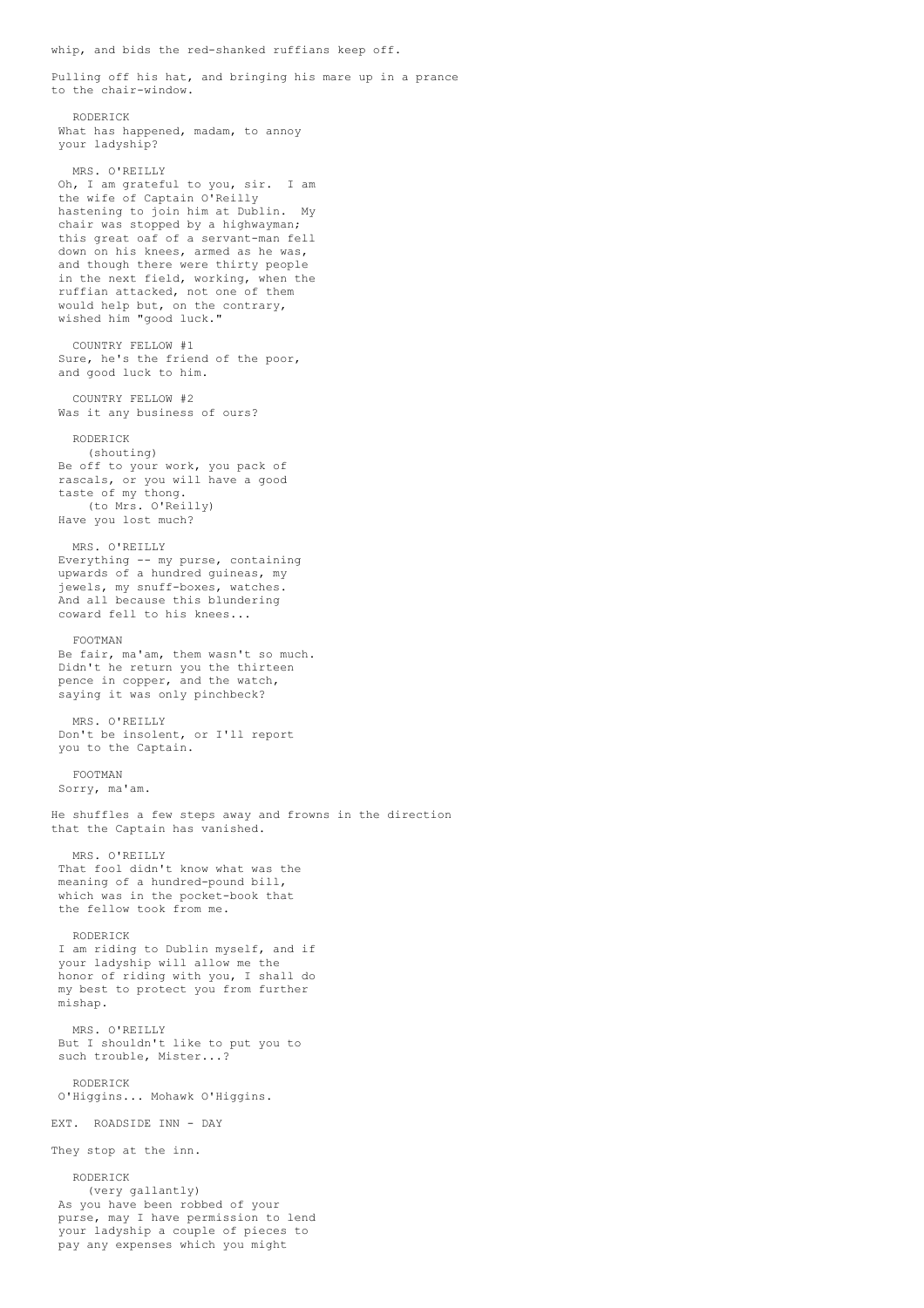whip, and bids the red-shanked ruffians keep off.

Pulling off his hat, and bringing his mare up in a prance to the chair-window.

RODERICK What has happened, madam, to annoy your ladyship?

MRS. O'REILLY Oh, I am grateful to you, sir. I am the wife of Captain O'Reilly hastening to join him at Dublin. My chair was stopped by a highwayman; this great oaf of a servant-man fell down on his knees, armed as he was, and though there were thirty people in the next field, working, when the ruffian attacked, not one of them would help but, on the contrary, wished him "good luck."

COUNTRY FELLOW #1 Sure, he's the friend of the poor, and good luck to him.

COUNTRY FELLOW #2 Was it any business of ours?

RODERICK

(shouting) Be off to your work, you pack of rascals, or you will have a good taste of my thong. (to Mrs. O'Reilly) Have you lost much?

MRS. O'REILLY Everything -- my purse, containing upwards of a hundred guineas, my jewels, my snuff-boxes, watches. And all because this blundering coward fell to his knees...

## FOOTMAN

Be fair, ma'am, them wasn't so much. Didn't he return you the thirteen pence in copper, and the watch, saying it was only pinchbeck?

MRS. O'REILLY Don't be insolent, or I'll report you to the Captain.

FOOTMAN Sorry, ma'am.

He shuffles a few steps away and frowns in the direction that the Captain has vanished.

MRS. O'REILLY That fool didn't know what was the meaning of a hundred-pound bill, which was in the pocket-book that the fellow took from me.

RODERICK I am riding to Dublin myself, and if

your ladyship will allow me the honor of riding with you, I shall do my best to protect you from further mishap.

MRS. O'REILLY But I shouldn't like to put you to such trouble, Mister...?

RODERICK O'Higgins... Mohawk O'Higgins.

EXT. ROADSIDE INN - DAY

They stop at the inn.

RODERICK (very gallantly) As you have been robbed of your purse, may I have permission to lend your ladyship a couple of pieces to pay any expenses which you might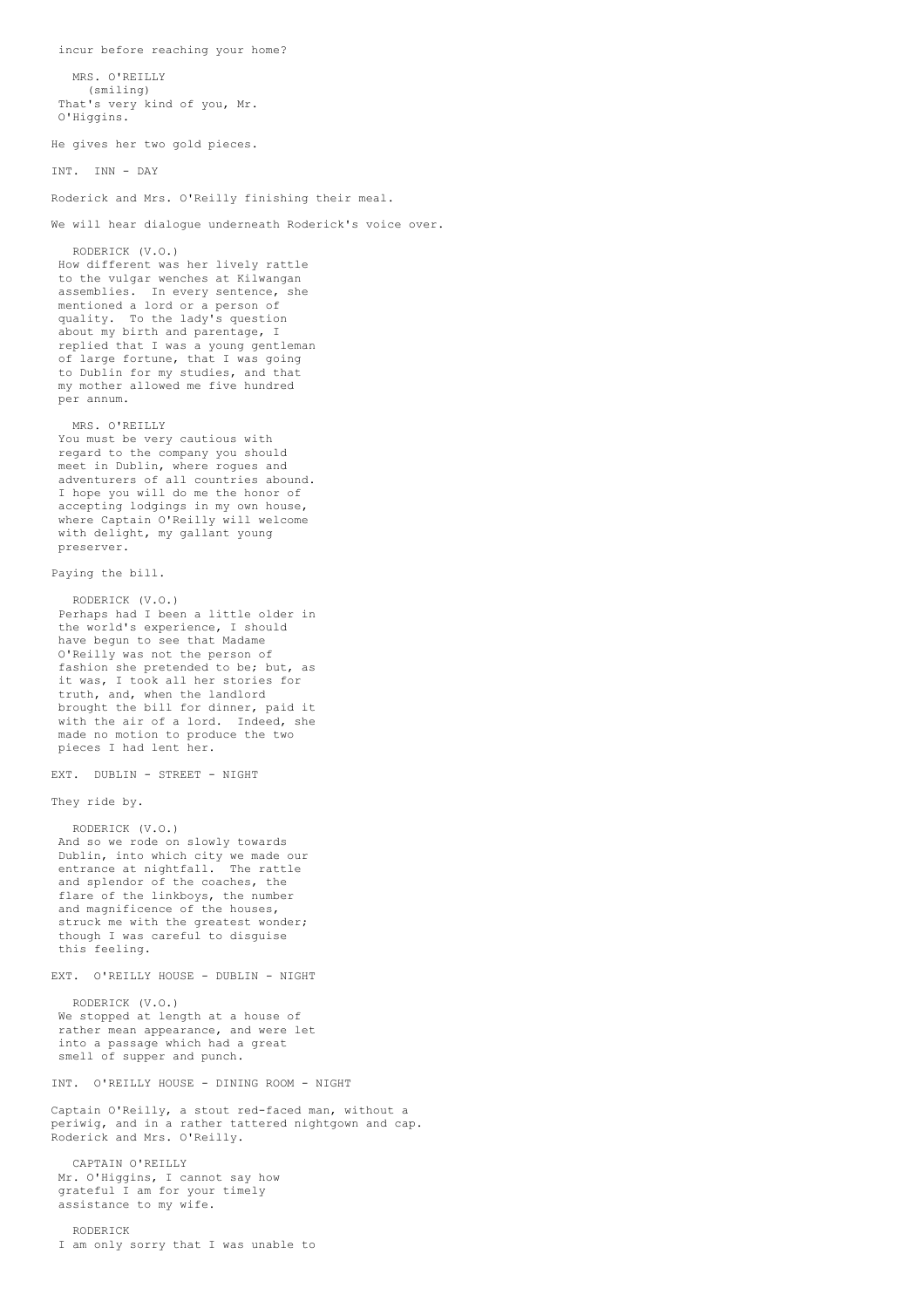incur before reaching your home? MRS. O'REILLY (smiling) That's very kind of you, Mr. O'Higgins. He gives her two gold pieces. INT. INN - DAY Roderick and Mrs. O'Reilly finishing their meal. We will hear dialogue underneath Roderick's voice over. RODERICK (V.O.) How different was her lively rattle to the vulgar wenches at Kilwangan assemblies. In every sentence, she mentioned a lord or a person of quality. To the lady's question about my birth and parentage, I replied that I was a young gentleman of large fortune, that I was going to Dublin for my studies, and that my mother allowed me five hundred per annum. MRS. O'REILLY You must be very cautious with regard to the company you should meet in Dublin, where rogues and adventurers of all countries abound. I hope you will do me the honor of accepting lodgings in my own house, where Captain O'Reilly will welcome with delight, my gallant young preserver. Paying the bill. RODERICK (V.O.) Perhaps had I been a little older in the world's experience, I should have begun to see that Madame O'Reilly was not the person of fashion she pretended to be; but, as it was, I took all her stories for truth, and, when the landlord brought the bill for dinner, paid it with the air of a lord. Indeed, she made no motion to produce the two pieces I had lent her. EXT. DUBLIN - STREET - NIGHT They ride by. RODERICK (V.O.) And so we rode on slowly towards Dublin, into which city we made our entrance at nightfall. The rattle and splendor of the coaches, the flare of the linkboys, the number and magnificence of the houses, struck me with the greatest wonder; though I was careful to disguise this feeling. EXT. O'REILLY HOUSE - DUBLIN - NIGHT RODERICK (V.O.) We stopped at length at a house of rather mean appearance, and were let into a passage which had a great smell of supper and punch. INT. O'REILLY HOUSE - DINING ROOM - NIGHT Captain O'Reilly, a stout red-faced man, without a periwig, and in a rather tattered nightgown and cap. Roderick and Mrs. O'Reilly. CAPTAIN O'REILLY Mr. O'Higgins, I cannot say how grateful I am for your timely assistance to my wife.

RODERICK I am only sorry that I was unable to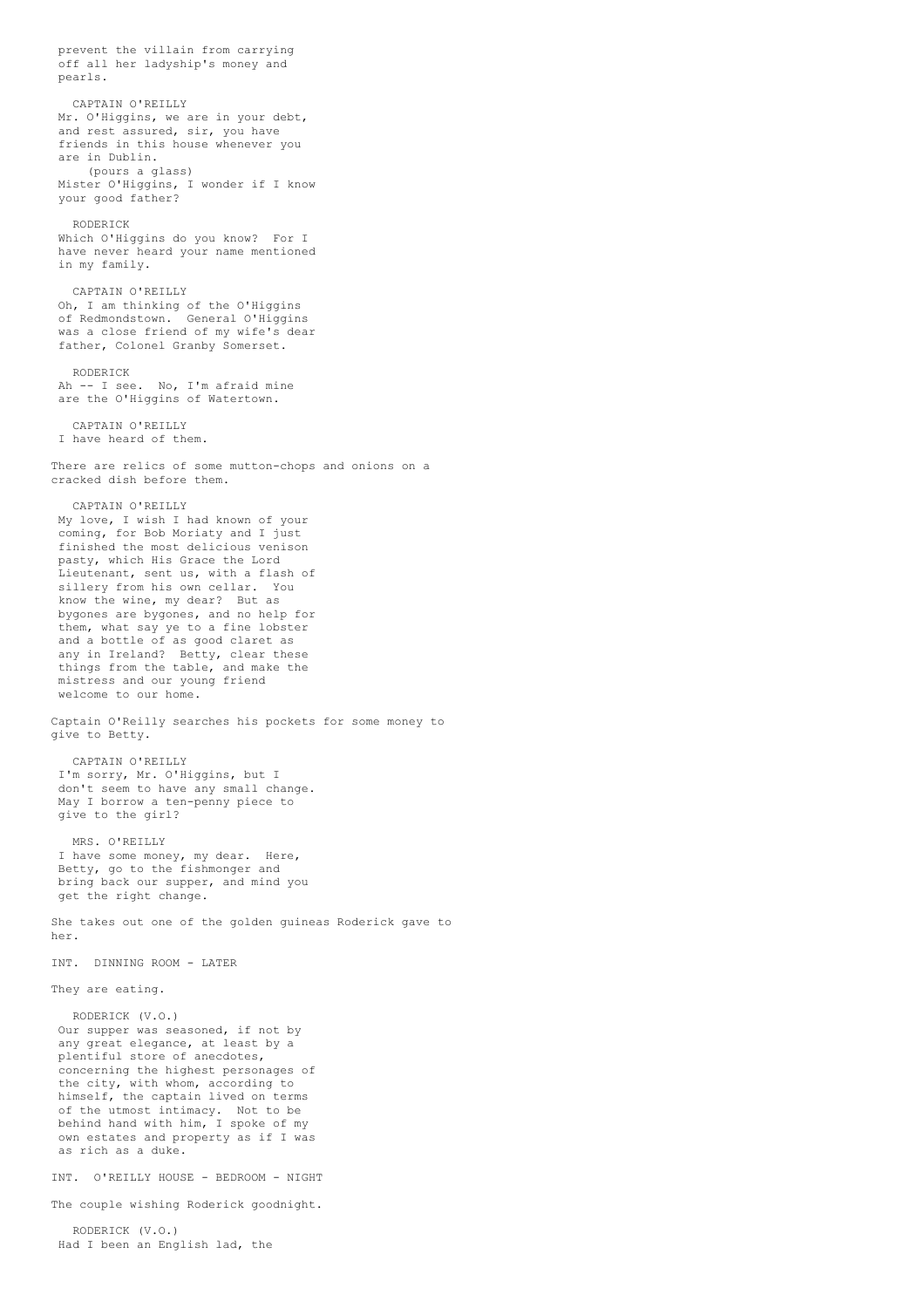prevent the villain from carrying off all her ladyship's money and pearls. CAPTAIN O'REILLY Mr. O'Higgins, we are in your debt, and rest assured, sir, you have friends in this house whenever you are in Dublin. (pours a glass) Mister O'Higgins, I wonder if I know your good father? RODERICK Which O'Higgins do you know? For I have never heard your name mentioned in my family. CAPTAIN O'REILLY Oh, I am thinking of the O'Higgins of Redmondstown. General O'Higgins was a close friend of my wife's dear father, Colonel Granby Somerset. RODERICK Ah -- I see. No, I'm afraid mine are the O'Higgins of Watertown. CAPTAIN O'REILLY I have heard of them. There are relics of some mutton-chops and onions on a cracked dish before them. CAPTAIN O'REILLY My love, I wish I had known of your coming, for Bob Moriaty and I just finished the most delicious venison pasty, which His Grace the Lord Lieutenant, sent us, with a flash of sillery from his own cellar. You know the wine, my dear? But as bygones are bygones, and no help for them, what say ye to a fine lobster and a bottle of as good claret as any in Ireland? Betty, clear these things from the table, and make the mistress and our young friend welcome to our home. Captain O'Reilly searches his pockets for some money to give to Betty. CAPTAIN O'REILLY I'm sorry, Mr. O'Higgins, but I don't seem to have any small change. May I borrow a ten-penny piece to give to the girl? MRS. O'REILLY I have some money, my dear. Here, Betty, go to the fishmonger and bring back our supper, and mind you get the right change. She takes out one of the golden guineas Roderick gave to her. INT. DINNING ROOM - LATER They are eating. RODERICK (V.O.) Our supper was seasoned, if not by any great elegance, at least by a plentiful store of anecdotes, concerning the highest personages of the city, with whom, according to himself, the captain lived on terms of the utmost intimacy. Not to be behind hand with him, I spoke of my own estates and property as if I was as rich as a duke. INT. O'REILLY HOUSE - BEDROOM - NIGHT The couple wishing Roderick goodnight. RODERICK (V.O.) Had I been an English lad, the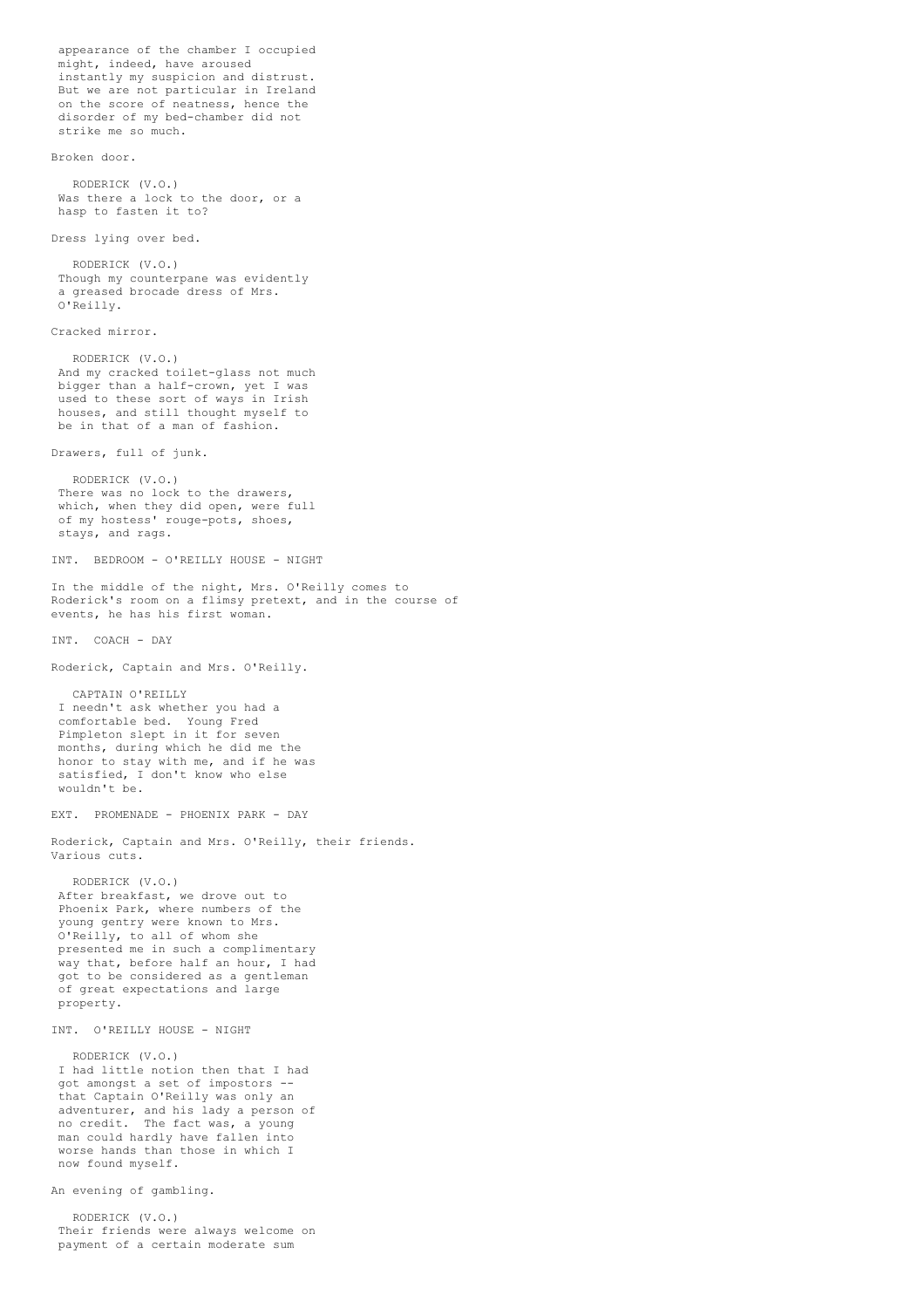appearance of the chamber I occupied might, indeed, have aroused instantly my suspicion and distrust. But we are not particular in Ireland on the score of neatness, hence the disorder of my bed-chamber did not strike me so much. Broken door. RODERICK (V.O.) Was there a lock to the door, or a hasp to fasten it to? Dress lying over bed. RODERICK (V.O.) Though my counterpane was evidently a greased brocade dress of Mrs. O'Reilly. Cracked mirror. RODERICK (V.O.) And my cracked toilet-glass not much bigger than a half-crown, yet I was used to these sort of ways in Irish houses, and still thought myself to be in that of a man of fashion. Drawers, full of junk. RODERICK (V.O.) There was no lock to the drawers, which, when they did open, were full of my hostess' rouge-pots, shoes, stays, and rags. INT. BEDROOM - O'REILLY HOUSE - NIGHT In the middle of the night, Mrs. O'Reilly comes to Roderick's room on a flimsy pretext, and in the course of events, he has his first woman. INT. COACH - DAY Roderick, Captain and Mrs. O'Reilly. CAPTAIN O'REILLY I needn't ask whether you had a comfortable bed. Young Fred Pimpleton slept in it for seven months, during which he did me the honor to stay with me, and if he was satisfied, I don't know who else wouldn't be. EXT. PROMENADE - PHOENIX PARK - DAY Roderick, Captain and Mrs. O'Reilly, their friends. Various cuts. RODERICK (V.O.) After breakfast, we drove out to Phoenix Park, where numbers of the young gentry were known to Mrs. O'Reilly, to all of whom she presented me in such a complimentary way that, before half an hour, I had got to be considered as a gentleman of great expectations and large property. INT. O'REILLY HOUSE - NIGHT RODERICK (V.O.) I had little notion then that I had got amongst a set of impostors - that Captain O'Reilly was only an adventurer, and his lady a person of no credit. The fact was, a young man could hardly have fallen into worse hands than those in which I now found myself. An evening of gambling. RODERICK (V.O.) Their friends were always welcome on payment of a certain moderate sum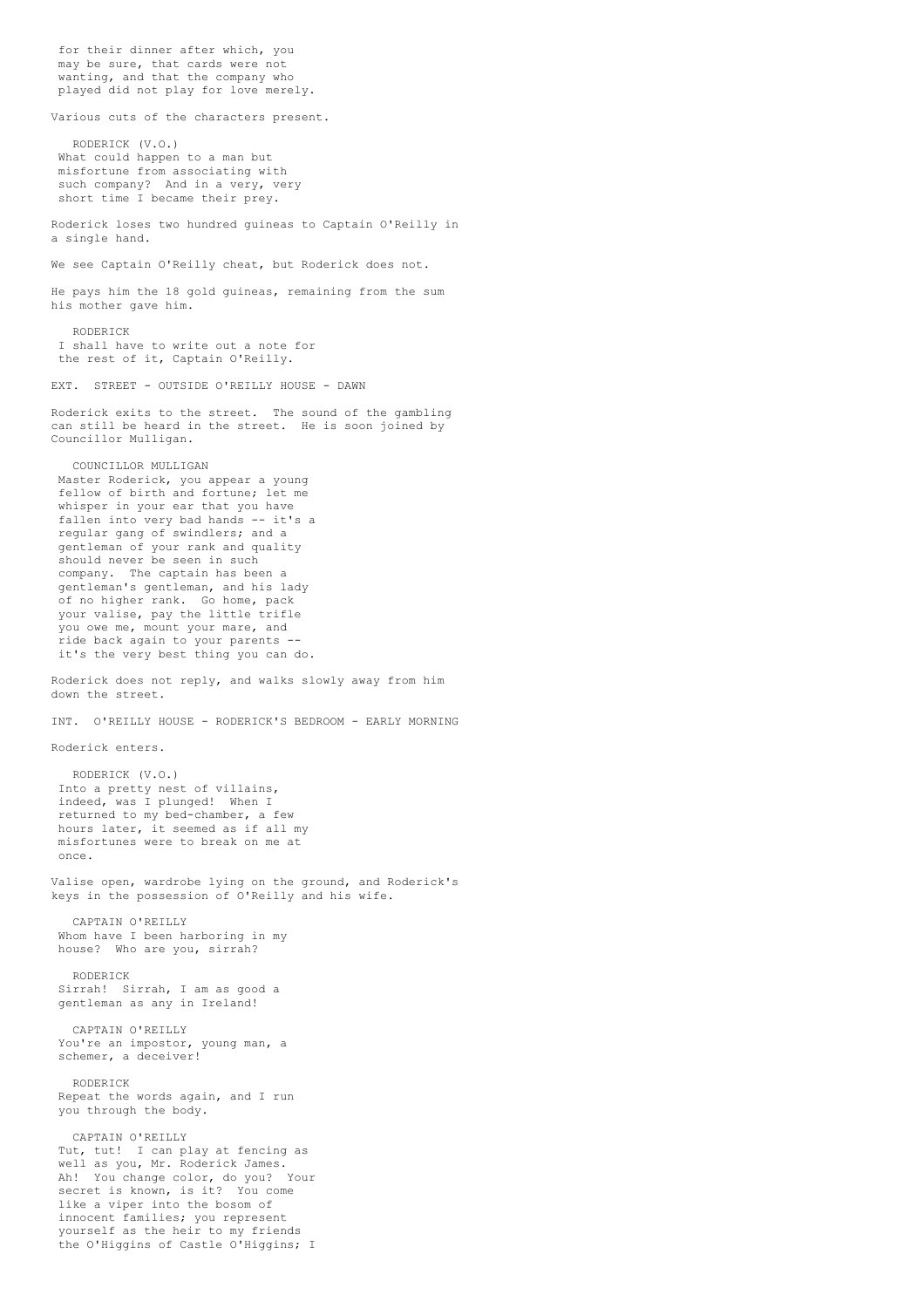for their dinner after which, you may be sure, that cards were not wanting, and that the company who played did not play for love merely. Various cuts of the characters present. RODERICK (V.O.) What could happen to a man but misfortune from associating with such company? And in a very, very short time I became their prey. Roderick loses two hundred guineas to Captain O'Reilly in a single hand. We see Captain O'Reilly cheat, but Roderick does not. He pays him the 18 gold guineas, remaining from the sum his mother gave him. RODERICK I shall have to write out a note for the rest of it, Captain O'Reilly. EXT. STREET - OUTSIDE O'REILLY HOUSE - DAWN Roderick exits to the street. The sound of the gambling can still be heard in the street. He is soon joined by Councillor Mulligan. COUNCILLOR MULLIGAN Master Roderick, you appear a young fellow of birth and fortune; let me whisper in your ear that you have fallen into very bad hands -- it's a regular gang of swindlers; and a gentleman of your rank and quality should never be seen in such company. The captain has been a gentleman's gentleman, and his lady of no higher rank. Go home, pack your valise, pay the little trifle you owe me, mount your mare, and ride back again to your parents - it's the very best thing you can do. Roderick does not reply, and walks slowly away from him down the street. INT. O'REILLY HOUSE - RODERICK'S BEDROOM - EARLY MORNING Roderick enters. RODERICK (V.O.) Into a pretty nest of villains, indeed, was I plunged! When I returned to my bed-chamber, a few hours later, it seemed as if all my misfortunes were to break on me at once. Valise open, wardrobe lying on the ground, and Roderick's keys in the possession of O'Reilly and his wife. CAPTAIN O'REILLY Whom have I been harboring in my house? Who are you, sirrah? RODERICK Sirrah! Sirrah, I am as good a gentleman as any in Ireland! CAPTAIN O'REILLY You're an impostor, young man, a schemer, a deceiver! RODERICK Repeat the words again, and I run you through the body. CAPTAIN O'REILLY Tut, tut! I can play at fencing as well as you, Mr. Roderick James. Ah! You change color, do you? Your secret is known, is it? You come like a viper into the bosom of innocent families; you represent yourself as the heir to my friends the O'Higgins of Castle O'Higgins; I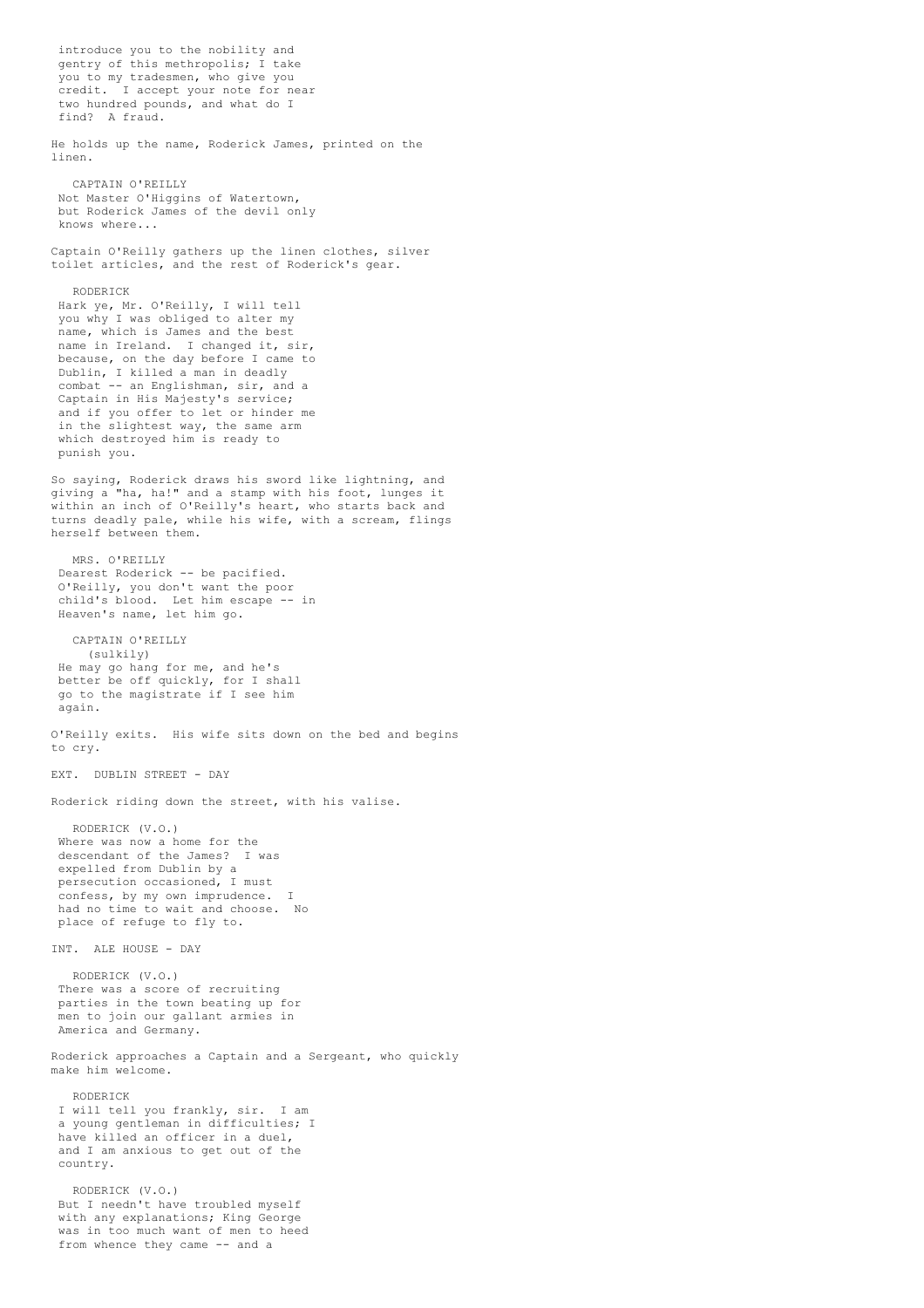introduce you to the nobility and gentry of this methropolis; I take you to my tradesmen, who give you credit. I accept your note for near two hundred pounds, and what do I find? A fraud. He holds up the name, Roderick James, printed on the linen. CAPTAIN O'REILLY Not Master O'Higgins of Watertown, but Roderick James of the devil only knows where... Captain O'Reilly gathers up the linen clothes, silver toilet articles, and the rest of Roderick's gear. RODERICK Hark ye, Mr. O'Reilly, I will tell you why I was obliged to alter my name, which is James and the best name in Ireland. I changed it, sir, because, on the day before I came to Dublin, I killed a man in deadly combat -- an Englishman, sir, and a Captain in His Majesty's service; and if you offer to let or hinder me in the slightest way, the same arm which destroyed him is ready to punish you. So saying, Roderick draws his sword like lightning, and giving a "ha, ha!" and a stamp with his foot, lunges it within an inch of O'Reilly's heart, who starts back and turns deadly pale, while his wife, with a scream, flings herself between them. MRS O'REILLY Dearest Roderick -- be pacified. O'Reilly, you don't want the poor child's blood. Let him escape -- in Heaven's name, let him go. CAPTAIN O'REILLY (sulkily) He may go hang for me, and he's better be off quickly, for I shall go to the magistrate if I see him again. O'Reilly exits. His wife sits down on the bed and begins to cry. EXT. DUBLIN STREET - DAY Roderick riding down the street, with his valise. RODERICK (V.O.) Where was now a home for the descendant of the James? I was expelled from Dublin by a persecution occasioned, I must confess, by my own imprudence. I had no time to wait and choose. No place of refuge to fly to. INT. ALE HOUSE - DAY RODERICK (V.O.) There was a score of recruiting parties in the town beating up for men to join our gallant armies in America and Germany. Roderick approaches a Captain and a Sergeant, who quickly make him welcome. RODERICK I will tell you frankly, sir. I am a young gentleman in difficulties; I have killed an officer in a duel, and I am anxious to get out of the country. RODERICK (V.O.) But I needn't have troubled myself with any explanations; King George was in too much want of men to heed from whence they came -- and a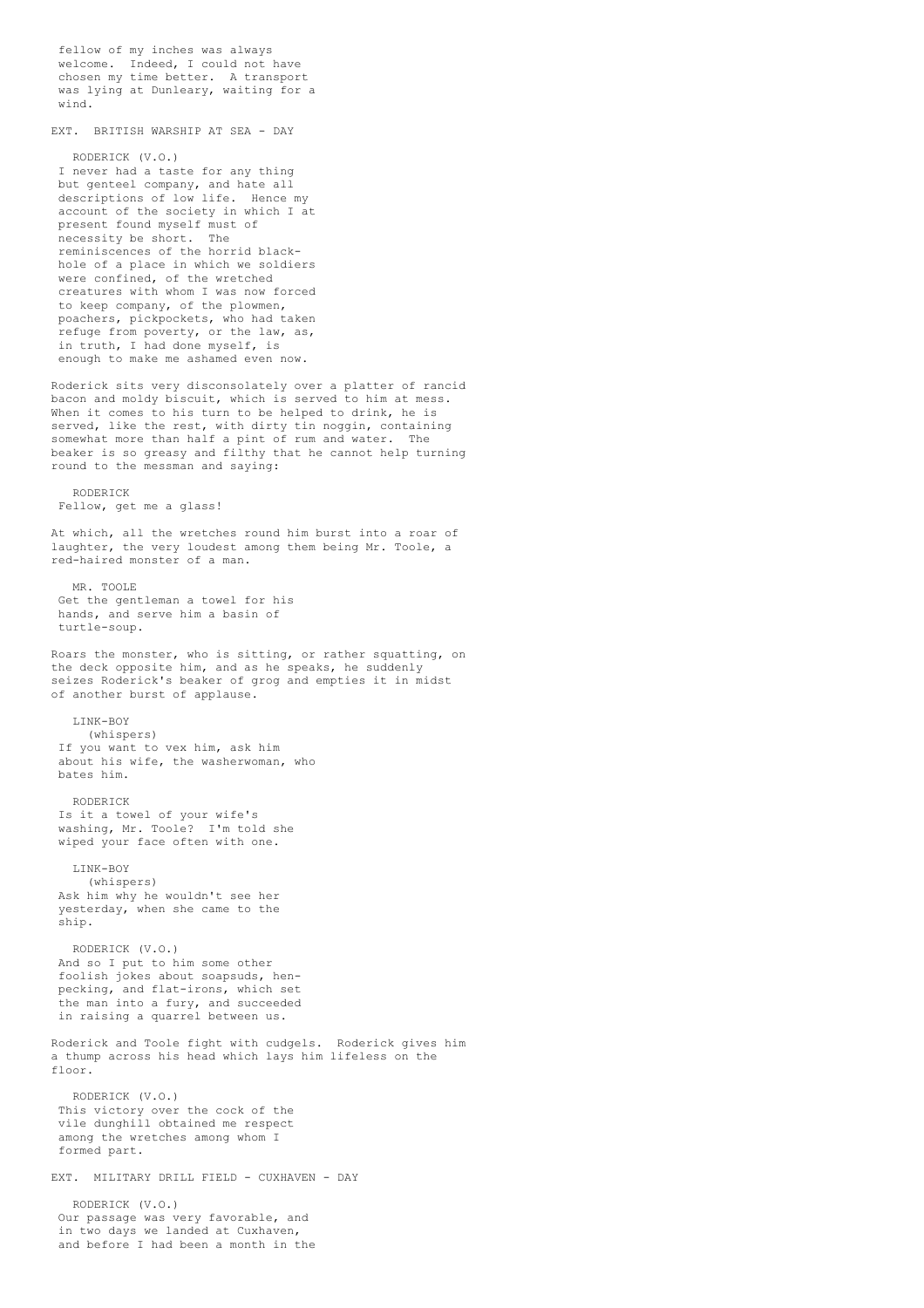fellow of my inches was always welcome. Indeed, I could not have chosen my time better. A transport was lying at Dunleary, waiting for a wind.

EXT. BRITISH WARSHIP AT SEA - DAY

RODERICK (V.O.) I never had a taste for any thing but genteel company, and hate all descriptions of low life. Hence my account of the society in which I at present found myself must of necessity be short. The reminiscences of the horrid blackhole of a place in which we soldiers were confined, of the wretched creatures with whom I was now forced to keep company, of the plowmen, poachers, pickpockets, who had taken refuge from poverty, or the law, as, in truth, I had done myself, is enough to make me ashamed even now.

Roderick sits very disconsolately over a platter of rancid bacon and moldy biscuit, which is served to him at mess. When it comes to his turn to be helped to drink, he is served, like the rest, with dirty tin noggin, containing somewhat more than half a pint of rum and water. The beaker is so greasy and filthy that he cannot help turning round to the messman and saying:

RODERICK Fellow, get me a glass!

At which, all the wretches round him burst into a roar of laughter, the very loudest among them being Mr. Toole, a red-haired monster of a man.

MR TOOLE Get the gentleman a towel for his hands, and serve him a basin of turtle-soup.

Roars the monster, who is sitting, or rather squatting, on the deck opposite him, and as he speaks, he suddenly seizes Roderick's beaker of grog and empties it in midst of another burst of applause.

LINK-BOY (whispers) If you want to vex him, ask him about his wife, the washerwoman, who bates him.

RODERICK Is it a towel of your wife's washing, Mr. Toole? I'm told she wiped your face often with one.

LINK-BOY (whispers) Ask him why he wouldn't see her yesterday, when she came to the ship.

RODERICK (V.O.) And so I put to him some other foolish jokes about soapsuds, henpecking, and flat-irons, which set the man into a fury, and succeeded in raising a quarrel between us.

Roderick and Toole fight with cudgels. Roderick gives him a thump across his head which lays him lifeless on the floor.

RODERICK (V.O.) This victory over the cock of the vile dunghill obtained me respect among the wretches among whom I formed part.

EXT. MILITARY DRILL FIELD - CUXHAVEN - DAY

RODERICK (V.O.) Our passage was very favorable, and in two days we landed at Cuxhaven, and before I had been a month in the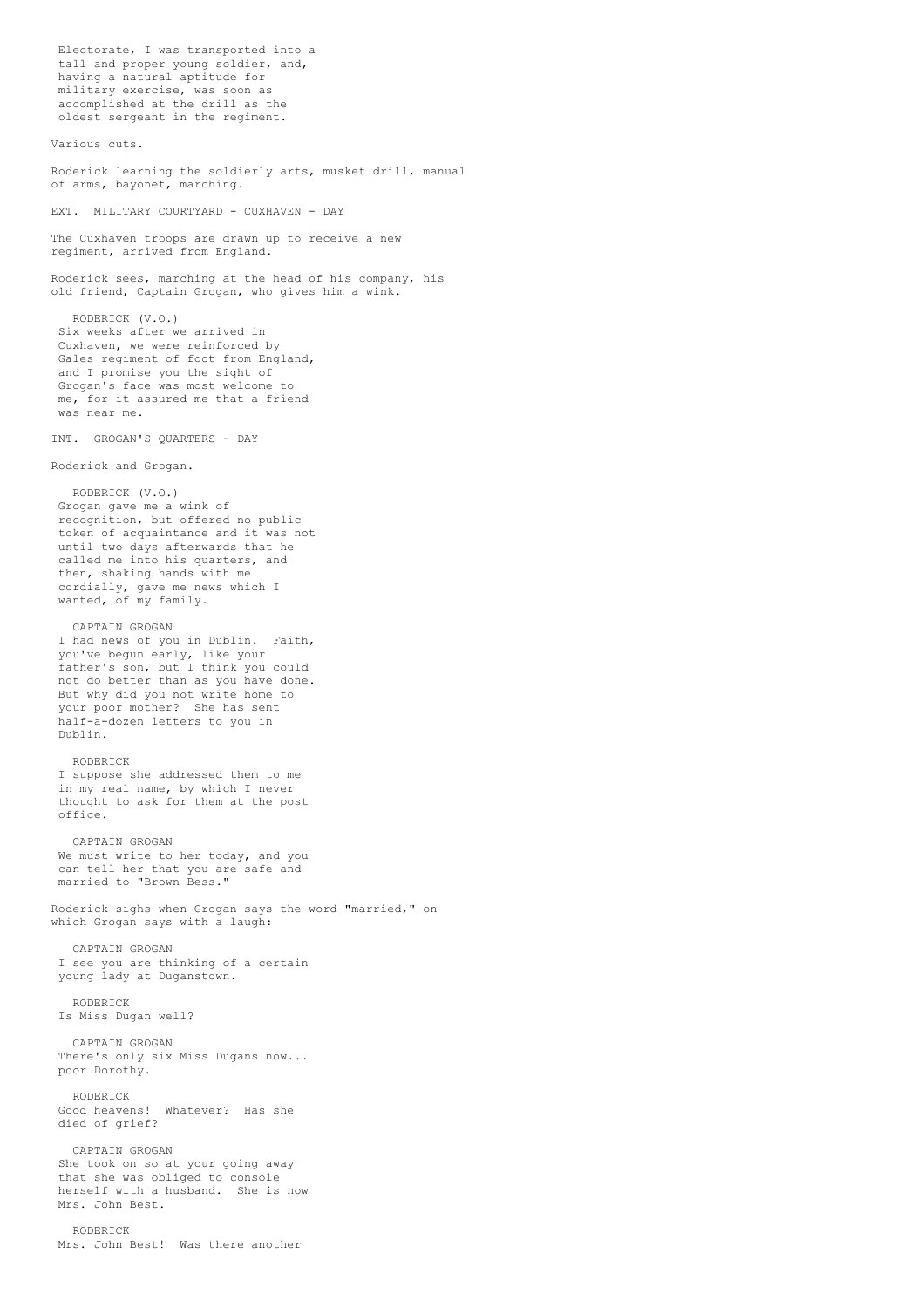Electorate, I was transported into a tall and proper young soldier, and, having a natural aptitude for military exercise, was soon as accomplished at the drill as the oldest sergeant in the regiment. Various cuts. Roderick learning the soldierly arts, musket drill, manual of arms, bayonet, marching. EXT. MILITARY COURTYARD - CUXHAVEN - DAY The Cuxhaven troops are drawn up to receive a new regiment, arrived from England. Roderick sees, marching at the head of his company, his old friend, Captain Grogan, who gives him a wink. RODERICK (V.O.) Six weeks after we arrived in Cuxhaven, we were reinforced by Gales regiment of foot from England, and I promise you the sight of Grogan's face was most welcome to me, for it assured me that a friend was near me. INT. GROGAN'S QUARTERS - DAY Roderick and Grogan. RODERICK (V.O.) Grogan gave me a wink of recognition, but offered no public token of acquaintance and it was not until two days afterwards that he called me into his quarters, and then, shaking hands with me cordially, gave me news which I wanted, of my family. CAPTAIN GROGAN I had news of you in Dublin. Faith, you've begun early, like your father's son, but I think you could not do better than as you have done. But why did you not write home to your poor mother? She has sent half-a-dozen letters to you in Dublin. RODERICK I suppose she addressed them to me in my real name, by which I never thought to ask for them at the post office. CAPTAIN GROGAN We must write to her today, and you can tell her that you are safe and married to "Brown Bess." Roderick sighs when Grogan says the word "married," on which Grogan says with a laugh: CAPTAIN GROGAN I see you are thinking of a certain young lady at Duganstown. RODERICK Is Miss Dugan well? CAPTAIN GROGAN There's only six Miss Dugans now... poor Dorothy. RODERICK Good heavens! Whatever? Has she died of grief? CAPTAIN GROGAN She took on so at your going away that she was obliged to console herself with a husband. She is now Mrs. John Best.

RODERICK Mrs. John Best! Was there another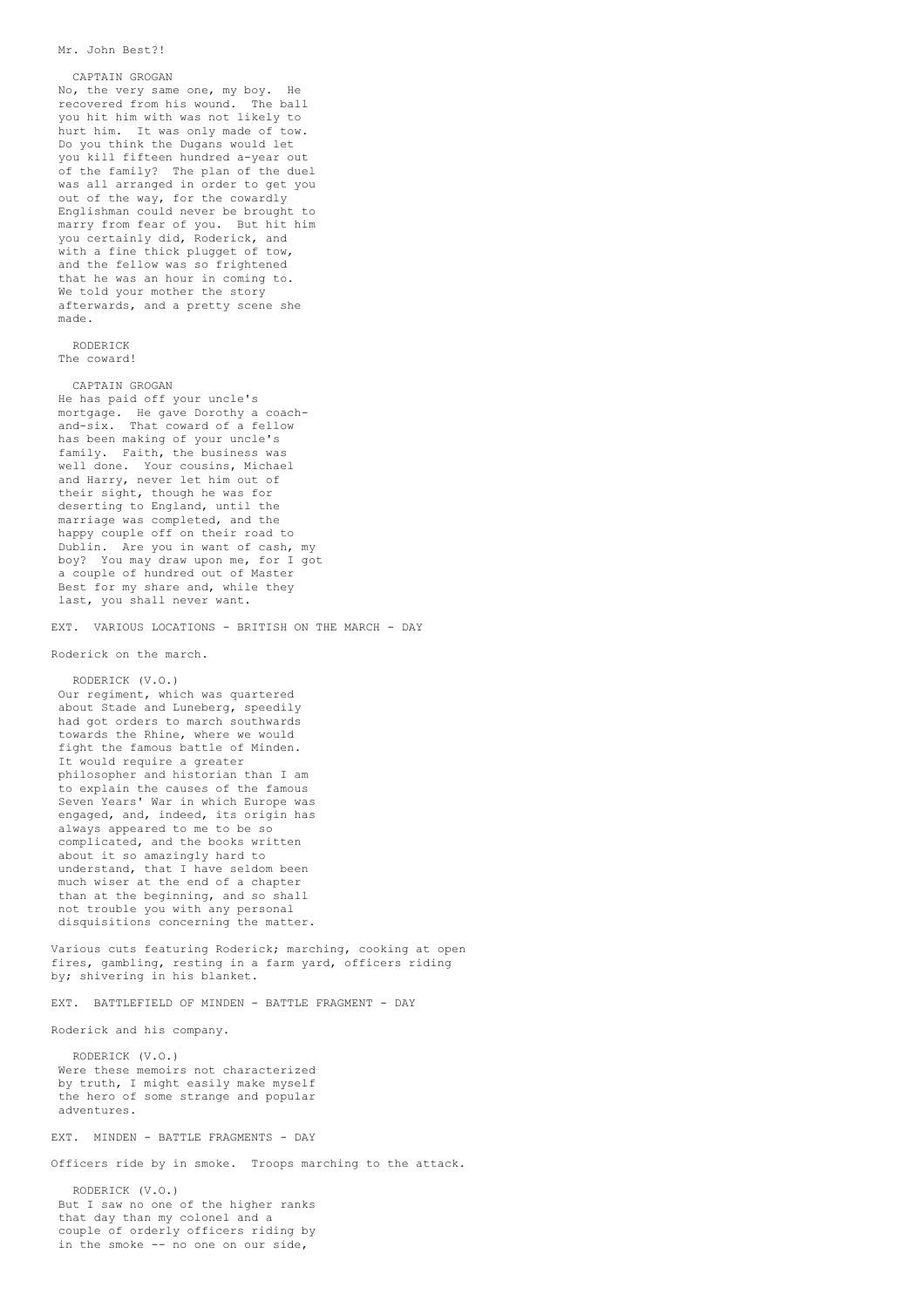#### Mr. John Best?!

#### CAPTAIN GROGAN

No, the very same one, my boy. He recovered from his wound. The ball you hit him with was not likely to hurt him. It was only made of tow. Do you think the Dugans would let you kill fifteen hundred a-year out of the family? The plan of the duel was all arranged in order to get you out of the way, for the cowardly Englishman could never be brought to marry from fear of you. But hit him you certainly did, Roderick, and with a fine thick plugget of tow, and the fellow was so frightened that he was an hour in coming to. We told your mother the story afterwards, and a pretty scene she made.

### RODERICK The coward!

CAPTAIN GROGAN He has paid off your uncle's mortgage. He gave Dorothy a coachand-six. That coward of a fellow has been making of your uncle's family. Faith, the business was well done. Your cousins, Michael and Harry, never let him out of their sight, though he was for deserting to England, until the marriage was completed, and the happy couple off on their road to Dublin. Are you in want of cash, my boy? You may draw upon me, for I got a couple of hundred out of Master Best for my share and, while they last, you shall never want.

EXT. VARIOUS LOCATIONS - BRITISH ON THE MARCH - DAY

Roderick on the march.

RODERICK (V.O.) Our regiment, which was quartered about Stade and Luneberg, speedily had got orders to march southwards towards the Rhine, where we would fight the famous battle of Minden. It would require a greater philosopher and historian than I am to explain the causes of the famous Seven Years' War in which Europe was engaged, and, indeed, its origin has always appeared to me to be so complicated, and the books written about it so amazingly hard to understand, that I have seldom been much wiser at the end of a chapter than at the beginning, and so shall not trouble you with any personal disquisitions concerning the matter.

Various cuts featuring Roderick; marching, cooking at open fires, gambling, resting in a farm yard, officers riding by; shivering in his blanket.

EXT. BATTLEFIELD OF MINDEN - BATTLE FRAGMENT - DAY

Roderick and his company.

RODERICK (V.O.) Were these memoirs not characterized by truth, I might easily make myself the hero of some strange and popular adventures.

EXT. MINDEN - BATTLE FRAGMENTS - DAY

Officers ride by in smoke. Troops marching to the attack.

RODERICK (V.O.) But I saw no one of the higher ranks that day than my colonel and a couple of orderly officers riding by in the smoke -- no one on our side,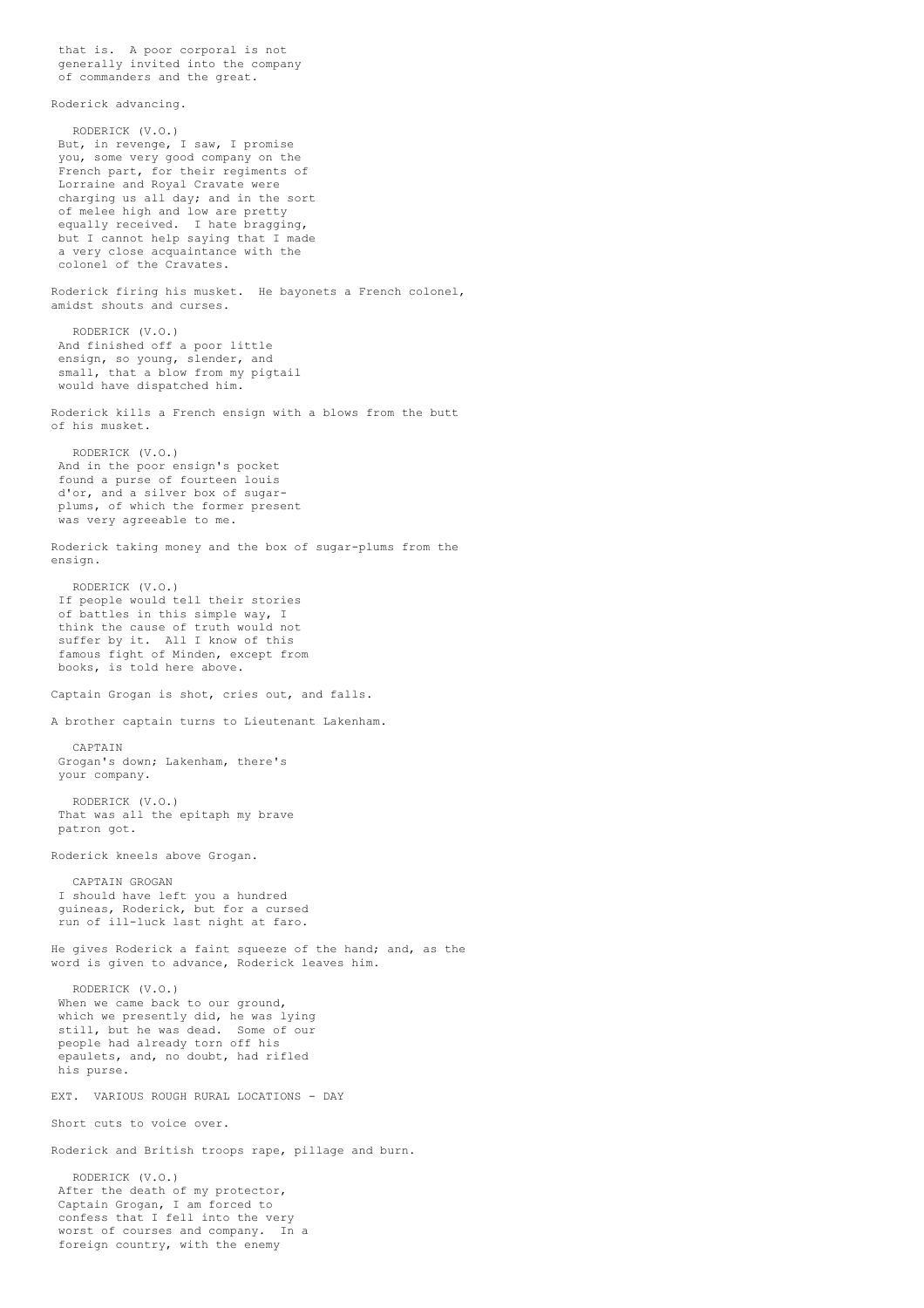that is. A poor corporal is not generally invited into the company of commanders and the great.

Roderick advancing.

RODERICK (V.O.) But, in revenge, I saw, I promise you, some very good company on the French part, for their regiments of Lorraine and Royal Cravate were charging us all day; and in the sort of melee high and low are pretty equally received. I hate bragging, but I cannot help saying that I made a very close acquaintance with the colonel of the Cravates. Roderick firing his musket. He bayonets a French colonel, amidst shouts and curses. RODERICK (V.O.) And finished off a poor little ensign, so young, slender, and small, that a blow from my pigtail would have dispatched him. Roderick kills a French ensign with a blows from the butt of his musket. RODERICK (V.O.) And in the poor ensign's pocket found a purse of fourteen louis d'or, and a silver box of sugarplums, of which the former present was very agreeable to me. Roderick taking money and the box of sugar-plums from the ensign. RODERICK (V.O.) If people would tell their stories of battles in this simple way, I think the cause of truth would not suffer by it. All I know of this famous fight of Minden, except from books, is told here above. Captain Grogan is shot, cries out, and falls. A brother captain turns to Lieutenant Lakenham. CAPTAIN Grogan's down; Lakenham, there's your company. RODERICK (V.O.) That was all the epitaph my brave patron got. Roderick kneels above Grogan. CAPTAIN GROGAN I should have left you a hundred guineas, Roderick, but for a cursed run of ill-luck last night at faro. He gives Roderick a faint squeeze of the hand; and, as the word is given to advance, Roderick leaves him. RODERICK (V.O.) When we came back to our ground, which we presently did, he was lying still, but he was dead. Some of our people had already torn off his epaulets, and, no doubt, had rifled his purse. EXT. VARIOUS ROUGH RURAL LOCATIONS - DAY Short cuts to voice over. Roderick and British troops rape, pillage and burn. RODERICK (V.O.) After the death of my protector, Captain Grogan, I am forced to confess that I fell into the very worst of courses and company. In a foreign country, with the enemy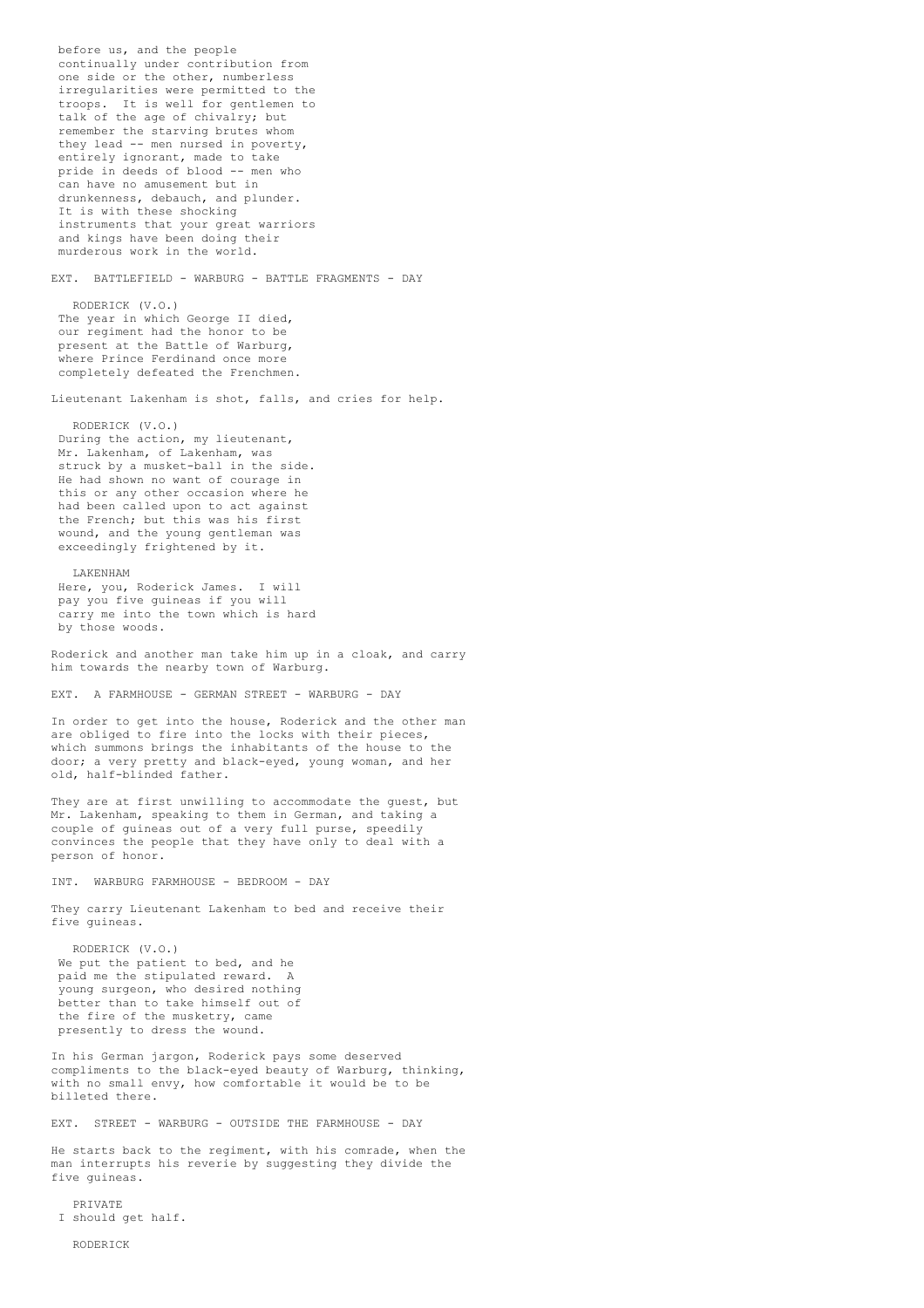before us, and the people continually under contribution from one side or the other, numberless irregularities were permitted to the troops. It is well for gentlemen to talk of the age of chivalry; but remember the starving brutes whom they lead -- men nursed in poverty, entirely ignorant, made to take pride in deeds of blood -- men who can have no amusement but in drunkenness, debauch, and plunder. It is with these shocking instruments that your great warriors and kings have been doing their murderous work in the world. EXT. BATTLEFIELD - WARBURG - BATTLE FRAGMENTS - DAY RODERICK (V.O.) The year in which George II died, our regiment had the honor to be present at the Battle of Warburg, where Prince Ferdinand once more completely defeated the Frenchmen. Lieutenant Lakenham is shot, falls, and cries for help. RODERICK (V.O.) During the action, my lieutenant, Mr. Lakenham, of Lakenham, was struck by a musket-ball in the side. He had shown no want of courage in this or any other occasion where he had been called upon to act against the French; but this was his first wound, and the young gentleman was exceedingly frightened by it. LAKENHAM Here, you, Roderick James. I will pay you five guineas if you will carry me into the town which is hard by those woods. Roderick and another man take him up in a cloak, and carry him towards the nearby town of Warburg. EXT. A FARMHOUSE - GERMAN STREET - WARBURG - DAY In order to get into the house, Roderick and the other man are obliged to fire into the locks with their pieces, which summons brings the inhabitants of the house to the door; a very pretty and black-eyed, young woman, and her old, half-blinded father. They are at first unwilling to accommodate the guest, but Mr. Lakenham, speaking to them in German, and taking a couple of guineas out of a very full purse, speedily convinces the people that they have only to deal with a person of honor. INT. WARBURG FARMHOUSE - BEDROOM - DAY They carry Lieutenant Lakenham to bed and receive their five guineas. RODERICK (V.O.) We put the patient to bed, and he paid me the stipulated reward. A young surgeon, who desired nothing better than to take himself out of the fire of the musketry, came presently to dress the wound. In his German jargon, Roderick pays some deserved compliments to the black-eyed beauty of Warburg, thinking, with no small envy, how comfortable it would be to be billeted there. EXT. STREET - WARBURG - OUTSIDE THE FARMHOUSE - DAY He starts back to the regiment, with his comrade, when the man interrupts his reverie by suggesting they divide the five guineas.

PRIVATE I should get half.

RODERICK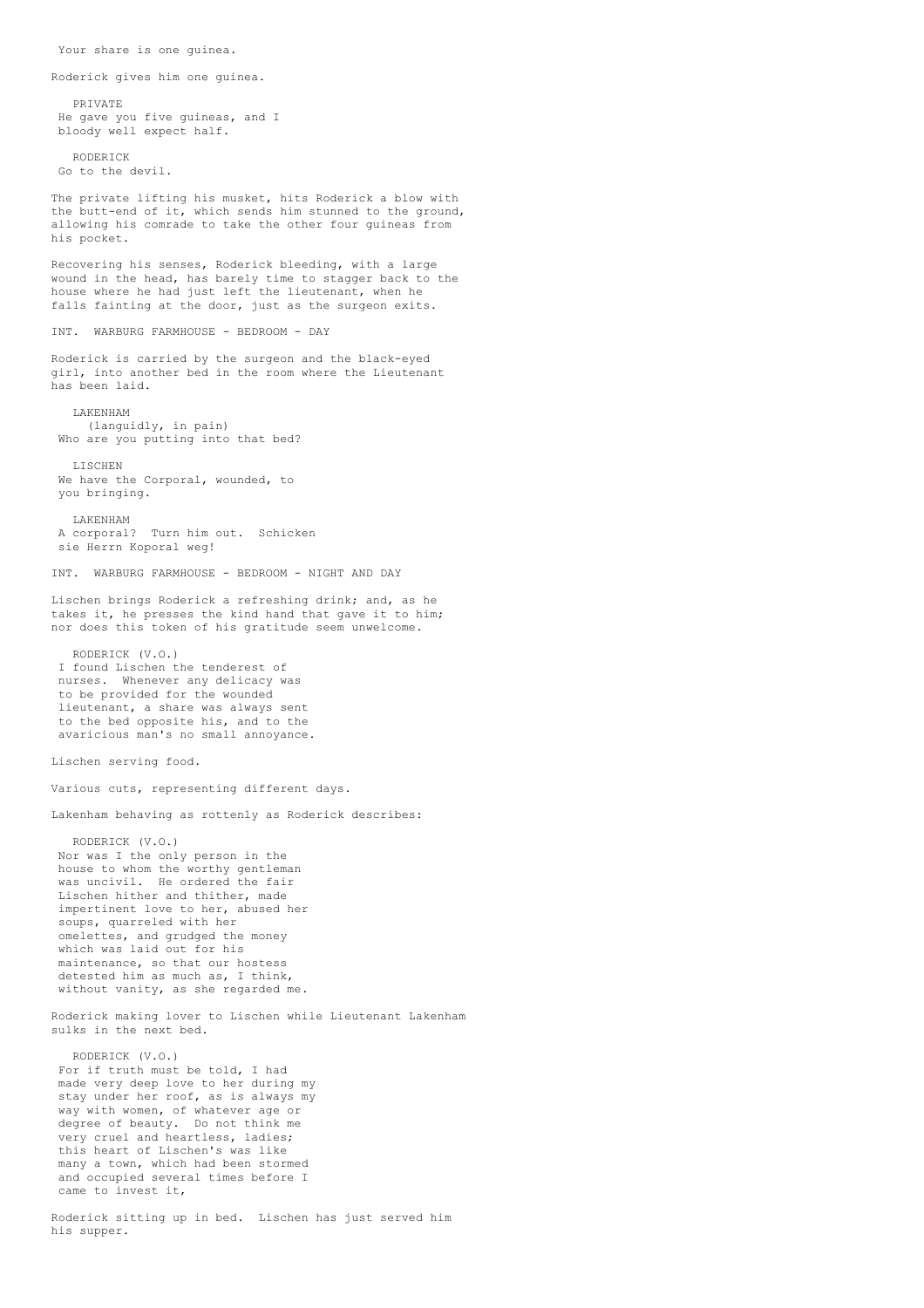Your share is one guinea.

Roderick gives him one guinea.

PRIVATE He gave you five guineas, and I bloody well expect half.

RODERICK Go to the devil.

The private lifting his musket, hits Roderick a blow with the butt-end of it, which sends him stunned to the ground, allowing his comrade to take the other four guineas from his pocket.

Recovering his senses, Roderick bleeding, with a large wound in the head, has barely time to stagger back to the house where he had just left the lieutenant, when he falls fainting at the door, just as the surgeon exits.

INT. WARBURG FARMHOUSE - BEDROOM - DAY

Roderick is carried by the surgeon and the black-eyed girl, into another bed in the room where the Lieutenant has been laid.

LAKENHAM (languidly, in pain) Who are you putting into that bed?

LISCHEN We have the Corporal, wounded, to you bringing.

#### LAKENHAM

A corporal? Turn him out. Schicken sie Herrn Koporal weg!

INT. WARBURG FARMHOUSE - BEDROOM - NIGHT AND DAY

Lischen brings Roderick a refreshing drink; and, as he takes it, he presses the kind hand that gave it to him; nor does this token of his gratitude seem unwelcome.

RODERICK (V.O.) I found Lischen the tenderest of nurses. Whenever any delicacy was to be provided for the wounded lieutenant, a share was always sent to the bed opposite his, and to the avaricious man's no small annoyance.

Lischen serving food.

Various cuts, representing different days.

Lakenham behaving as rottenly as Roderick describes:

RODERICK (V.O.) Nor was I the only person in the house to whom the worthy gentleman was uncivil. He ordered the fair Lischen hither and thither, made impertinent love to her, abused her soups, quarreled with her omelettes, and grudged the money which was laid out for his maintenance, so that our hostess detested him as much as, I think, without vanity, as she regarded me.

Roderick making lover to Lischen while Lieutenant Lakenham sulks in the next bed.

RODERICK (V.O.) For if truth must be told, I had made very deep love to her during my stay under her roof, as is always my way with women, of whatever age or degree of beauty. Do not think me very cruel and heartless, ladies; this heart of Lischen's was like many a town, which had been stormed and occupied several times before I came to invest it,

Roderick sitting up in bed. Lischen has just served him his supper.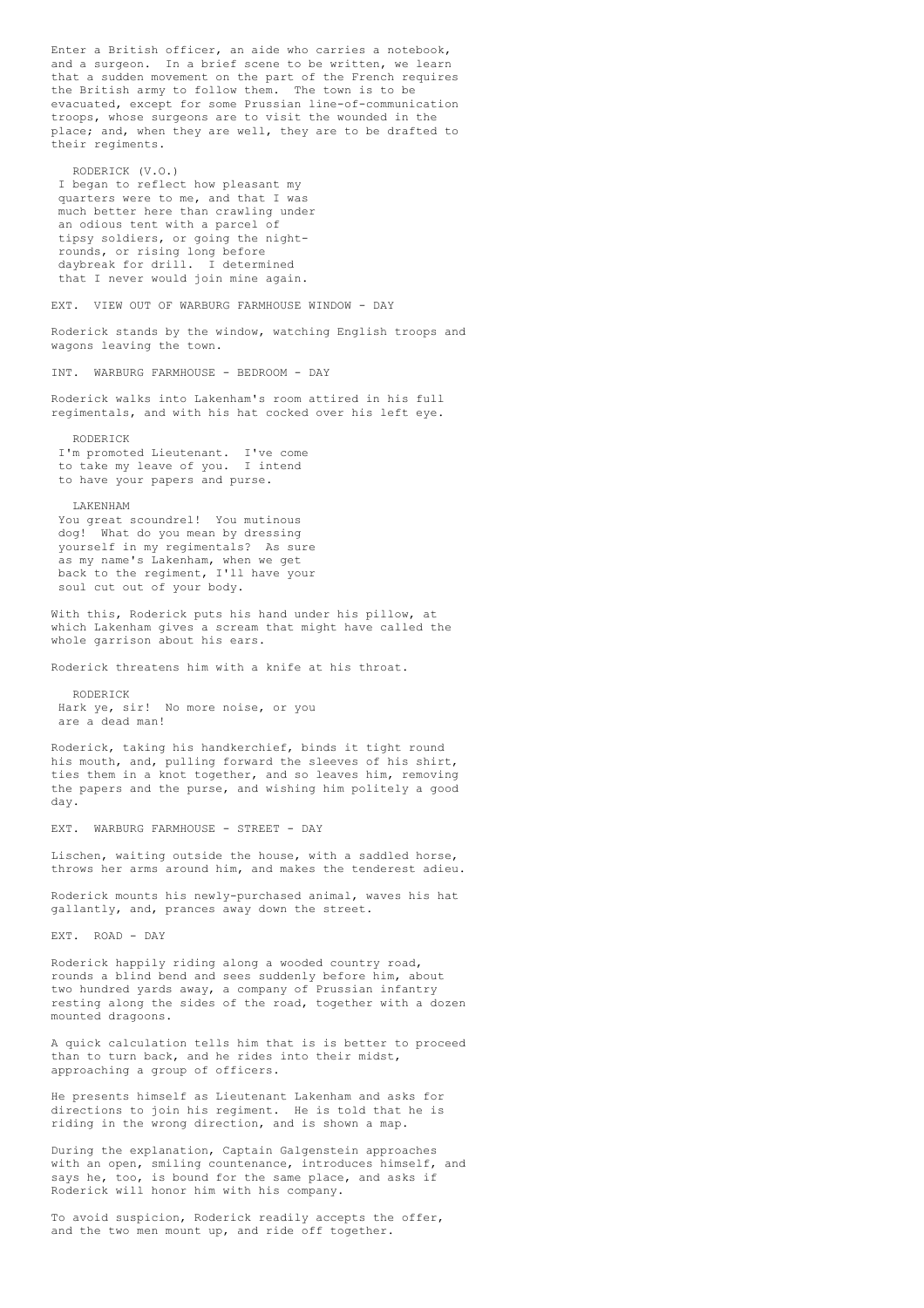Enter a British officer, an aide who carries a notebook, and a surgeon. In a brief scene to be written, we learn that a sudden movement on the part of the French requires the British army to follow them. The town is to be evacuated, except for some Prussian line-of-communication troops, whose surgeons are to visit the wounded in the place; and, when they are well, they are to be drafted to their regiments. RODERICK (V.O.) I began to reflect how pleasant my quarters were to me, and that I was much better here than crawling under an odious tent with a parcel of tipsy soldiers, or going the nightrounds, or rising long before daybreak for drill. I determined that I never would join mine again. EXT. VIEW OUT OF WARBURG FARMHOUSE WINDOW - DAY Roderick stands by the window, watching English troops and wagons leaving the town. INT. WARBURG FARMHOUSE - BEDROOM - DAY Roderick walks into Lakenham's room attired in his full regimentals, and with his hat cocked over his left eye. RODERICK I'm promoted Lieutenant. I've come to take my leave of you. I intend to have your papers and purse. LAKENHAM You great scoundrel! You mutinous dog! What do you mean by dressing yourself in my regimentals? As sure as my name's Lakenham, when we get back to the regiment, I'll have your soul cut out of your body. With this, Roderick puts his hand under his pillow, at which Lakenham gives a scream that might have called the whole garrison about his ears. Roderick threatens him with a knife at his throat. RODERICK Hark ye, sir! No more noise, or you are a dead man! Roderick, taking his handkerchief, binds it tight round his mouth, and, pulling forward the sleeves of his shirt, ties them in a knot together, and so leaves him, removing the papers and the purse, and wishing him politely a good day. EXT. WARBURG FARMHOUSE - STREET - DAY Lischen, waiting outside the house, with a saddled horse, throws her arms around him, and makes the tenderest adieu. Roderick mounts his newly-purchased animal, waves his hat gallantly, and, prances away down the street. EXT. ROAD - DAY Roderick happily riding along a wooded country road, rounds a blind bend and sees suddenly before him, about two hundred yards away, a company of Prussian infantry resting along the sides of the road, together with a dozen mounted dragoons. A quick calculation tells him that is is better to proceed than to turn back, and he rides into their midst, approaching a group of officers. He presents himself as Lieutenant Lakenham and asks for directions to join his regiment. He is told that he is riding in the wrong direction, and is shown a map. During the explanation, Captain Galgenstein approaches with an open, smiling countenance, introduces himself, and says he, too, is bound for the same place, and asks if Roderick will honor him with his company.

To avoid suspicion, Roderick readily accepts the offer, and the two men mount up, and ride off together.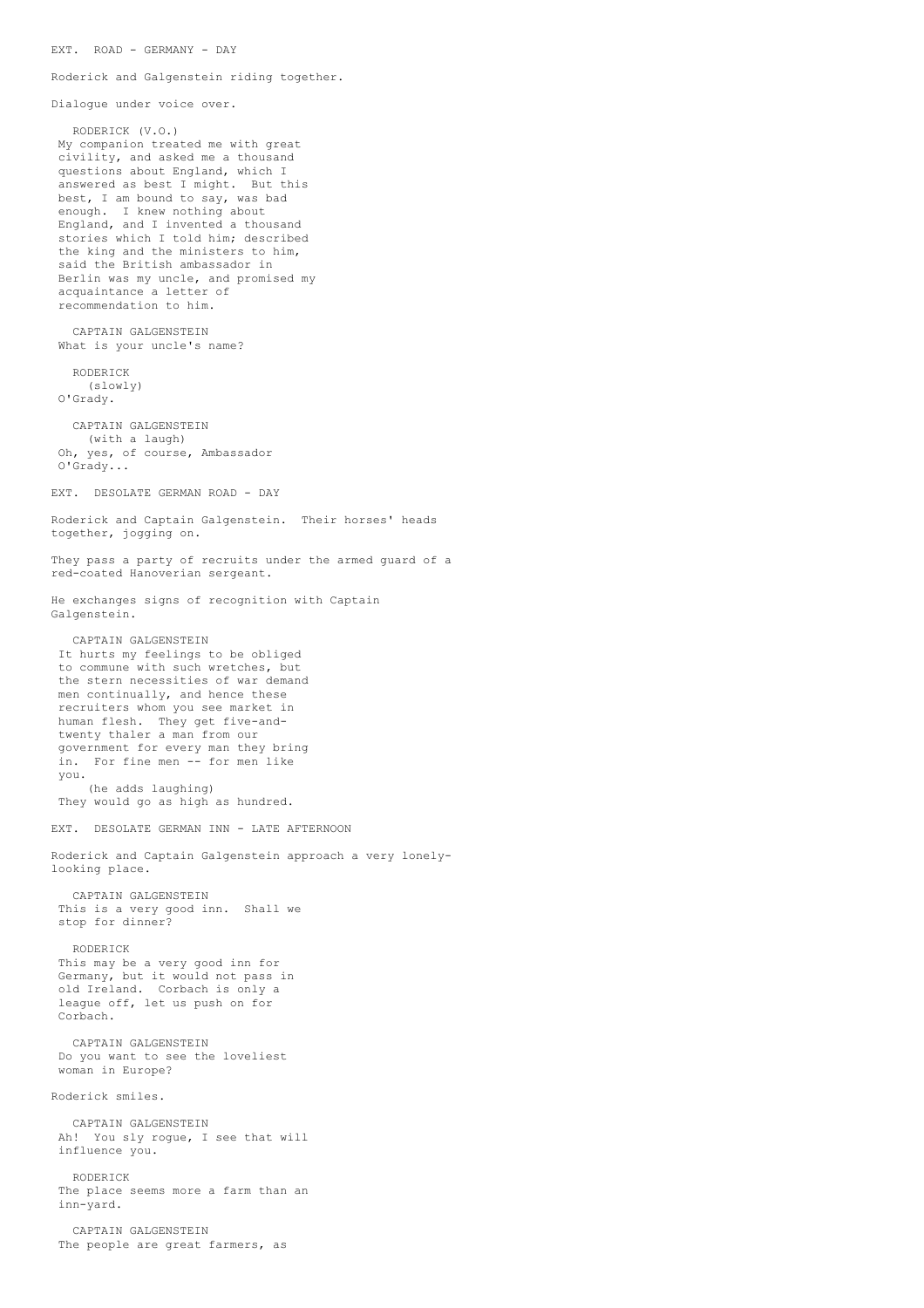EXT. ROAD - GERMANY - DAY

Roderick and Galgenstein riding together.

Dialogue under voice over.

RODERICK (V.O.) My companion treated me with great civility, and asked me a thousand questions about England, which I answered as best I might. But this best, I am bound to say, was bad enough. I knew nothing about England, and I invented a thousand stories which I told him; described the king and the ministers to him, said the British ambassador in Berlin was my uncle, and promised my acquaintance a letter of recommendation to him. CAPTAIN GALGENSTEIN What is your uncle's name? RODERICK (slowly) O'Grady. CAPTAIN GALGENSTEIN (with a laugh) Oh, yes, of course, Ambassador O'Grady... EXT. DESOLATE GERMAN ROAD - DAY Roderick and Captain Galgenstein. Their horses' heads together, jogging on. They pass a party of recruits under the armed guard of a red-coated Hanoverian sergeant. He exchanges signs of recognition with Captain Galgenstein. CAPTAIN GALGENSTEIN It hurts my feelings to be obliged to commune with such wretches, but the stern necessities of war demand men continually, and hence these recruiters whom you see market in human flesh. They get five-andtwenty thaler a man from our government for every man they bring in. For fine men -- for men like you. (he adds laughing) They would go as high as hundred. EXT. DESOLATE GERMAN INN - LATE AFTERNOON Roderick and Captain Galgenstein approach a very lonelylooking place. CAPTAIN GALGENSTEIN This is a very good inn. Shall we stop for dinner? RODERICK This may be a very good inn for Germany, but it would not pass in old Ireland. Corbach is only a league off, let us push on for Corbach. CAPTAIN GALGENSTEIN Do you want to see the loveliest woman in Europe? Roderick smiles. CAPTAIN GALGENSTEIN Ah! You sly rogue, I see that will influence you. RODERICK The place seems more a farm than an inn-yard. CAPTAIN GALGENSTEIN The people are great farmers, as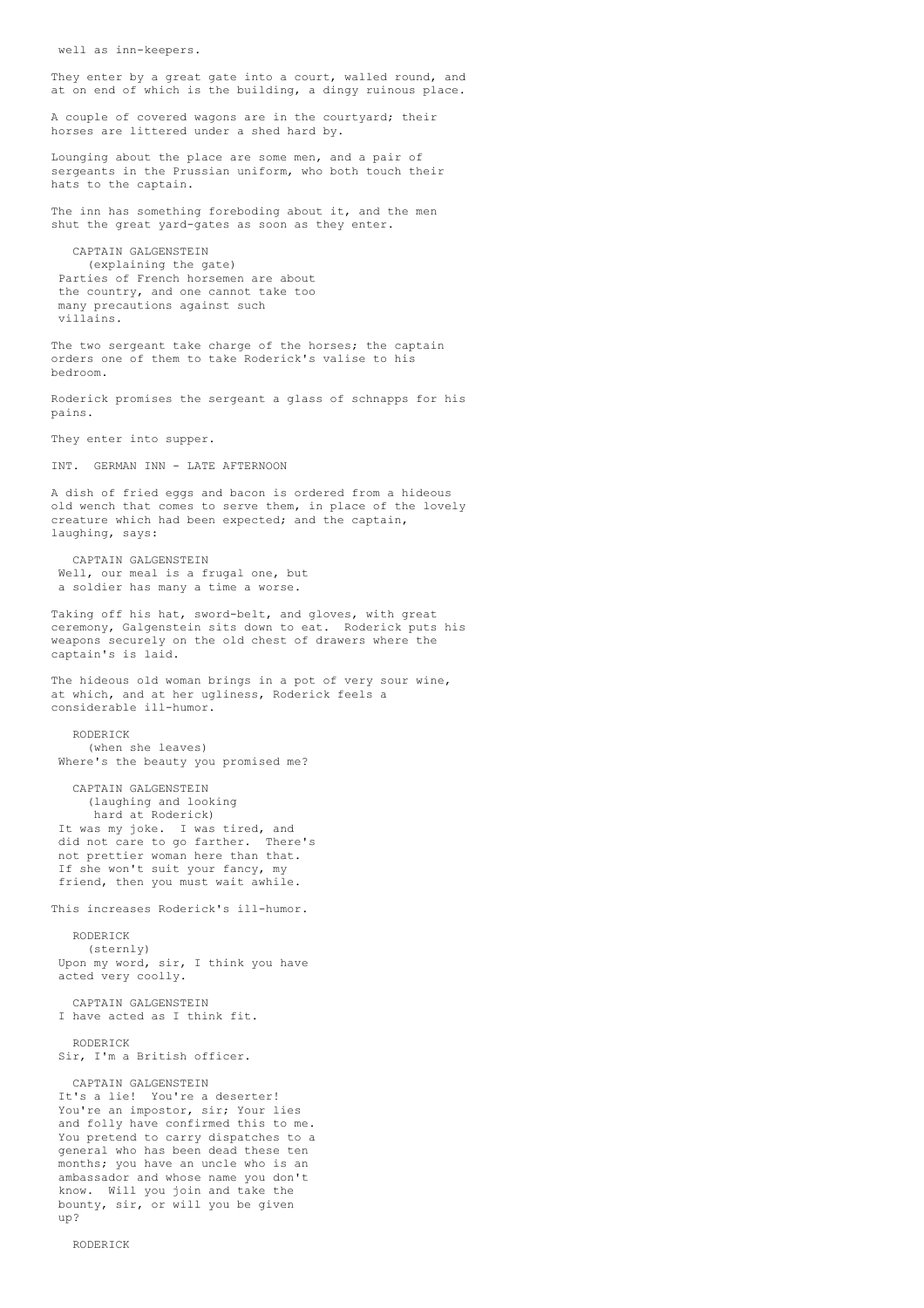well as inn-keepers.

They enter by a great gate into a court, walled round, and at on end of which is the building, a dingy ruinous place.

A couple of covered wagons are in the courtyard; their horses are littered under a shed hard by.

Lounging about the place are some men, and a pair of sergeants in the Prussian uniform, who both touch their hats to the captain.

The inn has something foreboding about it, and the men shut the great yard-gates as soon as they enter.

CAPTAIN GALGENSTEIN (explaining the gate) Parties of French horsemen are about the country, and one cannot take too many precautions against such villains.

The two sergeant take charge of the horses; the captain orders one of them to take Roderick's valise to his bedroom.

Roderick promises the sergeant a glass of schnapps for his pains.

They enter into supper.

INT. GERMAN INN - LATE AFTERNOON

A dish of fried eggs and bacon is ordered from a hideous old wench that comes to serve them, in place of the lovely creature which had been expected; and the captain, laughing, says:

CAPTAIN GALGENSTEIN Well, our meal is a frugal one, but a soldier has many a time a worse.

Taking off his hat, sword-belt, and gloves, with great ceremony, Galgenstein sits down to eat. Roderick puts his weapons securely on the old chest of drawers where the captain's is laid.

The hideous old woman brings in a pot of very sour wine. at which, and at her ugliness, Roderick feels a considerable ill-humor.

RODERICK (when she leaves) Where's the beauty you promised me?

CAPTAIN GALGENSTEIN (laughing and looking hard at Roderick) It was my joke. I was tired, and did not care to go farther. There's not prettier woman here than that. If she won't suit your fancy, my friend, then you must wait awhile.

This increases Roderick's ill-humor.

RODERICK (sternly) Upon my word, sir, I think you have acted very coolly.

CAPTAIN GALGENSTEIN I have acted as I think fit.

RODERICK Sir, I'm a British officer.

CAPTAIN GALGENSTEIN

It's a lie! You're a deserter! You're an impostor, sir; Your lies and folly have confirmed this to me. You pretend to carry dispatches to a general who has been dead these ten months; you have an uncle who is an ambassador and whose name you don't know. Will you join and take the bounty, sir, or will you be given up?

RODERICK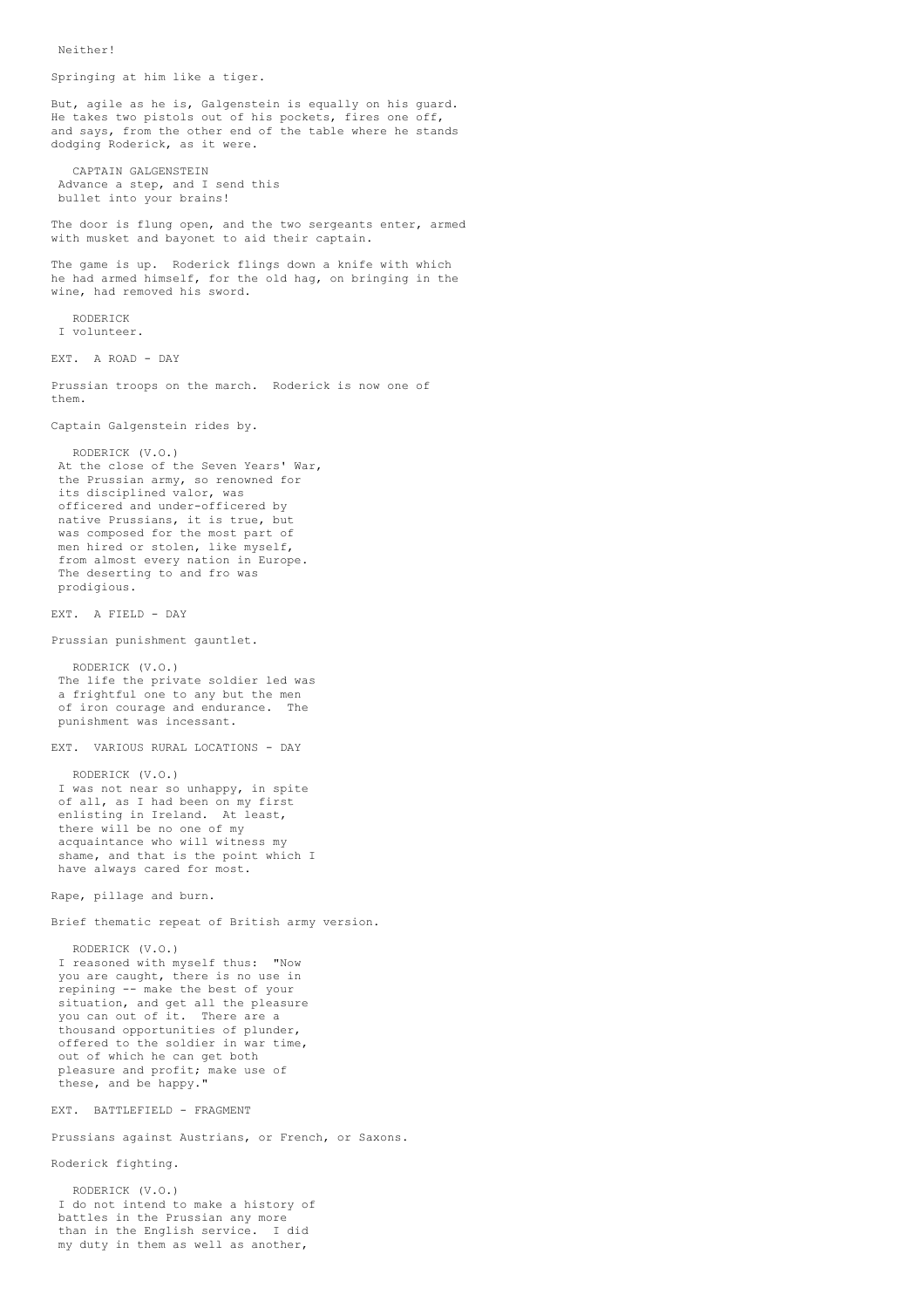Neither!

Springing at him like a tiger. But, agile as he is, Galgenstein is equally on his guard. He takes two pistols out of his pockets, fires one off, and says, from the other end of the table where he stands dodging Roderick, as it were. CAPTAIN GALGENSTEIN Advance a step, and I send this bullet into your brains! The door is flung open, and the two sergeants enter, armed with musket and bayonet to aid their captain. The game is up. Roderick flings down a knife with which he had armed himself, for the old hag, on bringing in the wine, had removed his sword. RODERICK I volunteer. EXT. A ROAD - DAY Prussian troops on the march. Roderick is now one of them. Captain Galgenstein rides by. RODERICK (V.O.) At the close of the Seven Years' War, the Prussian army, so renowned for its disciplined valor, was officered and under-officered by native Prussians, it is true, but was composed for the most part of men hired or stolen, like myself, from almost every nation in Europe. The deserting to and fro was prodigious. EXT. A FIELD - DAY Prussian punishment gauntlet. RODERICK (V.O.) The life the private soldier led was a frightful one to any but the men of iron courage and endurance. The punishment was incessant. EXT. VARIOUS RURAL LOCATIONS - DAY RODERICK (V.O.) I was not near so unhappy, in spite of all, as I had been on my first enlisting in Ireland. At least, there will be no one of my acquaintance who will witness my shame, and that is the point which I have always cared for most. Rape, pillage and burn. Brief thematic repeat of British army version. RODERICK (V.O.) I reasoned with myself thus: "Now you are caught, there is no use in repining -- make the best of your situation, and get all the pleasure you can out of it. There are a thousand opportunities of plunder, offered to the soldier in war time, out of which he can get both pleasure and profit; make use of these, and be happy." EXT. BATTLEFIELD - FRAGMENT Prussians against Austrians, or French, or Saxons. Roderick fighting. RODERICK (V.O.)

I do not intend to make a history of battles in the Prussian any more than in the English service. I did my duty in them as well as another,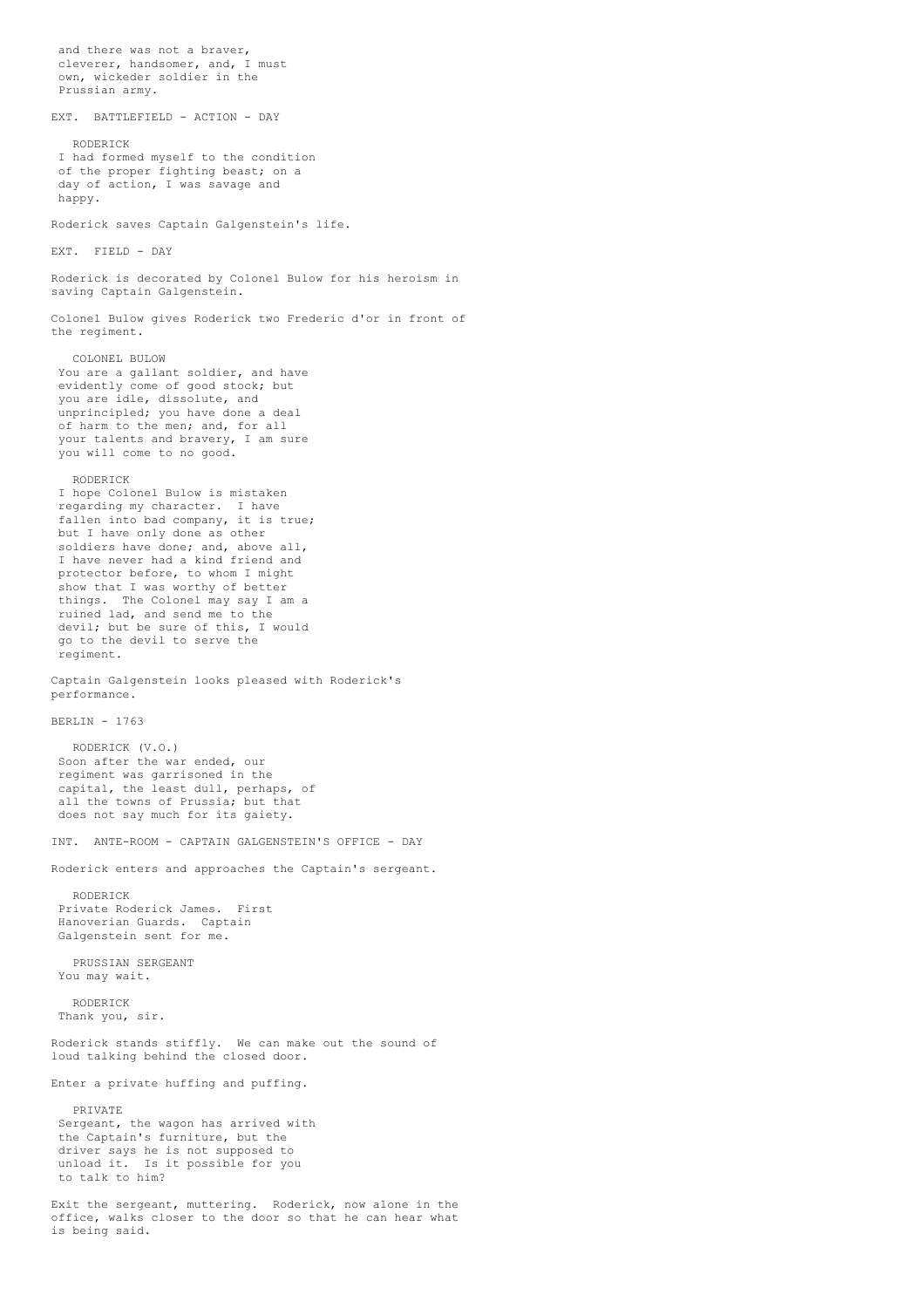and there was not a braver, cleverer, handsomer, and, I must own, wickeder soldier in the Prussian army. EXT. BATTLEFIELD - ACTION - DAY RODERICK I had formed myself to the condition of the proper fighting beast; on a day of action, I was savage and happy. Roderick saves Captain Galgenstein's life. EXT. FIELD - DAY Roderick is decorated by Colonel Bulow for his heroism in saving Captain Galgenstein. Colonel Bulow gives Roderick two Frederic d'or in front of the regiment. COLONEL BULOW You are a gallant soldier, and have evidently come of good stock; but you are idle, dissolute, and unprincipled; you have done a deal of harm to the men; and, for all your talents and bravery, I am sure you will come to no good. RODERICK I hope Colonel Bulow is mistaken regarding my character. I have fallen into bad company, it is true; but I have only done as other soldiers have done; and, above all, I have never had a kind friend and protector before, to whom I might show that I was worthy of better things. The Colonel may say I am a ruined lad, and send me to the devil; but be sure of this, I would go to the devil to serve the regiment. Captain Galgenstein looks pleased with Roderick's performance. BERLIN - 1763 RODERICK (V.O.) Soon after the war ended, our regiment was garrisoned in the capital, the least dull, perhaps, of all the towns of Prussia; but that does not say much for its gaiety. INT. ANTE-ROOM - CAPTAIN GALGENSTEIN'S OFFICE - DAY Roderick enters and approaches the Captain's sergeant. RODERICK Private Roderick James. First Hanoverian Guards. Captain Galgenstein sent for me. PRUSSIAN SERGEANT You may wait. RODERICK Thank you, sir. Roderick stands stiffly. We can make out the sound of loud talking behind the closed door. Enter a private huffing and puffing. PRIVATE Sergeant, the wagon has arrived with the Captain's furniture, but the driver says he is not supposed to unload it. Is it possible for you to talk to him? Exit the sergeant, muttering. Roderick, now alone in the office, walks closer to the door so that he can hear what

is being said.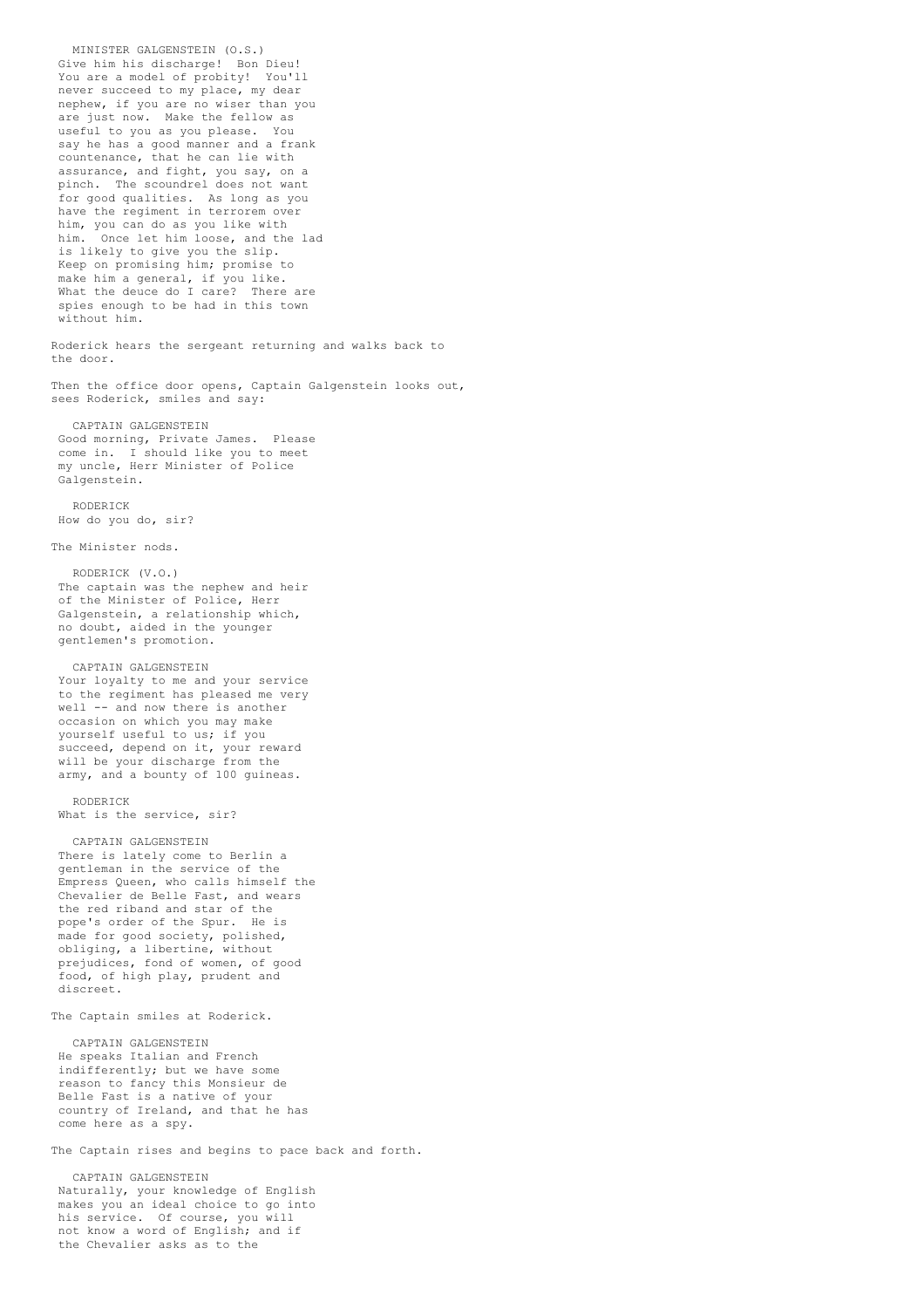MINISTER GALGENSTEIN (O.S.) Give him his discharge! Bon Dieu! You are a model of probity! You'll never succeed to my place, my dear nephew, if you are no wiser than you are just now. Make the fellow as useful to you as you please. You say he has a good manner and a frank countenance, that he can lie with assurance, and fight, you say, on a pinch. The scoundrel does not want for good qualities. As long as you have the regiment in terrorem over him, you can do as you like with him. Once let him loose, and the lad is likely to give you the slip. Keep on promising him; promise to make him a general, if you like. What the deuce do I care? There are spies enough to be had in this town without him. Roderick hears the sergeant returning and walks back to the door. Then the office door opens, Captain Galgenstein looks out, sees Roderick, smiles and say: CAPTAIN GALGENSTEIN Good morning, Private James. Please come in. I should like you to meet my uncle, Herr Minister of Police Galgenstein. RODERICK How do you do, sir? The Minister nods. RODERICK (V.O.) The captain was the nephew and heir of the Minister of Police, Herr Galgenstein, a relationship which, no doubt, aided in the younger gentlemen's promotion. CAPTAIN GALGENSTEIN Your loyalty to me and your service to the regiment has pleased me very well -- and now there is another occasion on which you may make yourself useful to us; if you succeed, depend on it, your reward will be your discharge from the army, and a bounty of 100 guineas. RODERICK What is the service, sir? CAPTAIN GALGENSTEIN There is lately come to Berlin a gentleman in the service of the Empress Queen, who calls himself the Chevalier de Belle Fast, and wears the red riband and star of the pope's order of the Spur. He is made for good society, polished, obliging, a libertine, without prejudices, fond of women, of good food, of high play, prudent and discreet. The Captain smiles at Roderick. CAPTAIN GALGENSTEIN He speaks Italian and French indifferently; but we have some reason to fancy this Monsieur de Belle Fast is a native of your country of Ireland, and that he has come here as a spy. The Captain rises and begins to pace back and forth.

CAPTAIN GALGENSTEIN Naturally, your knowledge of English makes you an ideal choice to go into his service. Of course, you will not know a word of English; and if the Chevalier asks as to the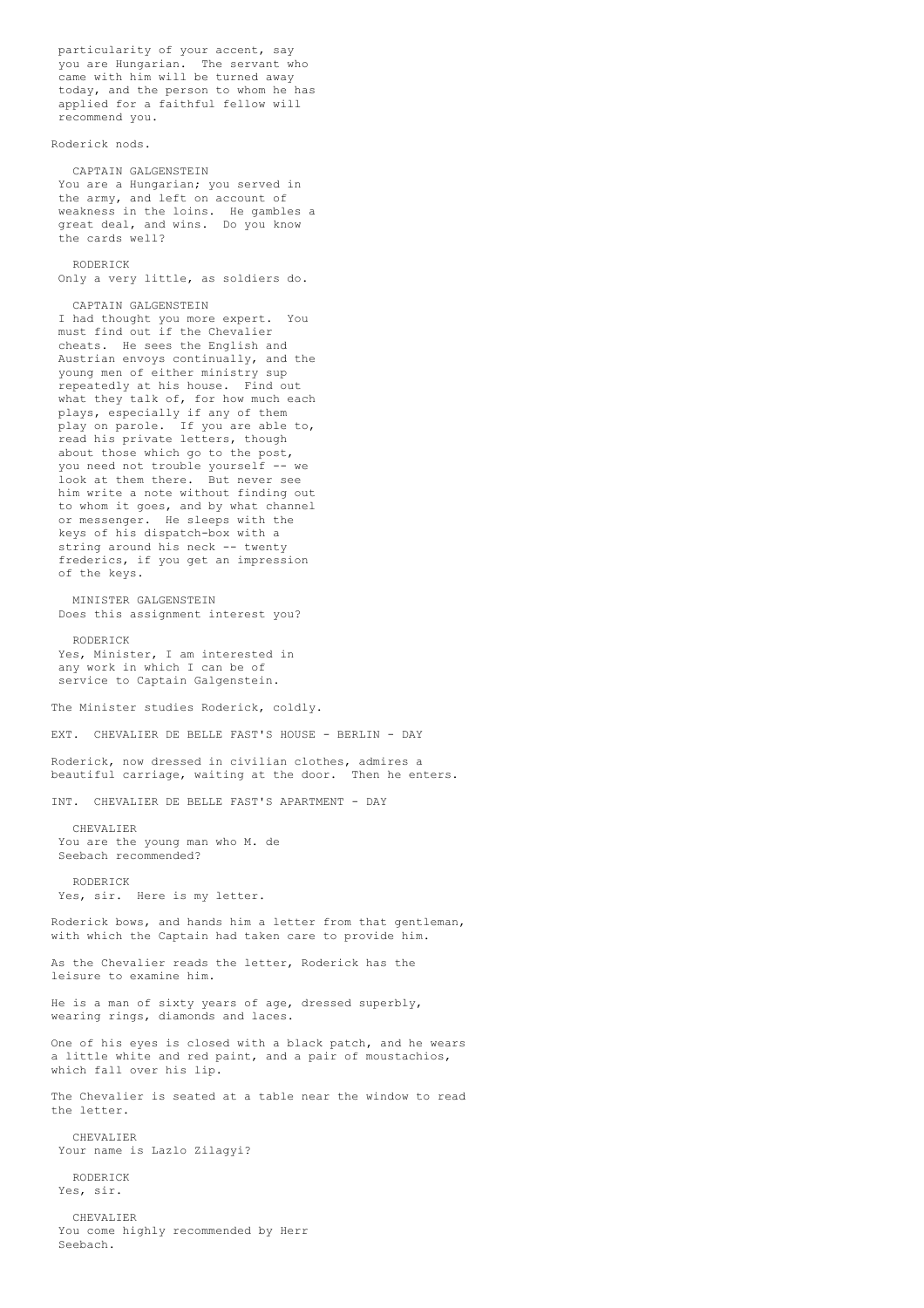particularity of your accent, say you are Hungarian. The servant who came with him will be turned away today, and the person to whom he has applied for a faithful fellow will recommend you.

Roderick nods.

CAPTAIN GALGENSTEIN You are a Hungarian; you served in the army, and left on account of weakness in the loins. He gambles a great deal, and wins. Do you know the cards well?

### RODERICK

Only a very little, as soldiers do.

CAPTAIN GALGENSTEIN

I had thought you more expert. You must find out if the Chevalier cheats. He sees the English and Austrian envoys continually, and the young men of either ministry sup repeatedly at his house. Find out what they talk of, for how much each plays, especially if any of them play on parole. If you are able to, read his private letters, though about those which go to the post, you need not trouble yourself -- we look at them there. But never see him write a note without finding out to whom it goes, and by what channel or messenger. He sleeps with the keys of his dispatch-box with a string around his neck -- twenty frederics, if you get an impression of the keys.

MINISTER GALGENSTEIN Does this assignment interest you?

RODERICK Yes, Minister, I am interested in any work in which I can be of service to Captain Galgenstein.

The Minister studies Roderick, coldly.

EXT. CHEVALIER DE BELLE FAST'S HOUSE - BERLIN - DAY

Roderick, now dressed in civilian clothes, admires a beautiful carriage, waiting at the door. Then he enters.

INT. CHEVALIER DE BELLE FAST'S APARTMENT - DAY

CHEVALIER You are the young man who M. de Seebach recommended?

RODERICK Yes, sir. Here is my letter.

Roderick bows, and hands him a letter from that gentleman, with which the Captain had taken care to provide him.

As the Chevalier reads the letter, Roderick has the leisure to examine him.

He is a man of sixty years of age, dressed superbly, wearing rings, diamonds and laces.

One of his eyes is closed with a black patch, and he wears a little white and red paint, and a pair of moustachios, which fall over his lip.

The Chevalier is seated at a table near the window to read the letter.

CHEVALIER Your name is Lazlo Zilagyi?

RODERICK Yes, sir.

CHEVALIER You come highly recommended by Herr Seebach.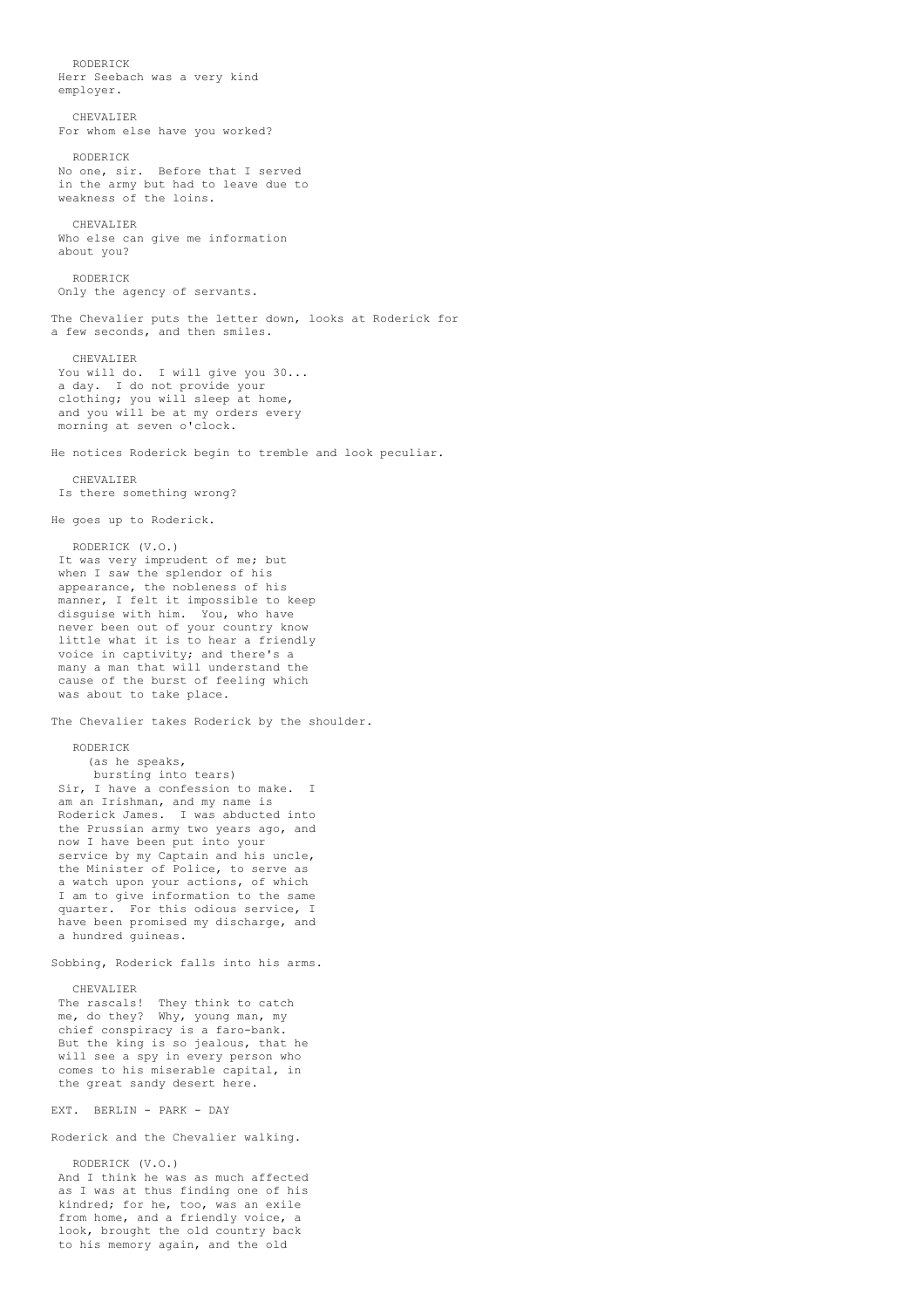RODERICK Herr Seebach was a very kind employer. CHEVALIER For whom else have you worked? RODERICK No one, sir. Before that I served in the army but had to leave due to weakness of the loins. CHEVALIER Who else can give me information about you? RODERICK Only the agency of servants. The Chevalier puts the letter down, looks at Roderick for a few seconds, and then smiles. CHEVALIER You will do. I will give you 30... a day. I do not provide your clothing; you will sleep at home, and you will be at my orders every morning at seven o'clock. He notices Roderick begin to tremble and look peculiar. CHEVALIER Is there something wrong? He goes up to Roderick. RODERICK (V.O.) It was very imprudent of me; but when I saw the splendor of his appearance, the nobleness of his manner, I felt it impossible to keep disguise with him. You, who have never been out of your country know little what it is to hear a friendly voice in captivity; and there's a many a man that will understand the cause of the burst of feeling which was about to take place. The Chevalier takes Roderick by the shoulder. RODERICK (as he speaks, bursting into tears) Sir, I have a confession to make. I am an Irishman, and my name is Roderick James. I was abducted into the Prussian army two years ago, and now I have been put into your service by my Captain and his uncle, the Minister of Police, to serve as a watch upon your actions, of which I am to give information to the same quarter. For this odious service, I have been promised my discharge, and a hundred guineas. Sobbing, Roderick falls into his arms. CHEVALIER The rascals! They think to catch me, do they? Why, young man, my chief conspiracy is a faro-bank. But the king is so jealous, that he will see a spy in every person who comes to his miserable capital, in the great sandy desert here. EXT. BERLIN - PARK - DAY Roderick and the Chevalier walking. RODERICK (V.O.)

And I think he was as much affected as I was at thus finding one of his kindred; for he, too, was an exile from home, and a friendly voice, a look, brought the old country back to his memory again, and the old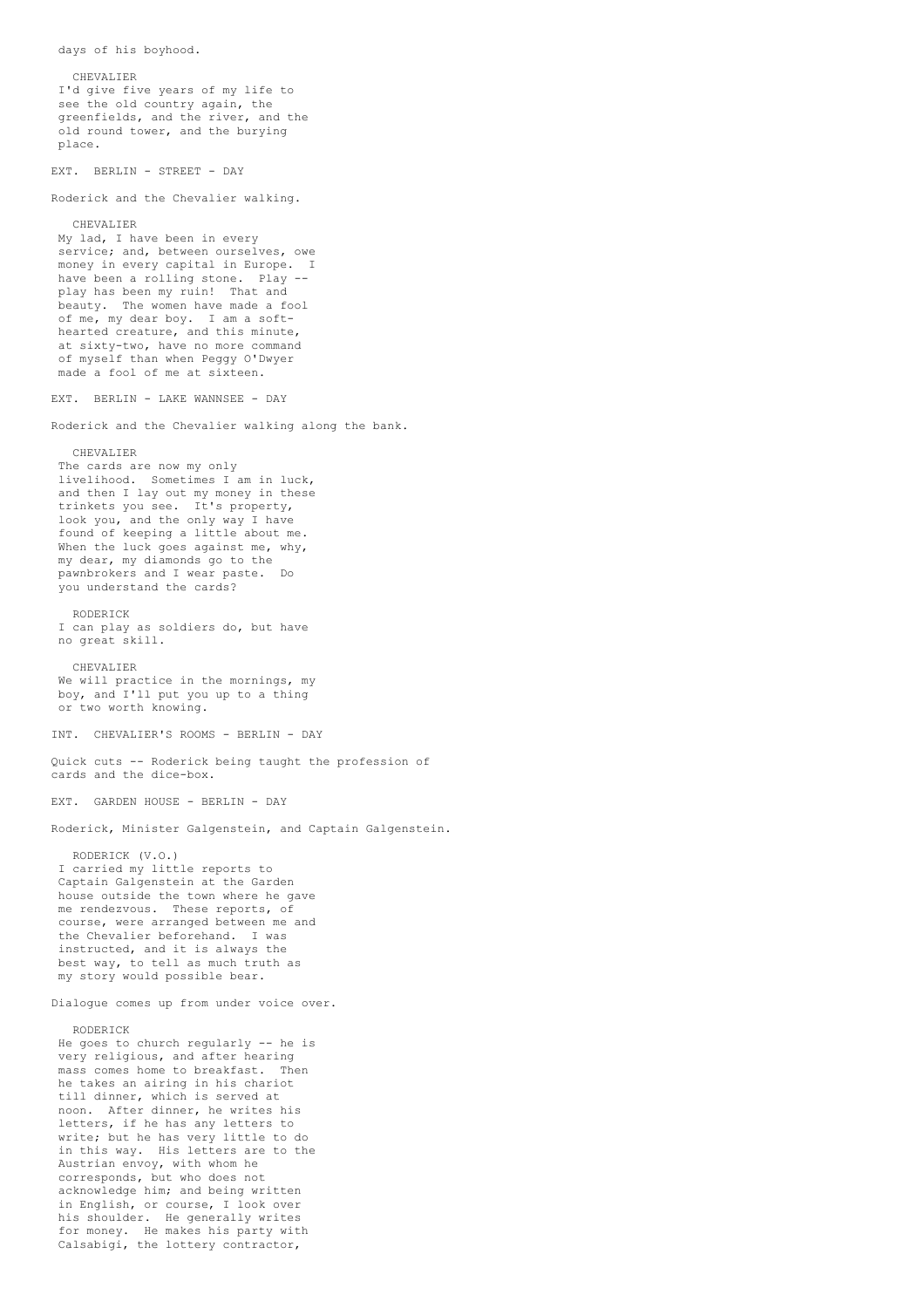CHEVALIER I'd give five years of my life to see the old country again, the greenfields, and the river, and the old round tower, and the burying place. EXT. BERLIN - STREET - DAY Roderick and the Chevalier walking. CHEVALIER My lad, I have been in every service; and, between ourselves, owe money in every capital in Europe. I have been a rolling stone. Play play has been my ruin! That and beauty. The women have made a fool of me, my dear boy. I am a softhearted creature, and this minute, at sixty-two, have no more command of myself than when Peggy O'Dwyer made a fool of me at sixteen. EXT. BERLIN - LAKE WANNSEE - DAY Roderick and the Chevalier walking along the bank. CHEVALIER The cards are now my only livelihood. Sometimes I am in luck, and then I lay out my money in these trinkets you see. It's property, look you, and the only way I have found of keeping a little about me. When the luck goes against me, why, my dear, my diamonds go to the pawnbrokers and I wear paste. Do you understand the cards? RODERICK I can play as soldiers do, but have no great skill. CHEVALIER We will practice in the mornings, my boy, and I'll put you up to a thing or two worth knowing. INT. CHEVALIER'S ROOMS - BERLIN - DAY Quick cuts -- Roderick being taught the profession of cards and the dice-box. EXT. GARDEN HOUSE - BERLIN - DAY Roderick, Minister Galgenstein, and Captain Galgenstein. RODERICK (V.O.) I carried my little reports to Captain Galgenstein at the Garden house outside the town where he gave me rendezvous. These reports, of course, were arranged between me and the Chevalier beforehand. I was instructed, and it is always the best way, to tell as much truth as my story would possible bear. Dialogue comes up from under voice over. RODERICK He goes to church regularly -- he is very religious, and after hearing mass comes home to breakfast. Then he takes an airing in his chariot till dinner, which is served at noon. After dinner, he writes his letters, if he has any letters to write; but he has very little to do in this way. His letters are to the Austrian envoy, with whom he corresponds, but who does not acknowledge him; and being written in English, or course, I look over his shoulder. He generally writes for money. He makes his party with Calsabigi, the lottery contractor,

days of his boyhood.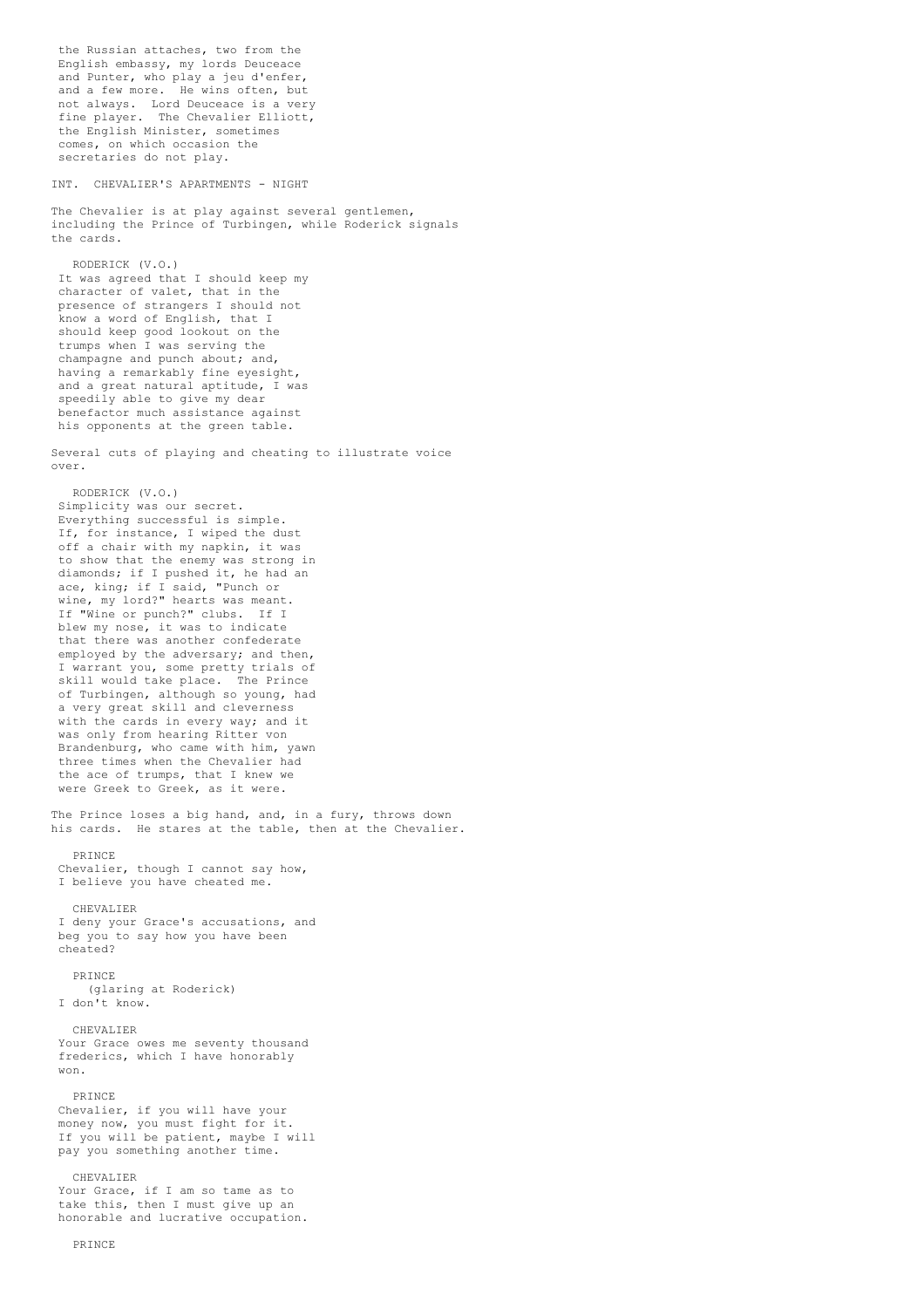the Russian attaches, two from the English embassy, my lords Deuceace and Punter, who play a jeu d'enfer, and a few more. He wins often, but not always. Lord Deuceace is a very fine player. The Chevalier Elliott, the English Minister, sometimes comes, on which occasion the secretaries do not play. INT. CHEVALIER'S APARTMENTS - NIGHT The Chevalier is at play against several gentlemen, including the Prince of Turbingen, while Roderick signals the cards. RODERICK (V.O.) It was agreed that I should keep my character of valet, that in the presence of strangers I should not know a word of English, that I should keep good lookout on the trumps when I was serving the champagne and punch about; and, having a remarkably fine eyesight, and a great natural aptitude, I was speedily able to give my dear benefactor much assistance against his opponents at the green table. Several cuts of playing and cheating to illustrate voice over. RODERICK (V.O.) Simplicity was our secret. Everything successful is simple. If, for instance, I wiped the dust off a chair with my napkin, it was to show that the enemy was strong in diamonds; if I pushed it, he had an ace, king; if I said, "Punch or wine, my lord?" hearts was meant. If "Wine or punch?" clubs. If I blew my nose, it was to indicate that there was another confederate employed by the adversary; and then, I warrant you, some pretty trials of skill would take place. The Prince of Turbingen, although so young, had a very great skill and cleverness with the cards in every way; and it was only from hearing Ritter von Brandenburg, who came with him, yawn three times when the Chevalier had the ace of trumps, that I knew we were Greek to Greek, as it were. The Prince loses a big hand, and, in a fury, throws down his cards. He stares at the table, then at the Chevalier. PRINCE Chevalier, though I cannot say how, I believe you have cheated me. CHEVALIER I deny your Grace's accusations, and beg you to say how you have been cheated? PRINCE (glaring at Roderick) I don't know. CHEVALIER Your Grace owes me seventy thousand frederics, which I have honorably won. PRINCE Chevalier, if you will have your money now, you must fight for it. If you will be patient, maybe I will pay you something another time. CHEVALIER Your Grace, if I am so tame as to take this, then I must give up an honorable and lucrative occupation.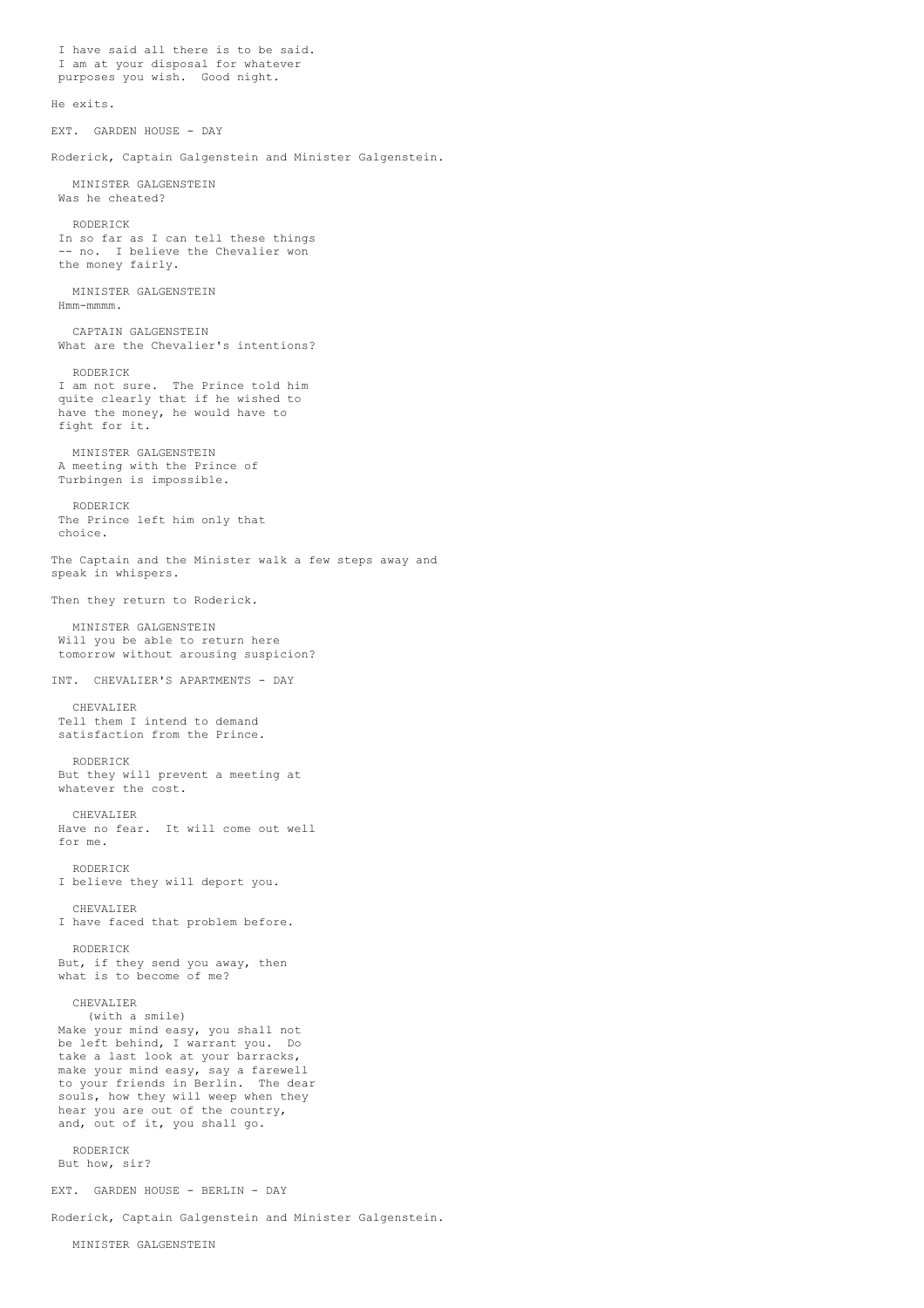I have said all there is to be said. I am at your disposal for whatever purposes you wish. Good night. He exits. EXT. GARDEN HOUSE - DAY Roderick, Captain Galgenstein and Minister Galgenstein. MINISTER GALGENSTEIN Was he cheated? RODERICK In so far as I can tell these things -- no. I believe the Chevalier won the money fairly. MINISTER GALGENSTEIN Hmm-mmmm. CAPTAIN GALGENSTEIN What are the Chevalier's intentions? RODERICK I am not sure. The Prince told him quite clearly that if he wished to have the money, he would have to fight for it. MINISTER GALGENSTEIN A meeting with the Prince of Turbingen is impossible. RODERICK The Prince left him only that choice. The Captain and the Minister walk a few steps away and speak in whispers. Then they return to Roderick. MINISTER GALGENSTEIN Will you be able to return here tomorrow without arousing suspicion? INT. CHEVALIER'S APARTMENTS - DAY CHEVALIER Tell them I intend to demand satisfaction from the Prince. RODERICK But they will prevent a meeting at whatever the cost. CHEVALIER Have no fear. It will come out well for me. RODERICK I believe they will deport you. CHEVALIER I have faced that problem before. RODERICK But, if they send you away, then what is to become of me? CHEVALIER (with a smile) Make your mind easy, you shall not be left behind, I warrant you. Do take a last look at your barracks, make your mind easy, say a farewell to your friends in Berlin. The dear souls, how they will weep when they hear you are out of the country, and, out of it, you shall go. RODERICK But how, sir? EXT. GARDEN HOUSE - BERLIN - DAY Roderick, Captain Galgenstein and Minister Galgenstein.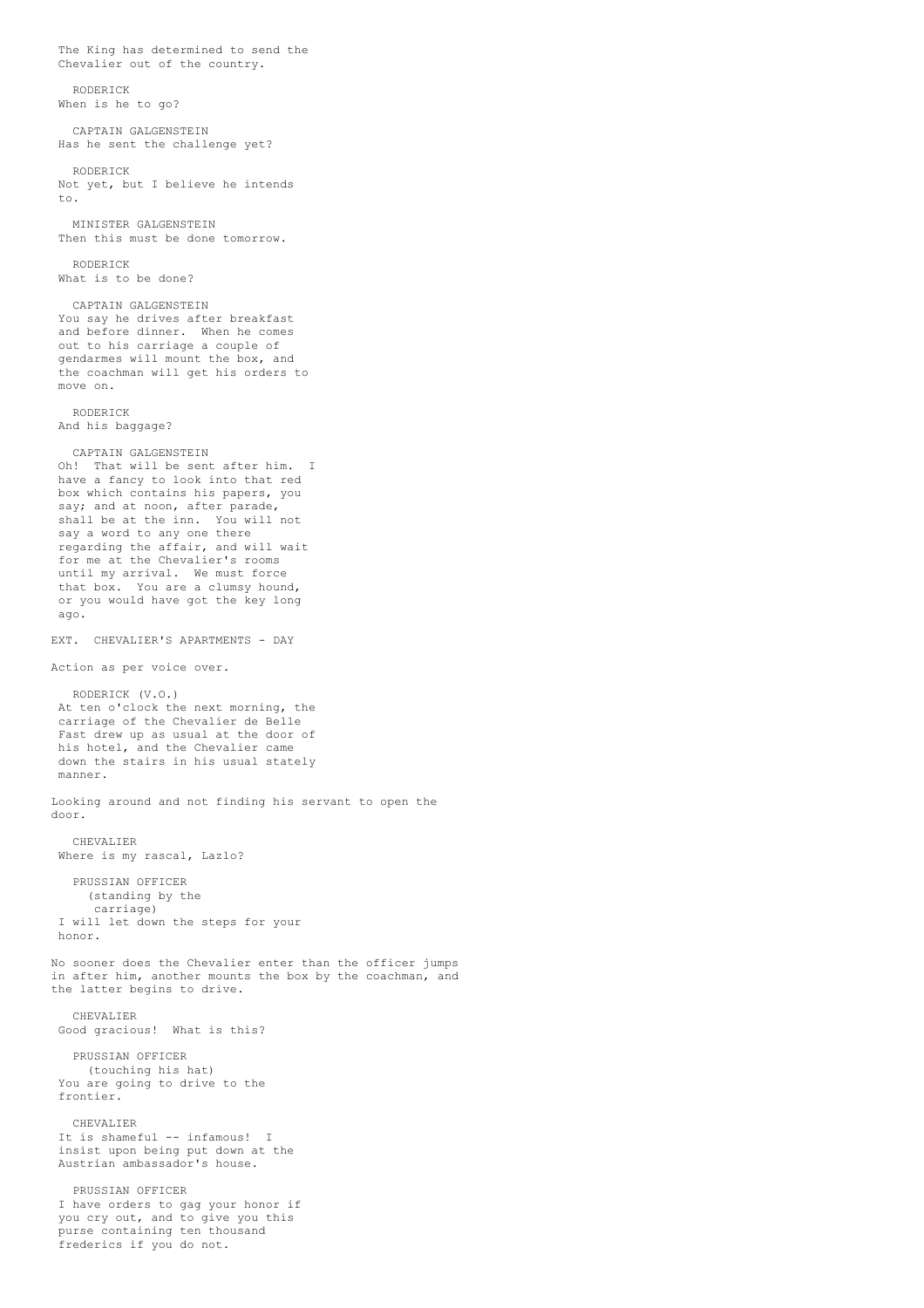The King has determined to send the Chevalier out of the country. RODERICK When is he to go? CAPTAIN GALGENSTEIN Has he sent the challenge yet? RODERICK Not yet, but I believe he intends to. MINISTER GALGENSTEIN Then this must be done tomorrow. RODERICK What is to be done? CAPTAIN GALGENSTEIN You say he drives after breakfast and before dinner. When he comes out to his carriage a couple of gendarmes will mount the box, and the coachman will get his orders to move on. RODERICK And his baggage? CAPTAIN GALGENSTEIN Oh! That will be sent after him. I have a fancy to look into that red box which contains his papers, you say; and at noon, after parade, shall be at the inn. You will not say a word to any one there regarding the affair, and will wait for me at the Chevalier's rooms until my arrival. We must force that box. You are a clumsy hound, or you would have got the key long ago. EXT. CHEVALIER'S APARTMENTS - DAY Action as per voice over. RODERICK (V.O.) At ten o'clock the next morning, the carriage of the Chevalier de Belle Fast drew up as usual at the door of his hotel, and the Chevalier came down the stairs in his usual stately manner. Looking around and not finding his servant to open the door. CHEVALIER Where is my rascal, Lazlo? PRUSSIAN OFFICER (standing by the carriage) I will let down the steps for your honor. No sooner does the Chevalier enter than the officer jumps in after him, another mounts the box by the coachman, and the latter begins to drive. CHEVALIER Good gracious! What is this? PRUSSIAN OFFICER (touching his hat) You are going to drive to the frontier. CHEVALIER It is shameful -- infamous! I insist upon being put down at the Austrian ambassador's house. PRUSSIAN OFFICER I have orders to gag your honor if you cry out, and to give you this purse containing ten thousand

frederics if you do not.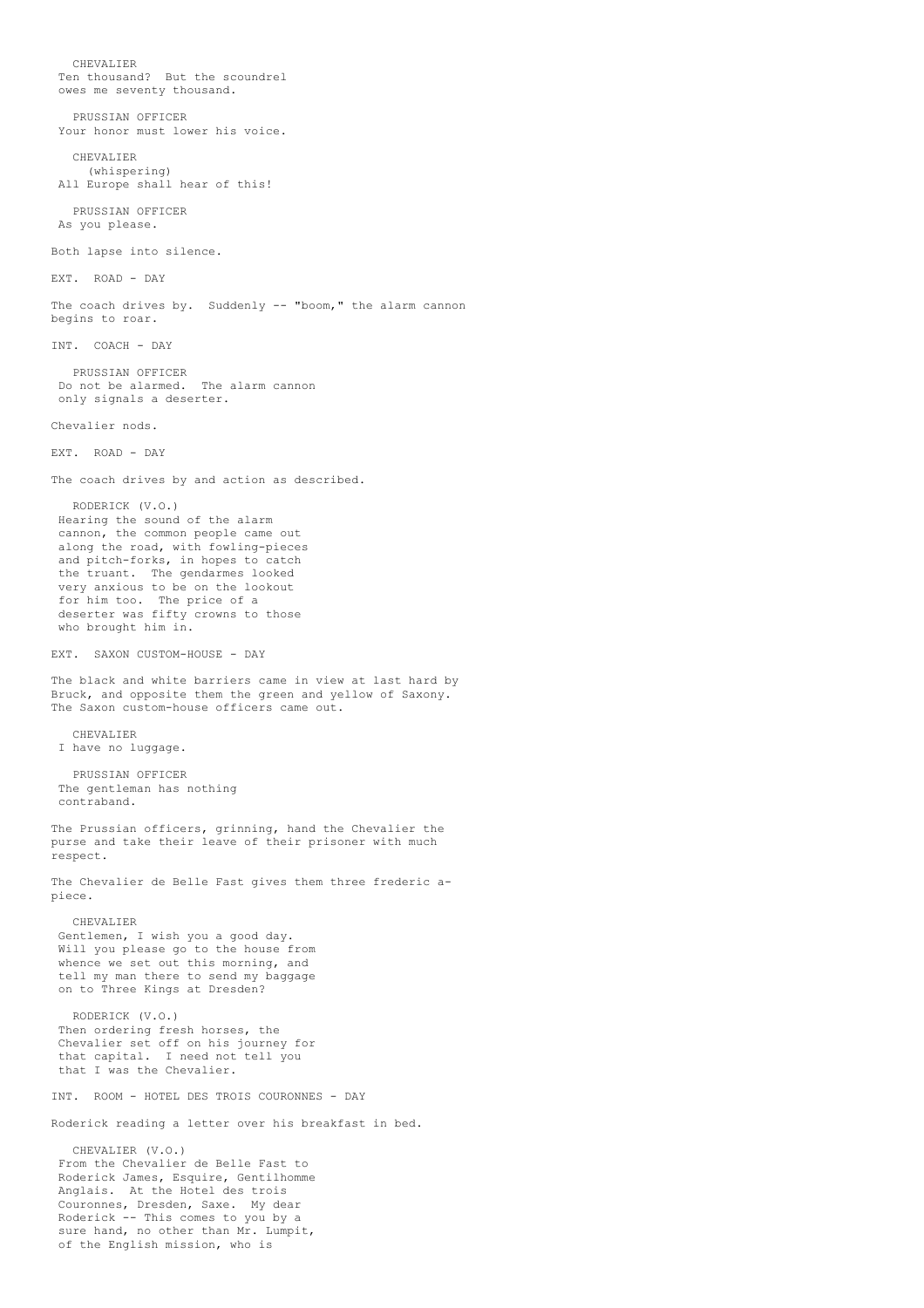CHEVALIER Ten thousand? But the scoundrel owes me seventy thousand. PRUSSIAN OFFICER Your honor must lower his voice. CHEVALIER (whispering) All Europe shall hear of this! PRUSSIAN OFFICER As you please. Both lapse into silence. EXT. ROAD - DAY The coach drives by. Suddenly -- "boom," the alarm cannon begins to roar. INT. COACH - DAY PRUSSIAN OFFICER Do not be alarmed. The alarm cannon only signals a deserter. Chevalier nods. EXT. ROAD - DAY The coach drives by and action as described. RODERICK (V.O.) Hearing the sound of the alarm cannon, the common people came out along the road, with fowling-pieces and pitch-forks, in hopes to catch the truant. The gendarmes looked very anxious to be on the lookout for him too. The price of a deserter was fifty crowns to those who brought him in. EXT. SAXON CUSTOM-HOUSE - DAY The black and white barriers came in view at last hard by Bruck, and opposite them the green and yellow of Saxony. The Saxon custom-house officers came out. CHEVALIER I have no luggage. PRUSSIAN OFFICER The gentleman has nothing contraband. The Prussian officers, grinning, hand the Chevalier the purse and take their leave of their prisoner with much respect. The Chevalier de Belle Fast gives them three frederic apiece. CHEVALIER Gentlemen, I wish you a good day. Will you please go to the house from whence we set out this morning, and tell my man there to send my baggage on to Three Kings at Dresden? RODERICK (V.O.) Then ordering fresh horses, the Chevalier set off on his journey for that capital. I need not tell you that I was the Chevalier. INT. ROOM - HOTEL DES TROIS COURONNES - DAY Roderick reading a letter over his breakfast in bed. CHEVALIER (V.O.) From the Chevalier de Belle Fast to Roderick James, Esquire, Gentilhomme Anglais. At the Hotel des trois Couronnes, Dresden, Saxe. My dear Roderick -- This comes to you by a sure hand, no other than Mr. Lumpit,

of the English mission, who is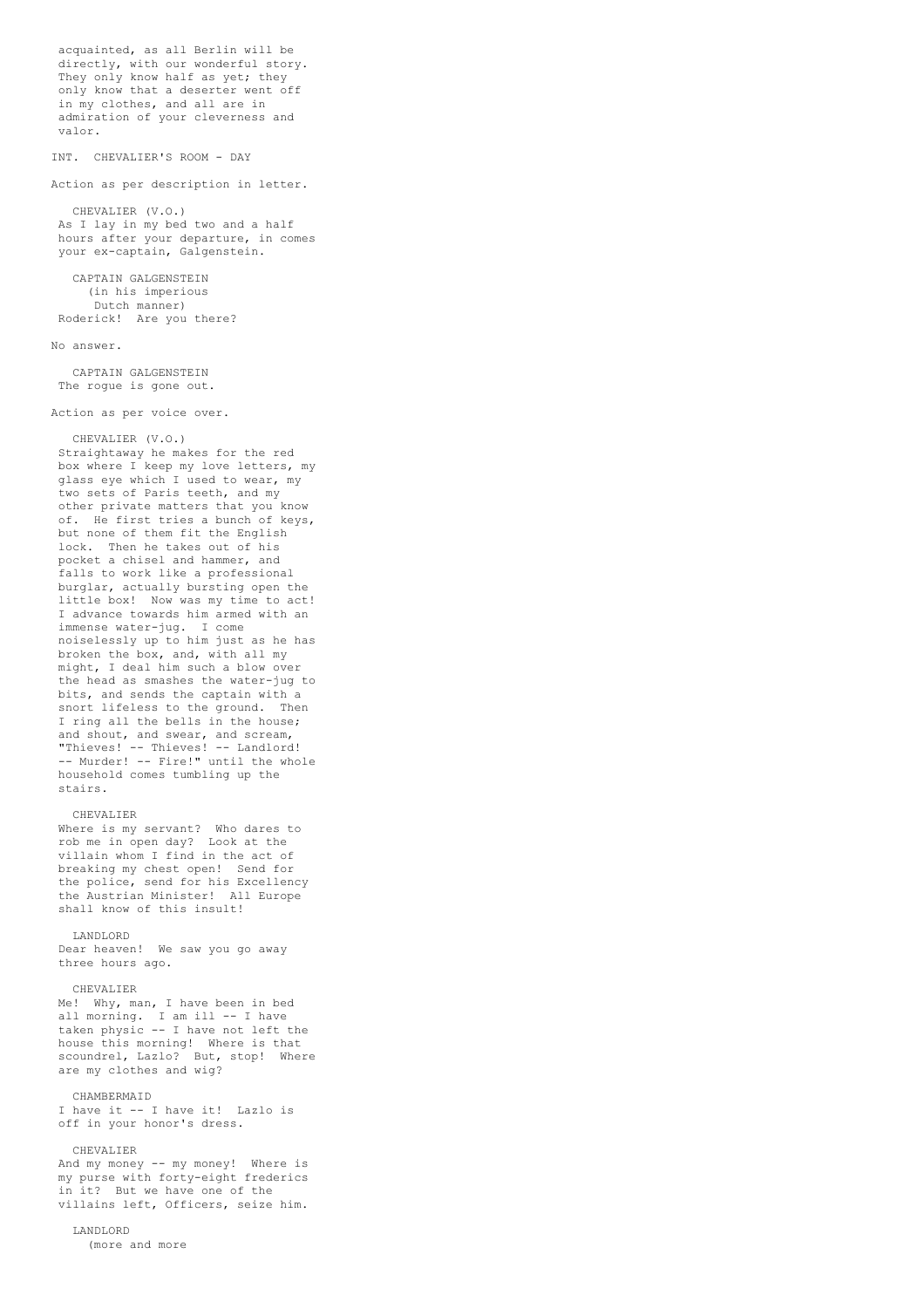acquainted, as all Berlin will be directly, with our wonderful story. They only know half as yet; they only know that a deserter went off in my clothes, and all are in admiration of your cleverness and valor.

INT. CHEVALIER'S ROOM - DAY

Action as per description in letter.

CHEVALIER (V.O.) As I lay in my bed two and a half hours after your departure, in comes your ex-captain, Galgenstein.

CAPTAIN GALGENSTEIN (in his imperious Dutch manner) Roderick! Are you there?

### No answer.

CAPTAIN GALGENSTEIN The rogue is gone out.

Action as per voice over.

### CHEVALIER (V.O.)

Straightaway he makes for the red box where I keep my love letters, my glass eye which I used to wear, my two sets of Paris teeth, and my other private matters that you know of. He first tries a bunch of keys, but none of them fit the English lock. Then he takes out of his pocket a chisel and hammer, and falls to work like a professional burglar, actually bursting open the little box! Now was my time to act! I advance towards him armed with an immense water-jug. I come noiselessly up to him just as he has broken the box, and, with all my might, I deal him such a blow over the head as smashes the water-jug to bits, and sends the captain with a snort lifeless to the ground. Then I ring all the bells in the house; and shout, and swear, and scream, "Thieves! -- Thieves! -- Landlord! -- Murder! -- Fire!" until the whole household comes tumbling up the stairs.

## CHEVALIER

Where is my servant? Who dares to rob me in open day? Look at the villain whom I find in the act of breaking my chest open! Send for the police, send for his Excellency the Austrian Minister! All Europe shall know of this insult!

### LANDLORD

Dear heaven! We saw you go away three hours ago.

### CHEVALIER

Me! Why, man, I have been in bed all morning. I am ill -- I have taken physic -- I have not left the house this morning! Where is that scoundrel, Lazlo? But, stop! Where are my clothes and wig?

### CHAMBERMAID

I have it -- I have it! Lazlo is off in your honor's dress.

## CHEVALIER

And my money -- my money! Where is my purse with forty-eight frederics in it? But we have one of the villains left, Officers, seize him.

# LANDLORD

(more and more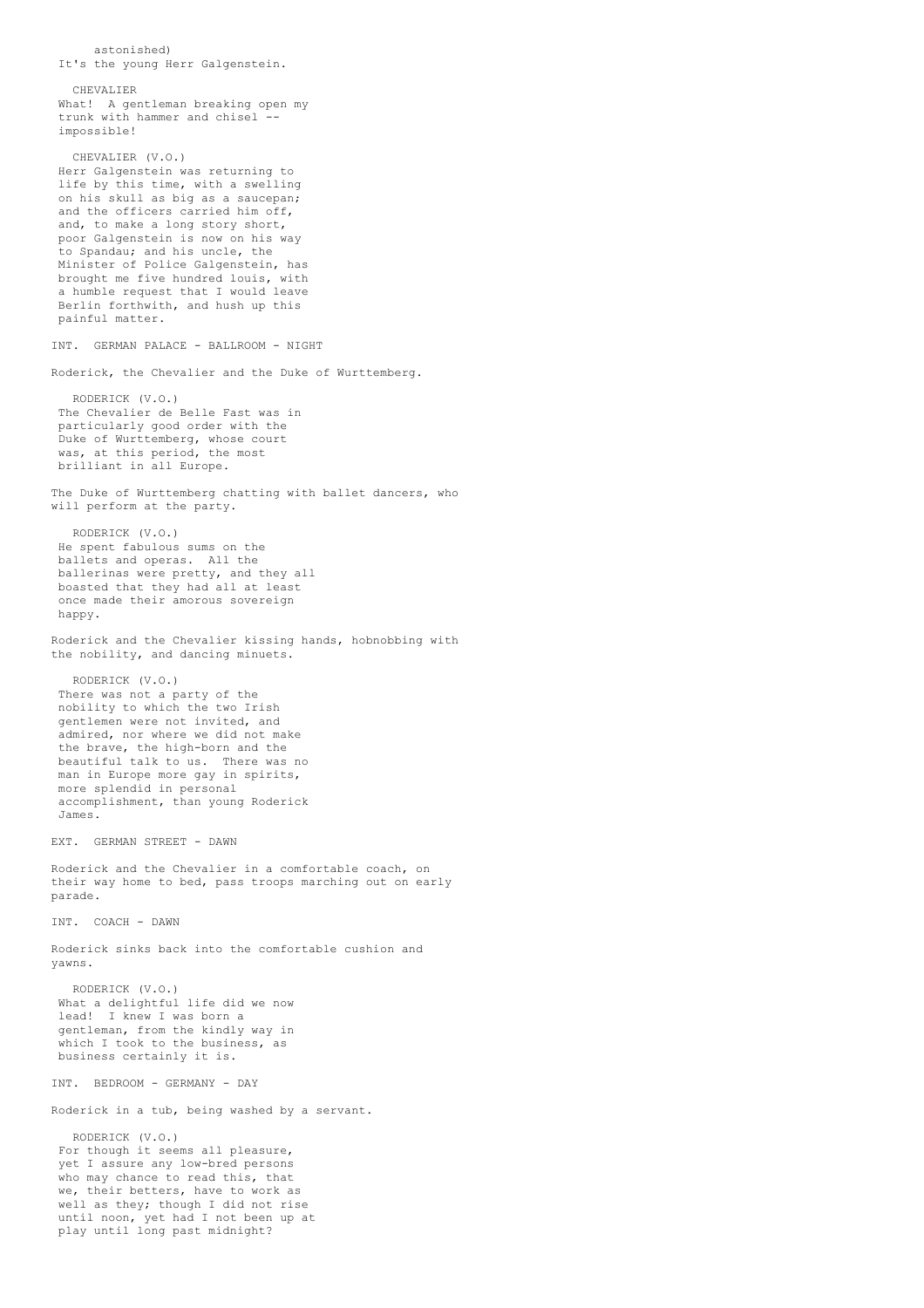astonished) It's the young Herr Galgenstein. CHEVALIER What! A gentleman breaking open my trunk with hammer and chisel impossible! CHEVALIER (V.O.) Herr Galgenstein was returning to life by this time, with a swelling on his skull as big as a saucepan; and the officers carried him off, and, to make a long story short, poor Galgenstein is now on his way to Spandau; and his uncle, the Minister of Police Galgenstein, has brought me five hundred louis, with a humble request that I would leave Berlin forthwith, and hush up this painful matter. INT. GERMAN PALACE - BALLROOM - NIGHT Roderick, the Chevalier and the Duke of Wurttemberg. RODERICK (V.O.) The Chevalier de Belle Fast was in particularly good order with the Duke of Wurttemberg, whose court was, at this period, the most brilliant in all Europe. The Duke of Wurttemberg chatting with ballet dancers, who will perform at the party. RODERICK (V.O.) He spent fabulous sums on the ballets and operas. All the ballerinas were pretty, and they all boasted that they had all at least once made their amorous sovereign happy. Roderick and the Chevalier kissing hands, hobnobbing with the nobility, and dancing minuets. RODERICK (V.O.) There was not a party of the nobility to which the two Irish gentlemen were not invited, and admired, nor where we did not make the brave, the high-born and the beautiful talk to us. There was no man in Europe more gay in spirits, more splendid in personal accomplishment, than young Roderick James. EXT. GERMAN STREET - DAWN Roderick and the Chevalier in a comfortable coach, on their way home to bed, pass troops marching out on early parade. INT. COACH - DAWN Roderick sinks back into the comfortable cushion and yawns. RODERICK (V.O.) What a delightful life did we now lead! I knew I was born a gentleman, from the kindly way in which I took to the business, as business certainly it is. INT. BEDROOM - GERMANY - DAY Roderick in a tub, being washed by a servant. RODERICK (V.O.) For though it seems all pleasure, yet I assure any low-bred persons who may chance to read this, that we, their betters, have to work as well as they; though I did not rise until noon, yet had I not been up at play until long past midnight?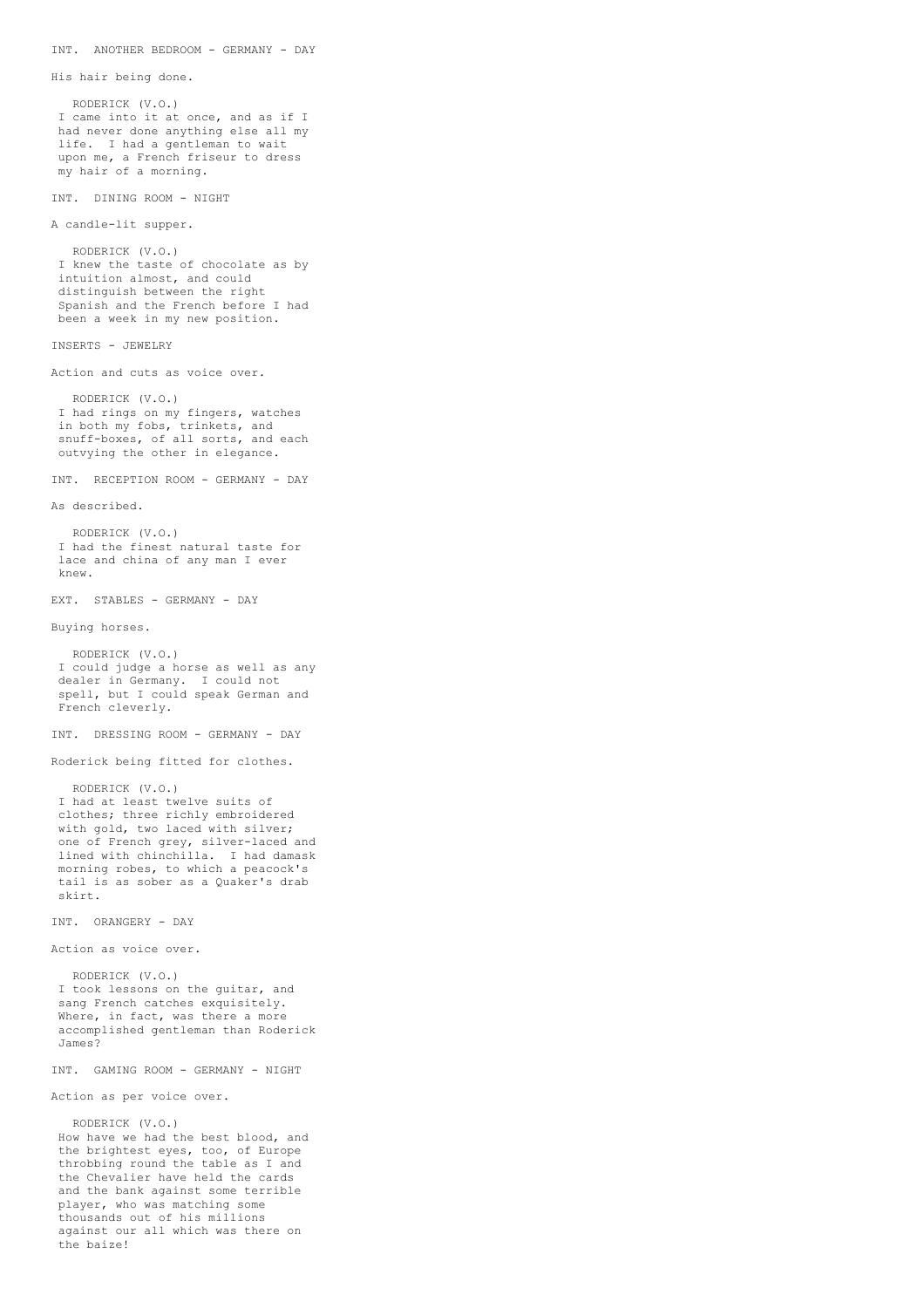```
INT. ANOTHER BEDROOM - GERMANY - DAY
```
His hair being done.

```
RODERICK (V.O.)
I came into it at once, and as if I
had never done anything else all my
life. I had a gentleman to wait
upon me, a French friseur to dress
my hair of a morning.
```
INT. DINING ROOM - NIGHT

A candle-lit supper.

RODERICK (V.O.) I knew the taste of chocolate as by intuition almost, and could distinguish between the right Spanish and the French before I had been a week in my new position.

INSERTS - JEWELRY

Action and cuts as voice over.

RODERICK (V.O.) I had rings on my fingers, watches in both my fobs, trinkets, and snuff-boxes, of all sorts, and each outvying the other in elegance.

INT. RECEPTION ROOM - GERMANY - DAY

As described.

RODERICK (V.O.) I had the finest natural taste for lace and china of any man I ever knew.

EXT. STABLES - GERMANY - DAY

Buying horses.

RODERICK (V.O.) I could judge a horse as well as any dealer in Germany. I could not spell, but I could speak German and French cleverly.

INT. DRESSING ROOM - GERMANY - DAY

Roderick being fitted for clothes.

RODERICK (V.O.) I had at least twelve suits of clothes; three richly embroidered with gold, two laced with silver; one of French grey, silver-laced and lined with chinchilla. I had damask morning robes, to which a peacock's tail is as sober as a Quaker's drab skirt.

INT. ORANGERY - DAY

Action as voice over.

RODERICK (V.O.) I took lessons on the guitar, and sang French catches exquisitely. Where, in fact, was there a more accomplished gentleman than Roderick James?

INT. GAMING ROOM - GERMANY - NIGHT

Action as per voice over.

RODERICK (V.O.) How have we had the best blood, and the brightest eyes, too, of Europe throbbing round the table as I and the Chevalier have held the cards and the bank against some terrible player, who was matching some thousands out of his millions against our all which was there on the baize!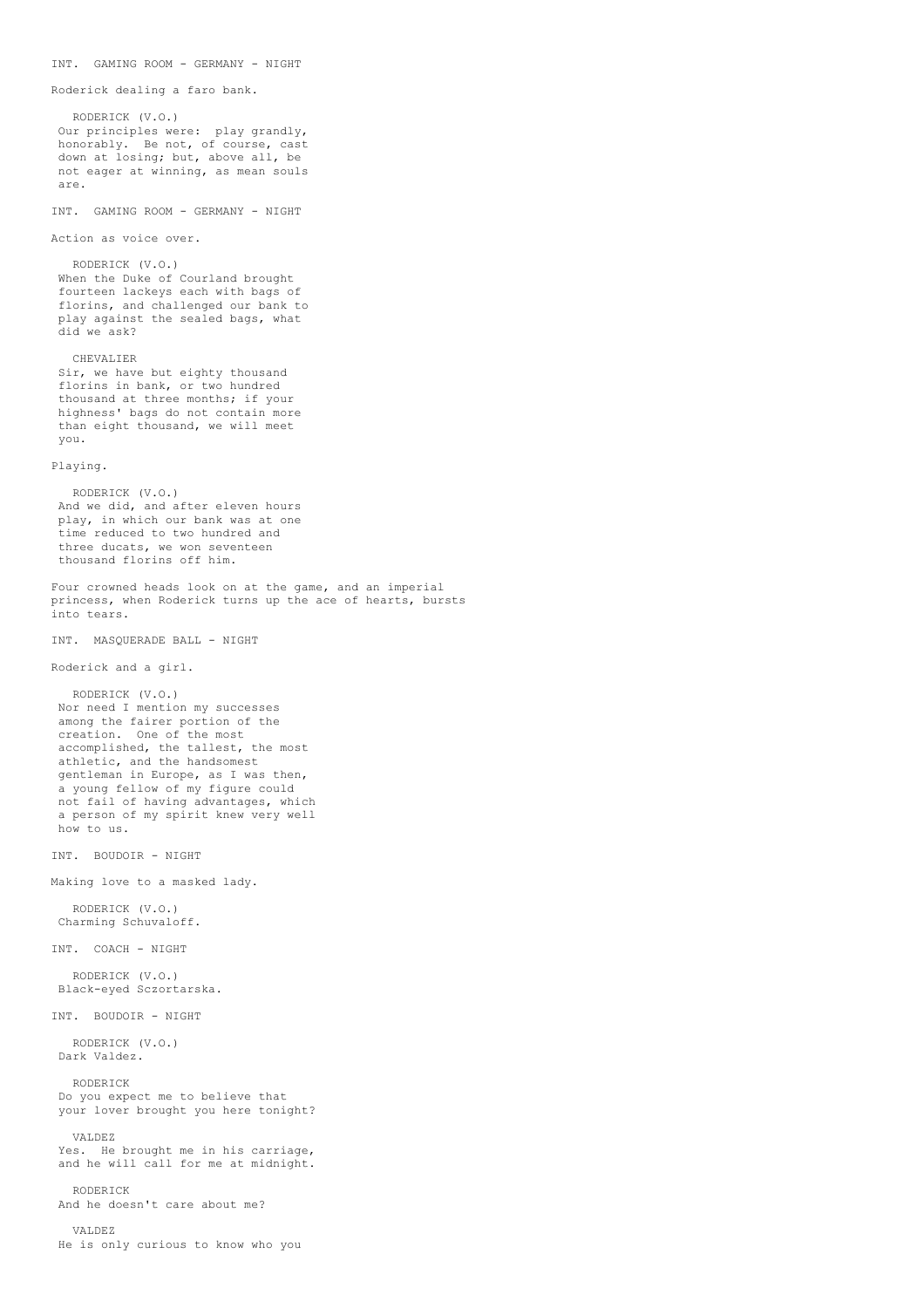```
Roderick dealing a faro bank.
  RODERICK (V.O.)
Our principles were: play grandly,
honorably. Be not, of course, cast
down at losing; but, above all, be
not eager at winning, as mean souls
are.
INT. GAMING ROOM - GERMANY - NIGHT
Action as voice over.
  RODERICK (V.O.)
When the Duke of Courland brought
 fourteen lackeys each with bags of
 florins, and challenged our bank to
play against the sealed bags, what
 did we ask?
  CHEVALIER
Sir, we have but eighty thousand
 florins in bank, or two hundred
 thousand at three months; if your
highness' bags do not contain more
than eight thousand, we will meet
you.
Playing.
   RODERICK (V.O.)
 And we did, and after eleven hours
play, in which our bank was at one
 time reduced to two hundred and
 three ducats, we won seventeen
 thousand florins off him.
Four crowned heads look on at the game, and an imperial
princess, when Roderick turns up the ace of hearts, bursts
into tears.
INT. MASQUERADE BALL - NIGHT
Roderick and a girl.
  RODERICK (V.O.)
 Nor need I mention my successes
 among the fairer portion of the
 creation. One of the most
 accomplished, the tallest, the most
 athletic, and the handsomest
gentleman in Europe, as I was then,
 a young fellow of my figure could
not fail of having advantages, which
 a person of my spirit knew very well
how to us.
INT. BOUDOIR - NIGHT
Making love to a masked lady.
   RODERICK (V.O.)
Charming Schuvaloff.
INT. COACH - NIGHT
  RODERICK (V.O.)
Black-eyed Sczortarska.
INT. BOUDOIR - NIGHT
  RODERICK (V.O.)
Dark Valdez.
  RODERICK
 Do you expect me to believe that
your lover brought you here tonight?
  VALDEZ
 Yes. He brought me in his carriage,
 and he will call for me at midnight.
   RODERICK
And he doesn't care about me?
  VALDEZ
```
He is only curious to know who you

INT. GAMING ROOM - GERMANY - NIGHT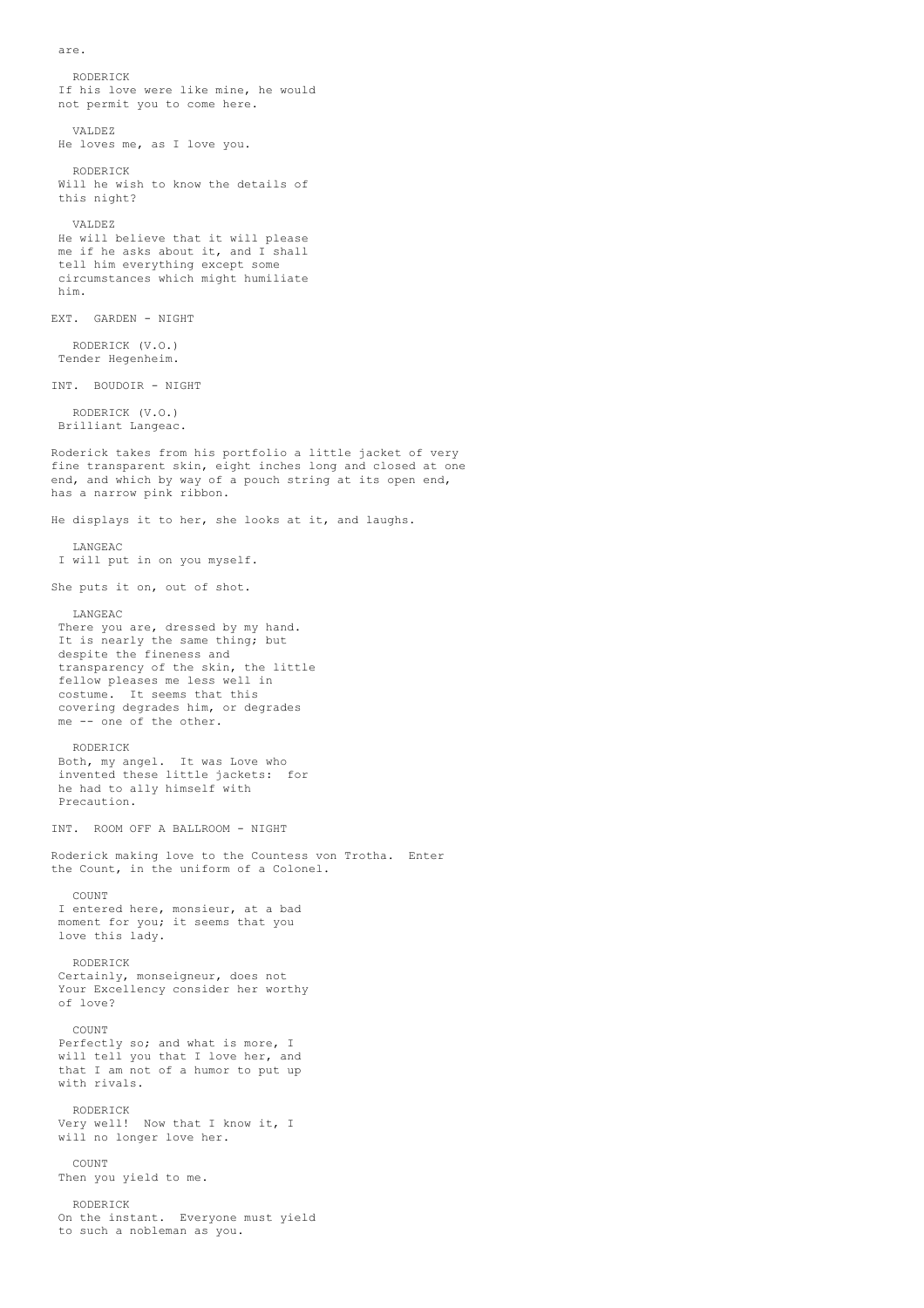are.

RODERICK If his love were like mine, he would not permit you to come here. VALDEZ He loves me, as I love you. RODERICK Will he wish to know the details of this night? VALDEZ He will believe that it will please me if he asks about it, and I shall tell him everything except some circumstances which might humiliate him. EXT. GARDEN - NIGHT RODERICK (V.O.) Tender Hegenheim. INT. BOUDOIR - NIGHT RODERICK (V.O.) Brilliant Langeac. Roderick takes from his portfolio a little jacket of very fine transparent skin, eight inches long and closed at one end, and which by way of a pouch string at its open end, has a narrow pink ribbon. He displays it to her, she looks at it, and laughs. LANGEAC I will put in on you myself. She puts it on, out of shot. LANGEAC There you are, dressed by my hand. It is nearly the same thing; but despite the fineness and transparency of the skin, the little fellow pleases me less well in costume. It seems that this covering degrades him, or degrades me -- one of the other. RODERICK Both, my angel. It was Love who invented these little jackets: for he had to ally himself with Precaution. INT. ROOM OFF A BALLROOM - NIGHT Roderick making love to the Countess von Trotha. Enter the Count, in the uniform of a Colonel. COUNT I entered here, monsieur, at a bad moment for you; it seems that you love this lady. RODERICK Certainly, monseigneur, does not Your Excellency consider her worthy of love? COUNT Perfectly so; and what is more, I will tell you that I love her, and that I am not of a humor to put up with rivals. RODERICK Very well! Now that I know it, I will no longer love her. COUNT Then you yield to me. RODERICK On the instant. Everyone must yield

to such a nobleman as you.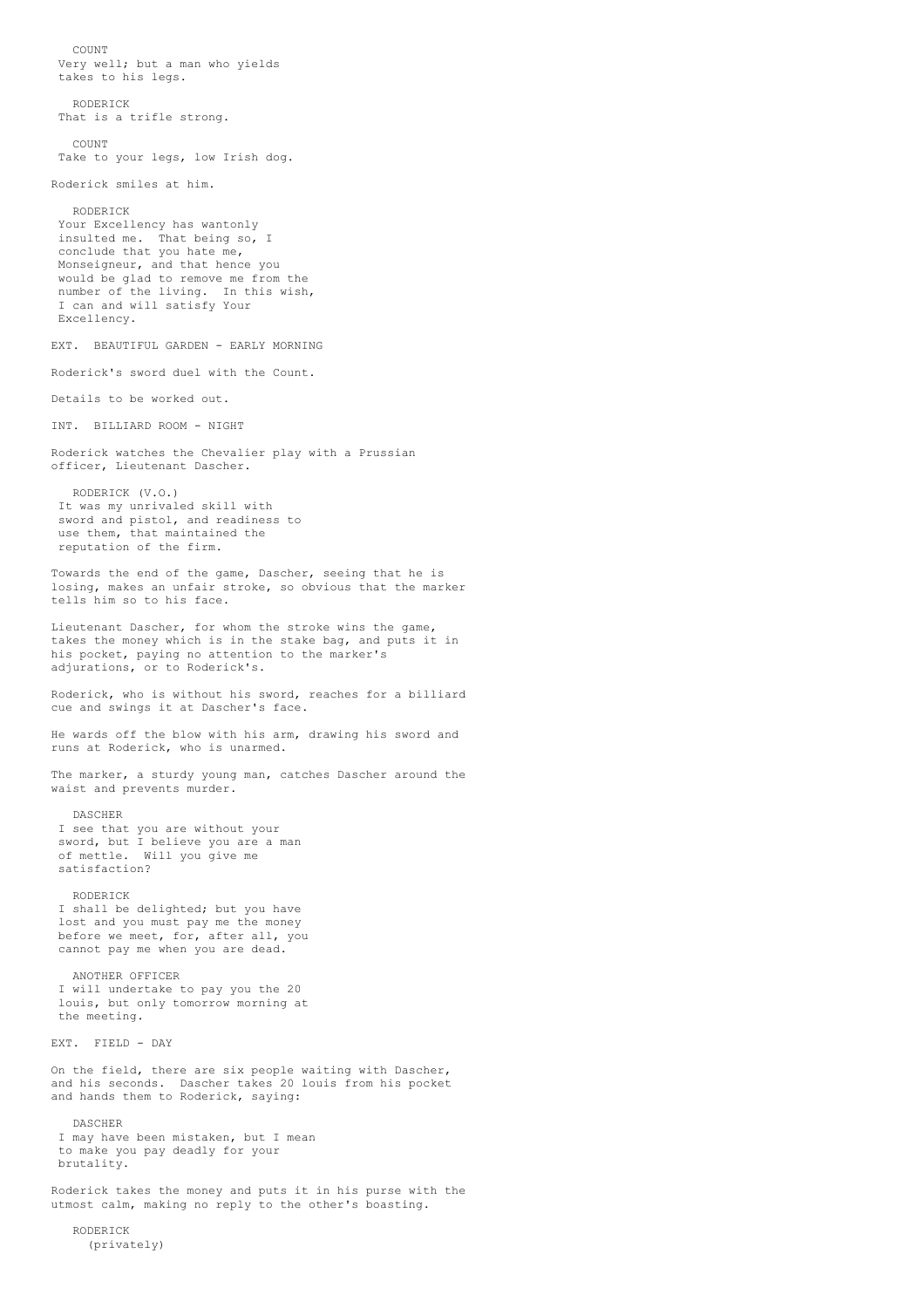COUNT Very well; but a man who yields takes to his legs. RODERICK That is a trifle strong. COUNT Take to your legs, low Irish dog. Roderick smiles at him. RODERICK Your Excellency has wantonly insulted me. That being so, I conclude that you hate me, Monseigneur, and that hence you would be glad to remove me from the number of the living. In this wish, I can and will satisfy Your Excellency. EXT. BEAUTIFUL GARDEN - EARLY MORNING Roderick's sword duel with the Count. Details to be worked out. INT. BILLIARD ROOM - NIGHT Roderick watches the Chevalier play with a Prussian officer, Lieutenant Dascher. RODERICK (V.O.) It was my unrivaled skill with sword and pistol, and readiness to use them, that maintained the reputation of the firm. Towards the end of the game, Dascher, seeing that he is losing, makes an unfair stroke, so obvious that the marker tells him so to his face. Lieutenant Dascher, for whom the stroke wins the game, takes the money which is in the stake bag, and puts it in his pocket, paying no attention to the marker's adjurations, or to Roderick's. Roderick, who is without his sword, reaches for a billiard cue and swings it at Dascher's face. He wards off the blow with his arm, drawing his sword and runs at Roderick, who is unarmed. The marker, a sturdy young man, catches Dascher around the waist and prevents murder. DASCHER I see that you are without your sword, but I believe you are a man of mettle. Will you give me satisfaction? RODERICK I shall be delighted; but you have lost and you must pay me the money before we meet, for, after all, you cannot pay me when you are dead. ANOTHER OFFICER I will undertake to pay you the 20 louis, but only tomorrow morning at the meeting. EXT. FIELD - DAY On the field, there are six people waiting with Dascher, and his seconds. Dascher takes 20 louis from his pocket and hands them to Roderick, saying: DASCHER I may have been mistaken, but I mean to make you pay deadly for your brutality. Roderick takes the money and puts it in his purse with the utmost calm, making no reply to the other's boasting.

RODERICK (privately)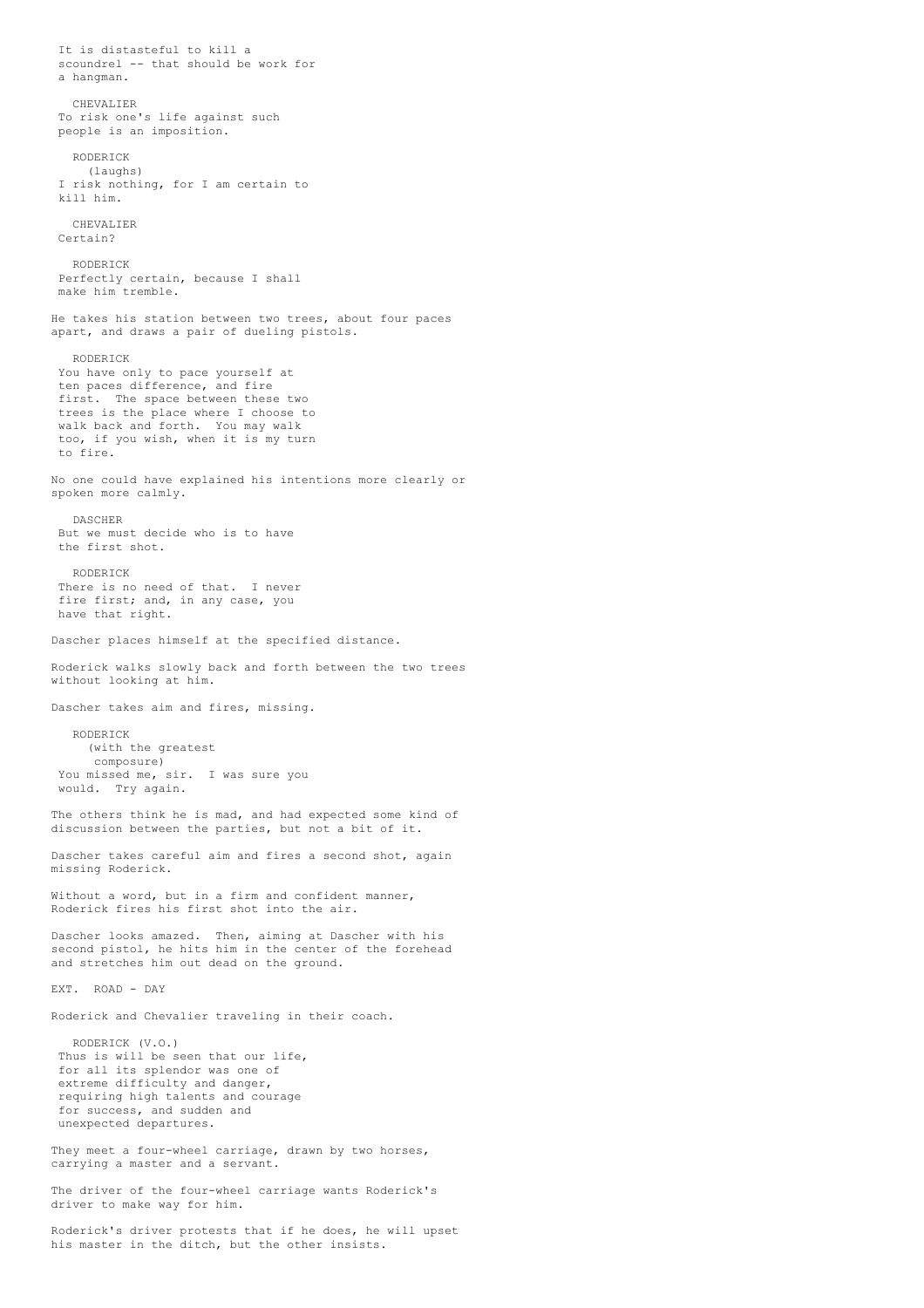It is distasteful to kill a scoundrel -- that should be work for a hangman. CHEVALIER To risk one's life against such people is an imposition. RODERICK (laughs) I risk nothing, for I am certain to kill him. CHEVALIER Cartain? RODERICK Perfectly certain, because I shall make him tremble. He takes his station between two trees, about four paces apart, and draws a pair of dueling pistols. RODERICK You have only to pace yourself at ten paces difference, and fire first. The space between these two trees is the place where I choose to walk back and forth. You may walk too, if you wish, when it is my turn to fire. No one could have explained his intentions more clearly or spoken more calmly. DASCHER But we must decide who is to have the first shot. RODERICK There is no need of that. I never fire first; and, in any case, you have that right. Dascher places himself at the specified distance. Roderick walks slowly back and forth between the two trees without looking at him. Dascher takes aim and fires, missing. RODERICK (with the greatest composure) You missed me, sir. I was sure you would. Try again. The others think he is mad, and had expected some kind of discussion between the parties, but not a bit of it. Dascher takes careful aim and fires a second shot, again missing Roderick. Without a word, but in a firm and confident manner, Roderick fires his first shot into the air. Dascher looks amazed. Then, aiming at Dascher with his second pistol, he hits him in the center of the forehead and stretches him out dead on the ground. EXT. ROAD - DAY Roderick and Chevalier traveling in their coach. RODERICK (V.O.) Thus is will be seen that our life, for all its splendor was one of extreme difficulty and danger, requiring high talents and courage for success, and sudden and unexpected departures. They meet a four-wheel carriage, drawn by two horses, carrying a master and a servant. The driver of the four-wheel carriage wants Roderick's driver to make way for him.

Roderick's driver protests that if he does, he will upset his master in the ditch, but the other insists.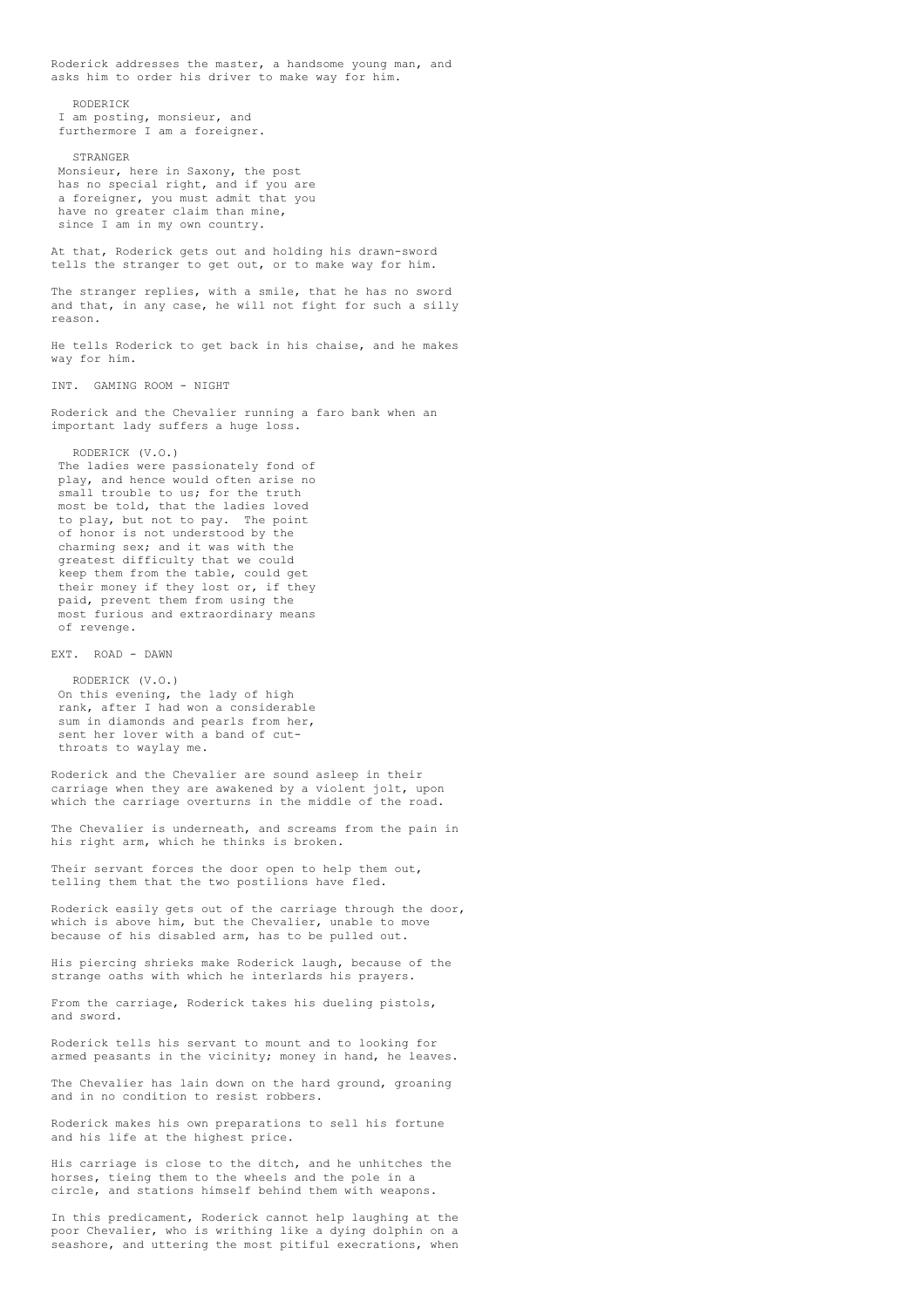Roderick addresses the master, a handsome young man, and asks him to order his driver to make way for him. RODERICK I am posting, monsieur, and furthermore I am a foreigner. STRANGER Monsieur, here in Saxony, the post has no special right, and if you are a foreigner, you must admit that you have no greater claim than mine, since I am in my own country. At that, Roderick gets out and holding his drawn-sword tells the stranger to get out, or to make way for him. The stranger replies, with a smile, that he has no sword and that, in any case, he will not fight for such a silly reason. He tells Roderick to get back in his chaise, and he makes way for him. INT. GAMING ROOM - NIGHT Roderick and the Chevalier running a faro bank when an important lady suffers a huge loss. RODERICK (V.O.) The ladies were passionately fond of play, and hence would often arise no small trouble to us; for the truth most be told, that the ladies loved to play, but not to pay. The point of honor is not understood by the charming sex; and it was with the greatest difficulty that we could keep them from the table, could get their money if they lost or, if they paid, prevent them from using the most furious and extraordinary means of revenge. EXT. ROAD - DAWN RODERICK (V.O.) On this evening, the lady of high rank, after I had won a considerable sum in diamonds and pearls from her, sent her lover with a band of cutthroats to waylay me. Roderick and the Chevalier are sound asleep in their carriage when they are awakened by a violent jolt, upon which the carriage overturns in the middle of the road. The Chevalier is underneath, and screams from the pain in his right arm, which he thinks is broken. Their servant forces the door open to help them out, telling them that the two postilions have fled. Roderick easily gets out of the carriage through the door, which is above him, but the Chevalier, unable to move because of his disabled arm, has to be pulled out. His piercing shrieks make Roderick laugh, because of the strange oaths with which he interlards his prayers. From the carriage, Roderick takes his dueling pistols, and sword. Roderick tells his servant to mount and to looking for armed peasants in the vicinity; money in hand, he leaves. The Chevalier has lain down on the hard ground, groaning and in no condition to resist robbers. Roderick makes his own preparations to sell his fortune and his life at the highest price. His carriage is close to the ditch, and he unhitches the horses, tieing them to the wheels and the pole in a

In this predicament, Roderick cannot help laughing at the poor Chevalier, who is writhing like a dying dolphin on a seashore, and uttering the most pitiful execrations, when

circle, and stations himself behind them with weapons.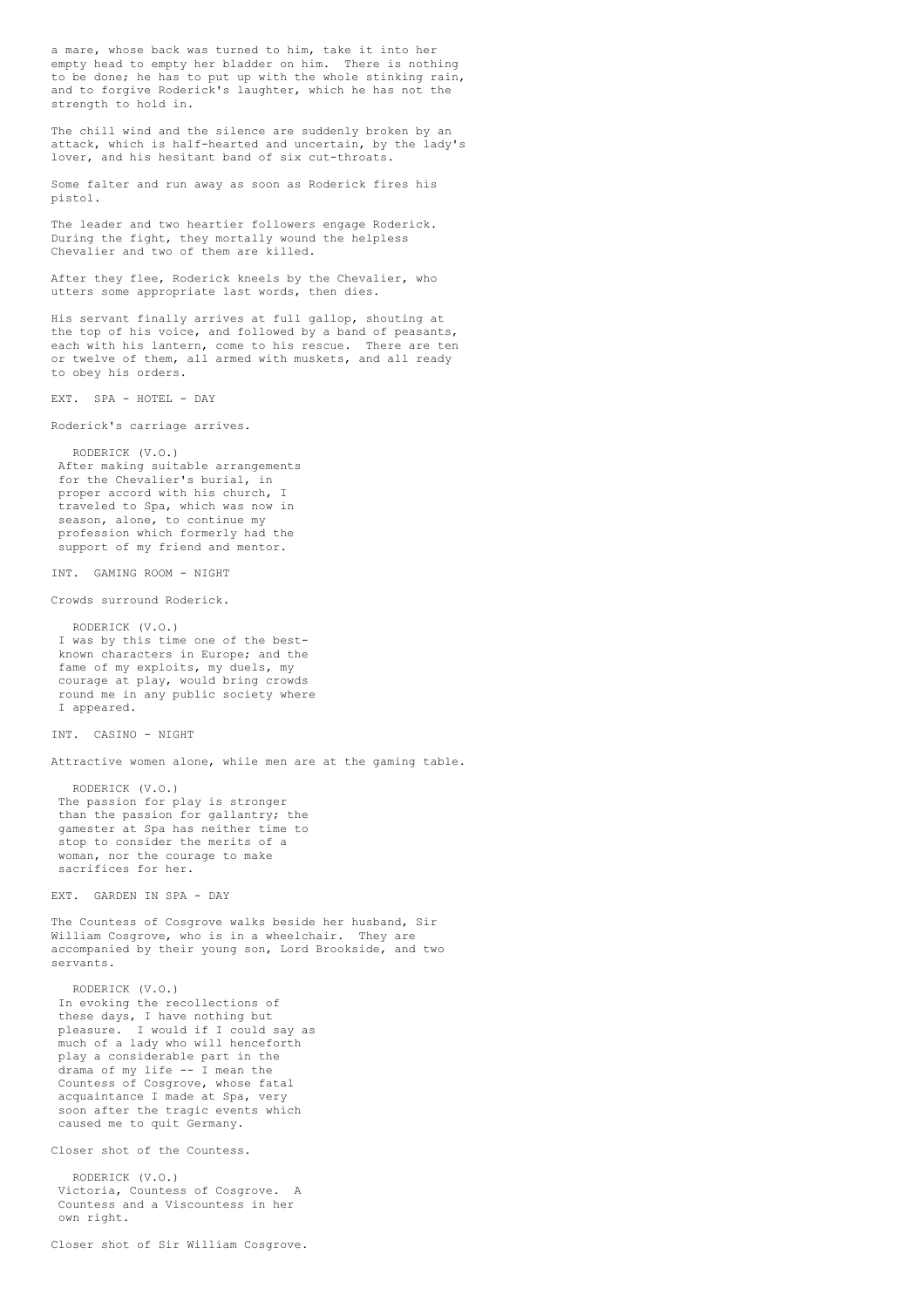a mare, whose back was turned to him, take it into her empty head to empty her bladder on him. There is nothing to be done; he has to put up with the whole stinking rain, and to forgive Roderick's laughter, which he has not the strength to hold in.

The chill wind and the silence are suddenly broken by an attack, which is half-hearted and uncertain, by the lady's lover, and his hesitant band of six cut-throats.

Some falter and run away as soon as Roderick fires his pistol.

The leader and two heartier followers engage Roderick. During the fight, they mortally wound the helpless Chevalier and two of them are killed.

After they flee, Roderick kneels by the Chevalier, who utters some appropriate last words, then dies.

His servant finally arrives at full gallop, shouting at the top of his voice, and followed by a band of peasants, each with his lantern, come to his rescue. There are ten or twelve of them, all armed with muskets, and all ready to obey his orders.

EXT. SPA - HOTEL - DAY

Roderick's carriage arrives.

RODERICK (V.O.) After making suitable arrangements for the Chevalier's burial, in proper accord with his church, I traveled to Spa, which was now in season, alone, to continue my profession which formerly had the support of my friend and mentor.

INT. GAMING ROOM - NIGHT

Crowds surround Roderick.

RODERICK (V.O.) I was by this time one of the bestknown characters in Europe; and the fame of my exploits, my duels, my courage at play, would bring crowds round me in any public society where I appeared.

INT. CASINO - NIGHT

Attractive women alone, while men are at the gaming table.

RODERICK (V.O.) The passion for play is stronger than the passion for gallantry; the gamester at Spa has neither time to stop to consider the merits of a woman, nor the courage to make sacrifices for her.

EXT. GARDEN IN SPA - DAY

The Countess of Cosgrove walks beside her husband, Sir William Cosgrove, who is in a wheelchair. They are accompanied by their young son, Lord Brookside, and two servants.

RODERICK (V.O.) In evoking the recollections of these days, I have nothing but<br>pleasure. I would if I could .<br>I would if I could say as much of a lady who will henceforth play a considerable part in the drama of my life -- I mean the Countess of Cosgrove, whose fatal acquaintance I made at Spa, very soon after the tragic events which caused me to quit Germany.

Closer shot of the Countess.

RODERICK (V.O.) Victoria, Countess of Cosgrove. A Countess and a Viscountess in her own right.

Closer shot of Sir William Cosgrove.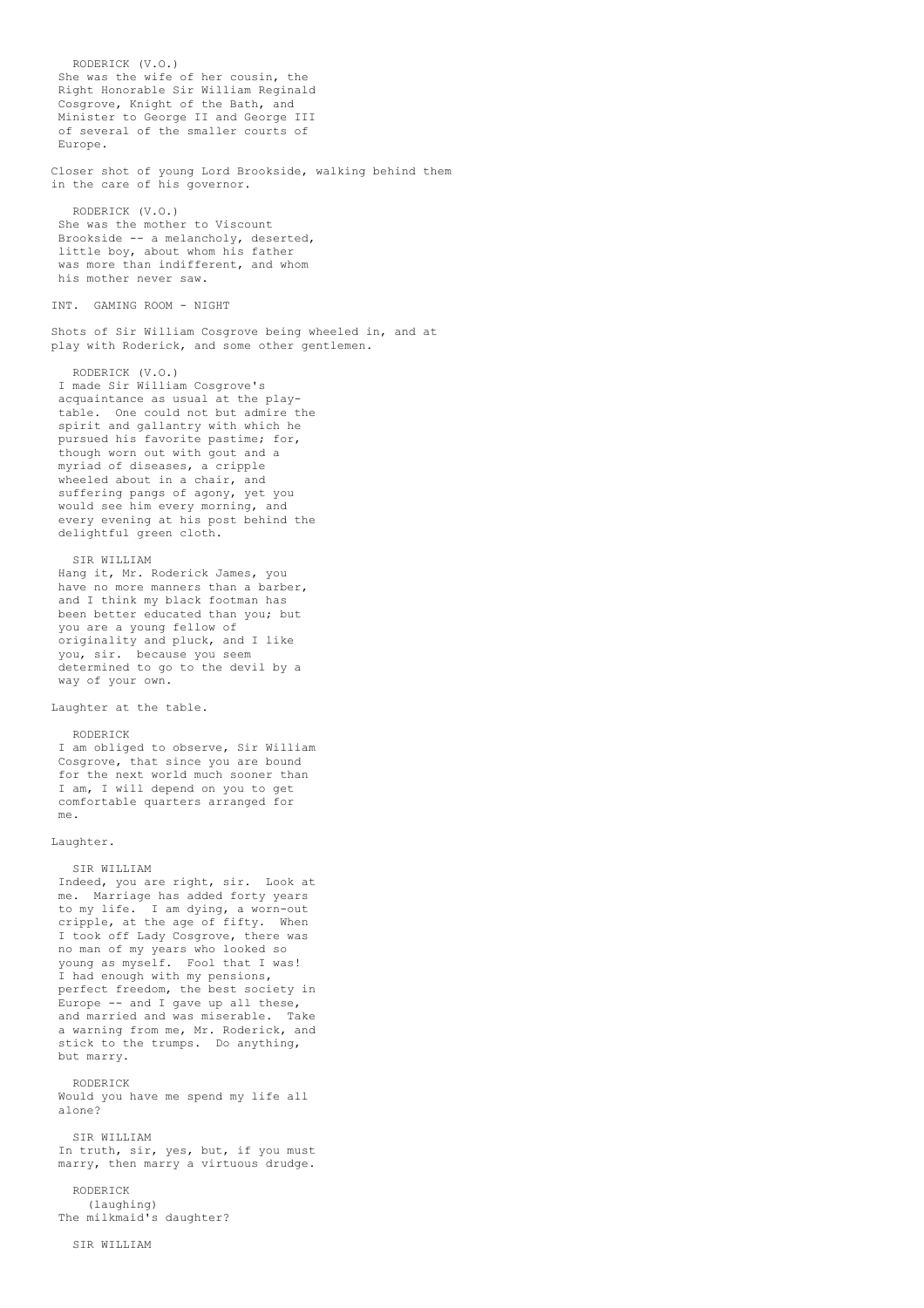RODERICK (V.O.) She was the wife of her cousin, the Right Honorable Sir William Reginald Cosgrove, Knight of the Bath, and Minister to George II and George III of several of the smaller courts of Europe. Closer shot of young Lord Brookside, walking behind them in the care of his governor. RODERICK (V.O.) She was the mother to Viscount Brookside -- a melancholy, deserted, little boy, about whom his father was more than indifferent, and whom his mother never saw. INT. GAMING ROOM - NIGHT Shots of Sir William Cosgrove being wheeled in, and at play with Roderick, and some other gentlemen. RODERICK (V.O.) I made Sir William Cosgrove's acquaintance as usual at the playtable. One could not but admire the spirit and gallantry with which he pursued his favorite pastime; for, though worn out with gout and a myriad of diseases, a cripple wheeled about in a chair, and suffering pangs of agony, yet you would see him every morning, and every evening at his post behind the delightful green cloth. SIR WILLIAM Hang it, Mr. Roderick James, you have no more manners than a barber, and I think my black footman has been better educated than you; but you are a young fellow of originality and pluck, and I like you, sir. because you seem determined to go to the devil by a way of your own. Laughter at the table. RODERICK I am obliged to observe, Sir William Cosgrove, that since you are bound for the next world much sooner than I am, I will depend on you to get comfortable quarters arranged for me. Laughter. SIR WILLIAM Indeed, you are right, sir. Look at me. Marriage has added forty years to my life. I am dying, a worn-out cripple, at the age of fifty. When I took off Lady Cosgrove, there was no man of my years who looked so young as myself. Fool that I was! I had enough with my pensions, perfect freedom, the best society in Europe -- and I gave up all these, and married and was miserable. Take a warning from me, Mr. Roderick, and stick to the trumps. Do anything, but marry. RODERICK Would you have me spend my life all alone? SIR WILLIAM In truth, sir, yes, but, if you must marry, then marry a virtuous drudge. RODERICK (laughing) The milkmaid's daughter?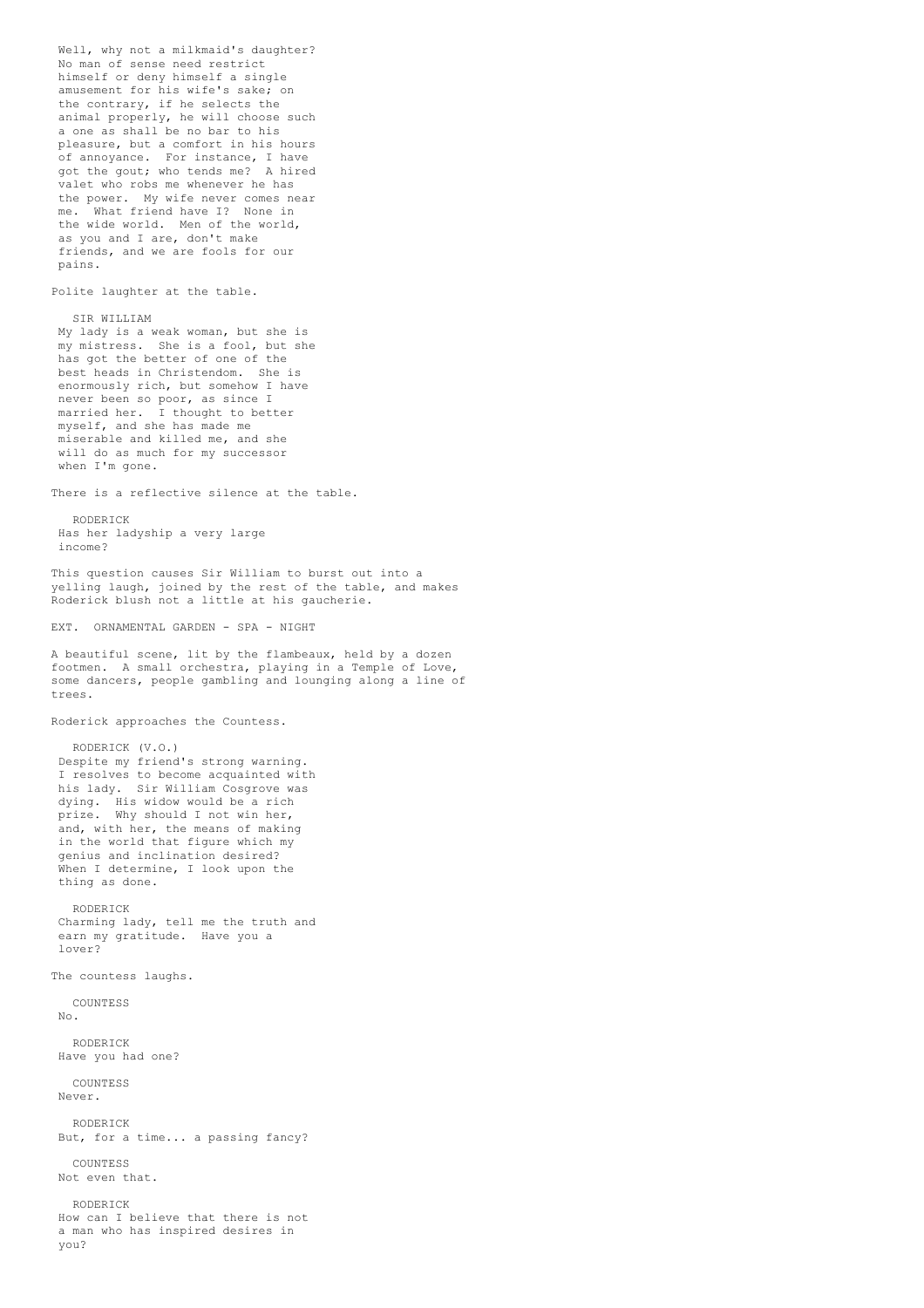Well, why not a milkmaid's daughter? No man of sense need restrict himself or deny himself a single amusement for his wife's sake; on the contrary, if he selects the animal properly, he will choose such a one as shall be no bar to his pleasure, but a comfort in his hours of annoyance. For instance, I have got the gout; who tends me? A hired valet who robs me whenever he has the power. My wife never comes near me. What friend have I? None in the wide world. Men of the world, as you and I are, don't make friends, and we are fools for our pains. Polite laughter at the table. SIR WILLIAM My lady is a weak woman, but she is my mistress. She is a fool, but she has got the better of one of the best heads in Christendom. She is enormously rich, but somehow I have never been so poor, as since I married her. I thought to better myself, and she has made me miserable and killed me, and she will do as much for my successor when I'm gone. There is a reflective silence at the table. RODERICK Has her ladyship a very large income? This question causes Sir William to burst out into a yelling laugh, joined by the rest of the table, and makes Roderick blush not a little at his gaucherie. EXT. ORNAMENTAL GARDEN - SPA - NIGHT A beautiful scene, lit by the flambeaux, held by a dozen footmen. A small orchestra, playing in a Temple of Love, some dancers, people gambling and lounging along a line of trees. Roderick approaches the Countess. RODERICK (V.O.) Despite my friend's strong warning. I resolves to become acquainted with his lady. Sir William Cosgrove was dying. His widow would be a rich prize. Why should I not win her, and, with her, the means of making in the world that figure which my genius and inclination desired? When I determine, I look upon the thing as done. RODERICK Charming lady, tell me the truth and earn my gratitude. Have you a lover? The countess laughs. COUNTESS No. RODERICK Have you had one? COUNTESS Never. RODERICK But, for a time... a passing fancy? COUNTESS Not even that. RODERICK How can I believe that there is not a man who has inspired desires in you?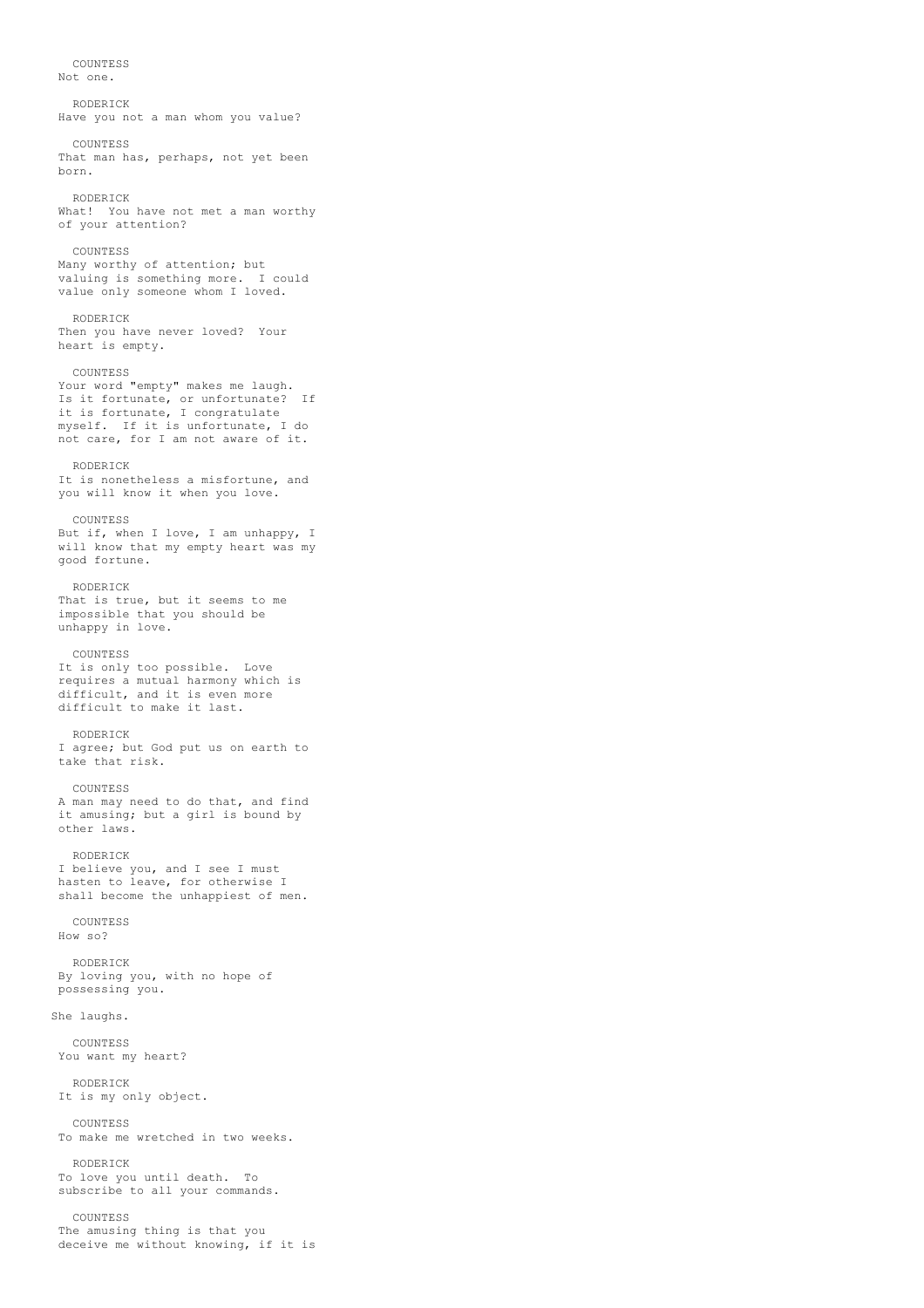**COUNTESS** Not one. RODERICK Have you not a man whom you value? COUNTESS That man has, perhaps, not yet been born. RODERICK What! You have not met a man worthy of your attention? **COUNTESS** Many worthy of attention; but valuing is something more. I could value only someone whom I loved. RODERICK Then you have never loved? Your heart is empty. COUNTESS Your word "empty" makes me laugh. Is it fortunate, or unfortunate? If it is fortunate, I congratulate myself. If it is unfortunate, I do not care, for I am not aware of it. RODERICK It is nonetheless a misfortune, and you will know it when you love. COUNTESS But if, when I love, I am unhappy, I will know that my empty heart was my good fortune. RODERICK That is true, but it seems to me impossible that you should be unhappy in love. COUNTESS It is only too possible. Love requires a mutual harmony which is difficult, and it is even more difficult to make it last. RODERICK I agree; but God put us on earth to take that risk. COUNTESS A man may need to do that, and find it amusing; but a girl is bound by other laws. RODERICK I believe you, and I see I must hasten to leave, for otherwise I shall become the unhappiest of men. COUNTESS How so? RODERICK By loving you, with no hope of possessing you. She laughs. COUNTESS You want my heart? RODERICK It is my only object. **COUNTESS** To make me wretched in two weeks. RODERICK To love you until death. To subscribe to all your commands. COUNTESS The amusing thing is that you

deceive me without knowing, if it is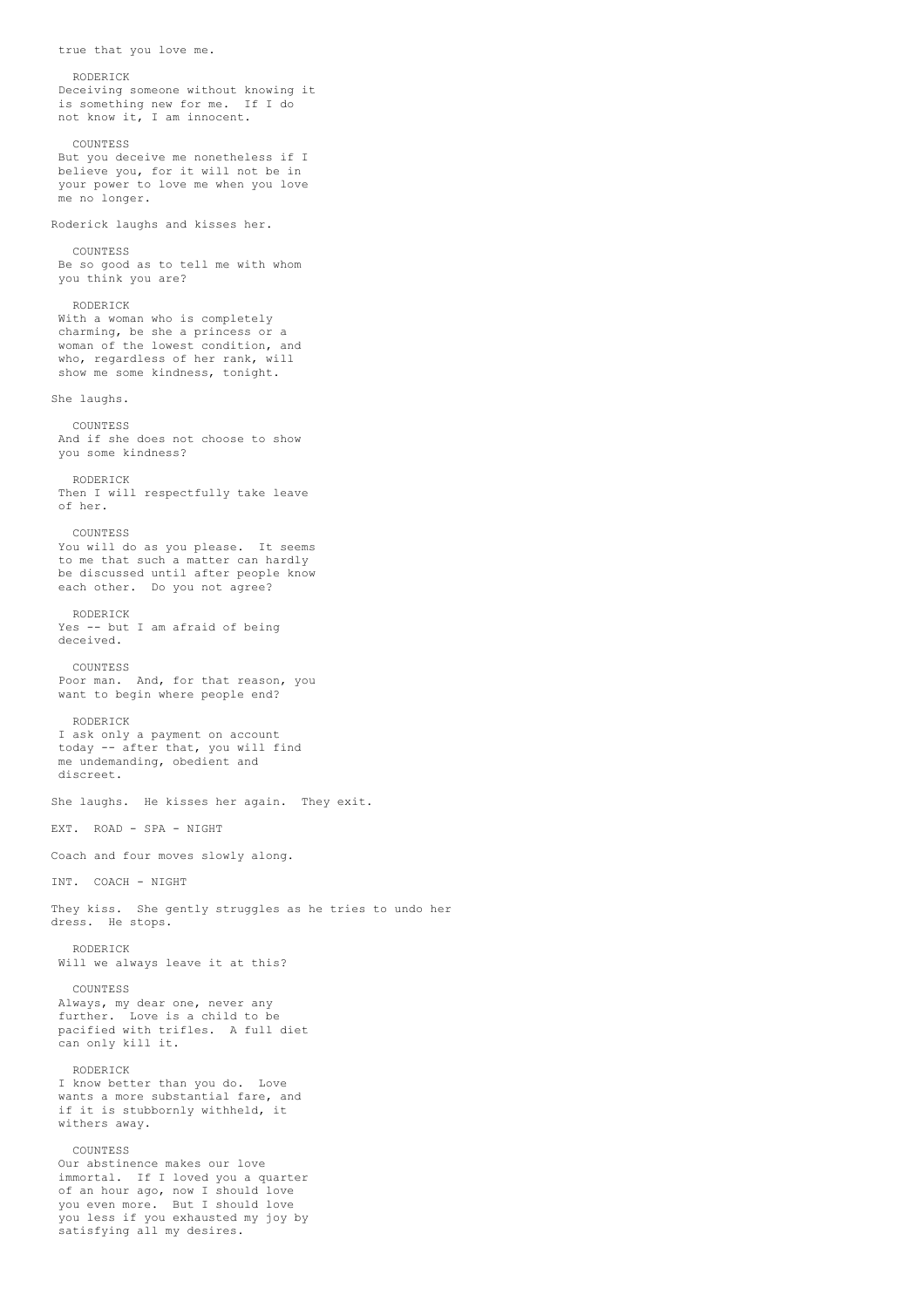RODERICK Deceiving someone without knowing it is something new for me. If I do not know it, I am innocent. COUNTESS But you deceive me nonetheless if I believe you, for it will not be in your power to love me when you love me no longer. Roderick laughs and kisses her. **COUNTESS** Be so good as to tell me with whom you think you are? RODERICK With a woman who is completely charming, be she a princess or a woman of the lowest condition, and who, regardless of her rank, will show me some kindness, tonight. She laughs. COUNTESS And if she does not choose to show you some kindness? RODERICK Then I will respectfully take leave of her. COUNTESS You will do as you please. It seems to me that such a matter can hardly be discussed until after people know each other. Do you not agree? RODERICK Yes -- but I am afraid of being deceived. COUNTESS Poor man. And, for that reason, you want to begin where people end? RODERICK I ask only a payment on account today -- after that, you will find me undemanding, obedient and discreet. She laughs. He kisses her again. They exit. EXT. ROAD - SPA - NIGHT Coach and four moves slowly along. INT. COACH - NIGHT They kiss. She gently struggles as he tries to undo her dress. He stops. RODERICK Will we always leave it at this? COUNTESS Always, my dear one, never any further. Love is a child to be pacified with trifles. A full diet can only kill it. RODERICK I know better than you do. Love wants a more substantial fare, and if it is stubbornly withheld, it withers away. COUNTESS Our abstinence makes our love immortal. If I loved you a quarter of an hour ago, now I should love you even more. But I should love you less if you exhausted my joy by satisfying all my desires.

true that you love me.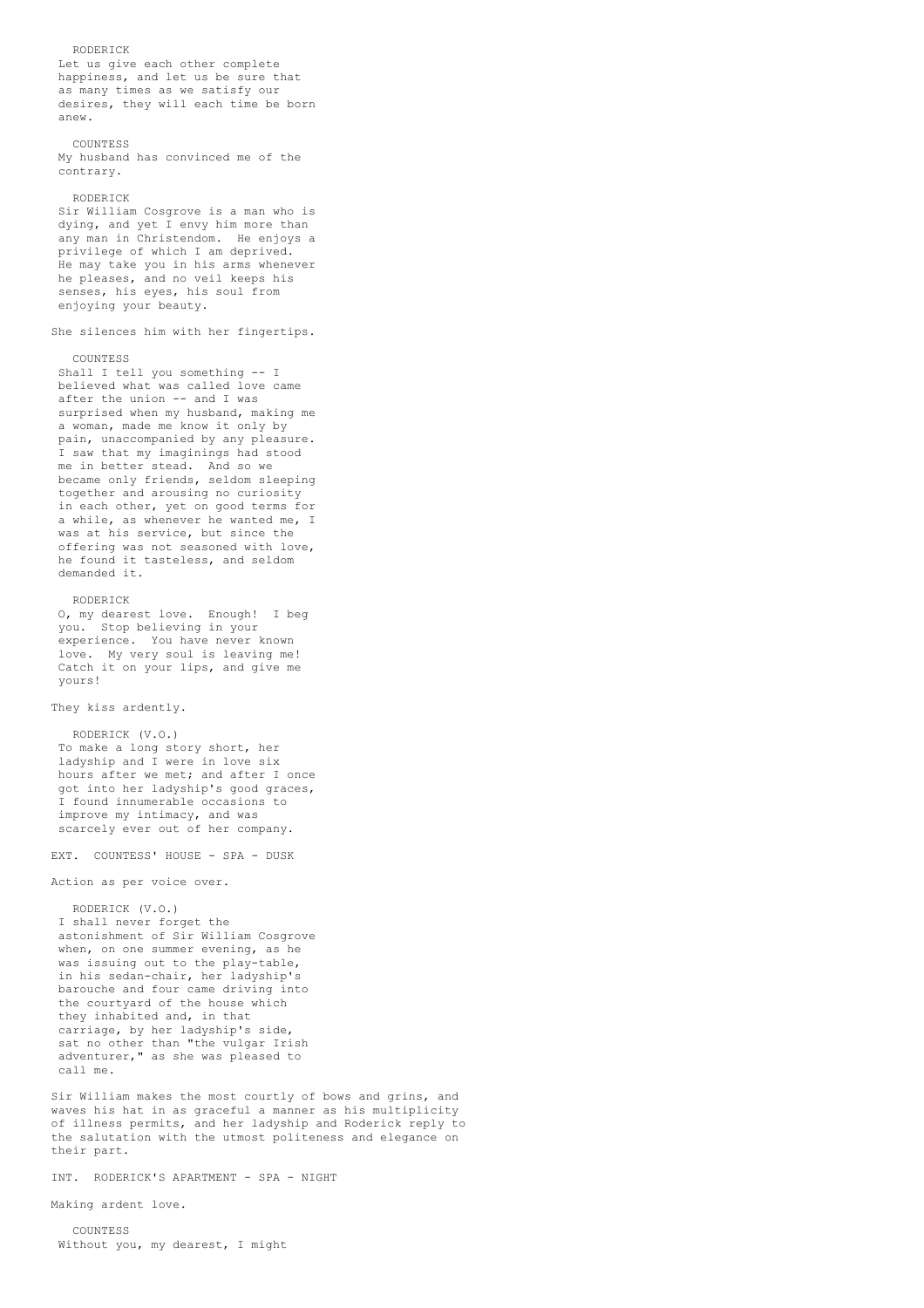RODERICK Let us give each other complete happiness, and let us be sure that as many times as we satisfy our desires, they will each time be born anew. COUNTESS My husband has convinced me of the contrary. RODERICK Sir William Cosgrove is a man who is dying, and yet I envy him more than any man in Christendom. He enjoys a privilege of which I am deprived. He may take you in his arms whenever he pleases, and no veil keeps his senses, his eyes, his soul from enjoying your beauty. She silences him with her fingertips. COUNTESS Shall I tell you something -- I believed what was called love came after the union -- and I was surprised when my husband, making me a woman, made me know it only by pain, unaccompanied by any pleasure. I saw that my imaginings had stood me in better stead. And so we became only friends, seldom sleeping together and arousing no curiosity in each other, yet on good terms for a while, as whenever he wanted me, I was at his service, but since the offering was not seasoned with love, he found it tasteless, and seldom demanded it. RODERICK O, my dearest love. Enough! I beg you. Stop believing in your experience. You have never known love. My very soul is leaving me! Catch it on your lips, and give me yours! They kiss ardently. RODERICK (V.O.) To make a long story short, her ladyship and I were in love six hours after we met; and after I once got into her ladyship's good graces, I found innumerable occasions to improve my intimacy, and was scarcely ever out of her company. EXT. COUNTESS' HOUSE - SPA - DUSK Action as per voice over. RODERICK (V.O.) I shall never forget the astonishment of Sir William Cosgrove

when, on one summer evening, as he was issuing out to the play-table, in his sedan-chair, her ladyship's barouche and four came driving into the courtyard of the house which they inhabited and, in that carriage, by her ladyship's side, sat no other than "the vulgar Irish adventurer," as she was pleased to call me.

Sir William makes the most courtly of bows and grins, and waves his hat in as graceful a manner as his multiplicity of illness permits, and her ladyship and Roderick reply to the salutation with the utmost politeness and elegance on their part.

INT. RODERICK'S APARTMENT - SPA - NIGHT

Making ardent love.

COUNTESS Without you, my dearest, I might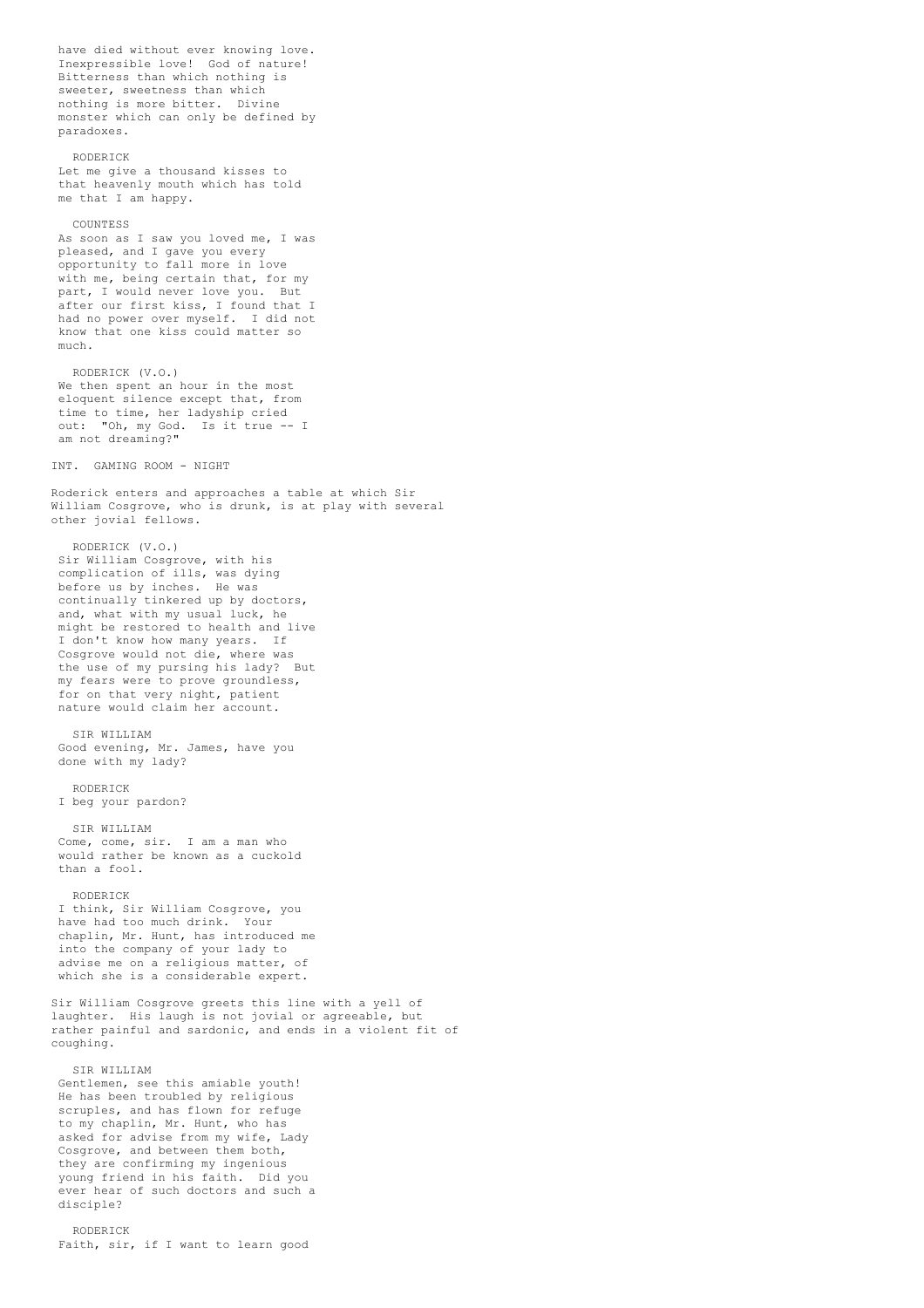have died without ever knowing love. Inexpressible love! God of nature! Bitterness than which nothing is sweeter, sweetness than which nothing is more bitter. Divine monster which can only be defined by paradoxes.

### RODERICK

Let me give a thousand kisses to that heavenly mouth which has told me that I am happy.

#### COUNTESS

As soon as I saw you loved me, I was pleased, and I gave you every opportunity to fall more in love with me, being certain that, for my part, I would never love you. But after our first kiss, I found that I had no power over myself. I did not know that one kiss could matter so much.

RODERICK (V.O.) We then spent an hour in the most eloquent silence except that, from time to time, her ladyship cried out: "Oh, my God. Is it true -- I am not dreaming?"

INT. GAMING ROOM - NIGHT

Roderick enters and approaches a table at which Sir William Cosgrove, who is drunk, is at play with several other jovial fellows.

RODERICK (V.O.) Sir William Cosgrove, with his complication of ills, was dying before us by inches. He was continually tinkered up by doctors, and, what with my usual luck, he might be restored to health and live I don't know how many years. If Cosgrove would not die, where was the use of my pursing his lady? But my fears were to prove groundless, for on that very night, patient nature would claim her account.

SIR WILLIAM Good evening, Mr. James, have you done with my lady?

RODERICK I beg your pardon?

SIR WILLIAM Come, come, sir. I am a man who would rather be known as a cuckold than a fool.

### RODERICK

I think, Sir William Cosgrove, you have had too much drink. Your chaplin, Mr. Hunt, has introduced me into the company of your lady to advise me on a religious matter, of which she is a considerable expert.

Sir William Cosgrove greets this line with a yell of laughter. His laugh is not jovial or agreeable, but rather painful and sardonic, and ends in a violent fit of coughing.

SIR WILLIAM

Gentlemen, see this amiable youth! He has been troubled by religious scruples, and has flown for refuge to my chaplin, Mr. Hunt, who has asked for advise from my wife, Lady Cosgrove, and between them both, they are confirming my ingenious young friend in his faith. Did you ever hear of such doctors and such a disciple?

RODERICK Faith, sir, if I want to learn good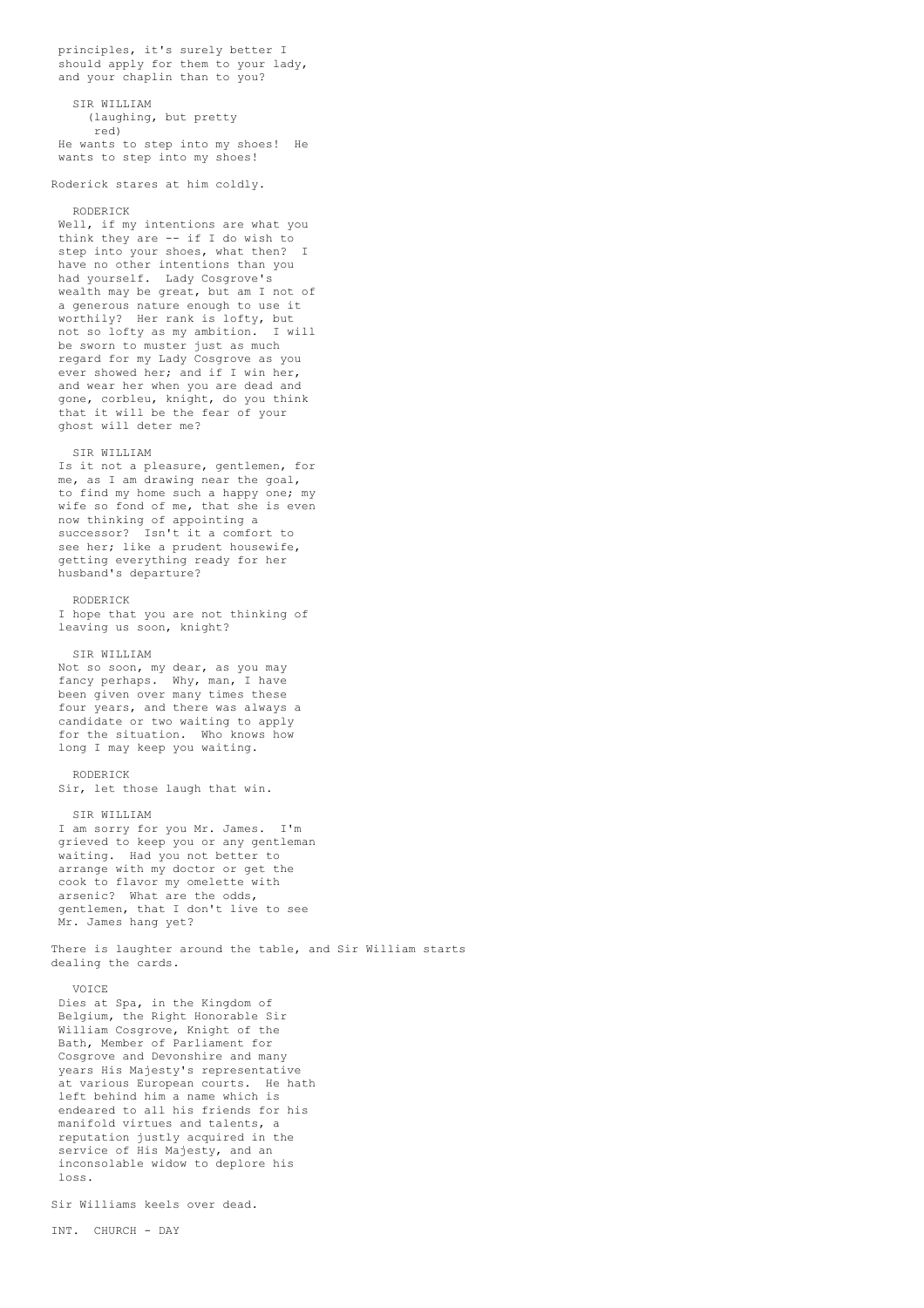principles, it's surely better I should apply for them to your lady, and your chaplin than to you?

SIR WILLIAM

(laughing, but pretty red) He wants to step into my shoes! He

wants to step into my shoes!

## Roderick stares at him coldly.

### RODERICK

Well, if my intentions are what you think they are -- if I do wish to step into your shoes, what then? I have no other intentions than you had yourself. Lady Cosgrove's wealth may be great, but am I not of a generous nature enough to use it worthily? Her rank is lofty, but<br>not so lofty as my ambition. I will not so lofty as my ambition. be sworn to muster just as much regard for my Lady Cosgrove as you ever showed her; and if I win her, and wear her when you are dead and gone, corbleu, knight, do you think that it will be the fear of your ghost will deter me?

## SIR WILLIAM

Is it not a pleasure, gentlemen, for me, as I am drawing near the goal, to find my home such a happy one; my wife so fond of me, that she is even now thinking of appointing a successor? Isn't it a comfort to see her; like a prudent housewife, getting everything ready for her husband's departure?

## RODERICK

I hope that you are not thinking of leaving us soon, knight?

## SIR WILLIAM

Not so soon, my dear, as you may fancy perhaps. Why, man, I have been given over many times these four years, and there was always a candidate or two waiting to apply for the situation. Who knows how long I may keep you waiting.

### RODERICK

Sir, let those laugh that win.

### SIR WILLIAM

I am sorry for you Mr. James. I'm grieved to keep you or any gentleman waiting. Had you not better to arrange with my doctor or get the cook to flavor my omelette with arsenic? What are the odds, gentlemen, that I don't live to see Mr. James hang yet?

There is laughter around the table, and Sir William starts dealing the cards.

### VOICE

Dies at Spa, in the Kingdom of Belgium, the Right Honorable Sir William Cosgrove, Knight of the Bath, Member of Parliament for Cosgrove and Devonshire and many years His Majesty's representative at various European courts. He hath left behind him a name which is endeared to all his friends for his manifold virtues and talents, a reputation justly acquired in the service of His Majesty, and an inconsolable widow to deplore his loss.

Sir Williams keels over dead.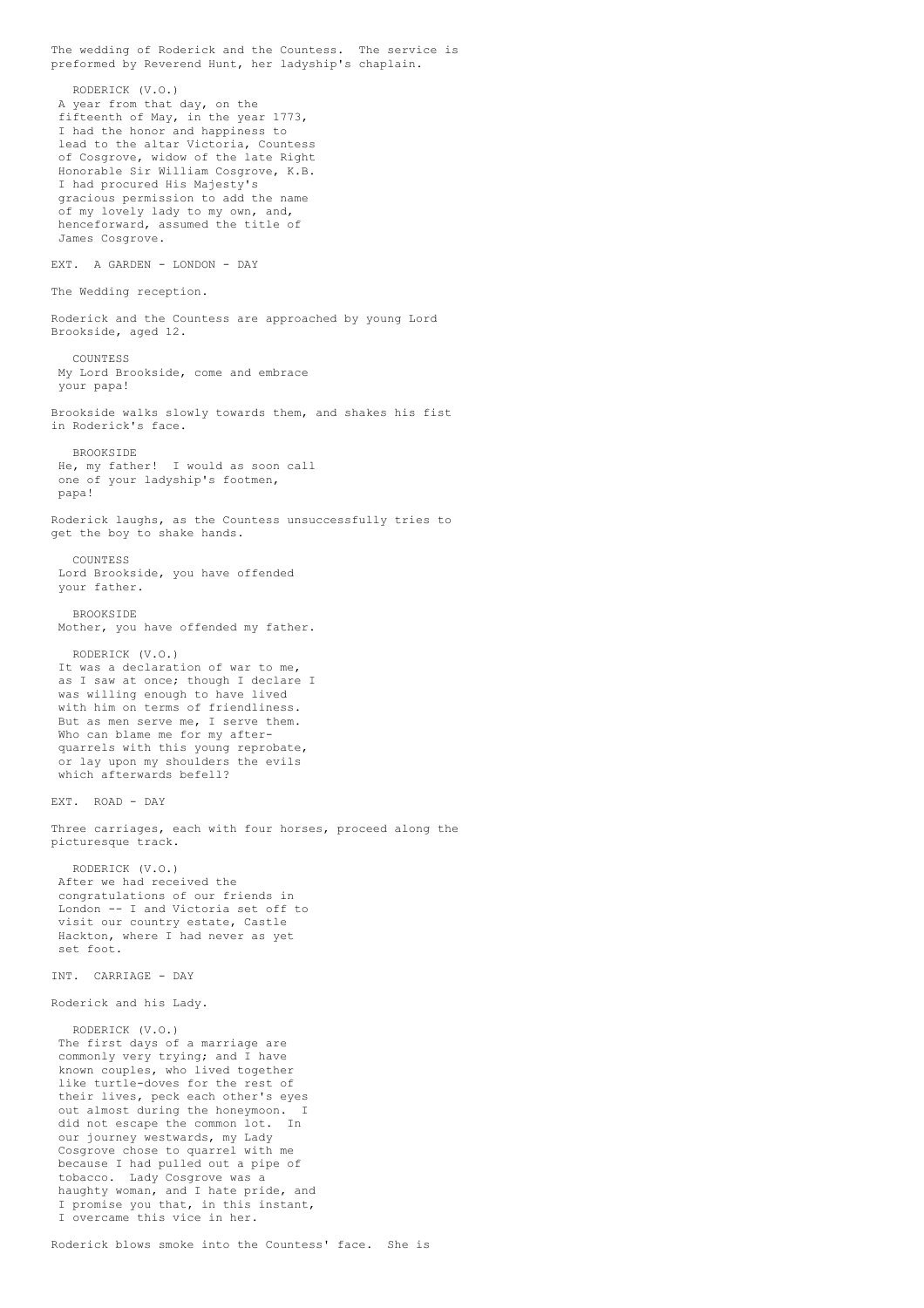The wedding of Roderick and the Countess. The service is preformed by Reverend Hunt, her ladyship's chaplain. RODERICK (V.O.) A year from that day, on the fifteenth of May, in the year 1773, I had the honor and happiness to lead to the altar Victoria, Countess of Cosgrove, widow of the late Right Honorable Sir William Cosgrove, K.B. I had procured His Majesty's gracious permission to add the name of my lovely lady to my own, and, henceforward, assumed the title of James Cosgrove. EXT. A GARDEN - LONDON - DAY The Wedding reception. Roderick and the Countess are approached by young Lord Brookside, aged 12. COUNTESS My Lord Brookside, come and embrace your papa! Brookside walks slowly towards them, and shakes his fist in Roderick's face. BROOKSIDE He, my father! I would as soon call one of your ladyship's footmen, papa! Roderick laughs, as the Countess unsuccessfully tries to get the boy to shake hands. COUNTESS Lord Brookside, you have offended your father. BROOKSIDE Mother, you have offended my father. RODERICK (V.O.) It was a declaration of war to me, as I saw at once; though I declare I was willing enough to have lived with him on terms of friendliness. But as men serve me, I serve them. Who can blame me for my afterquarrels with this young reprobate, or lay upon my shoulders the evils which afterwards befell? EXT. ROAD - DAY Three carriages, each with four horses, proceed along the picturesque track. RODERICK (V.O.) After we had received the congratulations of our friends in London -- I and Victoria set off to visit our country estate, Castle Hackton, where I had never as yet set foot. INT. CARRIAGE - DAY Roderick and his Lady. RODERICK (V.O.) The first days of a marriage are commonly very trying; and I have known couples, who lived together like turtle-doves for the rest of their lives, peck each other's eyes out almost during the honeymoon. did not escape the common lot. In our journey westwards, my Lady Cosgrove chose to quarrel with me because I had pulled out a pipe of tobacco. Lady Cosgrove was a haughty woman, and I hate pride, and I promise you that, in this instant, I overcame this vice in her.

Roderick blows smoke into the Countess' face. She is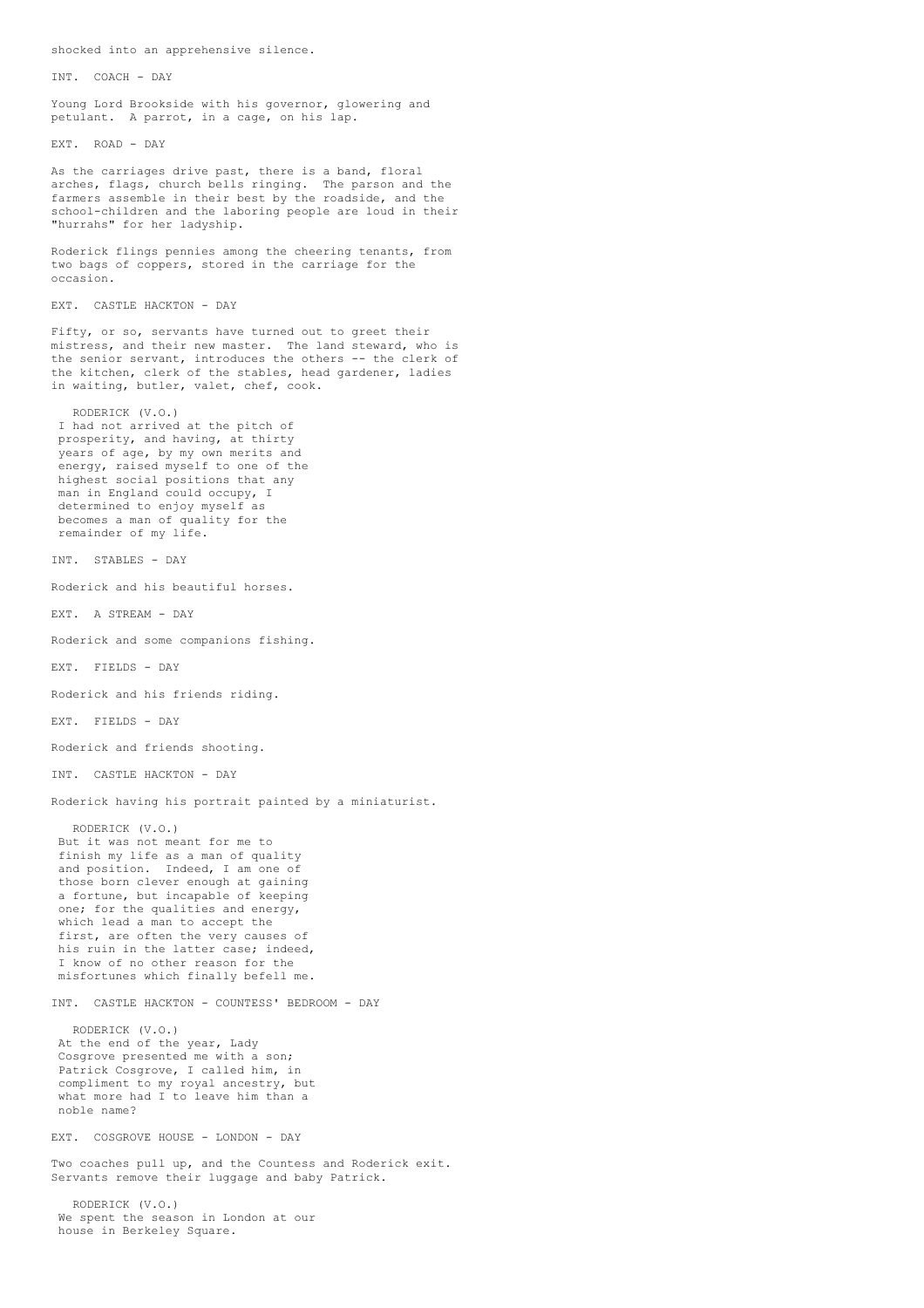shocked into an apprehensive silence.

INT. COACH - DAY

Young Lord Brookside with his governor, glowering and petulant. A parrot, in a cage, on his lap.

EXT. ROAD - DAY

As the carriages drive past, there is a band, floral arches, flags, church bells ringing. The parson and the farmers assemble in their best by the roadside, and the school-children and the laboring people are loud in their "hurrahs" for her ladyship.

Roderick flings pennies among the cheering tenants, from two bags of coppers, stored in the carriage for the occasion.

EXT. CASTLE HACKTON - DAY

Fifty, or so, servants have turned out to greet their mistress, and their new master. The land steward, who is the senior servant, introduces the others -- the clerk of the kitchen, clerk of the stables, head gardener, ladies in waiting, butler, valet, chef, cook.

RODERICK (V.O.) I had not arrived at the pitch of prosperity, and having, at thirty years of age, by my own merits and energy, raised myself to one of the highest social positions that any man in England could occupy, I determined to enjoy myself as becomes a man of quality for the remainder of my life.

INT. STABLES - DAY

Roderick and his beautiful horses.

EXT. A STREAM - DAY

Roderick and some companions fishing.

EXT. FIELDS - DAY

Roderick and his friends riding.

EXT. FIELDS - DAY

Roderick and friends shooting.

INT. CASTLE HACKTON - DAY

Roderick having his portrait painted by a miniaturist.

RODERICK (V.O.) But it was not meant for me to finish my life as a man of quality and position. Indeed, I am one of those born clever enough at gaining a fortune, but incapable of keeping one; for the qualities and energy, which lead a man to accept the first, are often the very causes of his ruin in the latter case; indeed, I know of no other reason for the misfortunes which finally befell me.

INT. CASTLE HACKTON - COUNTESS' BEDROOM - DAY

RODERICK (V.O.) At the end of the year, Lady Cosgrove presented me with a son; Patrick Cosgrove, I called him, in compliment to my royal ancestry, but what more had I to leave him than a noble name?

EXT. COSGROVE HOUSE - LONDON - DAY

Two coaches pull up, and the Countess and Roderick exit. Servants remove their luggage and baby Patrick.

RODERICK (V.O.) We spent the season in London at our house in Berkeley Square.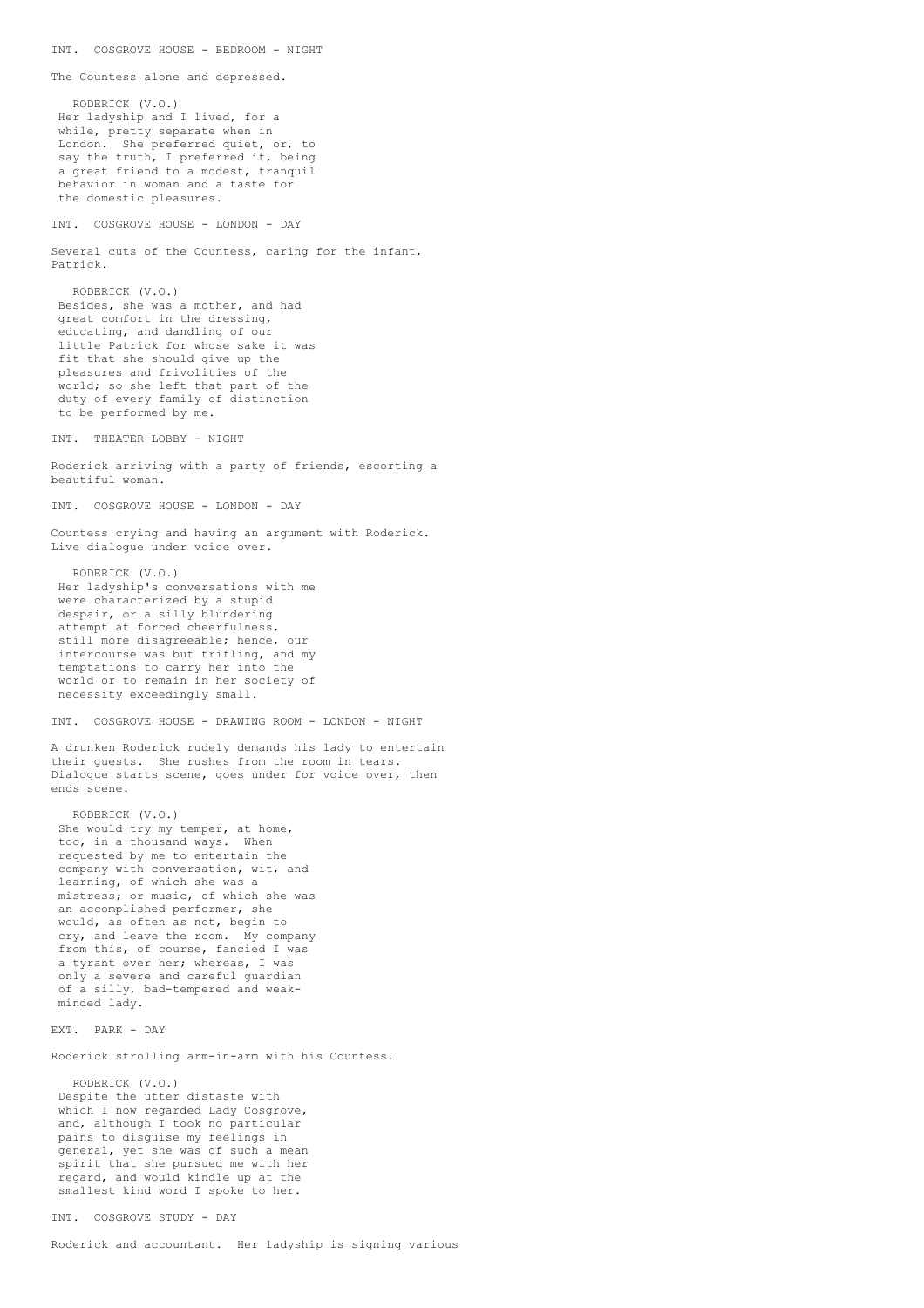The Countess alone and depressed. RODERICK (V.O.) Her ladyship and I lived, for a while, pretty separate when in London. She preferred quiet, or, to say the truth, I preferred it, being a great friend to a modest, tranquil behavior in woman and a taste for the domestic pleasures. INT. COSGROVE HOUSE - LONDON - DAY Several cuts of the Countess, caring for the infant, Patrick. RODERICK (V.O.) Besides, she was a mother, and had great comfort in the dressing, educating, and dandling of our little Patrick for whose sake it was fit that she should give up the pleasures and frivolities of the world; so she left that part of the duty of every family of distinction to be performed by me. INT. THEATER LOBBY - NIGHT Roderick arriving with a party of friends, escorting a beautiful woman. INT. COSGROVE HOUSE - LONDON - DAY Countess crying and having an argument with Roderick. Live dialogue under voice over. RODERICK (V.O.) Her ladyship's conversations with me were characterized by a stupid despair, or a silly blundering attempt at forced cheerfulness, still more disagreeable; hence, our intercourse was but trifling, and my temptations to carry her into the world or to remain in her society of necessity exceedingly small. INT. COSGROVE HOUSE - DRAWING ROOM - LONDON - NIGHT A drunken Roderick rudely demands his lady to entertain their guests. She rushes from the room in tears. Dialogue starts scene, goes under for voice over, then ends scene. RODERICK (V.O.) She would try my temper, at home, too, in a thousand ways. When requested by me to entertain the company with conversation, wit, and learning, of which she was a mistress; or music, of which she was an accomplished performer, she would, as often as not, begin to cry, and leave the room. My company from this, of course, fancied I was a tyrant over her; whereas, I was only a severe and careful guardian of a silly, bad-tempered and weakminded lady. EXT. PARK - DAY Roderick strolling arm-in-arm with his Countess. RODERICK (V.O.) Despite the utter distaste with which I now regarded Lady Cosgrove, and, although I took no particular pains to disguise my feelings in general, yet she was of such a mean spirit that she pursued me with her regard, and would kindle up at the smallest kind word I spoke to her.

INT. COSGROVE HOUSE - BEDROOM - NIGHT

INT. COSGROVE STUDY - DAY

Roderick and accountant. Her ladyship is signing various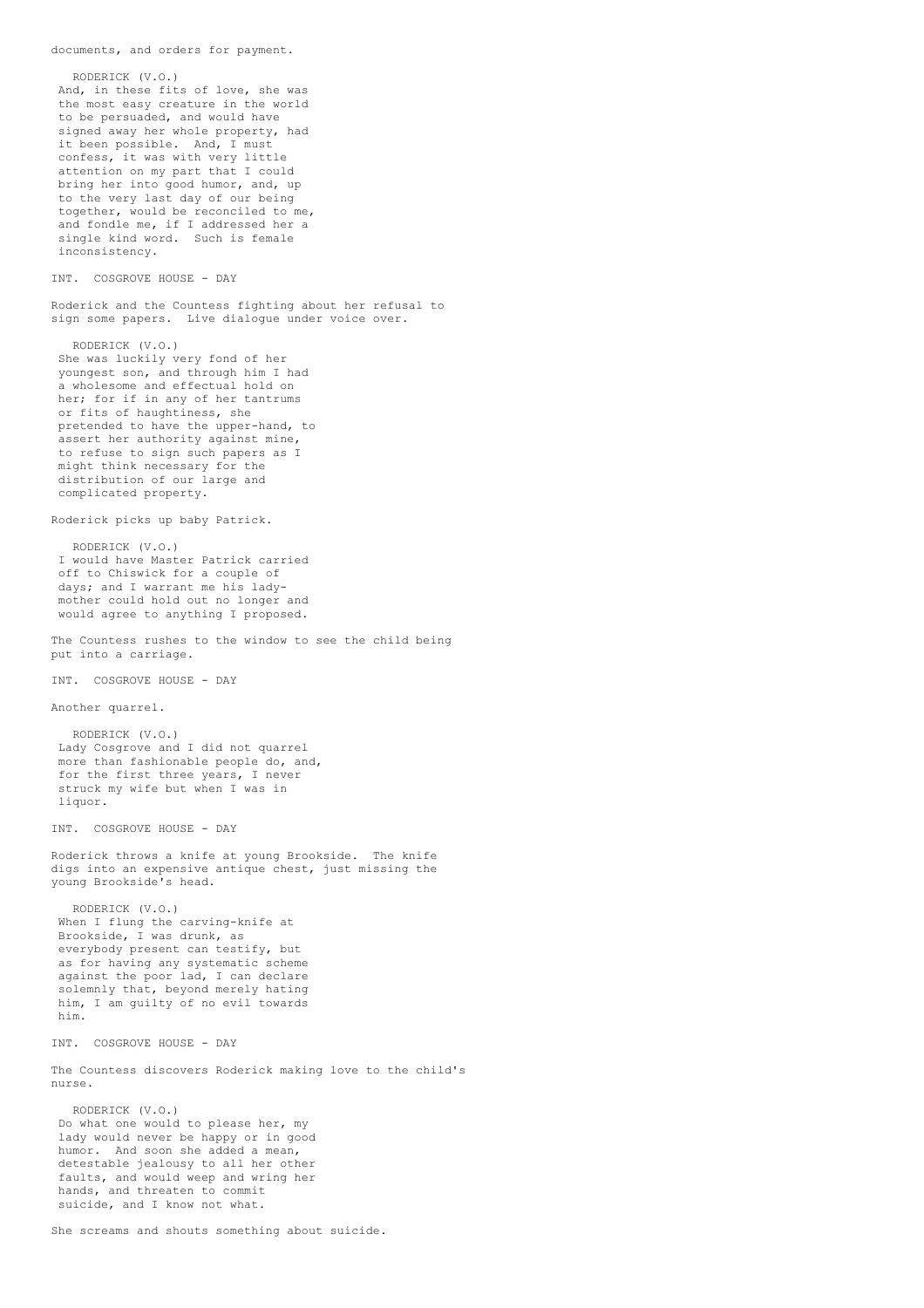RODERICK (V.O.) And, in these fits of love, she was the most easy creature in the world to be persuaded, and would have signed away her whole property, had it been possible. And, I must confess, it was with very little attention on my part that I could bring her into good humor, and, up to the very last day of our being together, would be reconciled to me, and fondle me, if I addressed her a single kind word. Such is female inconsistency. INT. COSGROVE HOUSE - DAY Roderick and the Countess fighting about her refusal to sign some papers. Live dialogue under voice over. RODERICK (V.O.) She was luckily very fond of her youngest son, and through him I had a wholesome and effectual hold on her; for if in any of her tantrums or fits of haughtiness, she pretended to have the upper-hand, to assert her authority against mine, to refuse to sign such papers as I might think necessary for the distribution of our large and complicated property. Roderick picks up baby Patrick. RODERICK (V.O.) I would have Master Patrick carried off to Chiswick for a couple of days; and I warrant me his ladymother could hold out no longer and would agree to anything I proposed. The Countess rushes to the window to see the child being put into a carriage. INT. COSGROVE HOUSE - DAY Another quarrel. RODERICK (V.O.) Lady Cosgrove and I did not quarrel more than fashionable people do, and, for the first three years, I never struck my wife but when I was in liquor. INT. COSGROVE HOUSE - DAY Roderick throws a knife at young Brookside. The knife digs into an expensive antique chest, just missing the young Brookside's head. RODERICK (V.O.) When I flung the carving-knife at Brookside, I was drunk, as everybody present can testify, but as for having any systematic scheme against the poor lad, I can declare solemnly that, beyond merely hating him, I am guilty of no evil towards him. INT. COSGROVE HOUSE - DAY The Countess discovers Roderick making love to the child's nurse. RODERICK (V.O.) Do what one would to please her, my lady would never be happy or in good humor. And soon she added a mean, detestable jealousy to all her other faults, and would weep and wring her hands, and threaten to commit suicide, and I know not what.

documents, and orders for payment.

She screams and shouts something about suicide.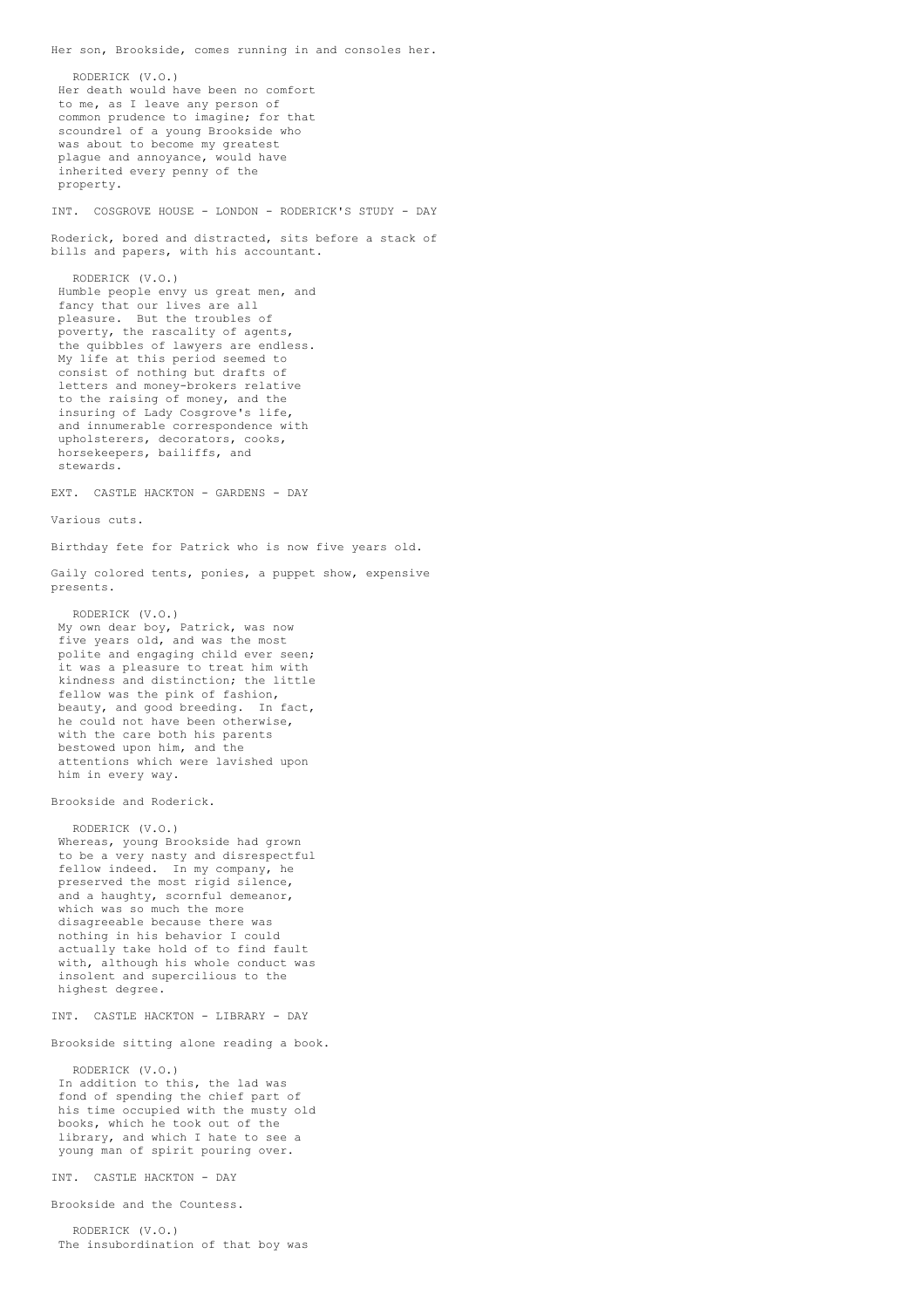RODERICK (V.O.) Her death would have been no comfort to me, as I leave any person of common prudence to imagine; for that scoundrel of a young Brookside who was about to become my greatest plague and annoyance, would have inherited every penny of the property. INT. COSGROVE HOUSE - LONDON - RODERICK'S STUDY - DAY Roderick, bored and distracted, sits before a stack of bills and papers, with his accountant. RODERICK (V.O.) Humble people envy us great men, and fancy that our lives are all pleasure. But the troubles of poverty, the rascality of agents, the quibbles of lawyers are endless. My life at this period seemed to consist of nothing but drafts of letters and money-brokers relative to the raising of money, and the insuring of Lady Cosgrove's life, and innumerable correspondence with upholsterers, decorators, cooks, horsekeepers, bailiffs, and stewards. EXT. CASTLE HACKTON - GARDENS - DAY Various cuts. Birthday fete for Patrick who is now five years old. Gaily colored tents, ponies, a puppet show, expensive presents. RODERICK (V.O.) My own dear boy, Patrick, was now five years old, and was the most polite and engaging child ever seen; it was a pleasure to treat him with kindness and distinction; the little fellow was the pink of fashion, beauty, and good breeding. In fact, he could not have been otherwise, with the care both his parents bestowed upon him, and the attentions which were lavished upon him in every way. Brookside and Roderick. RODERICK (V.O.) Whereas, young Brookside had grown to be a very nasty and disrespectful fellow indeed. In my company, he preserved the most rigid silence. and a haughty, scornful demeanor, which was so much the more disagreeable because there was nothing in his behavior I could actually take hold of to find fault with, although his whole conduct was insolent and supercilious to the highest degree. INT. CASTLE HACKTON - LIBRARY - DAY Brookside sitting alone reading a book. RODERICK (V.O.) In addition to this, the lad was fond of spending the chief part of his time occupied with the musty old books, which he took out of the library, and which I hate to see a young man of spirit pouring over. INT. CASTLE HACKTON - DAY Brookside and the Countess. RODERICK (V.O.)

The insubordination of that boy was

Her son, Brookside, comes running in and consoles her.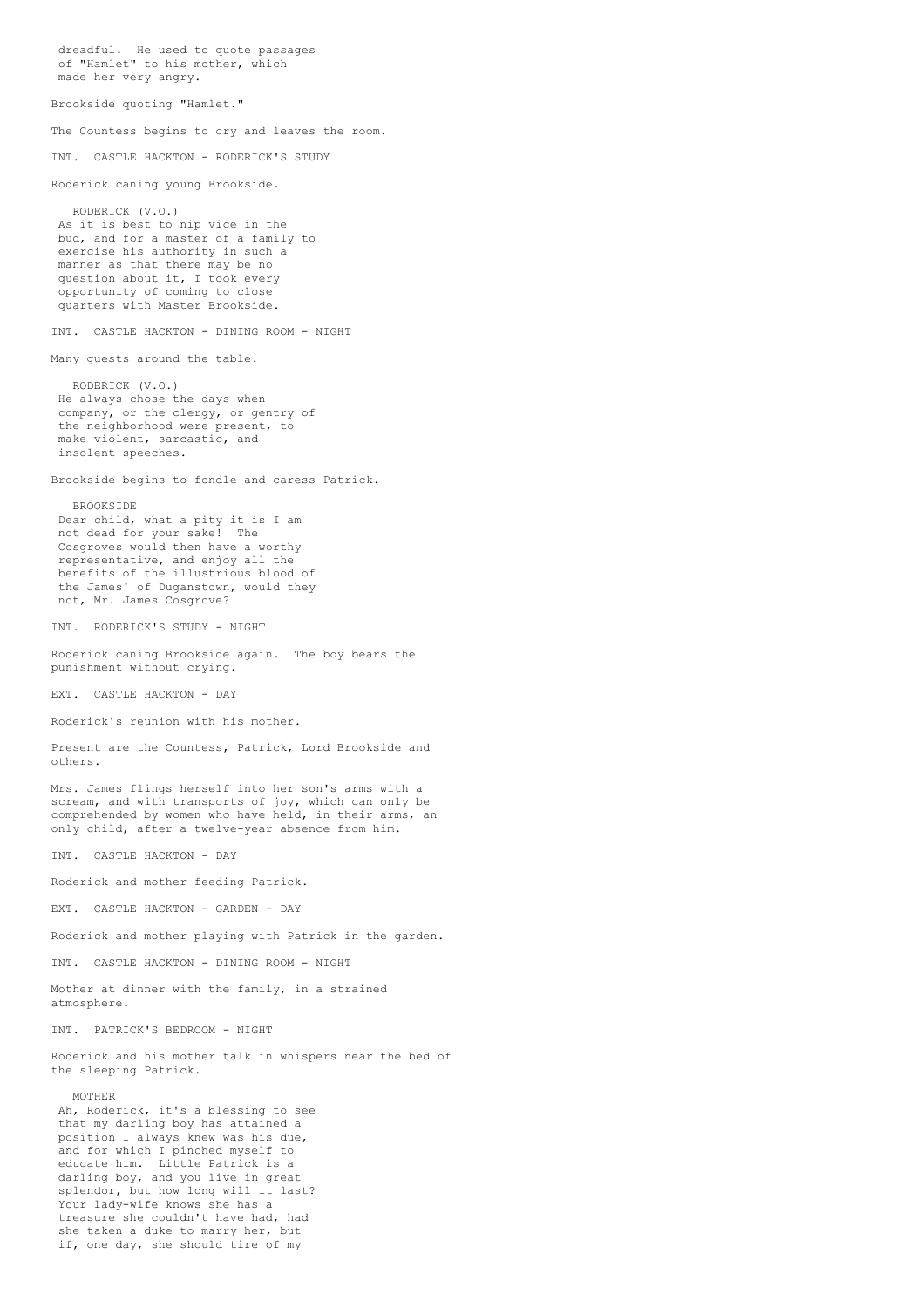of "Hamlet" to his mother, which made her very angry. Brookside quoting "Hamlet." The Countess begins to cry and leaves the room. INT. CASTLE HACKTON - RODERICK'S STUDY Roderick caning young Brookside. RODERICK (V.O.) As it is best to nip vice in the bud, and for a master of a family to exercise his authority in such a manner as that there may be no question about it, I took every opportunity of coming to close quarters with Master Brookside. INT. CASTLE HACKTON - DINING ROOM - NIGHT Many guests around the table. RODERICK (V.O.) He always chose the days when company, or the clergy, or gentry of the neighborhood were present, to make violent, sarcastic, and insolent speeches. Brookside begins to fondle and caress Patrick. BROOKSIDE Dear child, what a pity it is I am not dead for your sake! The Cosgroves would then have a worthy representative, and enjoy all the benefits of the illustrious blood of the James' of Duganstown, would they not, Mr. James Cosgrove? INT. RODERICK'S STUDY - NIGHT Roderick caning Brookside again. The boy bears the punishment without crying. EXT. CASTLE HACKTON - DAY Roderick's reunion with his mother. Present are the Countess, Patrick, Lord Brookside and others. Mrs. James flings herself into her son's arms with a scream, and with transports of joy, which can only be comprehended by women who have held, in their arms, an only child, after a twelve-year absence from him. INT. CASTLE HACKTON - DAY Roderick and mother feeding Patrick. EXT. CASTLE HACKTON - GARDEN - DAY Roderick and mother playing with Patrick in the garden. INT. CASTLE HACKTON - DINING ROOM - NIGHT Mother at dinner with the family, in a strained atmosphere. INT. PATRICK'S BEDROOM - NIGHT Roderick and his mother talk in whispers near the bed of the sleeping Patrick. MOTHER Ah, Roderick, it's a blessing to see that my darling boy has attained a position I always knew was his due, and for which I pinched myself to educate him. Little Patrick is a darling boy, and you live in great splendor, but how long will it last? Your lady-wife knows she has a treasure she couldn't have had, had she taken a duke to marry her, but if, one day, she should tire of my

dreadful. He used to quote passages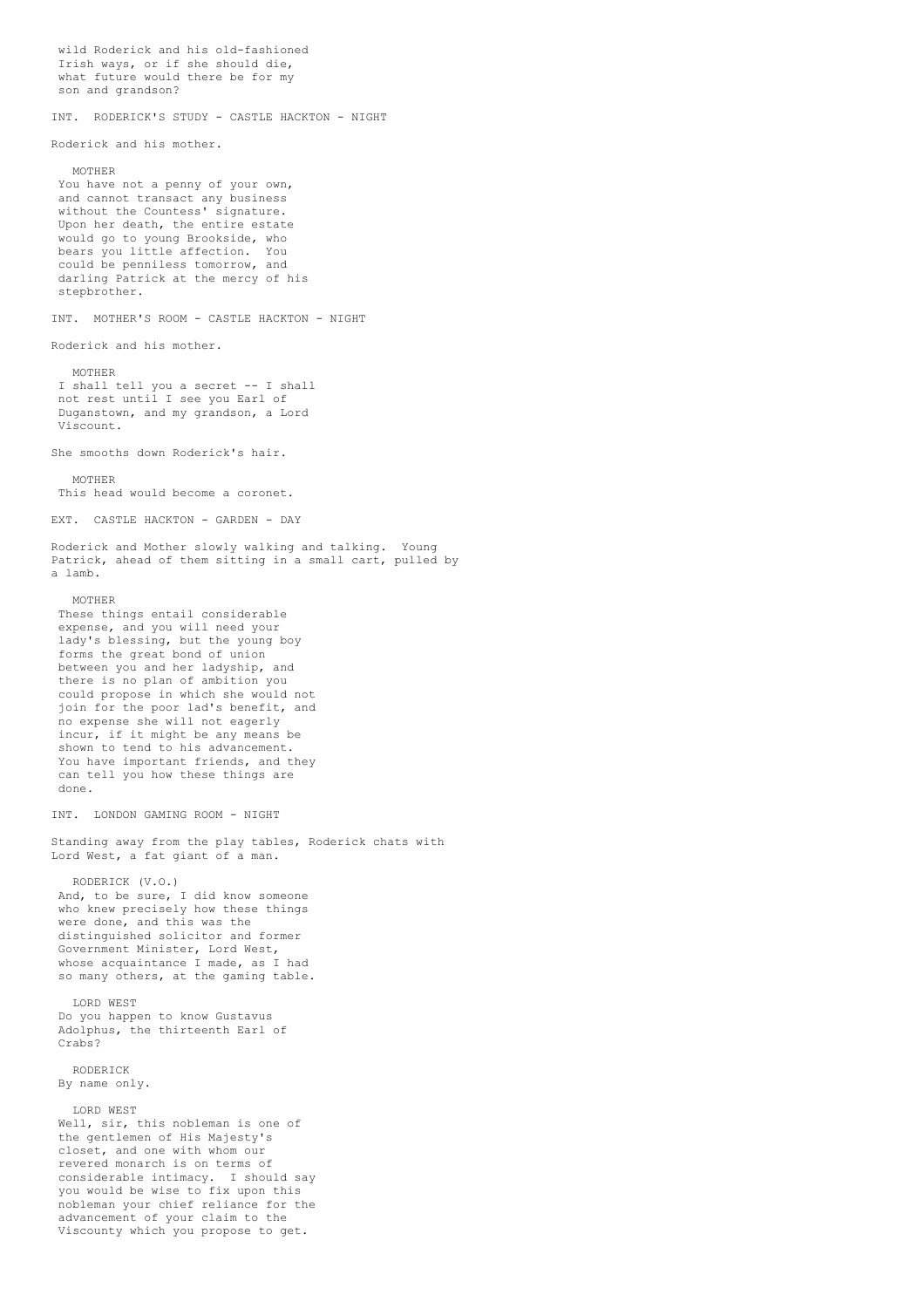wild Roderick and his old-fashioned Irish ways, or if she should die, what future would there be for my son and grandson? INT. RODERICK'S STUDY - CASTLE HACKTON - NIGHT Roderick and his mother. MOTHER You have not a penny of your own, and cannot transact any business without the Countess' signature. Upon her death, the entire estate would go to young Brookside, who bears you little affection. You could be penniless tomorrow, and darling Patrick at the mercy of his stepbrother. INT. MOTHER'S ROOM - CASTLE HACKTON - NIGHT Roderick and his mother. MOTHER I shall tell you a secret -- I shall not rest until I see you Earl of Duganstown, and my grandson, a Lord Viscount. She smooths down Roderick's hair. MOTHER This head would become a coronet. EXT. CASTLE HACKTON - GARDEN - DAY Roderick and Mother slowly walking and talking. Young Patrick, ahead of them sitting in a small cart, pulled by a lamb. MOTHER These things entail considerable expense, and you will need your lady's blessing, but the young boy forms the great bond of union between you and her ladyship, and there is no plan of ambition you could propose in which she would not join for the poor lad's benefit, and no expense she will not eagerly incur, if it might be any means be shown to tend to his advancement. You have important friends, and they can tell you how these things are done. INT. LONDON GAMING ROOM - NIGHT Standing away from the play tables, Roderick chats with Lord West, a fat giant of a man. RODERICK (V.O.) And, to be sure, I did know someone who knew precisely how these things were done, and this was the distinguished solicitor and former Government Minister, Lord West, whose acquaintance I made, as I had so many others, at the gaming table. LORD WEST Do you happen to know Gustavus Adolphus, the thirteenth Earl of Crabs? RODERICK By name only. LORD WEST Well, sir, this nobleman is one of the gentlemen of His Majesty's closet, and one with whom our revered monarch is on terms of considerable intimacy. I should say you would be wise to fix upon this nobleman your chief reliance for the advancement of your claim to the Viscounty which you propose to get.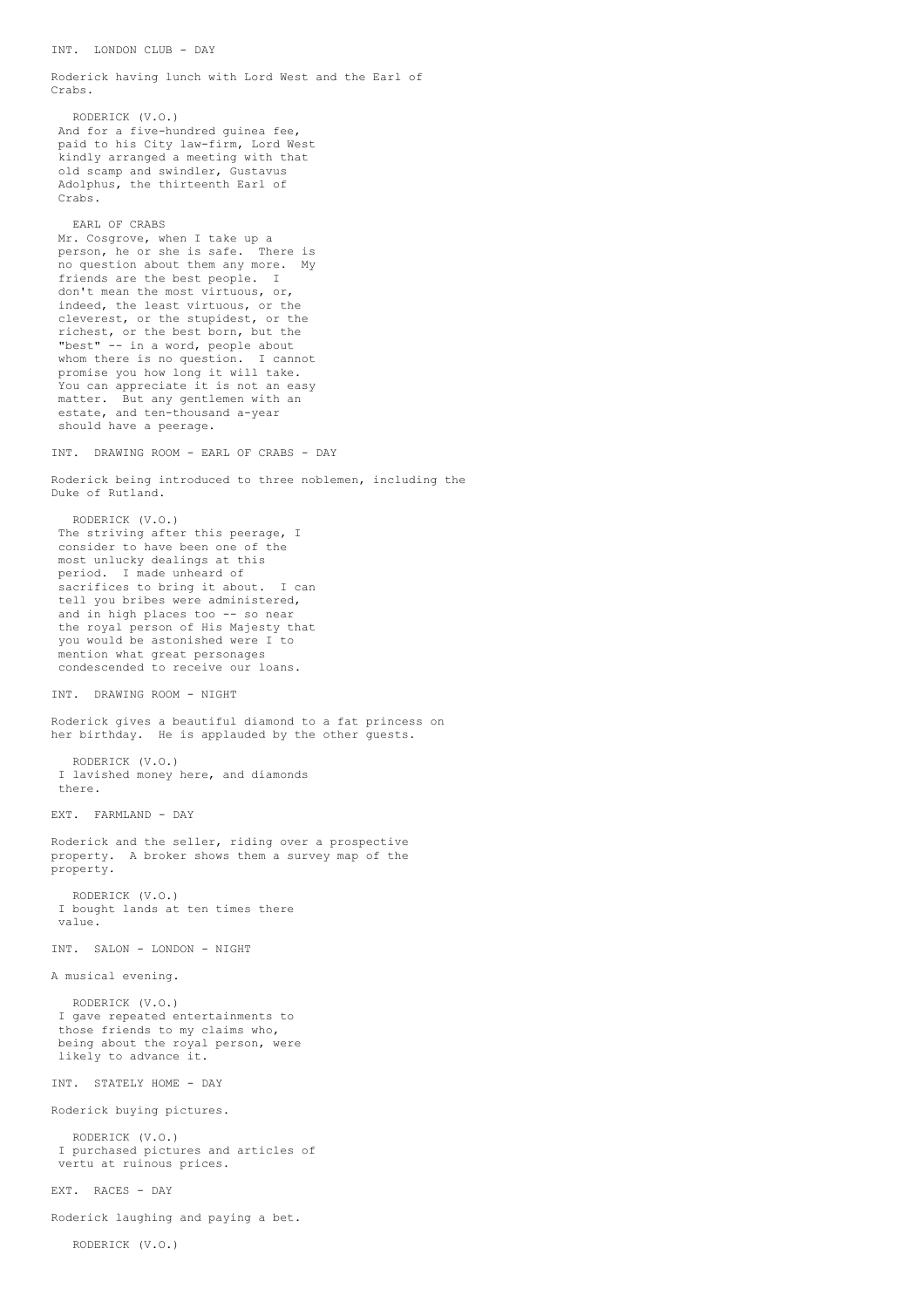Roderick having lunch with Lord West and the Earl of Crabs.

RODERICK (V.O.) And for a five-hundred guinea fee, paid to his City law-firm, Lord West kindly arranged a meeting with that old scamp and swindler, Gustavus Adolphus, the thirteenth Earl of Crabs.

EARL OF CRABS Mr. Cosgrove, when I take up a person, he or she is safe. There is no question about them any more. My friends are the best people. I don't mean the most virtuous, or, indeed, the least virtuous, or the cleverest, or the stupidest, or the richest, or the best born, but the "best" -- in a word, people about whom there is no question. I cannot promise you how long it will take. You can appreciate it is not an easy matter. But any gentlemen with an estate, and ten-thousand a-year should have a peerage.

INT. DRAWING ROOM - EARL OF CRABS - DAY

Roderick being introduced to three noblemen, including the Duke of Rutland.

RODERICK (V.O.) The striving after this peerage, I consider to have been one of the most unlucky dealings at this period. I made unheard of sacrifices to bring it about. I can tell you bribes were administered, and in high places too -- so near the royal person of His Majesty that you would be astonished were I to mention what great personages condescended to receive our loans.

INT. DRAWING ROOM - NIGHT

Roderick gives a beautiful diamond to a fat princess on her birthday. He is applauded by the other guests.

RODERICK (V.O.) I lavished money here, and diamonds there.

EXT. FARMLAND - DAY

Roderick and the seller, riding over a prospective property. A broker shows them a survey map of the property.

RODERICK (V.O.) I bought lands at ten times there value.

INT. SALON - LONDON - NIGHT

A musical evening.

RODERICK (V.O.) I gave repeated entertainments to those friends to my claims who, being about the royal person, were likely to advance it.

INT. STATELY HOME - DAY

Roderick buying pictures.

RODERICK (V.O.) I purchased pictures and articles of vertu at ruinous prices.

EXT. RACES - DAY

Roderick laughing and paying a bet.

RODERICK (V.O.)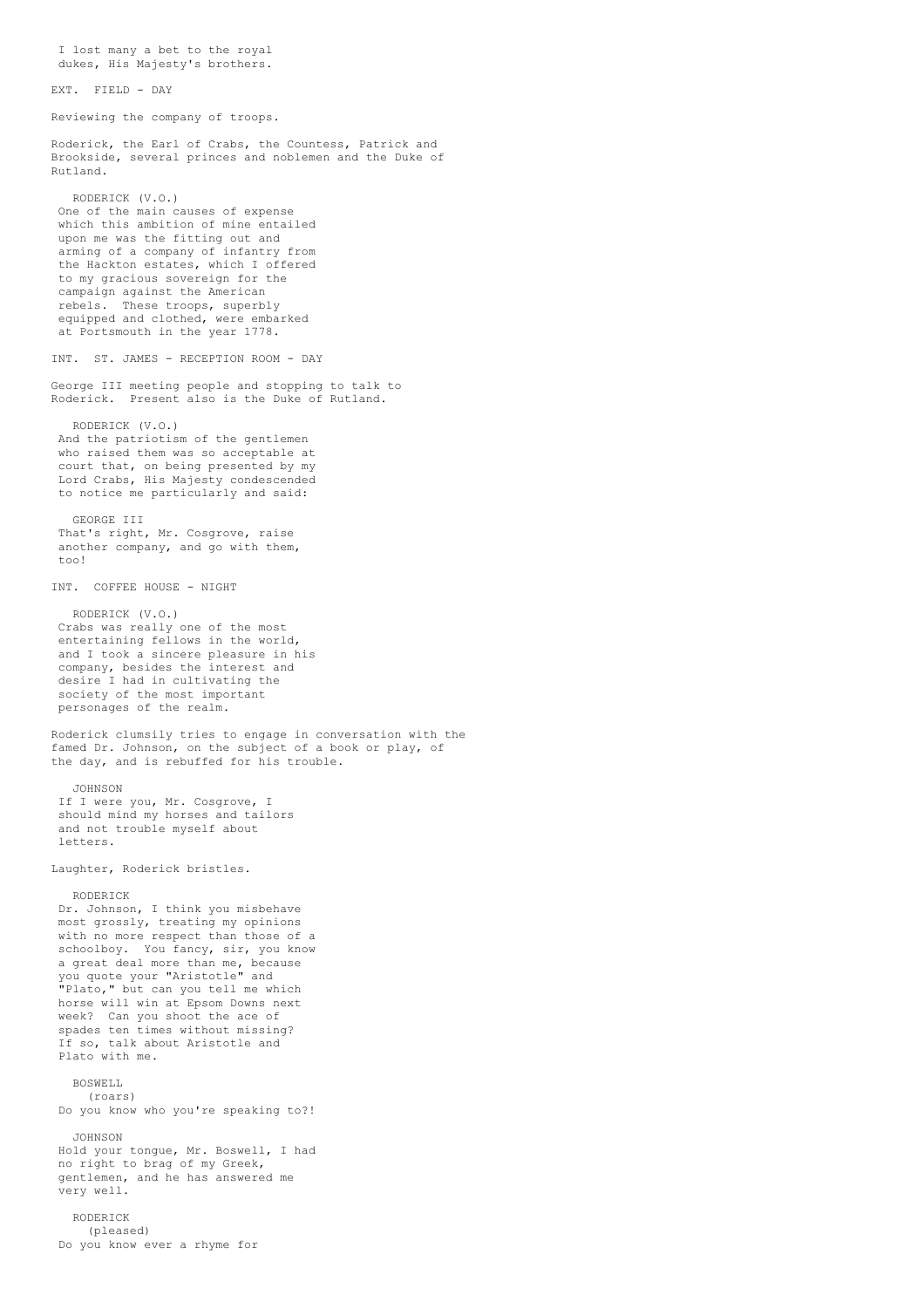I lost many a bet to the royal dukes, His Majesty's brothers. EXT. FIELD - DAY Reviewing the company of troops. Roderick, the Earl of Crabs, the Countess, Patrick and Brookside, several princes and noblemen and the Duke of Rutland. RODERICK (V.O.) One of the main causes of expense which this ambition of mine entailed upon me was the fitting out and arming of a company of infantry from the Hackton estates, which I offered to my gracious sovereign for the campaign against the American rebels. These troops, superbly equipped and clothed, were embarked at Portsmouth in the year 1778. INT. ST. JAMES - RECEPTION ROOM - DAY George III meeting people and stopping to talk to Roderick. Present also is the Duke of Rutland. RODERICK (V.O.) And the patriotism of the gentlemen who raised them was so acceptable at court that, on being presented by my Lord Crabs, His Majesty condescended to notice me particularly and said: GEORGE III That's right, Mr. Cosgrove, raise another company, and go with them,  $t \n0$ INT. COFFEE HOUSE - NIGHT RODERICK (V.O.) Crabs was really one of the most entertaining fellows in the world, and I took a sincere pleasure in his company, besides the interest and desire I had in cultivating the society of the most important personages of the realm. Roderick clumsily tries to engage in conversation with the famed Dr. Johnson, on the subject of a book or play, of the day, and is rebuffed for his trouble. JOHNSON If I were you, Mr. Cosgrove, I should mind my horses and tailors and not trouble myself about letters. Laughter, Roderick bristles. RODERICK Dr. Johnson, I think you misbehave most grossly, treating my opinions with no more respect than those of a schoolboy. You fancy, sir, you know a great deal more than me, because you quote your "Aristotle" and "Plato," but can you tell me which horse will win at Epsom Downs next week? Can you shoot the ace of spades ten times without missing? If so, talk about Aristotle and Plato with me. BOSWELL (roars) Do you know who you're speaking to?! JOHNSON Hold your tongue, Mr. Boswell, I had no right to brag of my Greek, gentlemen, and he has answered me very well. RODERICK (pleased) Do you know ever a rhyme for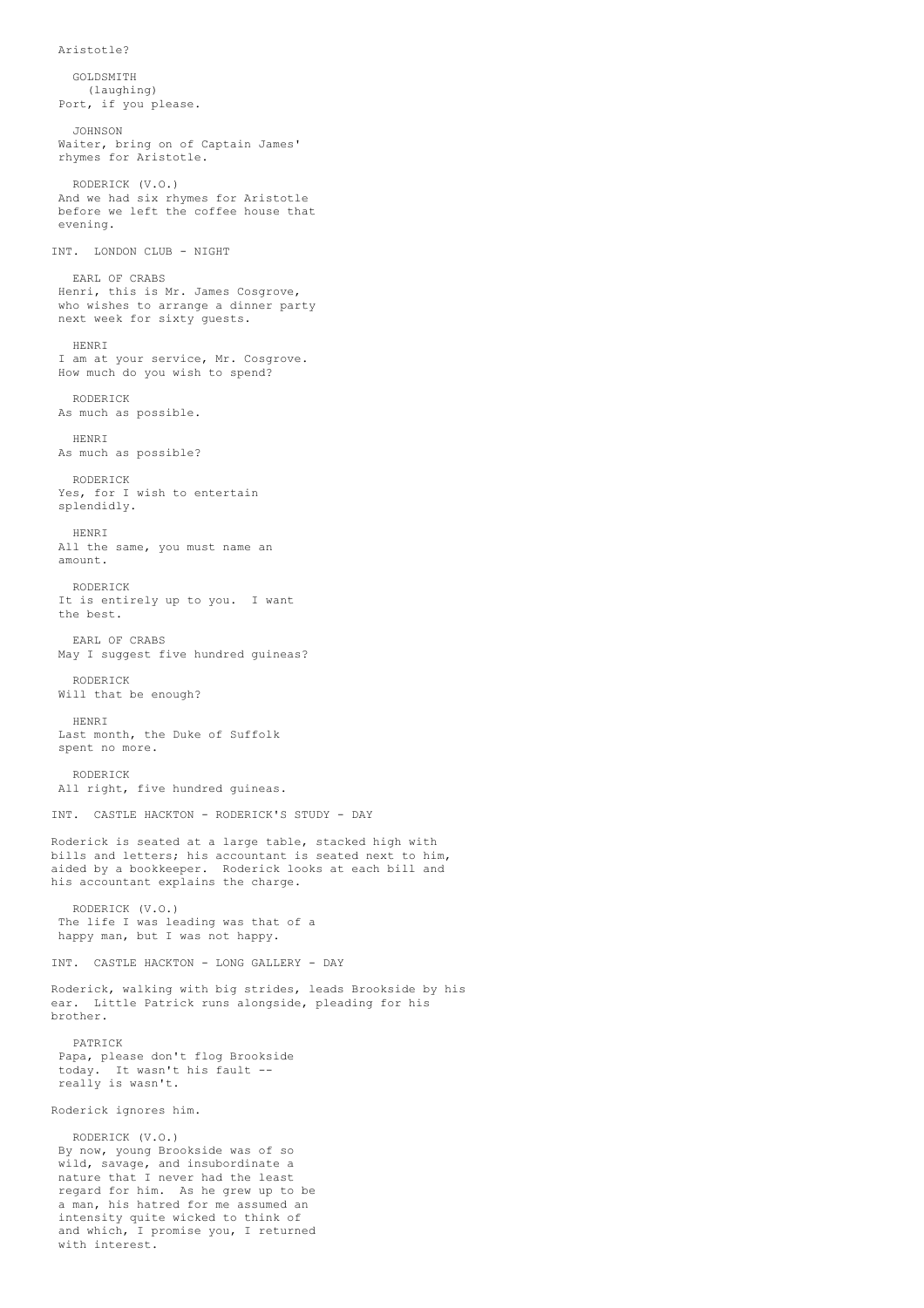```
Aristotle?
```
GOLDSMITH (laughing) Port, if you please. JOHNSON Waiter, bring on of Captain James' rhymes for Aristotle. RODERICK (V.O.) And we had six rhymes for Aristotle before we left the coffee house that evening. INT. LONDON CLUB - NIGHT EARL OF CRABS Henri, this is Mr. James Cosgrove, who wishes to arrange a dinner party next week for sixty guests. HENRI I am at your service, Mr. Cosgrove. How much do you wish to spend? RODERICK As much as possible. HENRI As much as possible? RODERICK Yes, for I wish to entertain splendidly. HENRI All the same, you must name an amount. RODERICK It is entirely up to you. I want the best. EARL OF CRABS May I suggest five hundred guineas? RODERICK Will that be enough? HENRI Last month, the Duke of Suffolk spent no more. RODERICK All right, five hundred guineas. INT. CASTLE HACKTON - RODERICK'S STUDY - DAY Roderick is seated at a large table, stacked high with bills and letters; his accountant is seated next to him, aided by a bookkeeper. Roderick looks at each bill and his accountant explains the charge. RODERICK (V.O.) The life I was leading was that of a happy man, but I was not happy. INT. CASTLE HACKTON - LONG GALLERY - DAY Roderick, walking with big strides, leads Brookside by his ear. Little Patrick runs alongside, pleading for his brother. PATRICK Papa, please don't flog Brookside today. It wasn't his fault - really is wasn't. Roderick ignores him. RODERICK (V.O.) By now, young Brookside was of so wild, savage, and insubordinate a nature that I never had the least regard for him. As he grew up to be a man, his hatred for me assumed an intensity quite wicked to think of and which, I promise you, I returned

with interest.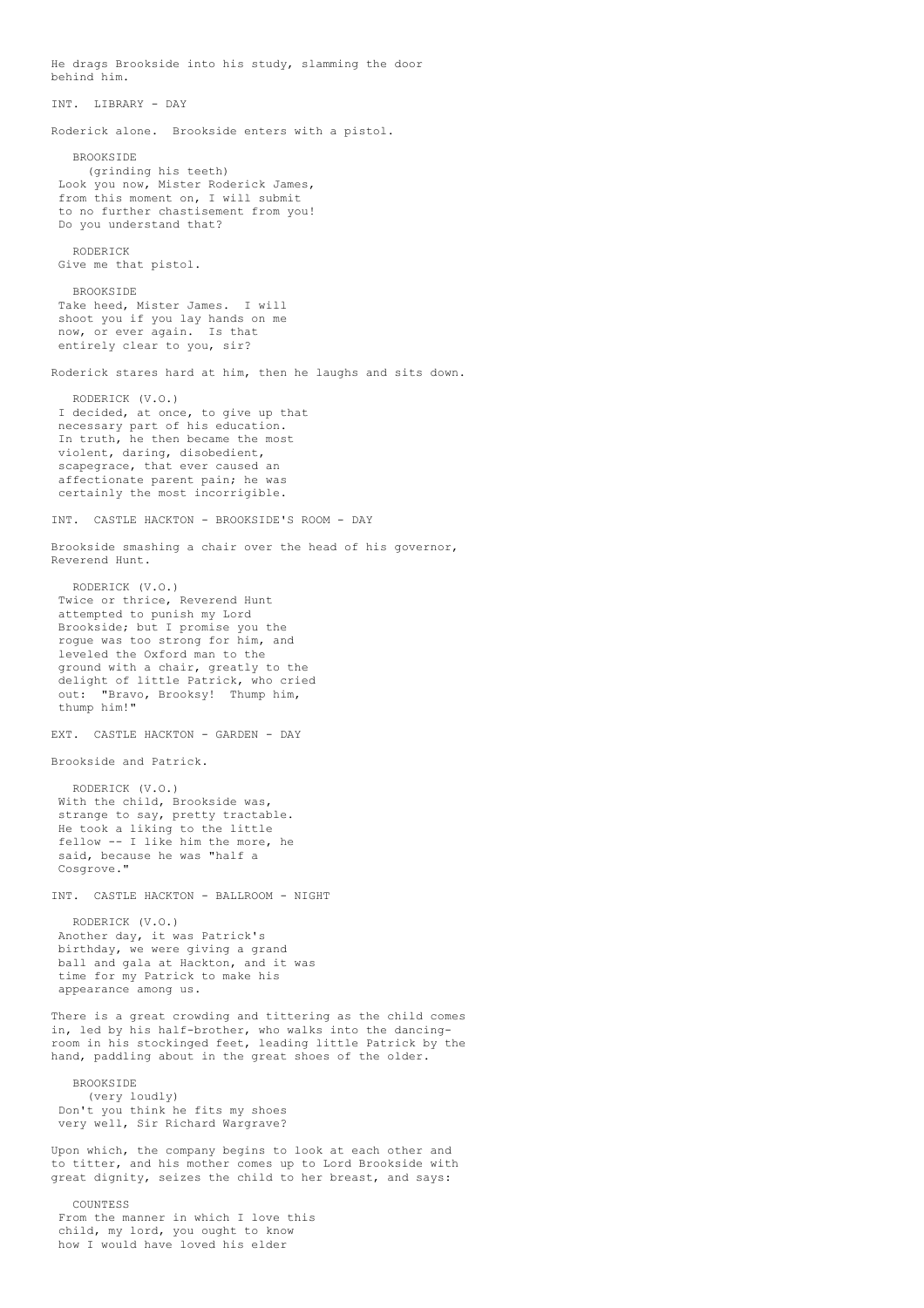He drags Brookside into his study, slamming the door behind him. INT. LIBRARY - DAY Roderick alone. Brookside enters with a pistol. **BROOKSIDE** (grinding his teeth) Look you now, Mister Roderick James, from this moment on, I will submit to no further chastisement from you! Do you understand that? RODERICK Give me that pistol. BROOKSIDE Take heed, Mister James. I will shoot you if you lay hands on me now, or ever again. Is that entirely clear to you, sir? Roderick stares hard at him, then he laughs and sits down. RODERICK (V.O.) I decided, at once, to give up that necessary part of his education. In truth, he then became the most violent, daring, disobedient, scapegrace, that ever caused an affectionate parent pain; he was certainly the most incorrigible. INT. CASTLE HACKTON - BROOKSIDE'S ROOM - DAY Brookside smashing a chair over the head of his governor, Reverend Hunt. RODERICK (V.O.) Twice or thrice, Reverend Hunt attempted to punish my Lord Brookside; but I promise you the rogue was too strong for him, and leveled the Oxford man to the ground with a chair, greatly to the delight of little Patrick, who cried out: "Bravo, Brooksy! Thump him, thump him!" EXT. CASTLE HACKTON - GARDEN - DAY Brookside and Patrick. RODERICK (V.O.) With the child, Brookside was, strange to say, pretty tractable. He took a liking to the little fellow -- I like him the more, he said, because he was "half a Cosgrove." INT. CASTLE HACKTON - BALLROOM - NIGHT RODERICK (V.O.) Another day, it was Patrick's birthday, we were giving a grand ball and gala at Hackton, and it was time for my Patrick to make his appearance among us. There is a great crowding and tittering as the child comes in, led by his half-brother, who walks into the dancingroom in his stockinged feet, leading little Patrick by the hand, paddling about in the great shoes of the older. BROOKSIDE (very loudly) Don't you think he fits my shoes very well, Sir Richard Wargrave? Upon which, the company begins to look at each other and to titter, and his mother comes up to Lord Brookside with great dignity, seizes the child to her breast, and says: COUNTESS From the manner in which I love this child, my lord, you ought to know

how I would have loved his elder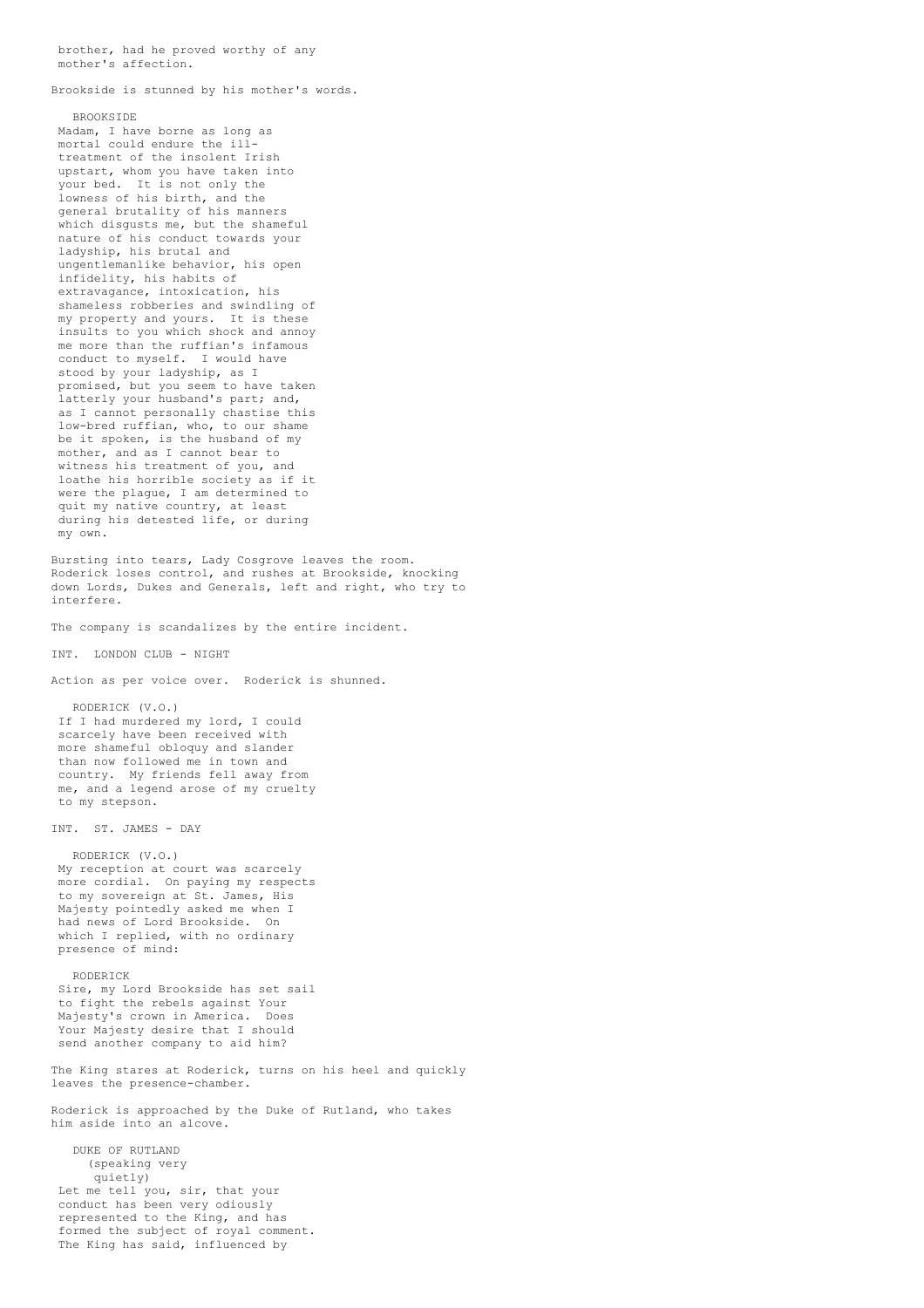brother, had he proved worthy of any mother's affection.

Brookside is stunned by his mother's words.

BROOKSIDE Madam, I have borne as long as mortal could endure the illtreatment of the insolent Irish upstart, whom you have taken into your bed. It is not only the lowness of his birth, and the general brutality of his manners which disgusts me, but the shameful nature of his conduct towards your ladyship, his brutal and ungentlemanlike behavior, his open infidelity, his habits of extravagance, intoxication, his shameless robberies and swindling of my property and yours. It is these insults to you which shock and annoy me more than the ruffian's infamous conduct to myself. I would have stood by your ladyship, as I promised, but you seem to have taken latterly your husband's part; and, as I cannot personally chastise this low-bred ruffian, who, to our shame be it spoken, is the husband of my mother, and as I cannot bear to witness his treatment of you, and loathe his horrible society as if it were the plague, I am determined to quit my native country, at least during his detested life, or during my own.

Bursting into tears, Lady Cosgrove leaves the room. Roderick loses control, and rushes at Brookside, knocking down Lords, Dukes and Generals, left and right, who try to interfere.

The company is scandalizes by the entire incident.

INT. LONDON CLUB - NIGHT

Action as per voice over. Roderick is shunned.

RODERICK (V.O.) If I had murdered my lord, I could scarcely have been received with more shameful obloquy and slander than now followed me in town and country. My friends fell away from me, and a legend arose of my cruelty to my stepson.

INT. ST. JAMES - DAY

RODERICK (V.O.) My reception at court was scarcely my recepted. On paying my respects to my sovereign at St. James, His Majesty pointedly asked me when I had news of Lord Brookside. On which I replied, with no ordinary presence of mind:

RODERICK

Sire, my Lord Brookside has set sail to fight the rebels against Your Majesty's crown in America. Does Your Majesty desire that I should send another company to aid him?

The King stares at Roderick, turns on his heel and quickly leaves the presence-chamber.

Roderick is approached by the Duke of Rutland, who takes him aside into an alcove.

DUKE OF RUTLAND (speaking very quietly) Let me tell you, sir, that your conduct has been very odiously represented to the King, and has formed the subject of royal comment. The King has said, influenced by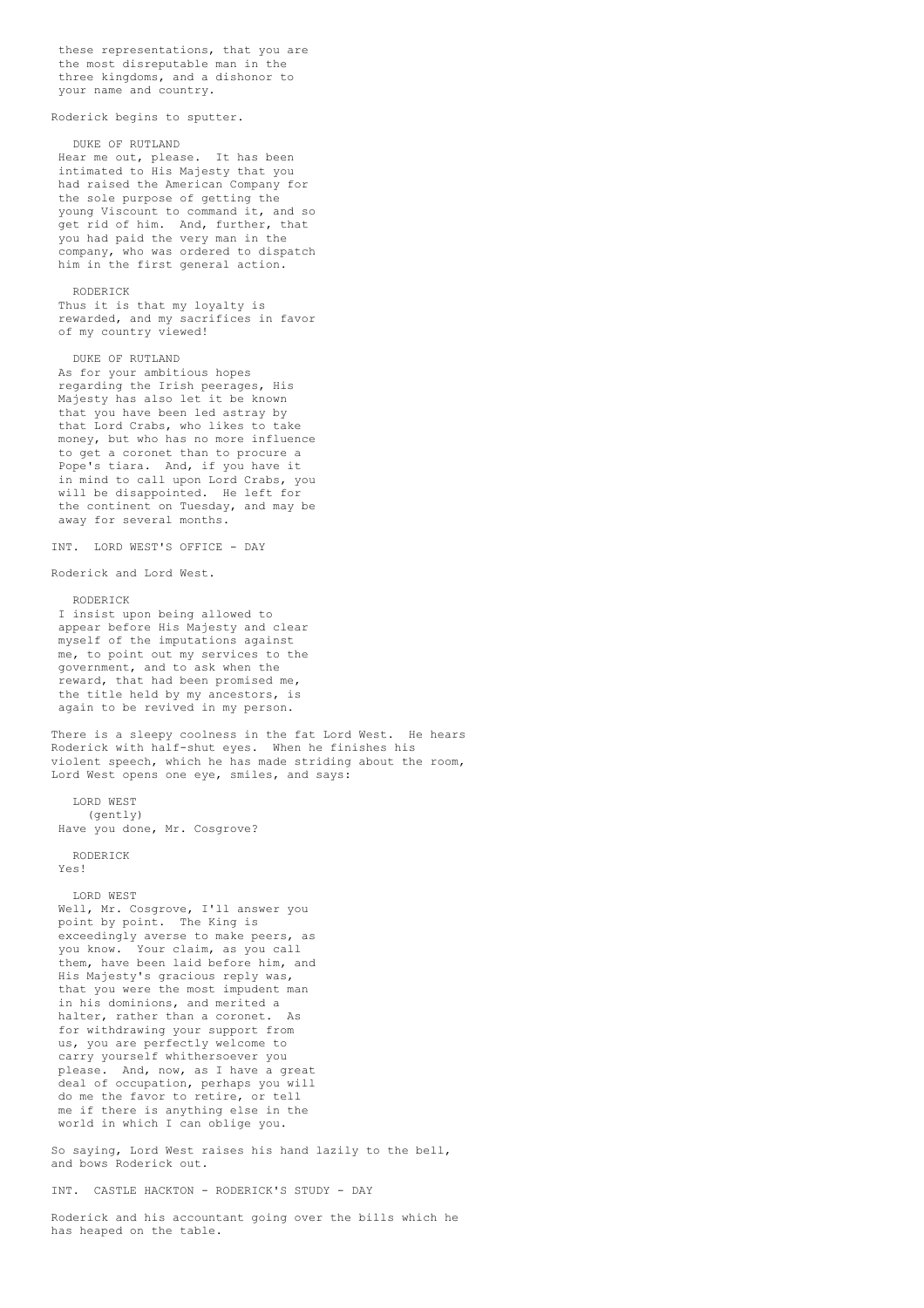these representations, that you are the most disreputable man in the three kingdoms, and a dishonor to your name and country.

Roderick begins to sputter.

DUKE OF RUTLAND Hear me out, please. It has been intimated to His Majesty that you had raised the American Company for the sole purpose of getting the young Viscount to command it, and so get rid of him. And, further, that you had paid the very man in the company, who was ordered to dispatch him in the first general action.

### RODERICK

Thus it is that my loyalty is rewarded, and my sacrifices in favor of my country viewed!

DUKE OF RUTLAND As for your ambitious hopes regarding the Irish peerages, His Majesty has also let it be known that you have been led astray by that Lord Crabs, who likes to take money, but who has no more influence to get a coronet than to procure a Pope's tiara. And, if you have it in mind to call upon Lord Crabs, you will be disappointed. He left for the continent on Tuesday, and may be away for several months.

INT. LORD WEST'S OFFICE - DAY

Roderick and Lord West.

RODERICK I insist upon being allowed to appear before His Majesty and clear myself of the imputations against me, to point out my services to the government, and to ask when the reward, that had been promised me, the title held by my ancestors, is again to be revived in my person.

There is a sleepy coolness in the fat Lord West. He hears Roderick with half-shut eyes. When he finishes his violent speech, which he has made striding about the room, Lord West opens one eye, smiles, and says:

LORD WEST (gently) Have you done, Mr. Cosgrove?

RODERICK Yes!

LORD WEST

Well, Mr. Cosgrove, I'll answer you point by point. The King is exceedingly averse to make peers, as<br>you know. Your claim, as you call Your claim, as you call them, have been laid before him, and His Majesty's gracious reply was, that you were the most impudent man in his dominions, and merited a halter, rather than a coronet. As for withdrawing your support from us, you are perfectly welcome to carry yourself whithersoever you please. And, now, as I have a great deal of occupation, perhaps you will do me the favor to retire, or tell me if there is anything else in the world in which I can oblige you.

So saying, Lord West raises his hand lazily to the bell, and bows Roderick out.

INT. CASTLE HACKTON - RODERICK'S STUDY - DAY

Roderick and his accountant going over the bills which he has heaped on the table.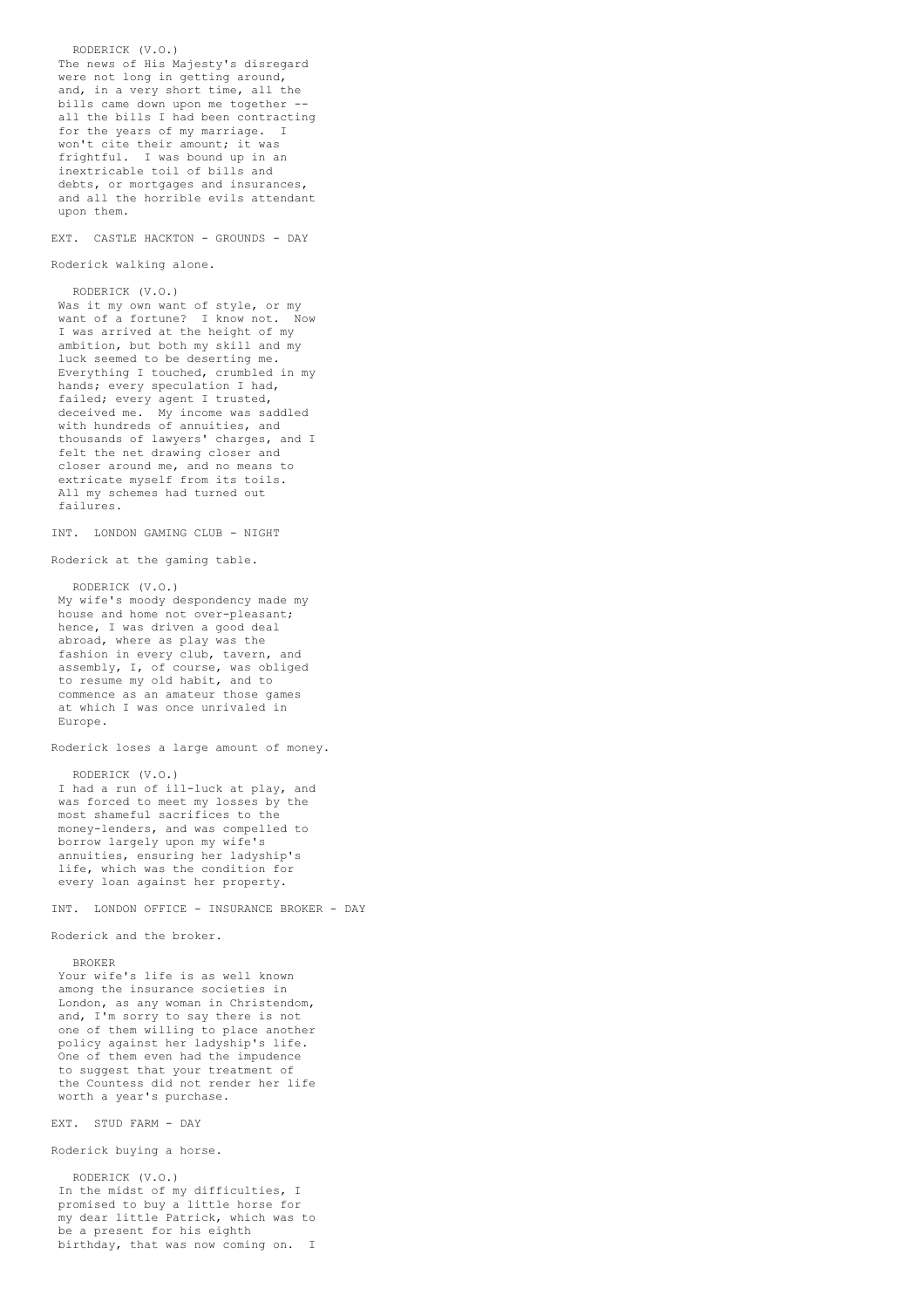RODERICK (V.O.) The news of His Majesty's disregard were not long in getting around, and, in a very short time, all the bills came down upon me together all the bills I had been contracting for the years of my marriage. I won't cite their amount; it was frightful. I was bound up in an inextricable toil of bills and debts, or mortgages and insurances. and all the horrible evils attendant upon them.

EXT. CASTLE HACKTON - GROUNDS - DAY

Roderick walking alone.

RODERICK (V.O.) Was it my own want of style, or my want of a fortune? I know not. Now I was arrived at the height of my ambition, but both my skill and my luck seemed to be deserting me. Everything I touched, crumbled in my hands; every speculation I had, failed; every agent I trusted, deceived me. My income was saddled with hundreds of annuities, and thousands of lawyers' charges, and I felt the net drawing closer and closer around me, and no means to extricate myself from its toils. All my schemes had turned out failures.

INT. LONDON GAMING CLUB - NIGHT

Roderick at the gaming table.

RODERICK (V.O.) My wife's moody despondency made my house and home not over-pleasant; hence, I was driven a good deal abroad, where as play was the fashion in every club, tavern, and assembly, I, of course, was obliged to resume my old habit, and to commence as an amateur those games at which I was once unrivaled in Europe.

Roderick loses a large amount of money.

RODERICK (V.O.) I had a run of ill-luck at play, and was forced to meet my losses by the most shameful sacrifices to the money-lenders, and was compelled to borrow largely upon my wife's annuities, ensuring her ladyship's life, which was the condition for every loan against her property.

INT. LONDON OFFICE - INSURANCE BROKER - DAY

Roderick and the broker.

BROKER

Your wife's life is as well known among the insurance societies in London, as any woman in Christendom, and, I'm sorry to say there is not one of them willing to place another policy against her ladyship's life. One of them even had the impudence to suggest that your treatment of the Countess did not render her life worth a year's purchase.

### EXT. STUD FARM - DAY

Roderick buying a horse.

RODERICK (V.O.) In the midst of my difficulties, I promised to buy a little horse for my dear little Patrick, which was to be a present for his eighth birthday, that was now coming on. I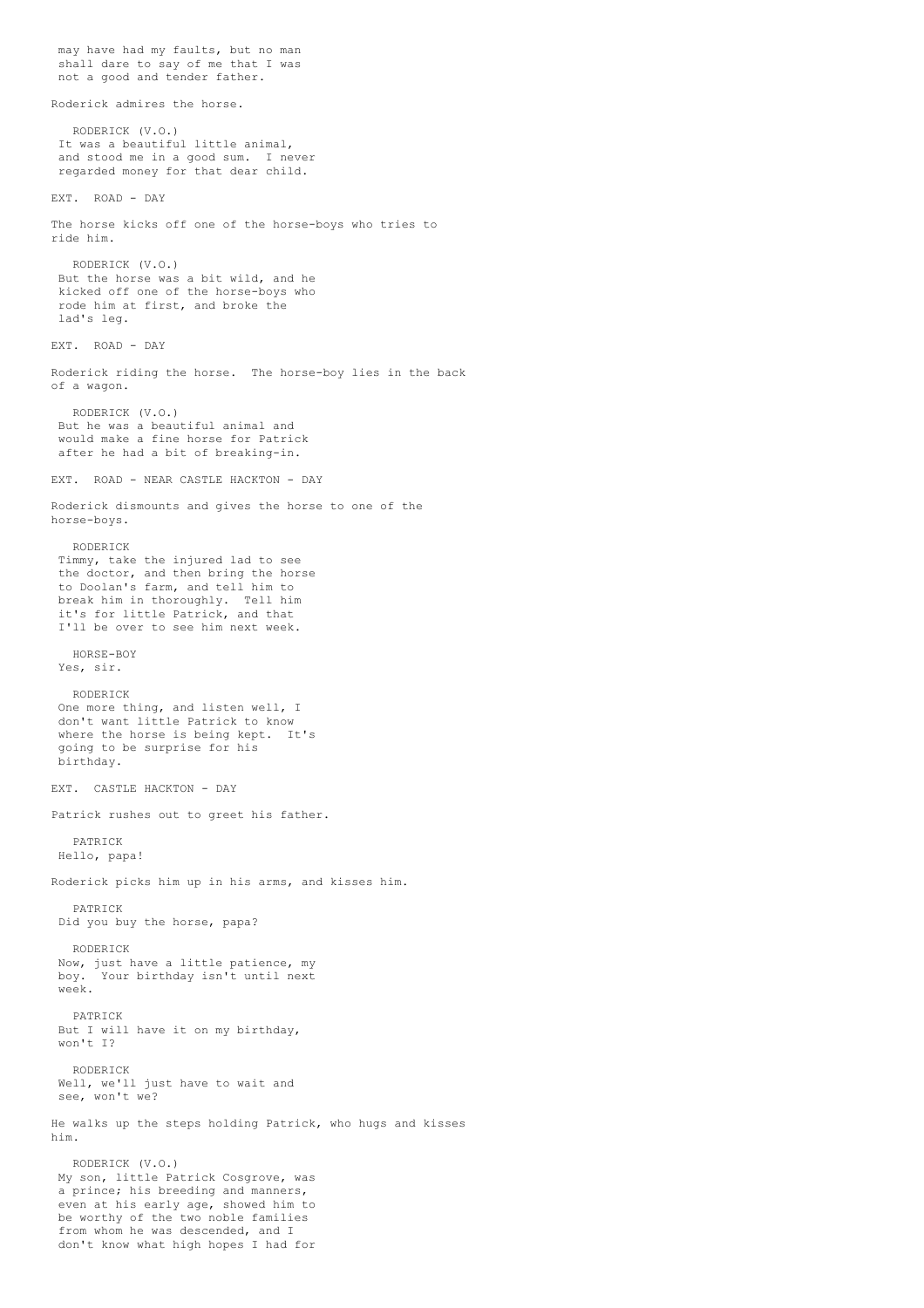may have had my faults, but no man shall dare to say of me that I was not a good and tender father. Roderick admires the horse. RODERICK (V.O.) It was a beautiful little animal, and stood me in a good sum. I never regarded money for that dear child. EXT. ROAD - DAY The horse kicks off one of the horse-boys who tries to ride him. RODERICK (V.O.) But the horse was a bit wild, and he kicked off one of the horse-boys who rode him at first, and broke the lad's leg. EXT. ROAD - DAY Roderick riding the horse. The horse-boy lies in the back of a wagon. RODERICK (V.O.) But he was a beautiful animal and would make a fine horse for Patrick after he had a bit of breaking-in. EXT. ROAD - NEAR CASTLE HACKTON - DAY Roderick dismounts and gives the horse to one of the horse-boys. RODERICK Timmy, take the injured lad to see the doctor, and then bring the horse to Doolan's farm, and tell him to break him in thoroughly. Tell him it's for little Patrick, and that I'll be over to see him next week. HORSE-BOY Yes, sir. RODERICK One more thing, and listen well, I don't want little Patrick to know where the horse is being kept. It's going to be surprise for his birthday. EXT. CASTLE HACKTON - DAY Patrick rushes out to greet his father. PATRICK Hello, papa! Roderick picks him up in his arms, and kisses him. PATRICK Did you buy the horse, papa? RODERICK Now, just have a little patience, my boy. Your birthday isn't until next week. PATRICK But I will have it on my birthday, won't I? RODERICK Well, we'll just have to wait and see, won't we? He walks up the steps holding Patrick, who hugs and kisses him. RODERICK (V.O.) My son, little Patrick Cosgrove, was a prince; his breeding and manners, even at his early age, showed him to be worthy of the two noble families from whom he was descended, and I don't know what high hopes I had for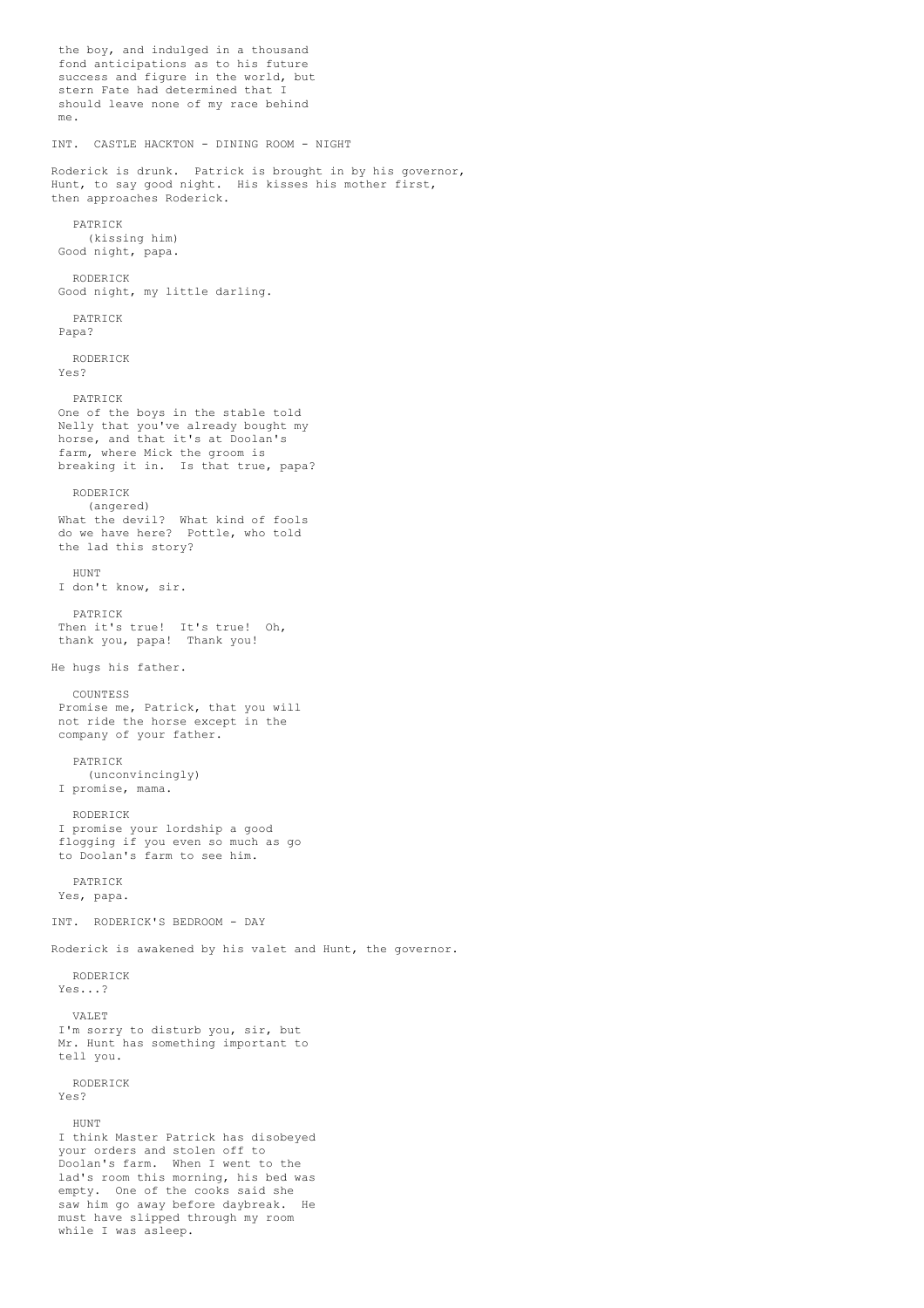the boy, and indulged in a thousand fond anticipations as to his future success and figure in the world, but stern Fate had determined that I should leave none of my race behind me. INT. CASTLE HACKTON - DINING ROOM - NIGHT Roderick is drunk. Patrick is brought in by his governor, Hunt, to say good night. His kisses his mother first, then approaches Roderick. PATRICK (kissing him) Good night, papa. RODERICK Good night, my little darling. PATRICK Papa? RODERICK Yes? PATRICK One of the boys in the stable told Nelly that you've already bought my horse, and that it's at Doolan's farm, where Mick the groom is breaking it in. Is that true, papa? RODERICK (angered) What the devil? What kind of fools do we have here? Pottle, who told the lad this story? HUNT I don't know, sir. PATRICK Then it's true! It's true! Oh, thank you, papa! Thank you! He hugs his father. **COUNTESS** Promise me, Patrick, that you will not ride the horse except in the company of your father. PATRICK (unconvincingly) I promise, mama. RODERICK I promise your lordship a good flogging if you even so much as go to Doolan's farm to see him. PATRICK Yes, papa. INT. RODERICK'S BEDROOM - DAY Roderick is awakened by his valet and Hunt, the governor. RODERICK Yes...? VALET I'm sorry to disturb you, sir, but Mr. Hunt has something important to tell you. RODERICK Yes? **HUNT** I think Master Patrick has disobeyed your orders and stolen off to Doolan's farm. When I went to the lad's room this morning, his bed was empty. One of the cooks said she saw him go away before daybreak. He must have slipped through my room while I was asleep.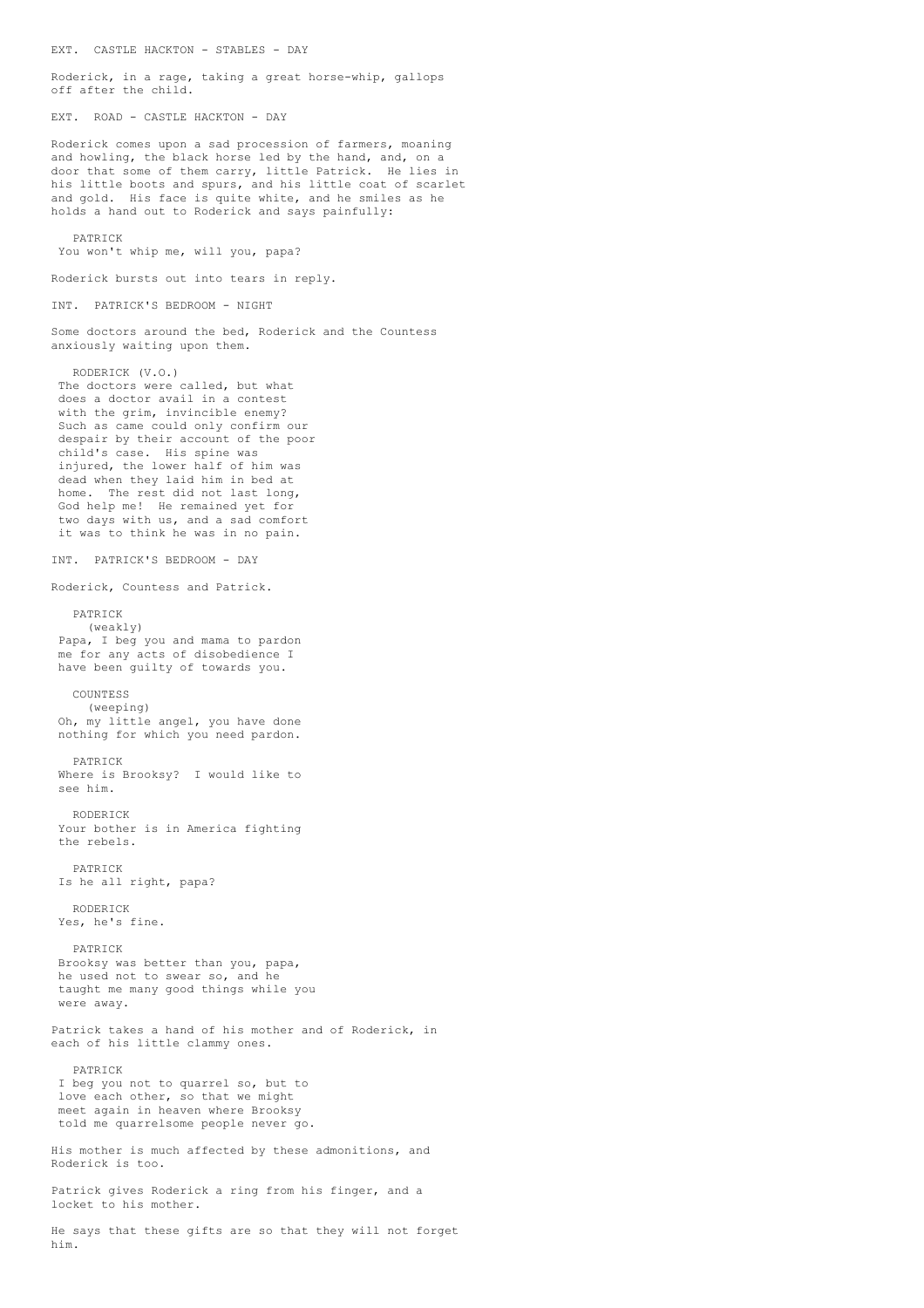Roderick, in a rage, taking a great horse-whip, gallops off after the child. EXT. ROAD - CASTLE HACKTON - DAY Roderick comes upon a sad procession of farmers, moaning and howling, the black horse led by the hand, and, on a door that some of them carry, little Patrick. He lies in his little boots and spurs, and his little coat of scarlet and gold. His face is quite white, and he smiles as he holds a hand out to Roderick and says painfully: PATRICK You won't whip me, will you, papa? Roderick bursts out into tears in reply. INT. PATRICK'S BEDROOM - NIGHT Some doctors around the bed, Roderick and the Countess anxiously waiting upon them. RODERICK (V.O.) The doctors were called, but what does a doctor avail in a contest with the grim, invincible enemy? Such as came could only confirm our despair by their account of the poor child's case. His spine was injured, the lower half of him was dead when they laid him in bed at home. The rest did not last long, God help me! He remained yet for two days with us, and a sad comfort it was to think he was in no pain. INT. PATRICK'S BEDROOM - DAY Roderick, Countess and Patrick. PATRICK (weakly) Papa, I beg you and mama to pardon me for any acts of disobedience I have been guilty of towards you. **COUNTESS** (weeping) Oh, my little angel, you have done nothing for which you need pardon. PATRICK Where is Brooksy? I would like to see him. RODERICK Your bother is in America fighting the rebels. PATRICK Is he all right, papa? RODERICK Yes, he's fine. PATRICK Brooksy was better than you, papa, he used not to swear so, and he taught me many good things while you were away. Patrick takes a hand of his mother and of Roderick, in each of his little clammy ones. PATRICK I beg you not to quarrel so, but to love each other, so that we might meet again in heaven where Brooksy told me quarrelsome people never go. His mother is much affected by these admonitions, and Roderick is too. Patrick gives Roderick a ring from his finger, and a locket to his mother.

EXT. CASTLE HACKTON - STABLES - DAY

He says that these gifts are so that they will not forget him.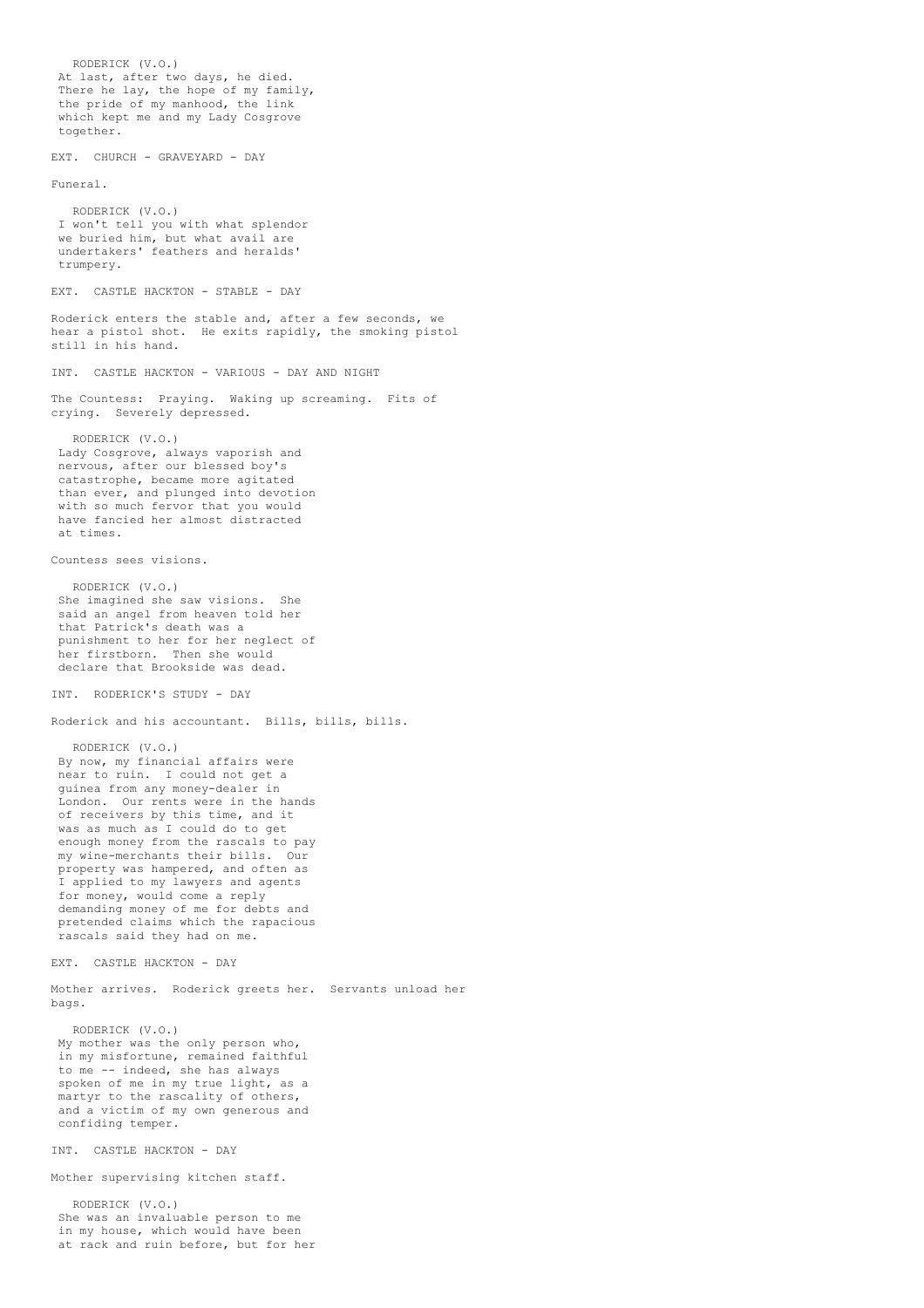RODERICK (V.O.) At last, after two days, he died. There he lay, the hope of my family, the pride of my manhood, the link which kept me and my Lady Cosgrove together. EXT. CHURCH - GRAVEYARD - DAY Funeral. RODERICK (V.O.) I won't tell you with what splendor we buried him, but what avail are undertakers' feathers and heralds' trumpery. EXT. CASTLE HACKTON - STABLE - DAY Roderick enters the stable and, after a few seconds, we hear a pistol shot. He exits rapidly, the smoking pistol still in his hand. INT. CASTLE HACKTON - VARIOUS - DAY AND NIGHT The Countess: Praying. Waking up screaming. Fits of crying. Severely depressed. RODERICK (V.O.) Lady Cosgrove, always vaporish and nervous, after our blessed boy's catastrophe, became more agitated than ever, and plunged into devotion with so much fervor that you would have fancied her almost distracted at times. Countess sees visions. RODERICK (V.O.) She imagined she saw visions. She said an angel from heaven told her that Patrick's death was a punishment to her for her neglect of her firstborn. Then she would declare that Brookside was dead. INT. RODERICK'S STUDY - DAY Roderick and his accountant. Bills, bills, bills. RODERICK (V.O.) By now, my financial affairs were near to ruin. I could not get a guinea from any money-dealer in London. Our rents were in the hands of receivers by this time, and it was as much as I could do to get enough money from the rascals to pay my wine-merchants their bills. Our property was hampered, and often as I applied to my lawyers and agents for money, would come a reply demanding money of me for debts and pretended claims which the rapacious rascals said they had on me. EXT. CASTLE HACKTON - DAY Mother arrives. Roderick greets her. Servants unload her bags. RODERICK (V.O.) My mother was the only person who, in my misfortune, remained faithful to me -- indeed, she has always spoken of me in my true light, as a martyr to the rascality of others, and a victim of my own generous and confiding temper. INT. CASTLE HACKTON - DAY Mother supervising kitchen staff. RODERICK (V.O.) She was an invaluable person to me in my house, which would have been at rack and ruin before, but for her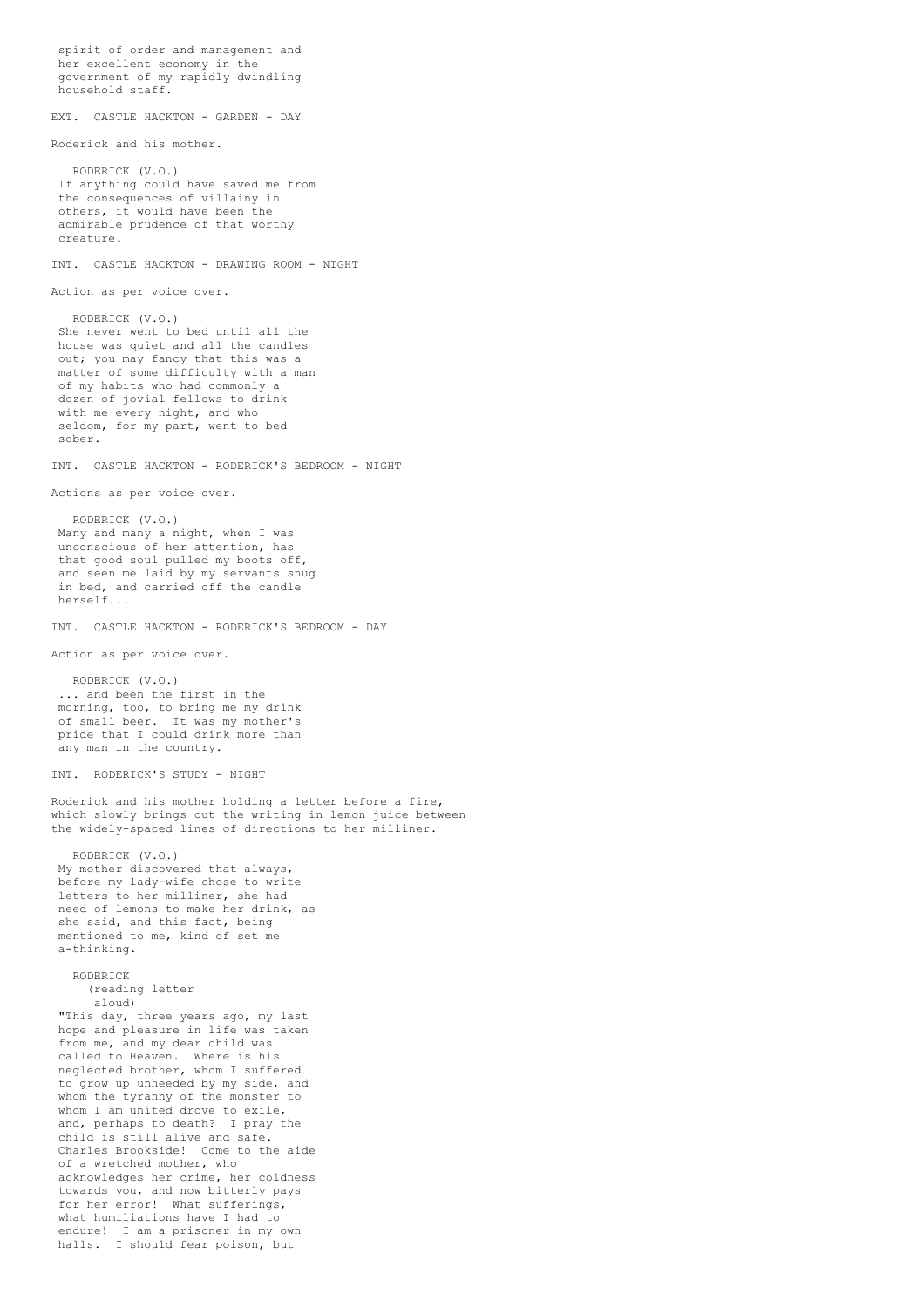```
spirit of order and management and
her excellent economy in the
 government of my rapidly dwindling
 household staff.
EXT. CASTLE HACKTON - GARDEN - DAY
Roderick and his mother.
  RODERICK (V.O.)
 If anything could have saved me from
 the consequences of villainy in
 others, it would have been the
admirable prudence of that worthy
creature.
INT. CASTLE HACKTON - DRAWING ROOM - NIGHT
Action as per voice over.
   RODERICK (V.O.)
 She never went to bed until all the
house was quiet and all the candles
 out; you may fancy that this was a
 matter of some difficulty with a man
 of my habits who had commonly a
 dozen of jovial fellows to drink
 with me every night, and who
 seldom, for my part, went to bed
 sober.
INT. CASTLE HACKTON - RODERICK'S BEDROOM - NIGHT
Actions as per voice over.
   RODERICK (V.O.)
Many and many a night, when I was
unconscious of her attention, has
 that good soul pulled my boots off,
 and seen me laid by my servants snug
 in bed, and carried off the candle
herself...
INT. CASTLE HACKTON - RODERICK'S BEDROOM - DAY
Action as per voice over.
  RODERICK (V.O.)
 ... and been the first in the
 morning, too, to bring me my drink
 of small beer. It was my mother's
pride that I could drink more than
any man in the country.
INT. RODERICK'S STUDY - NIGHT
Roderick and his mother holding a letter before a fire,
which slowly brings out the writing in lemon juice between
the widely-spaced lines of directions to her milliner.
  RODERICK (V.O.)
My mother discovered that always,
before my lady-wife chose to write
letters to her milliner, she had
 need of lemons to make her drink, as
 she said, and this fact, being
mentioned to me, kind of set me
 a-thinking.
   RODERICK
     (reading letter
      aloud)
 "This day, three years ago, my last
 hope and pleasure in life was taken
 from me, and my dear child was
 called to Heaven. Where is his
 neglected brother, whom I suffered
 to grow up unheeded by my side, and
 whom the tyranny of the monster to
 whom I am united drove to exile,
 and, perhaps to death? I pray the
 child is still alive and safe.
 Charles Brookside! Come to the aide
 of a wretched mother, who
 acknowledges her crime, her coldness
 towards you, and now bitterly pays
 for her error! What sufferings,
 what humiliations have I had to
 endure! I am a prisoner in my own
 halls. I should fear poison, but
```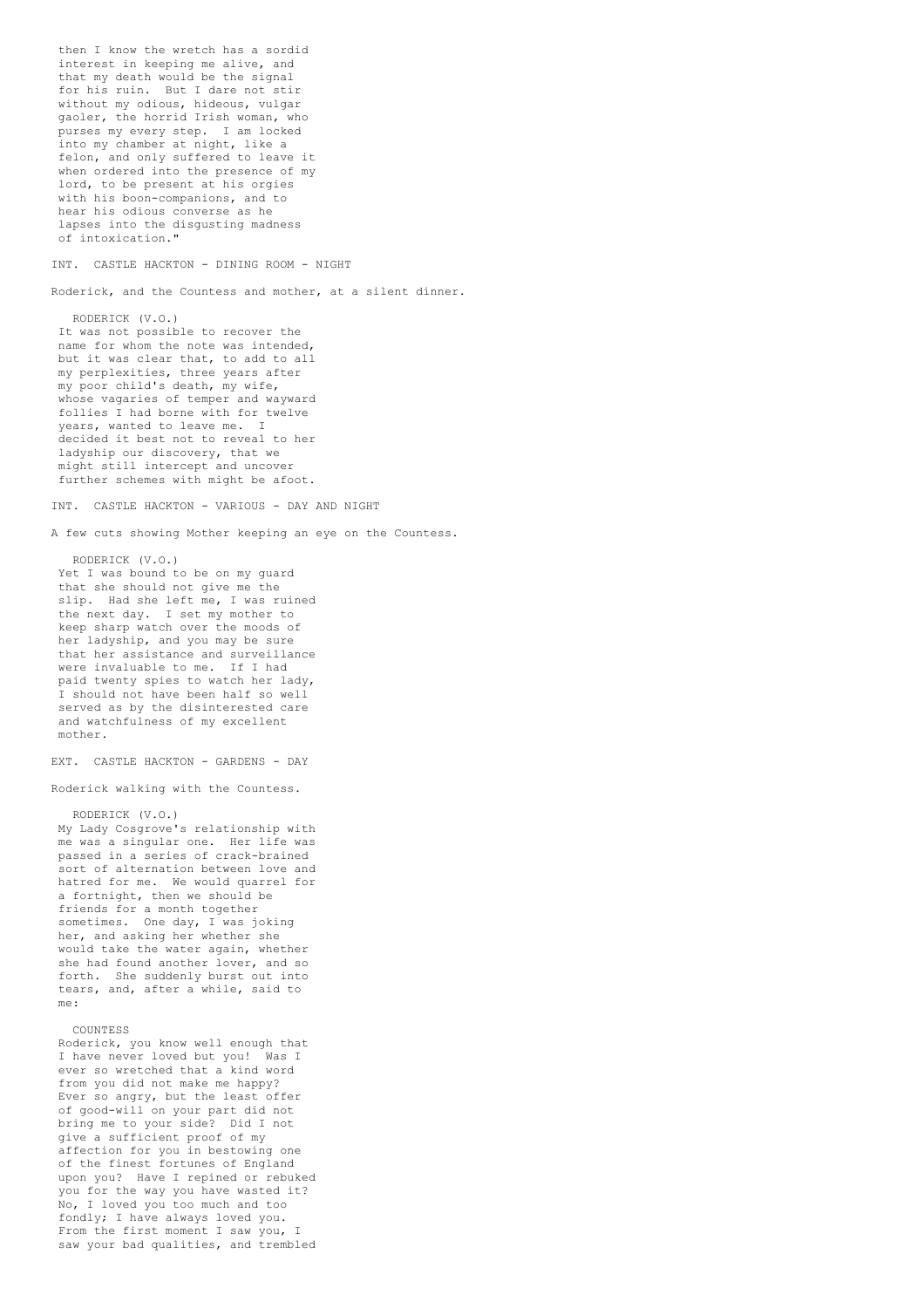then I know the wretch has a sordid interest in keeping me alive, and that my death would be the signal for his ruin. But I dare not stir without my odious, hideous, vulgar gaoler, the horrid Irish woman, who purses my every step. I am locked into my chamber at night, like a felon, and only suffered to leave it when ordered into the presence of my lord, to be present at his orgies with his boon-companions, and to hear his odious converse as he lapses into the disgusting madness of intoxication."

INT. CASTLE HACKTON - DINING ROOM - NIGHT

Roderick, and the Countess and mother, at a silent dinner.

RODERICK (V.O.) It was not possible to recover the name for whom the note was intended, but it was clear that, to add to all my perplexities, three years after my poor child's death, my wife, whose vagaries of temper and wayward follies I had borne with for twelve years, wanted to leave me. I decided it best not to reveal to her ladyship our discovery, that we might still intercept and uncover further schemes with might be afoot.

INT. CASTLE HACKTON - VARIOUS - DAY AND NIGHT

A few cuts showing Mother keeping an eye on the Countess.

RODERICK (V.O.) Yet I was bound to be on my quard that she should not give me the slip. Had she left me, I was ruined the next day. I set my mother to keep sharp watch over the moods of her ladyship, and you may be sure that her assistance and surveillance were invaluable to me. If I had paid twenty spies to watch her lady, I should not have been half so well served as by the disinterested care and watchfulness of my excellent

EXT. CASTLE HACKTON - GARDENS - DAY

Roderick walking with the Countess.

RODERICK (V.O.) My Lady Cosgrove's relationship with me was a singular one. Her life was passed in a series of crack-brained sort of alternation between love and hatred for me. We would quarrel for a fortnight, then we should be friends for a month together sometimes. One day, I was joking her, and asking her whether she would take the water again, whether she had found another lover, and so forth. She suddenly burst out into tears, and, after a while, said to me:

## COUNTESS

mother.

Roderick, you know well enough that I have never loved but you! Was I ever so wretched that a kind word from you did not make me happy? Ever so angry, but the least offer of good-will on your part did not bring me to your side? Did I not give a sufficient proof of my affection for you in bestowing one of the finest fortunes of England upon you? Have I repined or rebuked you for the way you have wasted it? No, I loved you too much and too fondly; I have always loved you. From the first moment I saw you, I saw your bad qualities, and trembled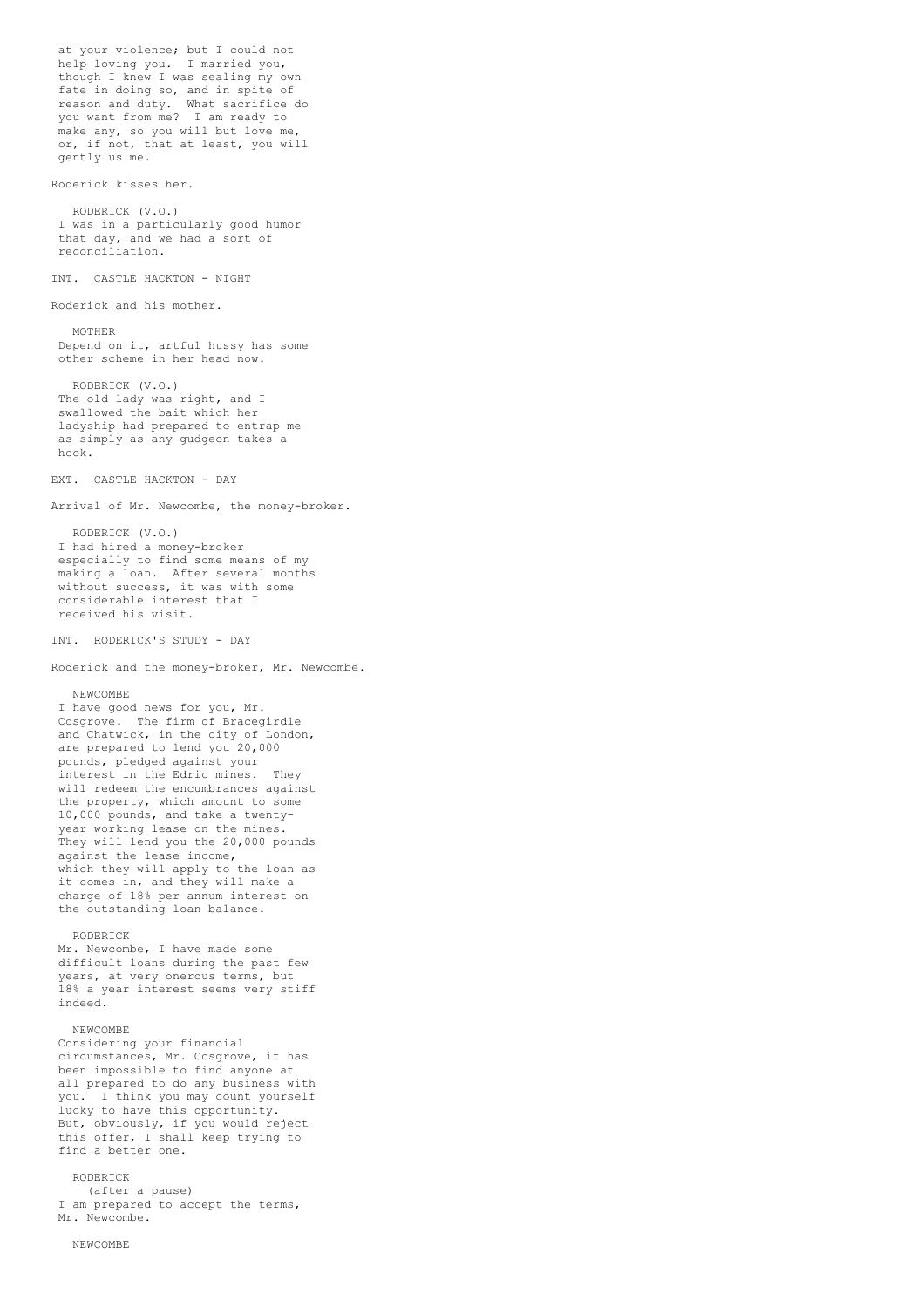at your violence; but I could not help loving you. I married you, though I knew I was sealing my own fate in doing so, and in spite of reason and duty. What sacrifice do you want from me? I am ready to make any, so you will but love me, or, if not, that at least, you will gently us me. Roderick kisses her. RODERICK (V.O.) I was in a particularly good humor that day, and we had a sort of reconciliation. INT. CASTLE HACKTON - NIGHT Roderick and his mother. MOTHER Depend on it, artful hussy has some other scheme in her head now. RODERICK (V.O.) The old lady was right, and I swallowed the bait which her ladyship had prepared to entrap me as simply as any gudgeon takes a hook. EXT. CASTLE HACKTON - DAY Arrival of Mr. Newcombe, the money-broker. RODERICK (V.O.) I had hired a money-broker especially to find some means of my making a loan. After several months without success, it was with some considerable interest that I received his visit. INT. RODERICK'S STUDY - DAY Roderick and the money-broker, Mr. Newcombe. NEWCOMBE I have good news for you, Mr. Cosgrove. The firm of Bracegirdle and Chatwick, in the city of London, are prepared to lend you 20,000 pounds, pledged against your interest in the Edric mines. They will redeem the encumbrances against the property, which amount to some 10,000 pounds, and take a twentyyear working lease on the mines. They will lend you the 20,000 pounds against the lease income, which they will apply to the loan as it comes in, and they will make a charge of 18% per annum interest on the outstanding loan balance. RODERICK Mr. Newcombe, I have made some difficult loans during the past few years, at very onerous terms, but 18% a year interest seems very stiff indeed. NEWCOMBE Considering your financial circumstances, Mr. Cosgrove, it has been impossible to find anyone at all prepared to do any business with you. I think you may count yourself lucky to have this opportunity. But, obviously, if you would reject this offer, I shall keep trying to find a better one. RODERICK (after a pause)

I am prepared to accept the terms, Mr. Newcombe.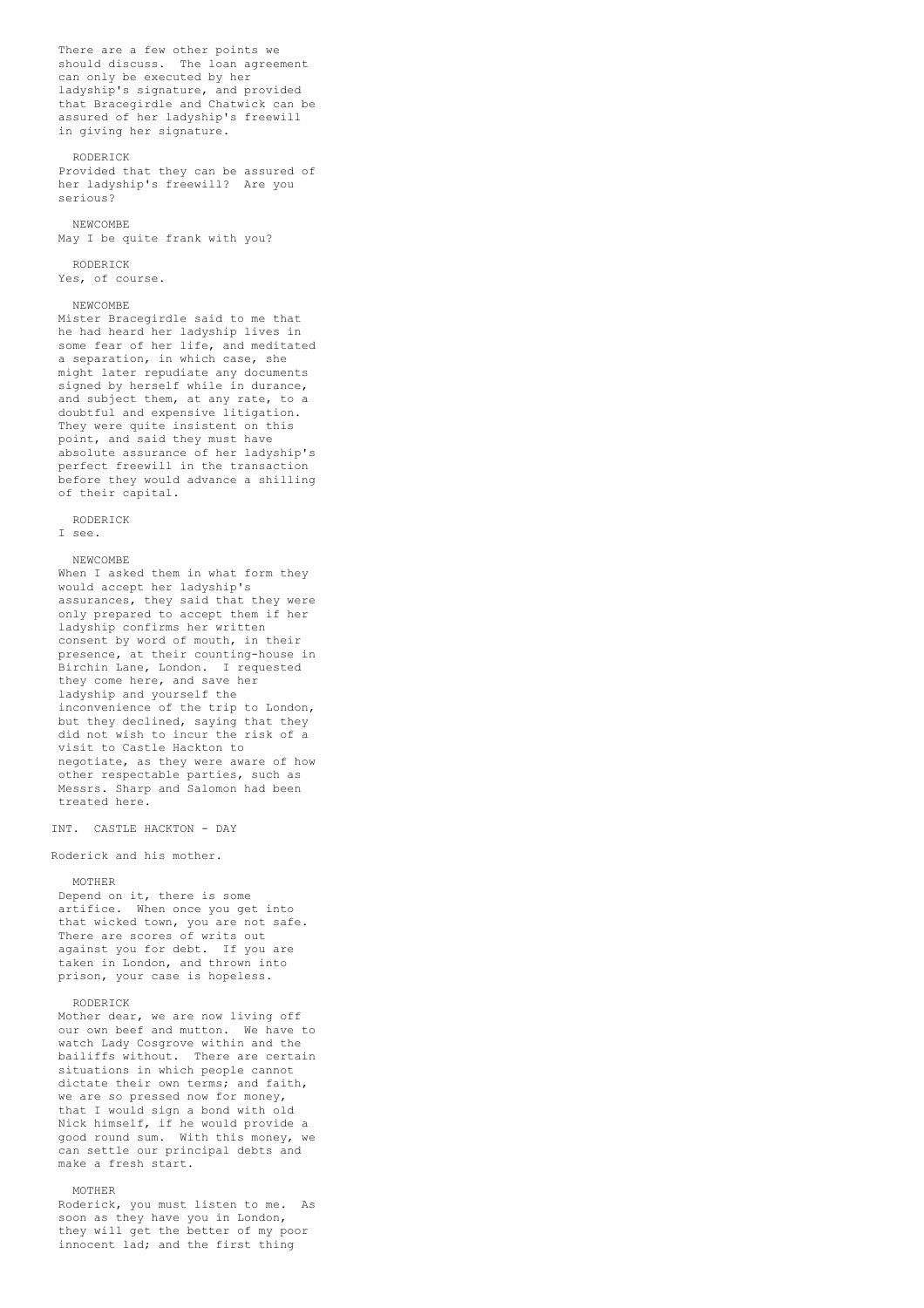There are a few other points we should discuss. The loan agreement can only be executed by her ladyship's signature, and provided that Bracegirdle and Chatwick can be assured of her ladyship's freewill in giving her signature.

#### RODERICK

Provided that they can be assured of her ladyship's freewill? Are you serious?

### NEWCOMBE May I be quite frank with you?

RODERICK

Yes, of course.

# NEWCOMBE

Mister Bracegirdle said to me that he had heard her ladyship lives in some fear of her life, and meditated a separation, in which case, she might later repudiate any documents signed by herself while in durance, and subject them, at any rate, to a doubtful and expensive litigation. They were quite insistent on this point, and said they must have absolute assurance of her ladyship's perfect freewill in the transaction before they would advance a shilling of their capital.

### RODERICK

I see.

### NEWCOMBE

When I asked them in what form they would accept her ladyship's assurances, they said that they were only prepared to accept them if her ladyship confirms her written consent by word of mouth, in their presence, at their counting-house in Birchin Lane, London. I requested they come here, and save her ladyship and yourself the inconvenience of the trip to London, but they declined, saying that they did not wish to incur the risk of a visit to Castle Hackton to negotiate, as they were aware of how other respectable parties, such as Messrs. Sharp and Salomon had been treated here.

INT. CASTLE HACKTON - DAY

Roderick and his mother.

# MOTHER

Depend on it, there is some artifice. When once you get into that wicked town, you are not safe. There are scores of writs out against you for debt. If you are taken in London, and thrown into prison, your case is hopeless.

### RODERICK

Mother dear, we are now living off our own beef and mutton. We have to watch Lady Cosgrove within and the bailiffs without. There are certain situations in which people cannot dictate their own terms; and faith, we are so pressed now for money, that I would sign a bond with old Nick himself, if he would provide a good round sum. With this money, we can settle our principal debts and make a fresh start.

# MOTHER

Roderick, you must listen to me. As soon as they have you in London, they will get the better of my poor innocent lad; and the first thing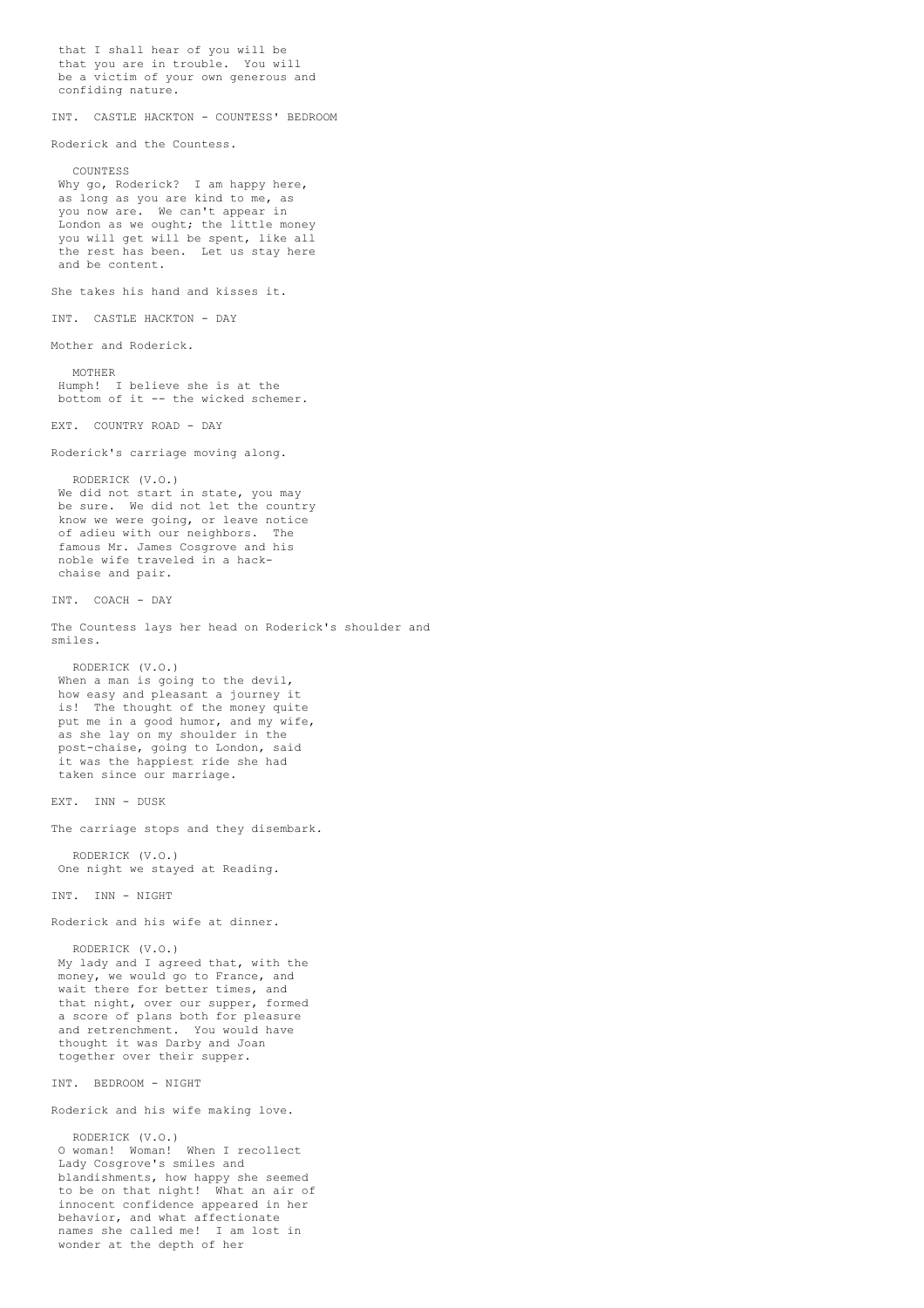that I shall hear of you will be that you are in trouble. You will be a victim of your own generous and confiding nature. INT. CASTLE HACKTON - COUNTESS' BEDROOM Roderick and the Countess. COUNTESS Why go, Roderick? I am happy here, as long as you are kind to me, as you now are. We can't appear in London as we ought; the little money you will get will be spent, like all the rest has been. Let us stay here and be content. She takes his hand and kisses it. INT. CASTLE HACKTON - DAY Mother and Roderick. MOTHER Humph! I believe she is at the bottom of it -- the wicked schemer. EXT. COUNTRY ROAD - DAY Roderick's carriage moving along. RODERICK (V.O.) We did not start in state, you may be sure. We did not let the country know we were going, or leave notice of adieu with our neighbors. The famous Mr. James Cosgrove and his noble wife traveled in a hackchaise and pair. INT. COACH - DAY The Countess lays her head on Roderick's shoulder and smiles. RODERICK (V.O.) When a man is going to the devil. how easy and pleasant a journey it is! The thought of the money quite put me in a good humor, and my wife, as she lay on my shoulder in the post-chaise, going to London, said it was the happiest ride she had taken since our marriage. EXT. INN - DUSK The carriage stops and they disembark. RODERICK (V.O.) One night we stayed at Reading. INT. INN - NIGHT Roderick and his wife at dinner. RODERICK (V.O.) My lady and I agreed that, with the money, we would go to France, and wait there for better times, and that night, over our supper, formed a score of plans both for pleasure and retrenchment. You would have thought it was Darby and Joan together over their supper. INT. BEDROOM - NIGHT Roderick and his wife making love. RODERICK (V.O.) O woman! Woman! When I recollect Lady Cosgrove's smiles and blandishments, how happy she seemed to be on that night! What an air of innocent confidence appeared in her behavior, and what affectionate

names she called me! I am lost in

wonder at the depth of her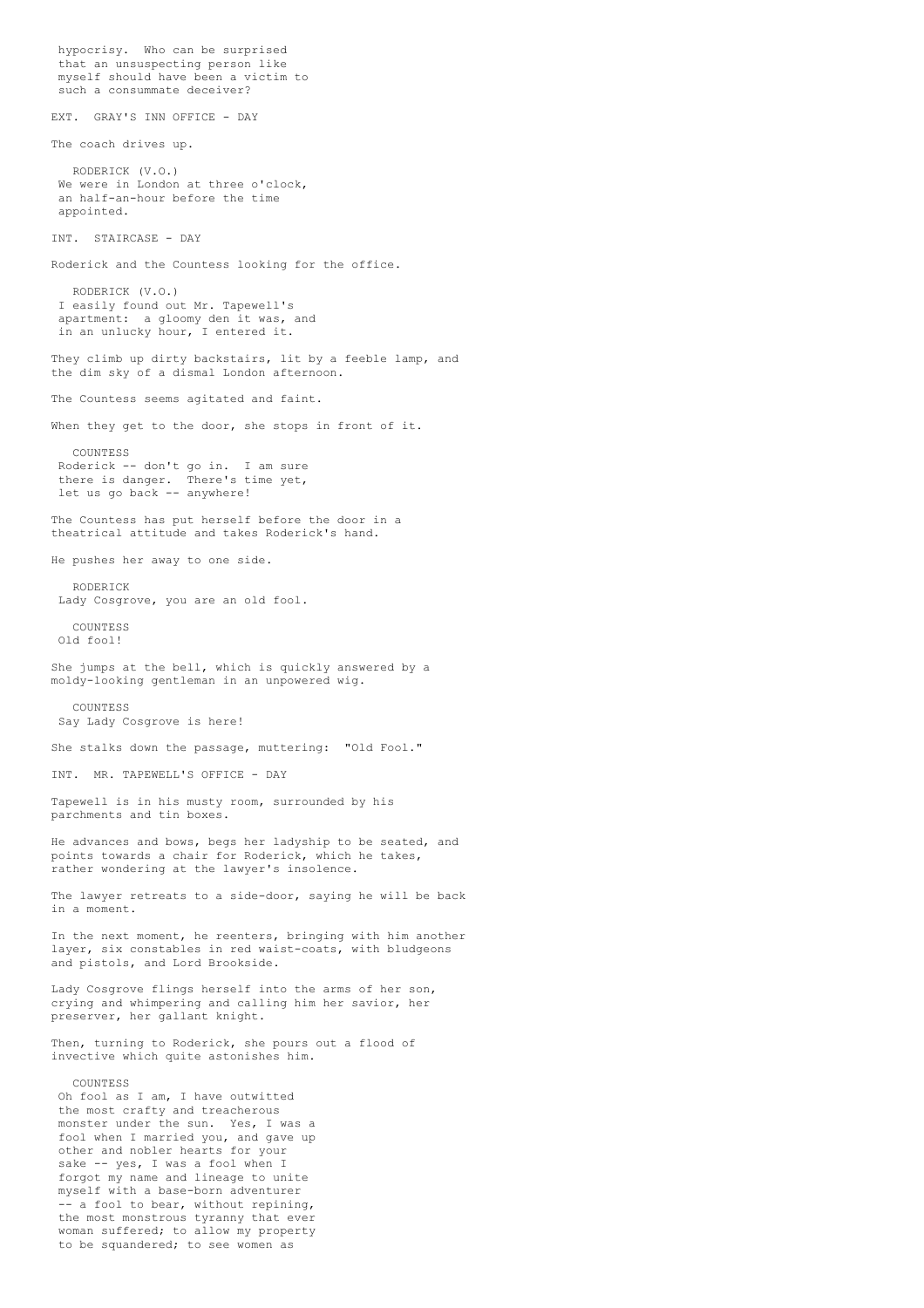hypocrisy. Who can be surprised that an unsuspecting person like myself should have been a victim to such a consummate deceiver? EXT. GRAY'S INN OFFICE - DAY The coach drives up. RODERICK (V.O.) We were in London at three o'clock, an half-an-hour before the time appointed. INT. STAIRCASE - DAY Roderick and the Countess looking for the office. RODERICK (V.O.) I easily found out Mr. Tapewell's apartment: a gloomy den it was, and in an unlucky hour, I entered it. They climb up dirty backstairs, lit by a feeble lamp, and the dim sky of a dismal London afternoon. The Countess seems agitated and faint. When they get to the door, she stops in front of it. COUNTESS Roderick -- don't go in. I am sure there is danger. There's time yet, let us go back -- anywhere! The Countess has put herself before the door in a theatrical attitude and takes Roderick's hand. He pushes her away to one side. RODERICK Lady Cosgrove, you are an old fool. COUNTESS Old fool! She jumps at the bell, which is quickly answered by a moldy-looking gentleman in an unpowered wig. COUNTESS Say Lady Cosgrove is here! She stalks down the passage, muttering: "Old Fool." INT. MR. TAPEWELL'S OFFICE - DAY Tapewell is in his musty room, surrounded by his parchments and tin boxes. He advances and bows, begs her ladyship to be seated, and points towards a chair for Roderick, which he takes, rather wondering at the lawyer's insolence. The lawyer retreats to a side-door, saying he will be back in a moment. In the next moment, he reenters, bringing with him another layer, six constables in red waist-coats, with bludgeons and pistols, and Lord Brookside. Lady Cosgrove flings herself into the arms of her son, crying and whimpering and calling him her savior, her preserver, her gallant knight. Then, turning to Roderick, she pours out a flood of invective which quite astonishes him. **COUNTESS** Oh fool as I am, I have outwitted the most crafty and treacherous monster under the sun. Yes, I was a fool when I married you, and gave up other and nobler hearts for your sake -- yes, I was a fool when I forgot my name and lineage to unite myself with a base-born adventurer -- a fool to bear, without repining, the most monstrous tyranny that ever woman suffered; to allow my property

to be squandered; to see women as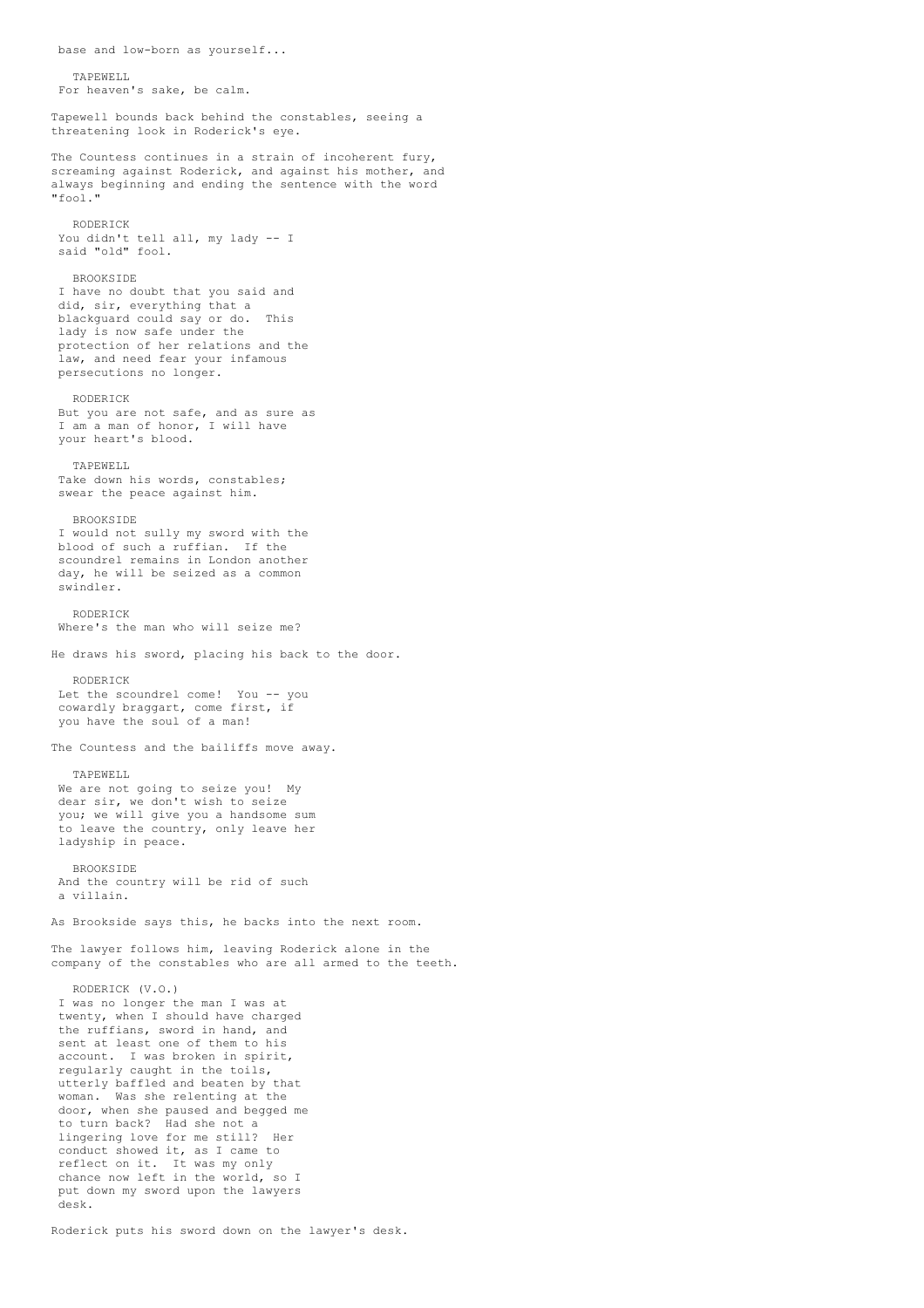TAPEWELL For heaven's sake, be calm. Tapewell bounds back behind the constables, seeing a threatening look in Roderick's eye. The Countess continues in a strain of incoherent fury, screaming against Roderick, and against his mother, and always beginning and ending the sentence with the word "fool." RODERICK You didn't tell all, my lady -- I said "old" fool. BROOKSIDE I have no doubt that you said and did, sir, everything that a blackguard could say or do. This lady is now safe under the protection of her relations and the law, and need fear your infamous persecutions no longer. RODERICK But you are not safe, and as sure as I am a man of honor, I will have your heart's blood. TAPEWELL Take down his words, constables; swear the peace against him. BROOKSIDE I would not sully my sword with the blood of such a ruffian. If the scoundrel remains in London another day, he will be seized as a common swindler. RODERICK Where's the man who will seize me? He draws his sword, placing his back to the door. RODERICK Let the scoundrel come! You -- you cowardly braggart, come first, if you have the soul of a man! The Countess and the bailiffs move away. TAPEWELL We are not going to seize you! My dear sir, we don't wish to seize you; we will give you a handsome sum to leave the country, only leave her ladyship in peace. BROOKSIDE And the country will be rid of such a villain. As Brookside says this, he backs into the next room. The lawyer follows him, leaving Roderick alone in the company of the constables who are all armed to the teeth. RODERICK (V.O.) I was no longer the man I was at twenty, when I should have charged the ruffians, sword in hand, and sent at least one of them to his account. I was broken in spirit, regularly caught in the toils, utterly baffled and beaten by that woman. Was she relenting at the door, when she paused and begged me to turn back? Had she not a lingering love for me still? Her conduct showed it, as I came to reflect on it. It was my only chance now left in the world, so I put down my sword upon the lawyers desk.

base and low-born as yourself...

Roderick puts his sword down on the lawyer's desk.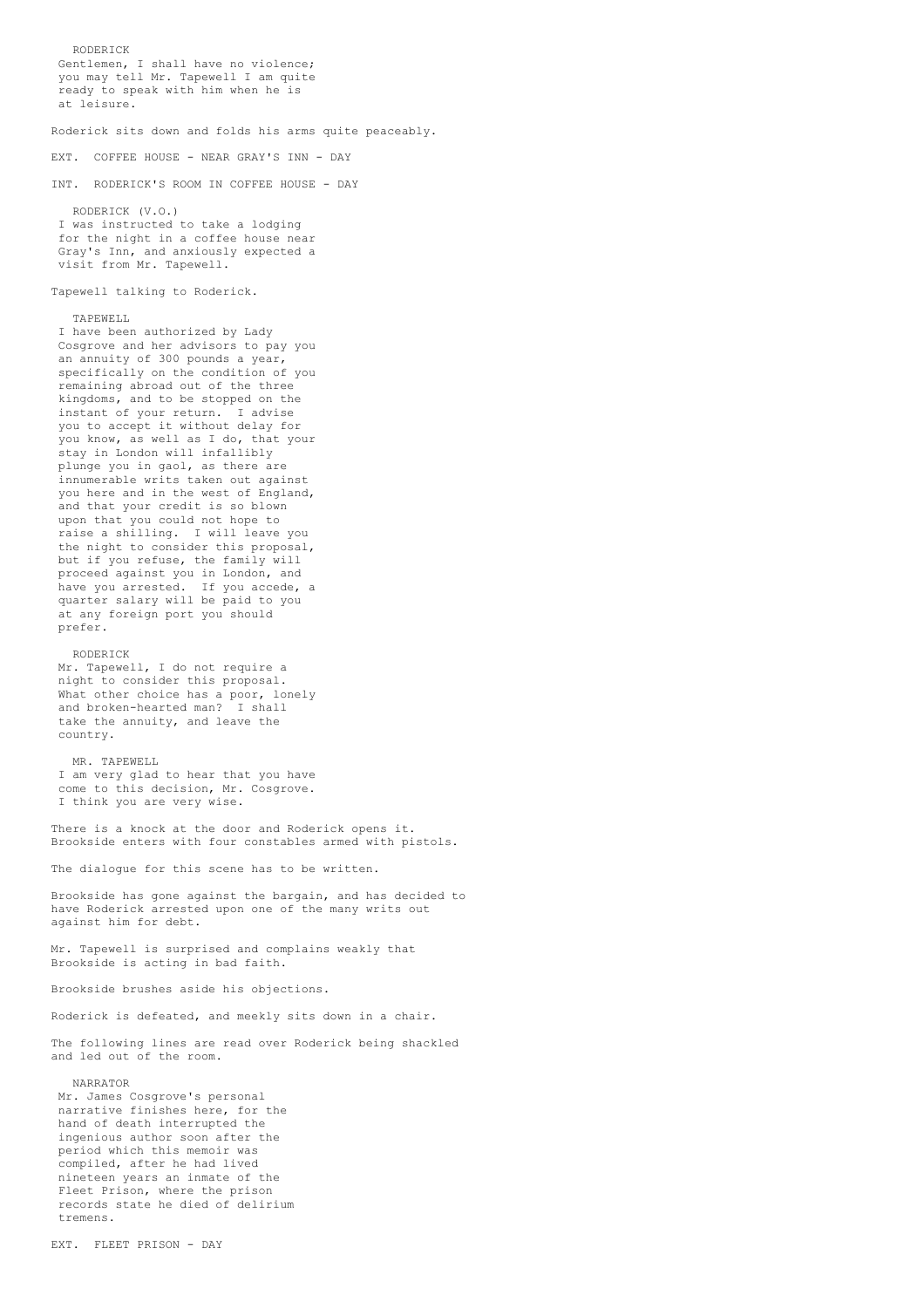RODERICK Gentlemen, I shall have no violence; you may tell Mr. Tapewell I am quite ready to speak with him when he is at leisure. Roderick sits down and folds his arms quite peaceably. EXT. COFFEE HOUSE - NEAR GRAY'S INN - DAY INT. RODERICK'S ROOM IN COFFEE HOUSE - DAY RODERICK (V.O.) I was instructed to take a lodging for the night in a coffee house near Gray's Inn, and anxiously expected a visit from Mr. Tapewell. Tapewell talking to Roderick. TAPEWELL I have been authorized by Lady Cosgrove and her advisors to pay you an annuity of 300 pounds a year, specifically on the condition of you remaining abroad out of the three kingdoms, and to be stopped on the instant of your return. I advise you to accept it without delay for you know, as well as I do, that your stay in London will infallibly plunge you in gaol, as there are innumerable writs taken out against you here and in the west of England, and that your credit is so blown upon that you could not hope to raise a shilling. I will leave you the night to consider this proposal, but if you refuse, the family will

proceed against you in London, and have you arrested. If you accede, a quarter salary will be paid to you at any foreign port you should

Mr. Tapewell, I do not require a night to consider this proposal. What other choice has a poor, lonely and broken-hearted man? I shall take the annuity, and leave the

I am very glad to hear that you have come to this decision, Mr. Cosgrove.

There is a knock at the door and Roderick opens it. Brookside enters with four constables armed with pistols.

Mr. Tapewell is surprised and complains weakly that

Roderick is defeated, and meekly sits down in a chair. The following lines are read over Roderick being shackled

Brookside has gone against the bargain, and has decided to have Roderick arrested upon one of the many writs out

The dialogue for this scene has to be written.

I think you are very wise.

prefer.

country.

MR. TAPEWELL.

against him for debt.

and led out of the room.

NARRATOR

tremens.

RODERICK

compiled, after he had lived nineteen years an inmate of the

Fleet Prison, where the prison records state he died of delirium

Mr. James Cosgrove's personal narrative finishes here, for the hand of death interrupted the ingenious author soon after the period which this memoir was

Brookside is acting in bad faith.

Brookside brushes aside his objections.

EXT. FLEET PRISON - DAY